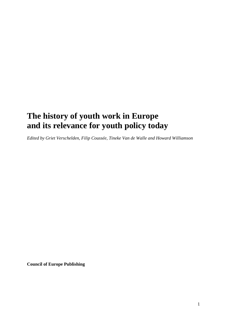# **The history of youth work in Europe and its relevance for youth policy today**

*Edited by Griet Verschelden, Filip Coussée, Tineke Van de Walle and Howard Williamson*

**Council of Europe Publishing**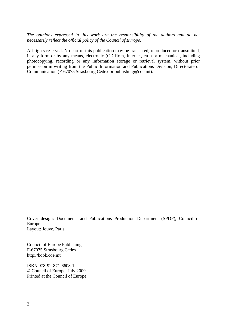*The opinions expressed in this work are the responsibility of the authors and do not necessarily reflect the official policy of the Council of Europe.*

All rights reserved. No part of this publication may be translated, reproduced or transmitted, in any form or by any means, electronic (CD-Rom, Internet, etc.) or mechanical, including photocopying, recording or any information storage or retrieval system, without prior permission in writing from the Public Information and Publications Division, Directorate of Communication (F-67075 Strasbourg Cedex or publishing@coe.int).

Cover design: Documents and Publications Production Department (SPDP), Council of Europe Layout: Jouve, Paris

Council of Europe Publishing F-67075 Strasbourg Cedex http://book.coe.int

ISBN 978-92-871-6608-1 © Council of Europe, July 2009 Printed at the Council of Europe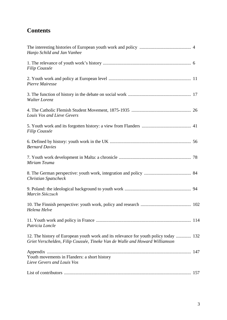# **Contents**

| Hanjo Schild and Jan Vanhee                                                                                                                                         |  |
|---------------------------------------------------------------------------------------------------------------------------------------------------------------------|--|
| Filip Coussée                                                                                                                                                       |  |
| Pierre Mairesse                                                                                                                                                     |  |
| Walter Lorenz                                                                                                                                                       |  |
| Louis Vos and Lieve Gevers                                                                                                                                          |  |
| Filip Coussée                                                                                                                                                       |  |
| <b>Bernard Davies</b>                                                                                                                                               |  |
| Miriam Teuma                                                                                                                                                        |  |
| <b>Christian Spatscheck</b>                                                                                                                                         |  |
| Marcin Sińczuch                                                                                                                                                     |  |
| Helena Helve                                                                                                                                                        |  |
| Patricia Loncle                                                                                                                                                     |  |
| 12. The history of European youth work and its relevance for youth policy today  132<br>Griet Verschelden, Filip Coussée, Tineke Van de Walle and Howard Williamson |  |
| Youth movements in Flanders: a short history<br>Lieve Gevers and Louis Vos                                                                                          |  |
|                                                                                                                                                                     |  |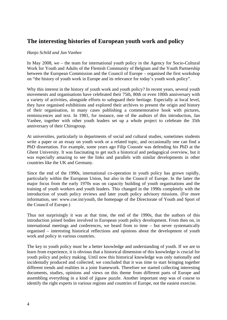# **The interesting histories of European youth work and policy**

#### *Hanjo Schild and Jan Vanhee*

In May 2008, we – the team for international youth policy in the Agency for Socio-Cultural Work for Youth and Adults of the Flemish Community of Belgium and the Youth Partnership between the European Commission and the Council of Europe – organised the first workshop on "the history of youth work in Europe and its relevance for today's youth work policy".

Why this interest in the history of youth work and youth policy? In recent years, several youth movements and organisations have celebrated their 75th, 80th or even 100th anniversary with a variety of activities, alongside efforts to safeguard their heritage. Especially at local level, they have organised exhibitions and explored their archives to present the origin and history of their organisation, in many cases publishing a commemorative book with pictures, reminiscences and text. In 1981, for instance, one of the authors of this introduction, Jan Vanhee, together with other youth leaders set up a whole project to celebrate the 35th anniversary of their Chirogroup.

At universities, particularly in departments of social and cultural studies, sometimes students write a paper or an essay on youth work or a related topic, and occasionally one can find a PhD dissertation. For example, some years ago Filip Coussée was defending his PhD at the Ghent University. It was fascinating to get such a historical and pedagogical overview, but it was especially amazing to see the links and parallels with similar developments in other countries like the UK and Germany.

Since the end of the 1990s, international co-operation in youth policy has grown rapidly, particularly within the European Union, but also in the Council of Europe. In the latter the major focus from the early 1970s was on capacity building of youth organisations and the training of youth workers and youth leaders. This changed in the 1990s completely with the introduction of youth policy reviews and later youth policy advisory missions. (For more information, see: www.coe.int/youth, the homepage of the Directorate of Youth and Sport of the Council of Europe.)

Thus not surprisingly it was at that time, the end of the 1990s, that the authors of this introduction joined bodies involved in European youth policy development. From then on, in international meetings and conferences, we heard from to time – but never systematically organised – interesting historical reflections and opinions about the development of youth work and policy in various countries.

The key to youth policy must be a better knowledge and understanding of youth. If we are to learn from experience, it is obvious that a historical dimension of this knowledge is crucial for youth policy and policy making. Until now this historical knowledge was only nationally and incidentally produced and collected; we concluded that it was time to start bringing together different trends and realities in a joint framework. Therefore we started collecting interesting documents, studies, opinions and views on this theme from different parts of Europe and assembling everything in a kind of jigsaw puzzle. Another important step was of course to identify the right experts in various regions and countries of Europe, not the easiest exercise.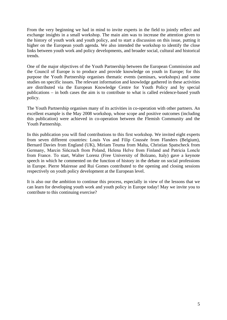From the very beginning we had in mind to invite experts in the field to jointly reflect and exchange insights in a small workshop. The main aim was to increase the attention given to the history of youth work and youth policy, and to start a discussion on this issue, putting it higher on the European youth agenda. We also intended the workshop to identify the close links between youth work and policy developments, and broader social, cultural and historical trends.

One of the major objectives of the Youth Partnership between the European Commission and the Council of Europe is to produce and provide knowledge on youth in Europe; for this purpose the Youth Partnership organises thematic events (seminars, workshops) and some studies on specific issues. The relevant information and knowledge gathered in these activities are distributed via the European Knowledge Centre for Youth Policy and by special publications – in both cases the aim is to contribute to what is called evidence-based youth policy.

The Youth Partnership organises many of its activities in co-operation with other partners. An excellent example is the May 2008 workshop, whose scope and positive outcomes (including this publication) were achieved in co-operation between the Flemish Community and the Youth Partnership.

In this publication you will find contributions to this first workshop. We invited eight experts from seven different countries: Louis Vos and Filip Coussée from Flanders (Belgium), Bernard Davies from England (UK), Miriam Teuma from Malta, Christian Spatscheck from Germany, Marcin Sińczuch from Poland, Helena Helve from Finland and Patricia Loncle from France. To start, Walter Lorenz (Free University of Bolzano, Italy) gave a keynote speech in which he commented on the function of history in the debate on social professions in Europe. Pierre Mairesse and Rui Gomes contributed to the opening and closing sessions respectively on youth policy development at the European level.

It is also our the ambition to continue this process, especially in view of the lessons that we can learn for developing youth work and youth policy in Europe today! May we invite you to contribute to this continuing exercise?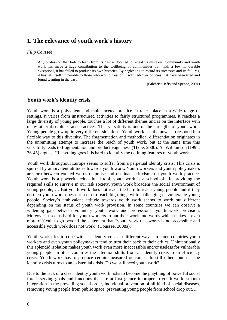# **1. The relevance of youth work's history**

#### *Filip Coussée*

Any profession that fails to learn from its past is doomed to repeat its mistakes. Community and youth work has made a huge contribution to the wellbeing of communities but, with a few honourable exceptions, it has failed to produce its own histories. By neglecting to record its successes and its failures, it has left itself vulnerable to those who would foist on it warmed-over policies that have been tried and found wanting in the past.

(Gilchrist, Jeffs and Spence, 2001)

## **Youth work's identity crisis**

Youth work is a polyvalent and multi-faceted practice. It takes place in a wide range of settings, it varies from unstructured activities to fairly structured programmes, it reaches a large diversity of young people, touches a lot of different themes and is on the interface with many other disciplines and practices. This versatility is one of the strengths of youth work. Young people grow up in very different situations. Youth work has the power to respond in a flexible way to this diversity. The fragmentation and methodical differentiation originates in the unremitting attempt to increase the reach of youth work, but at the same time this versatility leads to fragmentation and product vagueness (Thole, 2000). As Williamson (1995: 36-45) argues: 'If anything goes it is hard to identify the defining features of youth work.'

Youth work throughout Europe seems to suffer from a perpetual identity crisis. This crisis is spurred by ambivalent attitudes towards youth work. Youth workers and youth policymakers are torn between excited words of praise and obstinate criticisms on youth work practice. Youth work is a powerful educational tool, youth work is a school of life providing the required skills to survive in our risk society, youth work broadens the social environment of young people, … But youth work does not reach the hard to reach young people and if they do then youth work does not seem to reach big things with challenging or vulnerable young people. Society's ambivalent attitude towards youth work seems to work out different depending on the status of youth work provision. In some countries we can observe a widening gap between voluntary youth work and professional youth work provision. Moreover it seems hard for youth workers to put their work into words which makes it even more difficult to go beyond the statement that "youth work that works is not accessible and accessible youth work does not work" (Coussée, 2008a).

Youth work tries to cope with its identity crisis in different ways. In some countries youth workers and even youth policymakers tend to turn their back to their critics. Unintentionally this splendid isolation makes youth work even more inaccessible and/or useless for vulnerable young people. In other countries the attention shifts from an identity crisis to an efficiency crisis. Youth work has to produce certain measured outcomes. In still other countries the identity crisis turns to an existential crisis. Do we still need youth work?

Due to the lack of a clear identity youth work risks to become the plaything of powerful social forces serving goals and functions that are at first glance improper to youth work: smooth integration in the prevailing social order, individual prevention of all kind of social diseases, removing young people from public space, preventing young people from school drop out, ...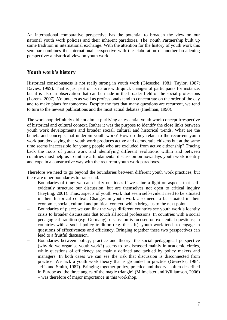An international comparative perspective has the potential to broaden the view on our national youth work policies and their inherent paradoxes. The Youth Partnership built up some tradition in international exchange. With the attention for the history of youth work this seminar combines the international perspective with the elaboration of another broadening perspective: a historical view on youth work.

# **Youth work's history**

Historical consciousness is not really strong in youth work (Giesecke, 1981; Taylor, 1987; Davies, 1999). That is just part of its nature with quick changes of participants for instance, but it is also an observation that can be made in the broader field of the social professions (Lorenz, 2007). Volunteers as well as professionals tend to concentrate on the order of the day and to make plans for tomorrow. Despite the fact that many questions are recurrent, we tend to turn to the newest publications and the most actual debates (Imelman, 1990).

The workshop definitely did not aim at purifying an essential youth work concept irrespective of historical and cultural context. Rather it was the purpose to identify the close links between youth work developments and broader social, cultural and historical trends. What are the beliefs and concepts that underpin youth work? How do they relate to the recurrent youth work paradox saying that youth work produces active and democratic citizens but at the same time seems inaccessible for young people who are excluded from active citizenship? Tracing back the roots of youth work and identifying different evolutions within and between countries must help us to initiate a fundamental discussion on nowadays youth work identity and cope in a constructive way with the recurrent youth work paradoxes.

Therefore we need to go beyond the boundaries between different youth work practices, but there are other boundaries to transcend.

- Boundaries of time: we can clarify our ideas if we shine a light on aspects that selfevidently structure our discussion, but are themselves not open to critical inquiry (Heyting, 2001). Thus, aspects of youth work that seem self-evident need to be situated in their historical context. Changes in youth work also need to be situated in their economic, social, cultural and political context, which brings us to the next point.
- Boundaries of place: we can link the ways different countries see youth work's identity crisis to broader discussions that touch all social professions. In countries with a social pedagogical tradition (e.g. Germany), discussion is focused on existential questions; in countries with a social policy tradition (e.g. the UK), youth work tends to engage in questions of effectiveness and efficiency. Bringing together these two perspectives can lead to a fruitful discussion.
- Boundaries between policy, practice and theory: the social pedagogical perspective (why do we organise youth work?) seems to be discussed mainly in academic circles, while questions of efficiency are mainly defined and tackled by policy makers and managers. In both cases we can see the risk that discussion is disconnected from practice. We lack a youth work theory that is grounded in practice (Giesecke, 1984; Jeffs and Smith, 1987). Bringing together policy, practice and theory – often described in Europe as 'the three angles of the magic triangle' (Milmeister and Williamson, 2006) – was therefore of major importance in this workshop.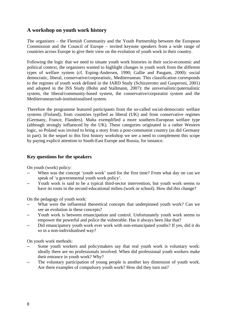# **A workshop on youth work history**

The organisers – the Flemish Community and the Youth Partnership between the European Commission and the Council of Europe – invited keynote speakers from a wide range of countries across Europe to give their view on the evolution of youth work in their country.

Following the logic that we need to situate youth work histories in their socio-economic and political context, the organisers wanted to highlight changes in youth work from the different types of welfare system (cf. Esping-Andersen, 1990; Gallie and Paugam, 2000): social democratic, liberal, conservative/corporatistic, Mediterranean. This classification corresponds to the regimes of youth work defined in the IARD Study (Schizzerotto and Gasperoni, 2001) and adopted in the ISS Study (Bohn and Stallmann, 2007): the universalistic/paternalistic system, the liberal/community-based system, the conservative/corporatist system and the Mediterranean/sub-institutionalised system.

Therefore the programme featured participants from the so-called social-democratic welfare systems (Finland), from countries typified as liberal (UK) and from conservative regimes (Germany, France, Flanders). Malta exemplified a more southern-European welfare type (although strongly influenced by the UK). These categories originated in a rather Western logic, so Poland was invited to bring a story from a post-communist country (as did Germany in part). In the sequel to this first history workshop we see a need to complement this scope by paying explicit attention to South-East Europe and Russia, for instance.

#### **Key questions for the speakers**

On youth (work) policy:

- When was the concept 'youth work' used for the first time? From what day on can we speak of 'a governmental youth work policy'.
- Youth work is said to be a typical third-sector intervention, but youth work seems to have its roots in the second educational milieu (work or school). How did this change?

On the pedagogy of youth work:

- What were the influential theoretical concepts that underpinned youth work? Can we see an evolution in these concepts?
- Youth work is between emancipation and control. Unfortunately youth work seems to empower the powerful and police the vulnerable. Has it always been like that?
- Did emancipatory youth work ever work with non-emancipated youths? If yes, did it do so in a non-individualised way?

On youth work methods:

- Some youth workers and policymakers say that real youth work is voluntary work: ideally there are no professionals involved. When did professional youth workers make their entrance in youth work? Why?
- The voluntary participation of young people is another key dimension of youth work. Are there examples of compulsory youth work? How did they turn out?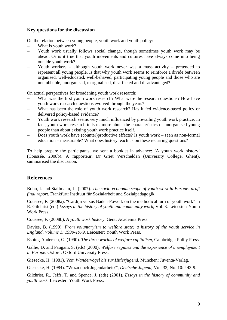#### **Key questions for the discussion**

On the relation between young people, youth work and youth policy:

- What is youth work?
- Youth work usually follows social change, though sometimes youth work may be ahead. Or is it true that youth movements and cultures have always come into being outside youth work?
- Youth workers although youth work never was a mass activity pretended to represent all young people. Is that why youth work seems to reinforce a divide between organised, well-educated, well-behaved, participating young people and those who are unclubbable, unorganised, marginalised, disaffected and disadvantaged?

On actual perspectives for broadening youth work research:

- What was the first youth work research? What were the research questions? How have youth work research questions evolved through the years?
- What has been the role of youth work research? Has it fed evidence-based policy or delivered policy-based evidence?
- Youth work research seems very much influenced by prevailing youth work practice. In fact, youth work research tells us more about the characteristics of unorganised young people than about existing youth work practice itself.
- Does youth work have (counter)productive effects? Is youth work seen as non-formal education – measurable? What does history teach us on these recurring questions?

To help prepare the participants, we sent a booklet in advance: 'A youth work history' (Coussée, 2008b). A rapporteur, Dr Griet Verschelden (University College, Ghent), summarised the discussion.

# **References**

Bohn, I. and Stallmann, L. (2007). *The socio-economic scope of youth work in Europe: draft final report.* Frankfürt: Instituut für Sozialarbeit und Sozialpädagogik.

Coussée, F. (2008a). "Cardijn versus Baden-Powell: on the methodical turn of youth work" in R. Gilchrist (ed.) *Essays in the history of youth and community work*, Vol. 3. Leicester: Youth Work Press.

Coussée, F. (2008b). *A youth work history*. Gent: Academia Press.

Davies, B. (1999). *From voluntaryism to welfare state: a history of the youth service in England, Volume 1: 1939-1979*. Leicester: Youth Work Press.

Esping-Andersen, G. (1990). *The three worlds of welfare capitalism,* Cambridge: Polity Press.

Gallie, D. and Paugam, S. (eds) (2000). *Welfare regimes and the experience of unemployment in Europe*. Oxford: Oxford University Press.

Giesecke, H. (1981). *Vom Wandervögel bis zur Hitlerjugend*. München: Juventa-Verlag.

Giesecke, H. (1984). "Wozu noch Jugendarbeit?", *Deutsche Jugend*, Vol. 32, No. 10: 443-9.

Gilchrist, R., Jeffs, T. and Spence, J. (eds) (2001). *Essays in the history of community and youth work.* Leicester: Youth Work Press.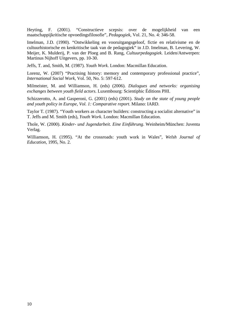Heyting, F. (2001). "Constructieve scepsis: over de mogelijkheid van een maatschappijkritische opvoedingsfilosofie", *Pedagogiek*, Vol. 21, No. 4: 346-58.

Imelman, J.D. (1990). "Ontwikkeling en vooruitgangsgeloof, fictie en relativisme en de cultuurhistorische en kenkritische taak van de pedagogiek" in J.D. Imelman, B. Levering, W. Meijer, K. Mulderij, P. van der Ploeg and B. Rang, *Cultuurpedagogiek*. Leiden/Antwerpen: Martinus Nijhoff Uitgevers, pp. 10-30.

Jeffs, T. and, Smith, M. (1987). *Youth Work*. London: Macmillan Education.

Lorenz, W. (2007) "Practising history: memory and contemporary professional practice", *International Social Work*, Vol. 50, No. 5: 597-612.

Milmeister, M. and Williamson, H. (eds) (2006). *Dialogues and networks: organising exchanges between youth field actors*. Luxembourg: Scientiphic Éditions PHI.

Schizzerotto, A. and Gasperoni, G. (2001) (eds) (2001). *Study on the state of young people and youth policy in Europe, Vol. 1: Comparative report*. Milano: IARD.

Taylor T. (1987). "Youth workers as character builders: constructing a socialist alternative" in T. Jeffs and M. Smith (eds), *Youth Work*. London: Macmillan Education.

Thole, W. (2000). *Kinder- und Jugendarbeit. Eine Einführung*. Weinheim/München: Juventa Verlag.

Williamson, H. (1995). "At the crossroads: youth work in Wales", *Welsh Journal of Education*, 1995, No. 2.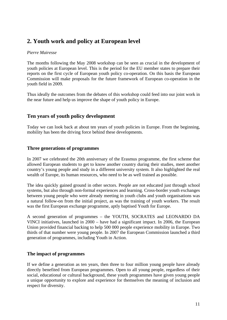# **2. Youth work and policy at European level**

#### *Pierre Mairesse*

The months following the May 2008 workshop can be seen as crucial in the development of youth policies at European level. This is the period for the EU member states to prepare their reports on the first cycle of European youth policy co-operation. On this basis the European Commission will make proposals for the future framework of European co-operation in the youth field in 2009.

Thus ideally the outcomes from the debates of this workshop could feed into our joint work in the near future and help us improve the shape of youth policy in Europe.

# **Ten years of youth policy development**

Today we can look back at about ten years of youth policies in Europe. From the beginning, mobility has been the driving force behind these developments.

## **Three generations of programmes**

In 2007 we celebrated the 20th anniversary of the Erasmus programme, the first scheme that allowed European students to get to know another country during their studies, meet another country's young people and study in a different university system. It also highlighted the real wealth of Europe, its human resources, who need to be as well trained as possible.

The idea quickly gained ground in other sectors. People are not educated just through school systems, but also through non-formal experiences and learning. Cross-border youth exchanges between young people who were already meeting in youth clubs and youth organisations was a natural follow-on from the initial project, as was the training of youth workers. The result was the first European exchange programme, aptly baptised Youth for Europe.

A second generation of programmes – the YOUTH, SOCRATES and LEONARDO DA VINCI initiatives, launched in 2000 – have had a significant impact. In 2006, the European Union provided financial backing to help 500 000 people experience mobility in Europe. Two thirds of that number were young people. In 2007 the European Commission launched a third generation of programmes, including Youth in Action.

## **The impact of programmes**

If we define a generation as ten years, then three to four million young people have already directly benefited from European programmes. Open to all young people, regardless of their social, educational or cultural background, these youth programmes have given young people a unique opportunity to explore and experience for themselves the meaning of inclusion and respect for diversity.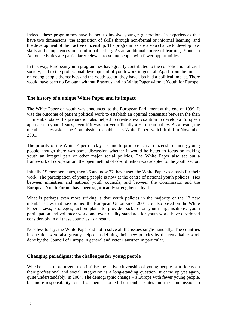Indeed, these programmes have helped to involve younger generations in experiences that have two dimensions: the acquisition of skills through non-formal or informal learning, and the development of their active citizenship. The programmes are also a chance to develop new skills and competences in an informal setting. As an additional source of learning, Youth in Action activities are particularly relevant to young people with fewer opportunities.

In this way, European youth programmes have greatly contributed to the consolidation of civil society, and to the professional development of youth work in general. Apart from the impact on young people themselves and the youth sector, they have also had a political impact. There would have been no Bologna without Erasmus and no White Paper without Youth for Europe.

#### **The history of a unique White Paper and its impact**

The White Paper on youth was announced to the European Parliament at the end of 1999. It was the outcome of patient political work to establish an optimal consensus between the then 15 member states. Its preparation also helped to create a real coalition to develop a European approach to youth issues, even if it was not yet officially a European policy. As a result, the member states asked the Commission to publish its White Paper, which it did in November 2001.

The priority of the White Paper quickly became to promote active citizenship among young people, though there was some discussion whether it would be better to focus on making youth an integral part of other major social policies. The White Paper also set out a framework of co-operation: the open method of co-ordination was adapted to the youth sector.

Initially 15 member states, then 25 and now 27, have used the White Paper as a basis for their work. The participation of young people is now at the centre of national youth policies. Ties between ministries and national youth councils, and between the Commission and the European Youth Forum, have been significantly strengthened by it.

What is perhaps even more striking is that youth policies in the majority of the 12 new member states that have joined the European Union since 2004 are also based on the White Paper. Laws, strategies, action plans to provide backup for youth organisations, youth participation and volunteer work, and even quality standards for youth work, have developed considerably in all these countries as a result.

Needless to say, the White Paper did not resolve all the issues single-handedly. The countries in question were also greatly helped in defining their new policies by the remarkable work done by the Council of Europe in general and Peter Lauritzen in particular.

#### **Changing paradigms: the challenges for young people**

Whether it is more urgent to prioritise the active citizenship of young people or to focus on their professional and social integration is a long-standing question. It came up yet again, quite understandably, in 2004. The demographic change – a Europe with fewer young people, but more responsibility for all of them – forced the member states and the Commission to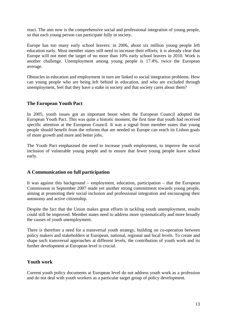react. The aim now is the comprehensive social and professional integration of young people, so that each young person can participate fully in society.

Europe has too many early school leavers: in 2006, about six million young people left education early. Most member states still need to increase their efforts; it is already clear that Europe will not meet the target of no more than 10% early school leavers in 2010. Work is another challenge. Unemployment among young people is 17.4%, twice the European average.

Obstacles in education and employment in turn are linked to social integration problems. How can young people who are being left behind in education, and who are excluded through unemployment, feel that they have a stake in society and that society cares about them?

## **The European Youth Pact**

In 2005, youth issues got an important boost when the European Council adopted the European Youth Pact. This was quite a historic moment, the first time that youth had received specific attention at the European Council. It was a signal from member states that young people should benefit from the reforms that are needed so Europe can reach its Lisbon goals of more growth and more and better jobs.

The Youth Pact emphasised the need to increase youth employment, to improve the social inclusion of vulnerable young people and to ensure that fewer young people leave school early.

#### **A Communication on full participation**

It was against this background – employment, education, participation – that the European Commission in September 2007 made yet another strong commitment towards young people, aiming at promoting their social inclusion and professional integration and encouraging their autonomy and active citizenship.

Despite the fact that the Union makes great efforts in tackling youth unemployment, results could still be improved. Member states need to address more systematically and more broadly the causes of youth unemployment.

There is therefore a need for a transversal youth strategy, building on co-operation between policy makers and stakeholders at European, national, regional and local levels. To create and shape such transversal approaches at different levels, the contribution of youth work and its further development at European level is crucial.

#### **Youth work**

Current youth policy documents at European level do not address youth work as a profession and do not deal with youth workers as a particular target group of policy development.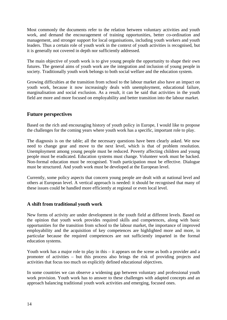Most commonly the documents refer to the relation between voluntary activities and youth work, and demand the encouragement of training opportunities, better co-ordination and management, and stronger support for local organisations, including youth workers and youth leaders. Thus a certain role of youth work in the context of youth activities is recognised, but it is generally not covered in depth nor sufficiently addressed.

The main objective of youth work is to give young people the opportunity to shape their own futures. The general aims of youth work are the integration and inclusion of young people in society. Traditionally youth work belongs to both social welfare and the education system.

Growing difficulties at the transition from school to the labour market also have an impact on youth work, because it now increasingly deals with unemployment, educational failure, marginalisation and social exclusion. As a result, it can be said that activities in the youth field are more and more focused on employability and better transition into the labour market.

# **Future perspectives**

Based on the rich and encouraging history of youth policy in Europe, I would like to propose the challenges for the coming years where youth work has a specific, important role to play.

The diagnosis is on the table; all the necessary questions have been clearly asked. We now need to change gear and move to the next level, which is that of problem resolution. Unemployment among young people must be reduced. Poverty affecting children and young people must be eradicated. Education systems must change. Volunteer work must be backed. Non-formal education must be recognised. Youth participation must be effective. Dialogue must be structured. And youth work must be developed at the European level.

Currently, some policy aspects that concern young people are dealt with at national level and others at European level. A vertical approach is needed: it should be recognised that many of these issues could be handled more efficiently at regional or even local level.

## **A shift from traditional youth work**

New forms of activity are under development in the youth field at different levels. Based on the opinion that youth work provides required skills and competences, along with basic opportunities for the transition from school to the labour market, the importance of improved employability and the acquisition of key competences are highlighted more and more, in particular because the required competences are not sufficiently imparted in the formal education systems.

Youth work has a major role to play in this – it appears on the scene as both a provider and a promoter of activities – but this process also brings the risk of providing projects and activities that focus too much on explicitly defined educational objectives.

In some countries we can observe a widening gap between voluntary and professional youth work provision. Youth work has to answer to these challenges with adapted concepts and an approach balancing traditional youth work activities and emerging, focused ones.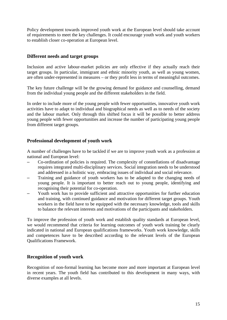Policy development towards improved youth work at the European level should take account of requirements to meet the key challenges. It could encourage youth work and youth workers to establish closer co-operation at European level.

## **Different needs and target groups**

Inclusion and active labour-market policies are only effective if they actually reach their target groups. In particular, immigrant and ethnic minority youth, as well as young women, are often under-represented in measures – or they profit less in terms of meaningful outcomes.

The key future challenge will be the growing demand for guidance and counselling, demand from the individual young people and the different stakeholders in the field.

In order to include more of the young people with fewer opportunities, innovative youth work activities have to adapt to individual and biographical needs as well as to needs of the society and the labour market. Only through this shifted focus it will be possible to better address young people with fewer opportunities and increase the number of participating young people from different target groups.

#### **Professional development of youth work**

A number of challenges have to be tackled if we are to improve youth work as a profession at national and European level:

- Co-ordination of policies is required. The complexity of constellations of disadvantage requires integrated multi-disciplinary services. Social integration needs to be understood and addressed in a holistic way, embracing issues of individual and social relevance.
- Training and guidance of youth workers has to be adapted to the changing needs of young people. It is important to better reach out to young people, identifying and recognising their potential for co-operation.
- Youth work has to provide sufficient and attractive opportunities for further education and training, with continued guidance and motivation for different target groups. Youth workers in the field have to be equipped with the necessary knowledge, tools and skills to balance the relevant interests and motivations of the participants and stakeholders.

To improve the profession of youth work and establish quality standards at European level, we would recommend that criteria for learning outcomes of youth work training be clearly indicated in national and European qualifications frameworks. Youth work knowledge, skills and competences have to be described according to the relevant levels of the European Qualifications Framework.

#### **Recognition of youth work**

Recognition of non-formal learning has become more and more important at European level in recent years. The youth field has contributed to this development in many ways, with diverse examples at all levels.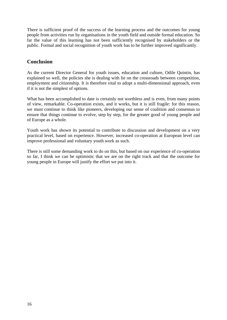There is sufficient proof of the success of the learning process and the outcomes for young people from activities run by organisations in the youth field and outside formal education. So far the value of this learning has not been sufficiently recognised by stakeholders or the public. Formal and social recognition of youth work has to be further improved significantly.

# **Conclusion**

As the current Director General for youth issues, education and culture, Odile Quintin, has explained so well, the policies she is dealing with lie on the crossroads between competition, employment and citizenship. It is therefore vital to adopt a multi-dimensional approach, even if it is not the simplest of options.

What has been accomplished to date is certainly not worthless and is even, from many points of view, remarkable. Co-operation exists, and it works, but it is still fragile: for this reason, we must continue to think like pioneers, developing our sense of coalition and consensus to ensure that things continue to evolve, step by step, for the greater good of young people and of Europe as a whole.

Youth work has shown its potential to contribute to discussion and development on a very practical level, based on experience. However, increased co-operation at European level can improve professional and voluntary youth work as such.

There is still some demanding work to do on this, but based on our experience of co-operation so far, I think we can be optimistic that we are on the right track and that the outcome for young people in Europe will justify the effort we put into it.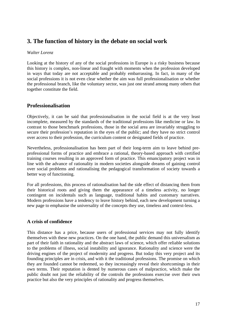# **3. The function of history in the debate on social work**

#### *Walter Lorenz*

Looking at the history of any of the social professions in Europe is a risky business because this history is complex, non-linear and fraught with moments when the profession developed in ways that today are not acceptable and probably embarrassing. In fact, in many of the social professions it is not even clear whether the aim was full professionalisation or whether the professional branch, like the voluntary sector, was just one strand among many others that together constitute the field.

## **Professionalisation**

Objectively, it can be said that professionalisation in the social field is at the very least incomplete, measured by the standards of the traditional professions like medicine or law. In contrast to those benchmark professions, those in the social area are invariably struggling to secure their profession's reputation in the eyes of the public; and they have no strict control over access to their profession, the curriculum content or designated fields of practice.

Nevertheless, professionalisation has been part of their long-term aim to leave behind preprofessional forms of practice and embrace a rational, theory-based approach with certified training courses resulting in an approved form of practice. This emancipatory project was in line with the advance of rationality in modern societies alongside dreams of gaining control over social problems and rationalising the pedagogical transformation of society towards a better way of functioning.

For all professions, this process of rationalisation had the side effect of distancing them from their historical roots and giving them the appearance of a timeless activity, no longer contingent on incidentals such as language, traditional habits and customary narratives. Modern professions have a tendency to leave history behind, each new development turning a new page to emphasise the universality of the concepts they use, timeless and context-less.

#### **A crisis of confidence**

This distance has a price, because users of professional services may not fully identify themselves with these new practices. On the one hand, the public demand this universalism as part of their faith in rationality and the abstract laws of science, which offer reliable solutions to the problems of illness, social instability and ignorance. Rationality and science were the driving engines of the project of modernity and progress. But today this very project and its founding principles are in crisis, and with it the traditional professions. The promise on which they are founded cannot be redeemed, so they increasingly reveal their shortcomings in their own terms. Their reputation is dented by numerous cases of malpractice, which make the public doubt not just the reliability of the controls the professions exercise over their own practice but also the very principles of rationality and progress themselves.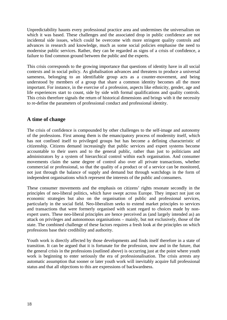Unpredictability haunts every professional practice area and undermines the universalism on which it was based. These challenges and the associated drop in public confidence are not incidental side issues, which could be overcome with more stringent quality controls and advances in research and knowledge, much as some social policies emphasise the need to modernise public services. Rather, they can be regarded as signs of a crisis of confidence, a failure to find common ground between the public and the experts.

This crisis corresponds to the growing importance that questions of identity have in all social contexts and in social policy. As globalisation advances and threatens to produce a universal sameness, belonging to an identifiable group acts as a counter-movement, and being understood by members of a group that share a common identity becomes all the more important. For instance, in the exercise of a profession, aspects like ethnicity, gender, age and life experiences start to count, side by side with formal qualifications and quality controls. This crisis therefore signals the return of historical dimensions and brings with it the necessity to re-define the parameters of professional conduct and professional identity.

# **A time of change**

The crisis of confidence is compounded by other challenges to the self-image and autonomy of the professions. First among them is the emancipatory process of modernity itself, which has not confined itself to privileged groups but has become a defining characteristic of citizenship. Citizens demand increasingly that public services and expert systems become accountable to their users and to the general public, rather than just to politicians and administrators by a system of hierarchical control within each organisation. And consumer movements claim the same degree of control also over all private transactions, whether commercial or professional, so that the quality of a product or of a service can be monitored, not just through the balance of supply and demand but through watchdogs in the form of independent organisations which represent the interests of the public and consumers.

These consumer movements and the emphasis on citizens' rights resonate secondly in the principles of neo-liberal politics, which have swept across Europe. They impact not just on economic strategies but also on the organisation of public and professional services, particularly in the social field. Neo-liberalism seeks to extend market principles to services and transactions that were formerly organised with scant regard to choices made by nonexpert users. These neo-liberal principles are hence perceived as (and largely intended as) an attack on privileges and autonomous organisations – mainly, but not exclusively, those of the state. The combined challenge of these factors requires a fresh look at the principles on which professions base their credibility and authority.

Youth work is directly affected by those developments and finds itself therefore in a state of transition. It can be argued that it is fortunate for the profession, now and in the future, that the general crisis in the professions (outlined above) is occurring just at the point where youth work is beginning to enter seriously the era of professionalisation. The crisis arrests any automatic assumption that sooner or later youth work will inevitably acquire full professional status and that all objections to this are expressions of backwardness.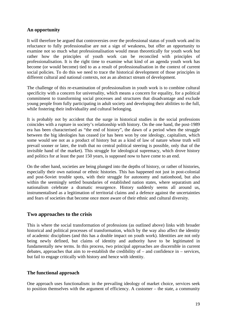## **An opportunity**

It will therefore be argued that controversies over the professional status of youth work and its reluctance to fully professionalise are not a sign of weakness, but offer an opportunity to examine not so much what professionalisation would mean theoretically for youth work but rather how the principles of youth work can be reconciled with principles of professionalisation. It is the right time to examine what kind of an agenda youth work has become (or would become) tied to as a result of professionalisation in the context of current social policies. To do this we need to trace the historical development of those principles in different cultural and national contexts, not as an abstract stream of development.

The challenge of this re-examination of professionalism in youth work is to combine cultural specificity with a concern for universality, which means a concern for equality, for a political commitment to transforming social processes and structures that disadvantage and exclude young people from fully participating in adult society and developing their abilities to the full, while fostering their individuality and cultural belonging.

It is probably not by accident that the surge in historical studies in the social professions coincides with a rupture in society's relationship with history. On the one hand, the post-1989 era has been characterised as "the end of history", the dawn of a period when the struggle between the big ideologies has ceased (or has been won by one ideology, capitalism, which some would see not as a product of history but as a kind of law of nature whose truth will prevail sooner or later, the truth that no central political steering is possible, only that of the invisible hand of the market). This struggle for ideological supremacy, which drove history and politics for at least the past 150 years, is supposed now to have come to an end.

On the other hand, societies are being plunged into the depths of history, or rather of histories, especially their own national or ethnic histories. This has happened not just in post-colonial and post-Soviet trouble spots, with their struggle for autonomy and nationhood, but also within the seemingly settled boundaries of established nation states, where separatism and nationalism celebrate a dramatic resurgence. History suddenly seems all around us, instrumentalised as a legitimation of territorial claims and a defence against the uncertainties and fears of societies that become once more aware of their ethnic and cultural diversity.

# **Two approaches to the crisis**

This is where the social transformation of professions (as outlined above) links with broader historical and political processes of transformation, which by the way also affect the identity of academic disciplines (and this has a double impact on youth work). Identities are not only being newly defined, but claims of identity and authority have to be legitimated in fundamentally new terms. In this process, two principal approaches are discernible in current debates, approaches that aim to re-establish the credibility of – and confidence in – services, but fail to engage critically with history and hence with identity.

## **The functional approach**

One approach uses functionalism: in the prevailing ideology of market choice, services seek to position themselves with the argument of efficiency. A customer – the state, a community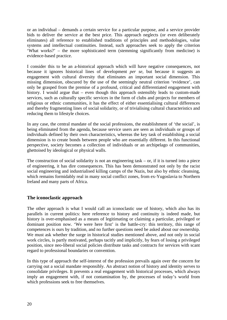or an individual – demands a certain service for a particular purpose, and a service provider bids to deliver the service at the best price. This approach neglects (or even deliberately eliminates) all reference to established traditions of principles and methodologies, value systems and intellectual continuities. Instead, such approaches seek to apply the criterion 'What works?' – the more sophisticated term (stemming significantly from medicine) is evidence-based practice.

I consider this to be an a-historical approach which will have negative consequences, not because it ignores historical lines of development *per se*, but because it suggests an engagement with cultural diversity that eliminates an important social dimension. This missing dimension, obscured by the use of the seemingly neutral criterion 'evidence', can only be grasped from the premise of a profound, critical and differentiated engagement with history. I would argue that – even though this approach ostensibly leads to custom-made services, such as culturally specific services in the form of clubs and projects for members of religious or ethnic communities, it has the effect of either essentialising cultural differences and thereby fragmenting lines of social solidarity, or of trivialising cultural characteristics and reducing them to lifestyle choices.

In any case, the central mandate of the social professions, the establishment of 'the social', is being eliminated from the agenda, because service users are seen as individuals or groups of individuals defined by their own characteristics, whereas the key task of establishing a social dimension is to create bonds between people who are essentially different. In this functional perspective, society becomes a collection of individuals or an archipelago of communities, ghettoised by ideological or physical walls.

The construction of social solidarity is not an engineering task  $-$  or, if it is turned into a piece of engineering, it has dire consequences. This has been demonstrated not only by the racist social engineering and industrialised killing camps of the Nazis, but also by ethnic cleansing, which remains formidably real in many social conflict zones, from ex-Yugoslavia to Northern Ireland and many parts of Africa.

## **The iconoclastic approach**

The other approach is what I would call an iconoclastic use of history, which also has its parallels in current politics: here reference to history and continuity is indeed made, but history is over-emphasised as a means of legitimating or claiming a particular, privileged or dominant position now. 'We were here first' is the battle-cry: this territory, this range of competences is ours by tradition, and no further questions need be asked about our ownership. We must ask whether the surge in historical studies mentioned above, and not only in social work circles, is partly motivated, perhaps tacitly and implicitly, by fears of losing a privileged position, since neo-liberal social policies distribute tasks and contracts for services with scant regard to professional boundaries or convention.

In this type of approach the self-interest of the profession prevails again over the concern for carrying out a social mandate responsibly. An abstract notion of history and identity serves to consolidate privileges. It prevents a real engagement with historical processes, which always imply an engagement with, if not contamination by, the processes of today's world from which professions seek to free themselves.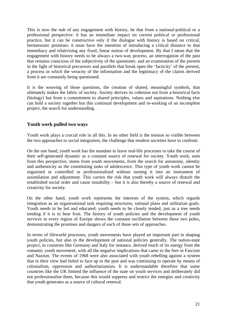This is now the nub of any engagement with history, be that from a national-political or a professional perspective: it has an immediate impact on current political or professional practice, but it can be constructive only if the dialogue with history is based on critical, hermeneutic premises: it must have the intention of introducing a critical distance to that immediacy and relativising any fixed, linear notion of development. By that I mean that the engagement with history needs to be always a two-way process, an interrogation of the past that remains conscious of the subjectivity of the questioner, and an examination of the present in the light of historical precursors and parallels that break open the 'facticity' of the present, a process in which the veracity of the information and the legitimacy of the claims derived from it are constantly being questioned.

It is the weaving of those questions, the creation of shared, meaningful symbols, that ultimately makes the fabric of society. Society derives its cohesion not from a-historical facts (biology) but from a commitment to shared principles, values and aspirations. Nothing else can hold a society together but this continual development and re-working of an incomplete project, the search for understanding.

## **Youth work pulled two ways**

Youth work plays a crucial role in all this. In no other field is the tension so visible between the two approaches to social integration, the challenge that modern societies have to confront.

On the one hand, youth work has the mandate to leave real-life processes to take the course of their self-generated dynamic as a constant source of renewal for society. Youth work, seen from this perspective, stems from youth movements, from the search for autonomy, identity and authenticity as the constituting tasks of adolescence. This type of youth work cannot be organised or controlled or professionalised without turning it into an instrument of assimilation and adjustment. This carries the risk that youth work will always disturb the established social order and cause instability – but it is also thereby a source of renewal and creativity for society.

On the other hand, youth work represents the interests of the system, which regards integration as an organisational task requiring structures, rational plans and utilitarian goals. Youth needs to be led and educated; youth needs to be closely tended, just as a tree needs tending if it is to bear fruit. The history of youth policies and the development of youth services in every region of Europe shows the constant oscillation between these two poles, demonstrating the promises and dangers of each of those sets of approaches.

In terms of lifeworld processes, youth movements have played an important part in shaping youth policies, but also in the development of national policies generally. The nation-state project, in countries like Germany and Italy for instance, derived much of its energy from the romantic youth movement, with all the negative implications that came to the fore in Fascism and Nazism. The events of 1968 were also associated with youth rebelling against a system that in their view had failed to face up to the past and was continuing to operate by means of colonialism, oppression and authoritarianism. It is understandable therefore that some countries like the UK limited the influence of the state on youth services and deliberately did not professionalise them, because this would suppress and restrict the energies and creativity that youth generates as a source of cultural renewal.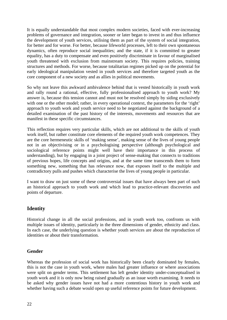It is equally understandable that most complex modern societies, faced with ever-increasing problems of governance and integration, sooner or later began to invest in and thus influence the development of youth services, utilising them as part of the system of social integration, for better and for worse. For better, because lifeworld processes, left to their own spontaneous dynamics, often reproduce social inequalities; and the state, if it is committed to greater equality, has a duty to compensate and even positively discriminate in favour of marginalised youth threatened with exclusion from mainstream society. This requires policies, training structures and methods. For worse, because totalitarian regimes picked up on the potential for early ideological manipulation vested in youth services and therefore targeted youth as the core component of a new society and as allies in political movements.

So why not leave this awkward ambivalence behind that is vested historically in youth work and rally round a rational, effective, fully professionalised approach to youth work? My answer is, because this tension cannot and must not be resolved simply by siding exclusively with one or the other model; rather, in every operational context, the parameters for the 'right' approach to youth work and youth service need to be negotiated against the background of a detailed examination of the past history of the interests, movements and resources that are manifest in these specific circumstances.

This reflection requires very particular skills, which are not additional to the skills of youth work itself, but rather constitute core elements of the required youth work competences. They are the core hermeneutic skills of 'making sense', making sense of the lives of young people not in an objectivising or in a psychologising perspective (although psychological and sociological reference points might well have their importance in this process of understanding), but by engaging in a joint project of sense-making that connects to traditions of previous hopes, life concepts and origins, and at the same time transcends them to form something new, something that has relevance now, that exposes itself to the multiple and contradictory pulls and pushes which characterise the lives of young people in particular.

I want to draw on just some of these controversial issues that have always been part of such an historical approach to youth work and which lead to practice-relevant discoveries and points of departure.

# **Identity**

Historical change in all the social professions, and in youth work too, confronts us with multiple issues of identity, particularly in the three dimensions of gender, ethnicity and class. In each case, the underlying question is whether youth services are about the reproduction of identities or about their transformation.

## **Gender**

Whereas the profession of social work has historically been clearly dominated by females, this is not the case in youth work, where males had greater influence or where associations were split on gender terms. This settlement has left gender identity under-conceptualised in youth work and it is only now being raised gradually as an issue worth examining. It needs to be asked why gender issues have not had a more contentious history in youth work and whether having such a debate would open up useful reference points for future development.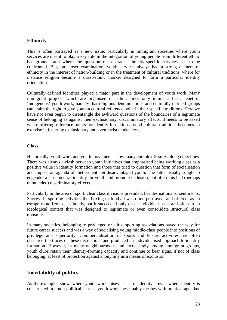#### **Ethnicity**

This is often portrayed as a new issue, particularly in immigrant societies where youth services are meant to play a key role in the integration of young people from different ethnic backgrounds and where the question of separate, ethnicity-specific services has to be confronted. But, on closer examination, youth services always had a strong element of ethnicity in the interest of nation-building or in the treatment of cultural traditions, where for instance religion became a quasi-ethnic marker designed to form a particular identity orientation.

Culturally defined identities played a major part in the development of youth work. Many immigrant projects which are organised on ethnic lines only mimic a basic tenet of 'indigenous' youth work, namely that religious denominations and culturally defined groups can claim the right to give youth a cultural reference point in their specific traditions. Here we have not even begun to disentangle the awkward questions of the boundaries of a legitimate sense of belonging as against their exclusionary, discriminatory effects. It needs to be asked where offering reference points for identity formation around cultural traditions becomes an exercise in fostering exclusionary and even racist tendencies.

#### **Class**

Historically, youth work and youth movements show many complex fissures along class lines. There was always a clash between youth initiatives that emphasised being working class as a positive value in identity formation and those that tried to question that form of socialisation and impose an agenda of 'betterment' on disadvantaged youth. The latter usually sought to engender a class-neutral identity for youth and promote inclusion, but often this had (perhaps unintended) discriminatory effects.

Particularly in the area of sport, clear class divisions prevailed, besides nationalist sentiments. Success in sporting activities like boxing or football was often portrayed, and offered, as an escape route from class bonds, but it succeeded only on an individual basis and often in an ideological context that was designed to legitimate or even consolidate structural class divisions.

In many societies, belonging to privileged or elitist sporting associations paved the way for future career success and was a way of socialising young middle-class people into positions of privilege and superiority. Commercialisation of sports and leisure activities has often obscured the traces of these distinctions and produced an individualised approach to identity formation. However, in many neighbourhoods and increasingly among immigrant groups, youth clubs retain their identity-forming capacity and continue to bear signs, if not of class belonging, at least of protection against anonymity as a means of exclusion.

## **Inevitability of politics**

As the examples show, where youth work raises issues of identity – even where identity is constructed in a non-political sense – youth work inescapably meshes with political agendas.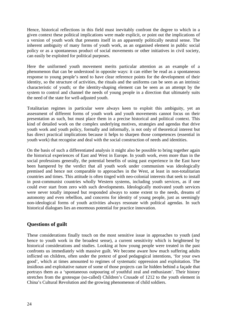Hence, historical reflections in this field must inevitably confront the degree to which in a given context these political implications were made explicit, or point out the implications of a version of youth work that presents itself in an apparently politically neutral sense. The inherent ambiguity of many forms of youth work, as an organised element in public social policy or as a spontaneous product of social movements or other initiatives in civil society, can easily be exploited for political purposes.

Here the uniformed youth movement merits particular attention as an example of a phenomenon that can be understood in opposite ways: it can either be read as a spontaneous response to young people's need to have clear reference points for the development of their identity, so the structure of activities, the rituals and the uniforms can be seen as an intrinsic characteristic of youth; or the identity-shaping element can be seen as an attempt by the system to control and channel the needs of young people in a direction that ultimately suits the need of the state for well-adjusted youth.

Totalitarian regimes in particular were always keen to exploit this ambiguity, yet an assessment of different forms of youth work and youth movements cannot focus on their presentation as such, but must place them in a precise historical and political context. This kind of detailed work on the complex underlying motives, strategies and agendas that drive youth work and youth policy, formally and informally, is not only of theoretical interest but has direct practical implications because it helps to sharpen those competences (essential in youth work) that recognise and deal with the social construction of needs and identities.

On the basis of such a differentiated analysis it might also be possible to bring together again the historical experiences of East and West in Europe. In youth work, even more than in the social professions generally, the potential benefits of using past experience in the East have been hampered by the verdict that all youth work under communism was ideologically premised and hence not comparable to approaches in the West, at least in non-totalitarian countries and times. This attitude is often tinged with neo-colonial interests that seek to install in post-communist countries wholly Western systems, including youth services, as if one could ever start from zero with such developments. Ideologically motivated youth services were never totally imposed but responded always to some extent to the needs, dreams of autonomy and even rebellion, and concerns for identity of young people, just as seemingly non-ideological forms of youth activities always resonate with political agendas. In such historical dialogues lies an enormous potential for practice innovation.

# **Questions of guilt**

These considerations finally touch on the most sensitive issue in approaches to youth (and hence to youth work in the broadest sense), a current sensitivity which is heightened by historical considerations and studies. Looking at how young people were treated in the past confronts us immediately with massive guilt. We become aware how much suffering adults inflicted on children, often under the pretext of good pedagogical intentions, 'for your own good', which at times amounted to regimes of systematic oppression and exploitation. The insidious and exploitative nature of some of those projects can lie hidden behind a façade that portrays them as a 'spontaneous outpouring of youthful zeal and enthusiasm'. Their history stretches from the grotesque (so-called) Children's Crusade of 1212 to the youth element in China's Cultural Revolution and the growing phenomenon of child soldiers.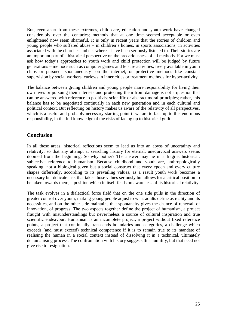But, even apart from these extremes, child care, education and youth work have changed considerably over the centuries; methods that at one time seemed acceptable or even enlightened now seem shameful. It is only in recent years that the stories of children and young people who suffered abuse – in children's homes, in sports associations, in activities associated with the churches and elsewhere – have been seriously listened to. Their stories are an important part of a historical perspective on the precariousness of all methods. For we must ask how today's approaches to youth work and child protection will be judged by future generations – methods such as computer games and leisure activities, freely available in youth clubs or pursued 'spontaneously' on the internet, or protective methods like constant supervision by social workers, curfews in inner cities or treatment methods for hyper-activity.

The balance between giving children and young people more responsibility for living their own lives or pursuing their interests and protecting them from damage is not a question that can be answered with reference to positivist scientific or abstract moral principles; rather, this balance has to be negotiated continually in each new generation and in each cultural and political context. But reflecting on history makes us aware of the relativity of all perspectives, which is a useful and probably necessary starting point if we are to face up to this enormous responsibility, in the full knowledge of the risks of facing up to historical guilt.

# **Conclusion**

In all these areas, historical reflections seem to lead us into an abyss of uncertainty and relativity, so that any attempt at searching history for eternal, unequivocal answers seems doomed from the beginning. So why bother? The answer may lie in a fragile, historical, subjective reference to humanism. Because childhood and youth are, anthropologically speaking, not a biological given but a social construct that every epoch and every culture shapes differently, according to its prevailing values, as a result youth work becomes a necessary but delicate task that takes those values seriously but allows for a critical position to be taken towards them, a position which in itself feeds on awareness of its historical relativity.

The task evolves in a dialectical force field that on the one side pulls in the direction of greater control over youth, making young people adjust to what adults define as reality and its necessities, and on the other side maintains that spontaneity gives the chance of renewal, of innovation, of progress. The two aspects together define the project of humanism, a project fraught with misunderstandings but nevertheless a source of cultural inspiration and true scientific endeavour. Humanism is an incomplete project, a project without fixed reference points, a project that continually transcends boundaries and categories, a challenge which exceeds (and must exceed) technical competence if it is to remain true to its mandate of realising the human in a social context instead of dissolving it in a technical, ultimately dehumanising process. The confrontation with history suggests this humility, but that need not give rise to resignation.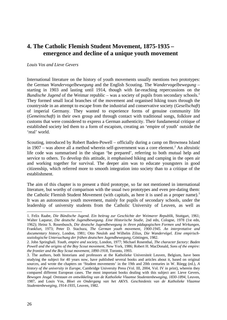# **4. The Catholic Flemish Student Movement, 1875-1935 – emergence and decline of a unique youth movement**

#### *Louis Vos and Lieve Gevers*

International literature on the history of youth movements usually mentions two prototypes: the German *Wandervogelbewegung* and the English Scouting. The *Wandervogelbewegung* – starting in 1903 and lasting until 1914, though with far-reaching repercussions on the *Bundische Jugend* of the Weimar republic – was a society of pupils from secondary schools.<sup>[1](#page-25-0)</sup> They formed small local branches of the movement and organised hiking tours through the countryside in an attempt to escape from the industrial and conservative society (*Gesellschaft*) of imperial Germany. They wanted to experience forms of genuine community life (*Gemeinschaft*) in their own group and through contact with traditional songs, folklore and customs that were considered to express a German authenticity. Their fundamental critique of established society led them to a form of escapism, creating an 'empire of youth' outside the 'real' world.

Scouting, introduced by Robert Baden-Powell – officially during a camp on Brownsea Island in 1907 – was above all a method wherein self-government was a core element. [2](#page-25-1) An altruistic life code was summarised in the slogan 'be prepared', referring to both mutual help and service to others. To develop this attitude, it emphasised hiking and camping in the open air and working together for survival. The deeper aim was to educate youngsters in good citizenship, which referred more to smooth integration into society than to a critique of the establishment.

The aim of this chapter is to present a third prototype, so far not mentioned in international literature, but worthy of comparison with the usual two prototypes and even pre-dating them: the Catholic Flemish Student Movement (with capitals, as here it is used as a proper name).<sup>[3](#page-25-2)</sup> It was an autonomous youth movement, mainly for pupils of secondary schools, under the leadership of university students from the Catholic University of Leuven, as well as

<span id="page-25-0"></span><sup>-</sup>1. Felix Raabe, *Die Bündische Jugend. Ein beitrag zur Geschichte der Weimarer Republik*, Stuttgart, 1961; Walter Laqueur, *Die deutsche Jugendbewegung. Eine Historische Studie*, 2nd edn, Cologne, 1978 (1st edn, 1962); Heinz S. Rosenbusch, *Die deutsche Jugendbewegung in ihren pädagogischen Formen und Wirkungen*, Frankfurt, 1973; Peter D. Stachura, *The German youth movement, 1900-1945. An interpretative and documentary history*, London, 1981; Otto Neuloh and Wilhelm Zilius, *Die Wandervögel. Eine empirischsoziologische Untersuchung der frühen deutschen Jugendbewegung*, Göttingen, 1982.

<span id="page-25-1"></span><sup>2.</sup> John Springhall. *Youth, empire and society*, London, 1977; Michael Rosenthal, *The character factory: Baden Powell and the origins of the Boy Scout movement*, New York, 1986; Robert H. MacDonald, *Sons of the empire: the frontier and the Boy Scout movement, 1890-1918*, Toronto, 1993.

<span id="page-25-2"></span><sup>3.</sup> The authors, both historians and professors at the Katholieke Universiteit Leuven, Belgium, have been studying the subject for 40 years now, have published several books and articles about it, based on original sources, and wrote the chapters on 'Student movements' in the 19th and 20th centuries in W. Rüegg (ed.), *A history of the university in Europe*, Cambridge University Press (Vol. III, 2004, Vol. IV in print), wherein they compared different European cases. The most important books dealing with this subject are: Lieve Gevers, *Bewogen Jeugd. Ontstaan en ontwikkeling van de Katholieke Vlaamse Studentenbeweging, 1830-1894*, Leuven, 1987, and Louis Vos, *Bloei en Ondergang van het AKVS. Geschiedenis van de Katholieke Vlaamse Studentenbeweging, 1914-1935*, Leuven, 1982*.*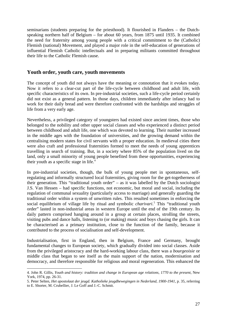seminarians (students preparing for the priesthood). It flourished in Flanders – the Dutchspeaking northern half of Belgium – for about 60 years, from 1875 until 1935. It combined the need for fraternity among young people with a critical commitment to the (Catholic) Flemish (national) Movement, and played a major role in the self-education of generations of influential Flemish Catholic intellectuals and in preparing militants committed throughout their life to the Catholic Flemish cause.

#### **Youth order, youth care, youth movements**

The concept of youth did not always have the meaning or connotation that it evokes today. Now it refers to a clear-cut part of the life-cycle between childhood and adult life, with specific characteristics of its own. In pre-industrial societies, such a life-cycle period certainly did not exist as a general pattern. In those days, children immediately after infancy had to work for their daily bread and were therefore confronted with the hardships and struggles of life from a very early age.

Nevertheless, a privileged category of youngsters had existed since ancient times, those who belonged to the nobility and other upper social classes and who experienced a distinct period between childhood and adult life, one which was devoted to learning. Their number increased in the middle ages with the foundation of universities, and the growing demand within the centralising modern states for civil servants with a proper education. In medieval cities there were also craft and professional fraternities formed to meet the needs of young apprentices travelling in search of training. But, in a society where 85% of the population lived on the land, only a small minority of young people benefited from these opportunities, experiencing their youth as a specific stage in life.[4](#page-26-0)

In pre-industrial societies, though, the bulk of young people met in spontaneous, selfregulating and informally structured local fraternities, giving room for the get-togetherness of their generation. This "traditional youth order" – as it was labelled by the Dutch sociologist J.S. Van Hessen – had specific functions, not economic, but moral and social, including the regulation of communal sexuality (particularly access to marriage) and generally guarding the traditional order within a system of unwritten rules. This resulted sometimes in enforcing the social equilibrium of village life by ritual and symbolic *charivari*. [5](#page-26-1) This "traditional youth order" lasted in non-industrial areas in western Europe until the end of the 19th century. Its daily pattern comprised hanging around in a group at certain places, strolling the streets, visiting pubs and dance halls, listening to (or making) music and boys chasing the girls. It can be characterised as a primary institution, close to the function of the family, because it contributed to the process of socialisation and self-development.

Industrialisation, first in England, then in Belgium, France and Germany, brought fundamental changes to European society, which gradually divided into social classes. Aside from the privileged aristocracy and the hard-working labour class, there was a *bourgeoisie* or middle class that began to see itself as the main support of the nation, modernisation and democracy, and therefore responsible for religious and moral regeneration. This enhanced the

-

<span id="page-26-0"></span><sup>4.</sup> John R. Gillis, *Youth and history: tradition and change in European age relations, 1770 to the present*, New York, 1974, pp. 26-31.

<span id="page-26-1"></span><sup>5.</sup> Peter Selten, *Het apostolaat der jeugd. Katholieke jeugdbewegingen in Nederland, 1900-1941*, p. 35, referring to E. Shorter, M. Crubellier, J. Le Goff and J.-C. Schmit.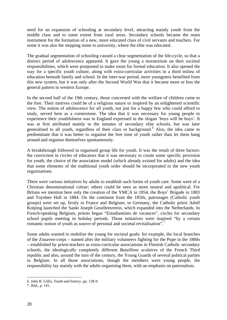need for an expansion of schooling at secondary level, attracting mainly youth from the middle class and to some extent from rural areas. Secondary schools became the main instrument for the formation of a new, more educated class of civil servants and teachers. For some it was also the stepping stone to university, where the elite was educated.

The gradual segmentation of schooling caused a clear segmentation of the life-cycle, so that a distinct period of adolescence appeared. It gave the young a moratorium on their societal responsibilities, which were postponed to make room for formal education. It also opened the way for a specific youth culture, along with extra-curricular activities in a third milieu of education beneath family and school. In the inter-war period, more youngsters benefited from this new system, but it was only after the Second World War that it became more or less the general pattern in western Europe.

In the second half of the 19th century, those concerned with the welfare of children came to the fore. Their motives could be of a religious nature or inspired by an enlightened scientific view. The notion of adolescence for all youth, not just for a happy few who could afford to study, served here as a cornerstone. The idea that it was necessary for young people to experience their youthfulness was in England expressed in the slogan 'boys will be boys'. It was at first attributed mainly to the inmates of secondary elite schools, but was later generalised to all youth, regardless of their class or background.<sup>[6](#page-27-0)</sup> Also, the idea came to predominate that it was better to organise the free time of youth rather than let them hang around and organise themselves spontaneously.

A breakthrough followed in organised group life for youth. It was the result of three factors: the conviction in circles of educators that it was necessary to create some specific provision for youth, the choice of the association model (which already existed for adults) and the idea that some elements of the traditional youth order should be incorporated in the new youth organisations.

There were various initiatives by adults to establish such forms of youth care. Some were of a Christian denominational colour; others could be seen as more neutral and apolitical. For Britain we mention here only the creation of the YMCA in 1854, the Boys' Brigade in 1883 and Toynbee Hall in 1884. On the continent from the 1850s, patronages (Catholic youth groups) were set up, firstly in France and Belgium; in Germany, the Catholic priest Adolf Kolping launched the Sankt Joseph Gesellenverein, which expanded into the Netherlands. In French-speaking Belgium, priests began "Estudiantines de vacances", circles for secondary school pupils meeting in holiday periods. Those initiatives were inspired "by a certain romantic notion of youth as source of personal and societal revitalisation".<sup>[7](#page-27-1)</sup>

Some adults wanted to mobilise the young for societal goals: for example, the local branches of the Zouaven-corps – named after the military volunteers fighting for the Pope in the 1860s – established by priest-teachers as extra-curricular associations in Flemish Catholic secondary schools, the ideologically completely different *Bataillons scolaires* of the French Third republic and also, around the turn of the century, the Young Guards of several political parties in Belgium. In all those associations, though the members were young people, the responsibility lay mainly with the adults organising them, with an emphasis on paternalism.

<span id="page-27-0"></span><sup>-</sup>6. John R. Gillis, *Youth and history*, pp. 138-9.

<span id="page-27-1"></span><sup>7.</sup> Ibid., p. 141.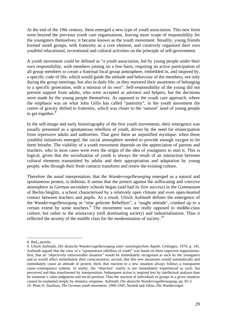At the end of the 19th century, there emerged a new type of youth association. This new form went beyond the previous youth care organisations, leaving more scope of responsibility for the youngsters themselves; it became known as the youth movement. Steadily, young friends formed small groups, with fraternity as a core element, and creatively organised their own youthful educational, recreational and cultural activities on the principle of self-government.

A youth movement could be defined as "a youth association, led by young people under their own responsibility, with members joining on a free basis, requiring an active participation of all group members to create a fraternal local group atmosphere, embedded in, and inspired by, a specific code of life, which would guide the attitude and behaviour of the members, not only during the group meetings, but also in daily life, as they nurtured their awareness of belonging to a specific generation, with a mission of its own". Self-responsibility of the young did not prevent support from adults, who were accepted as advisers and helpers, but the decisions were made by the young people themselves. As opposed to the youth care approach, where the emphasis was on what John Gillis has called "paternity", in the youth movement the centre of gravity shifted to fraternity, which was closer to the 'natural' need of young people to get together.<sup>[8](#page-28-0)</sup>

In the self-image and early historiography of the first youth movements, their emergence was usually presented as a spontaneous rebellion of youth, driven by the need for emancipation from repressive adults and authorities. That gave them an unjustified mystique: when those youthful initiatives emerged, the social atmosphere needed to provide enough oxygen to let them breathe. The viability of a youth movement depends on the appreciation of parents and teachers, who in most cases were even the origin of the idea of youngsters to start it. This is logical, given that the socialisation of youth is always the result of an interaction between cultural elements transmitted by adults and their appropriation and adaptation by young people, who through their fresh contacts transform and renew the existing culture.

Therefore the usual interpretation, that the *Wandervogelbeweging* emerged as a natural and spontaneous protest, is dubious**.** It seems that the protest against the suffocating and coercive atmosphere in German secondary schools began (and had its first success) in the *Gymnasium* of Berlin-Steglitz, a school characterised by a relatively open climate and even open-hearted contact between teachers and pupils. As a result, Ulrich Aufmuth defines the emergence of the *Wandervogelbewegung* as "eine gelernte Rebellion", a 'taught attitude', cranked up to a certain extent by some teachers.<sup>[9](#page-28-1)</sup> The movement was not really opposed to middle-class culture, but rather to the aristocracy (still dominating society) and industrialisation. Thus it reflected the anxiety of the middle class for the modernisation of society.<sup>[10](#page-28-2)</sup>

-

<span id="page-28-0"></span><sup>8.</sup> Ibid.**,** *passim.*

<span id="page-28-2"></span><span id="page-28-1"></span><sup>9.</sup> Ulrich Aufmuth, *Die deutsche Wandervogelbewegung unter soziologischem Aspekt*, Göttingen, 1979, p. 145. Aufmuth argued that the view of a "spontaneous rebellion of youth" was based on three unproven suppositions: first, that an "objectively unfavourable situation" would be immediately recognised as such by the youngsters and so would affect immediately their consciousness; second, that this new awareness would automatically and immediately cause an attitude of protest; third, that reaction to a new situation always follows a transparent cause–consequence scheme. In reality, the 'objective' reality is not immediately experienced as such, but perceived and thus transformed by interpretation. Subsequent action is inspired less by intellectual analysis than by someone's value judgments and social position. Thus the reaction of individuals or groups in a given situation cannot be explained simply by stimulus–response. Aufmuth, *Die deutsche Wandervogelbewegung*, pp. 92-3. 10. Peter D. Stachura, *The German youth movement, 1900-1945*; Neuloh and Zilius, *Die Wandervögel.*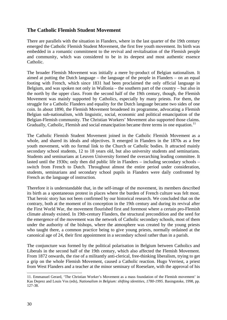# **The Catholic Flemish Student Movement**

There are parallels with the situation in Flanders, where in the last quarter of the 19th century emerged the Catholic Flemish Student Movement, the first free youth movement. Its birth was embedded in a romantic commitment to the revival and revitalisation of the Flemish people and community, which was considered to be in its deepest and most authentic essence Catholic.

The broader Flemish Movement was initially a mere by-product of Belgian nationalism. It aimed at putting the Dutch language – the language of the people in Flanders – on an equal footing with French, which since 1831 had been proclaimed the only official language in Belgium, and was spoken not only in Wallonia – the southern part of the country – but also in the north by the upper class. From the second half of the 19th century, though, the Flemish Movement was mainly supported by Catholics, especially by many priests. For them, the struggle for a Catholic Flanders and equality for the Dutch language became two sides of one coin. In about 1890, the Flemish Movement broadened its programme, advocating a Flemish Belgian sub-nationalism, with linguistic, social, economic and political emancipation of the Belgian-Flemish community. The Christian Workers' Movement also supported those claims. Gradually, Catholic, Flemish and social emancipation became three terms in one equation.<sup>[11](#page-29-0)</sup>

The Catholic Flemish Student Movement joined in the Catholic Flemish Movement as a whole, and shared its ideals and objectives. It emerged in Flanders in the 1870s as a free youth movement, with no formal link to the Church or Catholic bodies. It attracted mainly secondary school students, 12 to 18 years old, but also university students and seminarians. Students and seminarians at Leuven University formed the overarching leading committee. It lasted until the 1930s; only then did public life in Flanders – including secondary schools – switch from French to Dutch. Throughout almost the entire period under consideration, students, seminarians and secondary school pupils in Flanders were daily confronted by French as the language of instruction.

Therefore it is understandable that, in the self-image of the movement, its members described its birth as a spontaneous protest in places where the burden of French culture was felt most. That heroic story has not been confirmed by our historical research. We concluded that on the contrary, both at the moment of its conception in the 19th century and during its revival after the First World War, the movement flourished first and foremost where a certain pro-Flemish climate already existed. In 19th-century Flanders, the structural precondition and the seed for the emergence of the movement was the network of Catholic secondary schools, most of them under the authority of the bishops, where the atmosphere was created by the young priests who taught there, a common practice being to give young priests, normally ordained at the canonical age of 24, their first appointment in a secondary school rather than in a parish.

The conjuncture was formed by the political polarisation in Belgium between Catholics and Liberals in the second half of the 19th century, which also affected the Flemish Movement. From 1872 onwards, the rise of a militantly anti-clerical, free-thinking liberalism, trying to get a grip on the whole Flemish Movement, caused a Catholic reaction. Hugo Verriest, a priest from West Flanders and a teacher at the minor seminary of Roeselare, with the approval of his

-

<span id="page-29-0"></span><sup>11.</sup> Emmanuel Gerard, 'The Christian Worker's Movement as a mass foundation of the Flemish movement' in Kas Deprez and Louis Vos (eds), *Nationalism in Belgium: shifting identities, 1780-1995*. Basingstoke, 1998, pp. 127-38.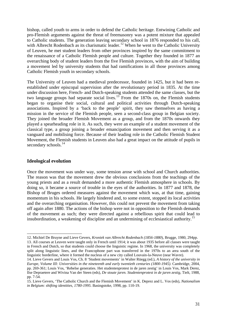bishop, called youth to arms in order to defend the Catholic heritage. Entwining Catholic and pro-Flemish arguments against the threat of freemasonry was a potent mixture that appealed to Catholic students. The generation leaving secondary school in 1876 responded to his call, with Albrecht Rodenbach as its charismatic leader.<sup>[12](#page-30-0)</sup> When he went to the Catholic University of Leuven, he met student leaders from other provinces inspired by the same commitment to the renaissance of a Catholic Flemish people and culture. Together they founded in 1877 an overarching body of student leaders from the five Flemish provinces, with the aim of building a movement led by university students that had ramifications in all those provinces among Catholic Flemish youth in secondary schools.

The University of Leuven had a medieval predecessor, founded in 1425, but it had been reestablished under episcopal supervision after the revolutionary period in 1835. At the time under discussion here, French- and Dutch-speaking students attended the same classes, but the two language groups had separate social lives.<sup>[13](#page-30-1)</sup> From the 1870s on, the Flemish students began to organise their social, cultural and political activities through Dutch-speaking associations. Inspired by a 'back to the people' spirit, they saw themselves as having a mission in the service of the Flemish people, seen a second-class group in Belgian society. They joined the broader Flemish Movement as a group, and from the 1870s onwards they played a spearheading role in it. As such, they were an example of a student movement of the classical type, a group joining a broader emancipation movement and then serving it as a vanguard and mobilising force. Because of their leading role in the Catholic Flemish Student Movement, the Flemish students in Leuven also had a great impact on the attitude of pupils in secondary schools.<sup>[14](#page-30-2)</sup>

#### **Ideological evolution**

-

Once the movement was under way, some tension arose with school and Church authorities. The reason was that the movement drew the obvious conclusions from the teachings of the young priests and as a result demanded a more authentic Flemish atmosphere in schools. By doing so, it became a source of trouble in the eyes of the authorities. In 1877 and 1878, the Bishop of Bruges ordered measures against the movement which was, at that time, gaining momentum in his schools. He largely hindered and, to some extent, stopped its local activities and the overarching organisation. However, this could not prevent the movement from taking off again after 1880. The actions of the bishop were not in opposition to the Flemish demands of the movement as such; they were directed against a rebellious spirit that could lead to insubordination, a weakening of discipline and an undermining of ecclesiastical authority.<sup>[15](#page-30-3)</sup>

<span id="page-30-1"></span><span id="page-30-0"></span><sup>12.</sup> Michiel De Bruyne and Lieve Gevers, *Kroniek van Albrecht Rodenbach (1856-1880*), Brugge, 1980, 294pp. 13. All courses at Leuven were taught only in French until 1914; it was about 1935 before all classes were taught in French and Dutch, so that students could choose the linguistic regime. In 1968, the university was completely split along linguistic lines, and the Francophone part was transferred in the 1970s to an area south of the linguistic borderline, where it formed the nucleus of a new city called Louvain-la-Neuve (near Wavre).

<span id="page-30-2"></span><sup>14.</sup> Lieve Gevers and Louis Vos, Ch. 8 'Student movements' in Walter Rüegg (ed.), *A history of the university in Europe, Volume III: Universities in the nineteenth and early twentieth centuries (1800-1945)*. Cambridge, 2004, pp. 269-361; Louis Vos, 'Rebelse generaties. Het studentenprotest in de jaren zestig' in Louis Vos, Mark Derez, Ilse Depraetere and Wivina Van der Steen (eds), *De stoute jaren. Studentenprotest in de jaren zestig*, Tielt, 1988, pp. 7-54.

<span id="page-30-3"></span><sup>15.</sup> Lieve Gevers, 'The Catholic Church and the Flemish Movement' in K. Deprez and L. Vos (eds), *Nationalism in Belgium: shifting identities, 1780-1995*. Basingstoke, 1998, pp. 110-19.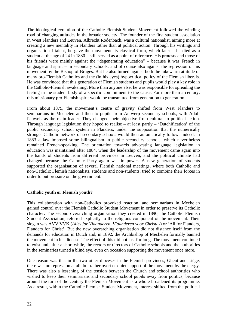The ideological evolution of the Catholic Flemish Student Movement followed the winding road of changing attitudes in the broader society. The founder of the first student association in West Flanders and Leuven, Albrecht Rodenbach, was a cultural nationalist, aiming more at creating a new mentality in Flanders rather than at political action. Through his writings and organisational talent, he gave the movement its classical form, which later – he died as a student at the age of 24 in 1880 – still served as a point of reference. His protests and those of his friends were mainly against the "degenerating education" – because it was French in language and spirit – in secondary schools, and of course also against the repression of his movement by the Bishop of Bruges. But he also turned against both the lukewarm attitude of many pro-Flemish Catholics and the (in his eyes) hypocritical policy of the Flemish liberals. He was convinced that this generation of Flemish students and pupils would play a key role in the Catholic-Flemish awakening. More than anyone else, he was responsible for spreading the feeling in the student body of a specific commitment to the cause. For more than a century, this missionary pro-Flemish spirit would be transmitted from generation to generation.

From about 1879, the movement's centre of gravity shifted from West Flanders to seminarians in Mechelen and then to pupils from Antwerp secondary schools, with Adolf Pauwels as the main leader. They changed their objective from cultural to political action. Through language legislation they hoped to realise – at least partly – 'Dutchification' of the public secondary school system in Flanders, under the supposition that the numerically stronger Catholic network of secondary schools would then automatically follow. Indeed, in 1883 a law imposed some bilingualism in public secondary schools, which nevertheless remained French-speaking. The orientation towards advocating language legislation in education was maintained after 1884, when the leadership of the movement came again into the hands of students from different provinces in Leuven, and the political climate had changed because the Catholic Party again was in power. A new generation of students supported the organisation of several Flemish national meetings, where both Catholic and non-Catholic Flemish nationalists, students and non-students, tried to combine their forces in order to put pressure on the government.

#### **Catholic youth or Flemish youth?**

This collaboration with non-Catholics provoked reaction, and seminarians in Mechelen gained control over the Flemish Catholic Student Movement in order to preserve its Catholic character. The second overarching organisation they created in 1890, the Catholic Flemish Student Association, referred explicitly to the religious component of the movement. Their slogan was AVV VVK (*Alles for Vlaanderen, Vlaanderen voor Christus*) or 'All for Flanders, Flanders for Christ'. But the new overarching organisation did not distance itself from the demands for education in Dutch and, in 1892, the Archbishop of Mechelen formally banned the movement in his diocese. The effect of this did not last for long. The movement continued to exist and, after a short while, the rectors or directors of Catholic schools and the authorities in the seminaries turned a blind eye, even on occasion supporting the movement once more.

One reason was that in the two other dioceses in the Flemish provinces, Ghent and Liège, there was no repression at all, but rather overt or quiet support of the movement by the clergy. There was also a lessening of the tension between the Church and school authorities who wished to keep their seminarians and secondary school pupils away from politics, because around the turn of the century the Flemish Movement as a whole broadened its programme. As a result, within the Catholic Flemish Student Movement, interest shifted from the political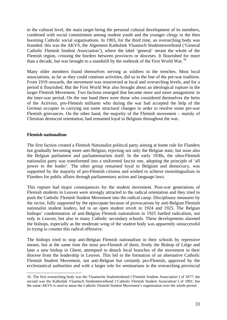to the cultural level, the main target being the personal cultural development of its members, combined with social commitment among student youth and the younger clergy in the then booming Catholic social organisations. In 1903, for the third time, an overarching body was founded: this was the AKVS, the Algemeen Katholiek Vlaamsch Studentenverbond ('General Catholic Flemish Student Association'), where the label 'general' meant the whole of the Flemish region, crossing the borders between provinces or dioceses. It flourished for more than a decade, but was brought to a standstill by the outbreak of the First World War.[16](#page-32-0)

Many older members found themselves serving as soldiers in the trenches. Most local associations, as far as they could continue activities, did so in the line of the pre-war tradition. From 1919 onwards, the movement was resurrected at local and overarching levels, and for a period it flourished. But the First World War also brought about an ideological rupture in the larger Flemish Movement. Two factions emerged that became more and more antagonistic in the inter-war period. On the one hand there were those who considered themselves the heirs of the Activists, pro-Flemish militants who during the war had accepted the help of the German occupier in carrying out some structural changes in order to resolve some pre-war Flemish grievances. On the other hand, the majority of the Flemish movement – mainly of Christian democrat orientation, had remained loyal to Belgium throughout the war.

#### **Flemish nationalism**

The first faction created a Flemish Nationalist political party aiming at home rule for Flanders but gradually becoming more anti-Belgian, rejecting not only the Belgian state, but soon also the Belgian parliament and parliamentarism itself. In the early 1930s, the ultra-Flemish nationalist party was transformed into a uniformed fascist one, adopting the principle of 'all power to the leader'. The other group remained loyal to Belgium and democracy, was supported by the majority of pro-Flemish citizens and wished to achieve monolingualism in Flanders for public affairs through parliamentary action and language laws.

This rupture had major consequences for the student movement. Post-war generations of Flemish students in Leuven were strongly attracted to the radical orientation and they tried to push the Catholic Flemish Student Movement into the radical camp. Disciplinary measures by the rector, fully supported by the episcopate because of provocations by anti-Belgian Flemish nationalist student leaders, led to an open student revolt in 1924 and 1925. The Belgian bishops' condemnation of anti-Belgian Flemish nationalism in 1925 fuelled radicalism, not only in Leuven, but also in many Catholic secondary schools. These developments alarmed the bishops, especially as the moderate wing of the student body was apparently unsuccessful in trying to counter this radical offensive.

The bishops tried to stop anti-Belgian Flemish nationalism in their schools by repressive means, but at the same time the most pro-Flemish of them, firstly the Bishop of Liège and later a new bishop in Ghent, attempted to detach local branches of the movement in their diocese from the leadership in Leuven. This led to the formation of an alternative Catholic Flemish Student Movement, not anti-Belgian but certainly pro-Flemish, approved by the ecclesiastical authorities and with a larger role for seminarians in the overarching provincial

<span id="page-32-0"></span><sup>-</sup>16. The first overarching body was the Vlaamsche Studentenbond ('Flemish Student Association') of 1877; the second was the Katholiek Vlaamsch Studentenverbond ('Catholic Flemish Student Association') of 1891; but the name AKVS is used to mean the Catholic Flemish Student Movement's organisation over the whole period.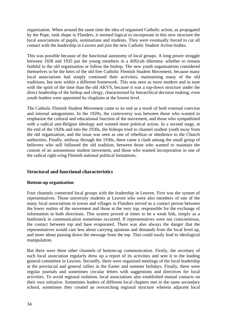organisation. When around the same time the idea of organised Catholic action, as propagated by the Pope, took shape in Flanders, it seemed logical to incorporate in this new structure the local associations of pupils, seminarians and students. They were eventually forced to cut all contact with the leadership in Leuven and join the new Catholic Student Action bodies.

This was possible because of the functional autonomy of local groups. A long power struggle between 1928 and 1935 put the young members in a difficult dilemma: whether to remain faithful to the old organisation or follow the bishop. The new youth organisations considered themselves to be the heirs of the old free Catholic Flemish Student Movement, because many local associations had simply continued their activities, maintaining many of the old traditions, but now within a different framework. This was seen as more modern and in tune with the spirit of the time than the old AKVS, because it was a top-down structure under the direct leadership of the bishop and clergy, characterised by hierarchical decision making; even youth leaders were appointed by chaplains at the lowest level.

The Catholic Flemish Student Movement came to its end as a result of both external coercion and internal antagonisms. In the 1920s, the controversy was between those who wanted to emphasise the cultural and educational function of the movement, and those who sympathised with a radical anti-Belgian ideology and wanted more political action. In a second stage, at the end of the 1920s and into the 1930s, the bishops tried to channel student youth away from the old organisation, and the issue was seen as one of rebellion or obedience to the Church authorities. Finally, midway through the 1930s, there came a clash among the small group of believers who still followed the old tradition, between those who wanted to maintain the custom of an autonomous student movement, and those who wanted incorporation in one of the radical right-wing Flemish national political formations.

## **Structural and functional characteristics**

#### **Bottom-up organisation**

Four channels connected local groups with the leadership in Leuven. First was the system of representatives. Those university students at Leuven who were also members of one of the many local associations in towns and villages in Flanders served as a contact person between the lower realms of the movement and those at the very top, responsible for the exchange of information in both directions. This system proved at times to be a weak link, simply as a bottleneck in communication sometimes occurred. If representatives were not conscientious, the contact between top and base evaporated. There was also always the danger that the representatives would care less about carrying opinions and demands from the local level up, and more about passing down the message from the top. That could easily lead to ideological manipulation.

But there were three other channels of bottom-up communication. Firstly, the secretary of each local association regularly drew up a report of its activities and sent it to the leading general committee in Leuven. Secondly, there were organised meetings of the local leadership at the provincial and general rallies in the Easter and summer holidays. Finally, there were regular journals and sometimes circular letters with suggestions and directives for local activities. To avoid regional isolation, local associations also established mutual contacts on their own initiative. Sometimes leaders of different local chapters met in the same secondary school, sometimes they created an overarching regional structure wherein adjacent local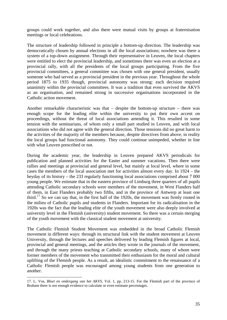groups could work together, and also there were mutual visits by groups at fraternisation meetings or local celebrations.

The structure of leadership followed in principle a bottom-up direction. The leadership was democratically chosen by annual elections in all the local associations; nowhere was there a system of a top-down assignment. Through their representative in Leuven, the local chapters were entitled to elect the provincial leadership, and sometimes there was even an election at a provincial rally, with all the presidents of the local groups participating. From the five provincial committees, a general committee was chosen with one general president, usually someone who had served as a provincial president in the previous year. Throughout the whole period 1875 to 1935 though, provincial autonomy was strong: each decision required unanimity within the provincial committees. It was a tradition that even survived the AKVS as an organisation, and remained strong in successive organisations incorporated in the Catholic action movement.

Another remarkable characteristic was that – despite the bottom-up structure – there was enough scope for the leading elite within the university to put their own accent on proceedings, without the threat of local associations amending it. This resulted in some tension with the seminarians, of whom only a small part studied in Leuven, and with local associations who did not agree with the general direction. Those tensions did no great harm to the activities of the majority of the members because, despite directives from above, in reality the local groups had functional autonomy. They could continue unimpeded, whether in line with what Leuven prescribed or not.

During the academic year, the leadership in Leuven prepared AKVS periodicals for publication and planned activities for the Easter and summer vacations. Then there were rallies and meetings at provincial and general level, but mainly at local level, where in some cases the members of the local association met for activities almost every day. In 1924 – the heyday of its history – the 233 regularly functioning local associations comprised about 7 000 young people. We estimate that in the eastern province of Limburg three quarters of all pupils attending Catholic secondary schools were members of the movement, in West Flanders half of them, in East Flanders probably two fifths, and in the province of Antwerp at least one third.<sup>[17](#page-34-0)</sup> So we can say that, in the first half of the 1920s, the movement was firmly rooted in the milieu of Catholic pupils and students in Flanders. Important for its radicalisation in the 1920s was the fact that the leading elite of the youth movement were also deeply involved at university level in the Flemish (university) student movement. So there was a certain merging of the youth movement with the classical student movement at university.

The Catholic Flemish Student Movement was embedded in the broad Catholic Flemish movement in different ways: through its structural link with the student movement at Leuven University, through the lectures and speeches delivered by leading Flemish figures at local, provincial and general meetings, and the articles they wrote in the journals of the movement, and through the many priests teaching at Catholic secondary schools, many of whom were former members of the movement who transmitted their enthusiasm for the moral and cultural uplifting of the Flemish people. As a result, an idealistic commitment to the renaissance of a Catholic Flemish people was encouraged among young students from one generation to another.

<span id="page-34-0"></span><sup>-</sup>17. L. Vos, *Bloei en ondergang van het AKVS*, Vol. 1, pp. 213-15. For the Flemish part of the province of Brabant there is not enough evidence to calculate or even estimate percentages.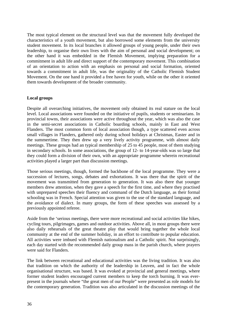The most typical element on the structural level was that the movement fully developed the characteristics of a youth movement, but also borrowed some elements from the university student movement. In its local branches it allowed groups of young people, under their own leadership, to organise their own lives with the aim of personal and social development; on the other hand it was embedded in the Flemish Movement, implying preparation for a commitment in adult life and direct support of the contemporary movement. This combination of an orientation to action with an emphasis on personal and social formation, oriented towards a commitment in adult life, was the originality of the Catholic Flemish Student Movement. On the one hand it provided a free haven for youth, while on the other it oriented them towards development of the broader community.

#### **Local groups**

Despite all overarching initiatives, the movement only obtained its real stature on the local level. Local associations were founded on the initiative of pupils, students or seminarians. In provincial towns, their associations were active throughout the year, which was also the case in the semi-secret associations in Catholic boarding schools, mainly in East and West Flanders. The most common form of local association though, a type scattered even across small villages in Flanders, gathered only during school holidays at Christmas, Easter and in the summertime. They then drew up a very lively activity programme, with almost daily meetings. These groups had an typical membership of 25 to 45 people, most of them studying in secondary schools. In some associations, the group of 12- to 14-year-olds was so large that they could form a division of their own, with an appropriate programme wherein recreational activities played a larger part than discussion meetings.

Those serious meetings, though, formed the backbone of the local programme. They were a succession of lectures, songs, debates and exhortations. It was there that the spirit of the movement was transmitted from generation to generation. It was also there that younger members drew attention, when they gave a speech for the first time, and where they practised with unprepared speeches their fluency and command of the Dutch language, as their formal schooling was in French. Special attention was given to the use of the standard language, and the avoidance of dialect. In many groups, the form of these speeches was assessed by a previously appointed referee.

Aside from the 'serious meetings, there were more recreational and social activities like hikes, cycling tours, pilgrimages, games and outdoor activities. Above all, in most groups there were also daily rehearsals of the great theatre play that would bring together the whole local community at the end of the summer holiday, in an effort to contribute to popular education. All activities were imbued with Flemish nationalism and a Catholic spirit. Not surprisingly, each day started with the recommended daily group mass in the parish church, where prayers were said for Flanders.

The link between recreational and educational activities was the living tradition. It was also that tradition on which the authority of the leadership in Leuven, and in fact the whole organisational structure, was based. It was evoked at provincial and general meetings, where former student leaders encouraged current members to keep the torch burning. It was everpresent in the journals where "the great men of our People" were presented as role models for the contemporary generation. Tradition was also articulated in the discussion meetings of the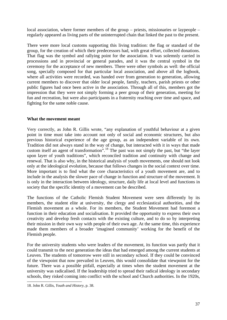local association, where former members of the group – priests, missionaries or laypeople – regularly appeared as living parts of the uninterrupted chain that linked the past to the present.

There were more local customs supporting this living tradition: the flag or standard of the group, for the creation of which their predecessors had, with great effort, collected donations. That flag was the symbol and rallying point for the association. It was solemnly carried in processions and in provincial or general parades, and it was the central symbol in the ceremony for the acceptance of new members. There were other symbols as well: the official song, specially composed for that particular local association, and above all the logbook, where all activities were recorded, was handed over from generation to generation, allowing current members to discover that older local people, family, teachers, parish priests or other public figures had once been active in the association. Through all of this, members got the impression that they were not simply forming a peer group of their generation, meeting for fun and recreation, but were also participants in a fraternity reaching over time and space, and fighting for the same noble cause.

### **What the movement meant**

Very correctly, as John R. Gillis wrote, "any explanation of youthful behaviour at a given point in time must take into account not only of social and economic structures, but also previous historical experience of the age group, as an independent variable of its own. Tradition did not always stand in the way of change, but interacted with it in ways that made custom itself an agent of transformation".<sup>[18](#page-36-0)</sup> The past was not simply the past, but "the layer upon layer of youth traditions", which reconciled tradition and continuity with change and renewal. That is also why, in the historical analysis of youth movements, one should not look only at the ideological evolution, because that follows changes in the social context over time. More important is to find what the core characteristics of a youth movement are, and to include in the analysis the slower pace of change in function and structure of the movement. It is only in the interaction between ideology, structure, daily life at local level and functions in society that the specific identity of a movement can be described.

The functions of the Catholic Flemish Student Movement were seen differently by its members, the student elite at university, the clergy and ecclesiastical authorities, and the Flemish movement as a whole. For its members, the Student Movement had foremost a function in their education and socialisation. It provided the opportunity to express their own creativity and develop fresh contacts with the existing culture, and to do so by interpreting their mission in their own way with people of their own age. At the same time, this experience made them members of a broader 'imagined community' working for the benefit of the Flemish people.

For the university students who were leaders of the movement, its function was partly that it could transmit to the next generation the ideas that had emerged among the current students at Leuven. The students of tomorrow were still in secondary school. If they could be convinced of the viewpoint that now prevailed in Leuven, this would consolidate that viewpoint for the future. There was a possible pitfall, especially at times when the student movement at the university was radicalised. If the leadership tried to spread their radical ideology in secondary schools, they risked coming into conflict with the school and Church authorities. In the 1920s,

<span id="page-36-0"></span><sup>-</sup>18. John R. Gillis, *Youth and History*, p. 38.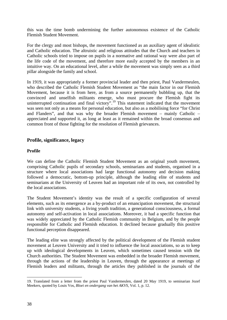this was the time bomb undermining the further autonomous existence of the Catholic Flemish Student Movement.

For the clergy and most bishops, the movement functioned as an auxiliary agent of idealistic and Catholic education. The altruistic and religious attitudes that the Church and teachers in Catholic schools tried to impose on pupils in a normative and rational way were also part of the life code of the movement, and therefore more easily accepted by the members in an intuitive way. On an educational level, after a while the movement was simply seen as a third pillar alongside the family and school.

In 1919, it was appropriately a former provincial leader and then priest, Paul Vandermeulen, who described the Catholic Flemish Student Movement as "the main factor in our Flemish Movement, because it is from here, as from a source permanently bubbling up, that the convinced and unselfish militants emerge, who must procure the Flemish fight its uninterrupted continuation and final victory".<sup>[19](#page-37-0)</sup> This statement indicated that the movement was seen not only as a means for personal education, but also as a mobilising force "for Christ and Flanders", and that was why the broader Flemish movement – mainly Catholic – appreciated and supported it, as long at least as it remained within the broad consensus and common front of those fighting for the resolution of Flemish grievances.

# **Profile, significance, legacy**

### **Profile**

We can define the Catholic Flemish Student Movement as an original youth movement, comprising Catholic pupils of secondary schools, seminarians and students, organised in a structure where local associations had large functional autonomy and decision making followed a democratic, bottom-up principle, although the leading elite of students and seminarians at the University of Leuven had an important role of its own, not controlled by the local associations.

The Student Movement's identity was the result of a specific configuration of several elements, such as its emergence as a by-product of an emancipation movement, the structural link with university students, a living youth tradition, a generational consciousness, a formal autonomy and self-activation in local associations. Moreover, it had a specific function that was widely appreciated by the Catholic Flemish community in Belgium, and by the people responsible for Catholic and Flemish education. It declined because gradually this positive functional perception disappeared.

The leading elite was strongly affected by the political development of the Flemish student movement at Leuven University and it tried to influence the local associations, so as to keep up with ideological developments in Leuven, which sometimes caused tension with the Church authorities. The Student Movement was embedded in the broader Flemish movement, through the actions of the leadership in Leuven, through the appearance at meetings of Flemish leaders and militants, through the articles they published in the journals of the

<span id="page-37-0"></span><sup>-</sup>19. Translated from a letter from the priest Paul Vandermeulen, dated 20 May 1919, to seminarian Jozef Meekers, quoted by Louis Vos, *Bloei en ondergang van het AKVS,* Vol. 1, p. 12.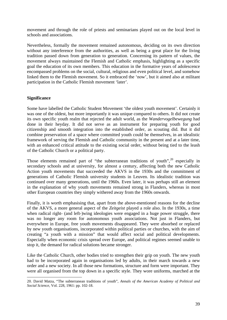movement and through the role of priests and seminarians played out on the local level in schools and associations.

Nevertheless, formally the movement remained autonomous, deciding on its own direction without any interference from the authorities, as well as being a great place for the living tradition passed down from generation to generation. Concerning its pattern of values, the movement always maintained the Flemish and Catholic emphasis, highlighting as a specific goal the education of its own members. This education in the formative years of adolescence encompassed problems on the social, cultural, religious and even political level, and somehow linked them to the Flemish movement. So it embraced the 'now', but it aimed also at militant participation in the Catholic Flemish movement 'later'.

### **Significance**

-

Some have labelled the Catholic Student Movement 'the oldest youth movement'. Certainly it was one of the oldest, but more importantly it was unique compared to others. It did not create its own specific youth realm that rejected the adult world, as the *Wandervogelbewegung* had done in their heyday. It did not serve as an instrument for preparing youth for good citizenship and smooth integration into the established order, as scouting did. But it did combine preservation of a space where committed youth could be themselves, in an idealistic framework of serving the Flemish and Catholic community in the present and at a later time, with an enhanced critical attitude to the existing social order, without being tied to the leash of the Catholic Church or a political party.

Those elements remained part of "the subterranean traditions of youth", $20$  especially in secondary schools and at university, for almost a century, affecting both the new Catholic Action youth movements that succeeded the AKVS in the 1930s and the commitment of generations of Catholic Flemish university students in Leuven. Its idealistic tradition was continued over many generations, until the 1960s. Even later, it was perhaps still an element in the explanation of why youth movements remained strong in Flanders, whereas in most other European countries they simply withered away from the 1960s onwards.

Finally, it is worth emphasising that, apart from the above-mentioned reasons for the decline of the AKVS, a more general aspect of the *Zeitgeist* played a role also. In the 1930s, a time when radical right- (and left-)wing ideologies were engaged in a huge power struggle, there was no longer any room for autonomous youth associations. Not just in Flanders, but everywhere in Europe, free youth movements disappeared. They were absorbed or replaced by new youth organisations, incorporated within political parties or churches, with the aim of creating "a youth with a mission" that would affect social and political developments. Especially when economic crisis spread over Europe, and political regimes seemed unable to stop it, the demand for radical solutions became stronger.

Like the Catholic Church, other bodies tried to strengthen their grip on youth. The new youth had to be incorporated again in organisations led by adults, in their march towards a new order and a new society. In all those new formations, structure and form were important. They were all organised from the top down in a specific style. They wore uniforms, marched at the

<span id="page-38-0"></span><sup>20.</sup> David Matza, "The subterranean traditions of youth", *Annals of the American Academy of Political and Social Science*, Vol. 228, 1961: pp. 102-18.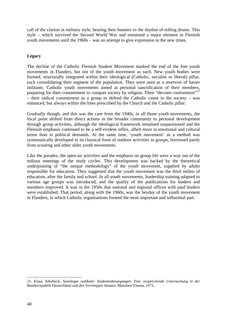call of the clarion in military style, bearing their banners to the rhythm of rolling drums. This style – which survived the Second World War and remained a major element in Flemish youth movements until the 1960s – was an attempt to give expression to the new times.

## **Legacy**

The decline of the Catholic Flemish Student Movement marked the end of the free youth movements in Flanders, but not of the youth movement as such. New youth bodies were formed, structurally integrated within their ideological (Catholic, socialist or liberal) pillar, each consolidating their segment of the population. They were seen as a reservoir of future militants. Catholic youth movements aimed at personal sanctification of their members, preparing for their commitment to conquer society by religion. Their "deviant conformism"<sup>[21](#page-39-0)</sup> – their radical commitment as a group to defend the Catholic cause in the society – was enhanced, but always within the lines prescribed by the Church and the Catholic pillar.

Gradually though, and this was the case from the 1940s, in all those youth movements, the focal point shifted from direct actions in the broader community to personal development through group activities, although the ideological framework remained unquestioned and the Flemish emphasis continued to be a self-evident reflex, albeit more in emotional and cultural terms than in political demands. At the same time, 'youth movement' as a method was systematically developed in its classical form of outdoor activities in groups, borrowed partly from scouting and other older youth movements.

Like the parades, the open-air activities and the emphasis on group life were a way out of the tedious meetings of the study circles. This development was backed by the theoretical underpinning of "the unique methodology" of the youth movement, supplied by adults responsible for education. They suggested that the youth movement was the third milieu of education, after the family and school. In all youth movements, leadership training adapted to various age groups was introduced, and the quality of the publications for leaders and members improved. It was in the 1950s that national and regional offices with paid leaders were established. That period, along with the 1960s, was the heyday of the youth movement in Flanders, in which Catholic organisations formed the most important and influential part.

<span id="page-39-0"></span><sup>-</sup>21. Klaus Allerbeck, *Soziologie radikaler Studentenbewegungen. Eine vergleichende Untersuchung in der Bundesrepublik Deutschland und den Vereinigten Staaten*, München/Vienna, 1973.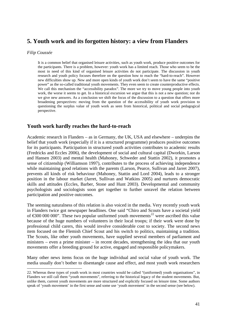# **5. Youth work and its forgotten history: a view from Flanders**

#### *Filip Coussée*

-

It is a common belief that organised leisure activities, such as youth work, produce positive outcomes for the participants. There is a problem, however: youth work has a limited reach. Those who seem to be the most in need of this kind of organised leisure activities do not participate. The discussion in youth research and youth policy focuses therefore on the question how to reach the "hard-to-reach". However new difficulties show up. New and more open kinds of youth work don't seem to have the same "positive power" as the so-called traditional youth movements. They even seem to create counterproductive effects. We call this mechanism the "accessibility paradox". The more we try to move young people into youth work, the worse it seems to get. In a historical excursion we argue that this is not a new question; nor do we give new answers. As a conclusion we shift the focus of the discussion to a question that offers more broadening perspectives: moving from the question of the accessibility of youth work provision to questioning the surplus value of youth work as seen from historical, political and social pedagogical perspective.

## **Youth work hardly reaches the hard-to-reach**

Academic research in Flanders – as in Germany, the UK, USA and elsewhere – underpins the belief that youth work (especially if it is a structured programme) produces positive outcomes for its participants. Participation in structured youth activities contributes to academic results (Fredricks and Eccles 2006), the development of social and cultural capital (Dworkin, Larson and Hansen 2003) and mental health (Mahoney, Schweder and Stattin 2002), it promotes a sense of citizenship (Williamson 1997), contributes to the process of achieving independence while maintaining good relations with the parents (Larson, Pearce, Sullivan and Jarret 2007), prevents all kinds of risk behaviour (Mahoney, Stattin and Lord 2004), leads to a stronger position in the labour market (Jarret, Sullivan and Watkins 2005) and nurtures democratic skills and attitudes (Eccles, Barber, Stone and Hunt 2003). Developmental and community psychologists and sociologists soon get together to further unravel the relation between participation and positive outcomes.

The seeming naturalness of this relation is also voiced in the media. Very recently youth work in Flanders twice got newspaper headlines. One said "Chiro and Scouts have a societal yield of  $\epsilon$ 300 000 000". These two popular uniformed youth movements<sup>[22](#page-40-0)</sup> were ascribed this value because of the huge numbers of volunteers in their local troops; if their work were done by professional child carers, this would involve considerable cost to society. The second news item focused on the Flemish Chief Scout and his switch to politics, maintaining a tradition. The Scouts, like other youth movements, have supplied several members of parliament and ministers – even a prime minister – in recent decades, strengthening the idea that our youth movements offer a breeding ground for active, engaged and responsible policymakers.

Many other news items focus on the huge individual and social value of youth work. The media usually don't bother to disentangle cause and effect, and most youth work researchers

<span id="page-40-0"></span><sup>22.</sup> Whereas these types of youth work in most countries would be called "(uniformed) youth organisations", in Flanders we still call them "youth movements", referring to the historical legacy of the student movements. But, unlike them, current youth movements are more structured and explicitly focused on leisure time. Some authors speak of 'youth movement' in the first sense and some use 'youth movement' in the second sense (see below).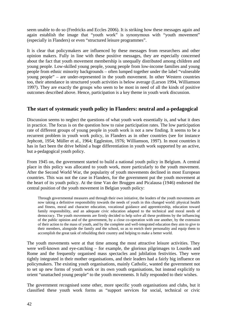seem unable to do so (Fredricks and Eccles 2006). It is striking how these messages again and again establish the image that "youth work" is synonymous with "youth movement" (especially in Flanders) or even "structured leisure programmes".

It is clear that policymakers are influenced by these messages from researchers and other opinion makers. Fully in line with these positive messages, they are especially concerned about the fact that youth movement membership is unequally distributed among children and young people. Low-skilled young people, young people from low-income families and young people from ethnic minority backgrounds – often lumped together under the label "vulnerable young people" – are under-represented in the youth movement. In other Western countries too, their attendance in structured youth activities is below average (Larson 1994, Williamson 1997). They are exactly the groups who seem to be most in need of all the kinds of positive outcomes described above. Hence, participation is a key theme in youth work discussion.

# **The start of systematic youth policy in Flanders: neutral and a-pedagogical**

Discussion seems to neglect the questions of what youth work essentially is, and what it does in practice. The focus is on the question how to raise participation rates. The low participation rate of different groups of young people in youth work is not a new finding. It seems to be a recurrent problem in youth work policy, in Flanders as in other countries (see for instance Jephcott, 1954; Müller et al., 1964; Eggleston, 1976; Williamson, 1997). In most countries it has in fact been the drive behind a huge differentiation in youth work supported by an active, but a-pedagogical youth policy.

From 1945 on, the government started to build a national youth policy in Belgium. A central place in this policy was allocated to youth work, more particularly to the youth movement. After the Second World War, the popularity of youth movements declined in most European countries. This was not the case in Flanders, for the government put the youth movement at the heart of its youth policy. At the time Van der Bruggen and Picalausa (1946) endorsed the central position of the youth movement in Belgian youth policy:

Through governmental measures and through their own initiative, the leaders of the youth movements are now taking a definitive responsibility towards the needs of youth in this changed world: physical health and fitness, moral and character education, vocational guidance and apprenticeship, education toward family responsibility, and an adequate civic education adapted to the technical and moral needs of democracy. The youth movements are firmly decided to help solve all these problems by the influencing of the public opinion and of the government, by a close co-operation with one another, by the extension of their action to the mass of youth, and by the complete and well-integrated education they aim to give to their members, alongside the family and the school, so as to enrich their personality and equip them to accomplish the great task of rebuilding their country and helping to make a better world.

The youth movements were at that time among the most attractive leisure activities. They were well-known and eye-catching – for example, the glorious pilgrimages to Lourdes and Rome and the frequently organised mass spectacles and jubilation festivities. They were tightly integrated in their mother organisations, and their leaders had a fairly big influence on policymakers. The existing youth organisations, mainly Catholic, wanted the government not to set up new forms of youth work or its own youth organisations, but instead explicitly to orient "unattached young people" to the youth movements. It fully responded to their wishes.

The government recognised some other, more specific youth organisations and clubs, but it classified these youth work forms as "support services for social, technical or civic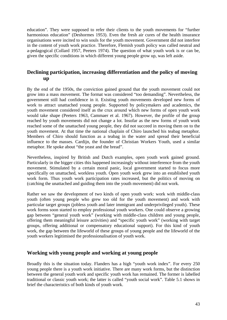education". They were supposed to refer their clients to the youth movements for "further harmonious education" (Deshormes 1953). Even the fresh air cures of the health insurance organisations were incited to win souls for the youth movement. Government did not interfere in the content of youth work practice. Therefore, Flemish youth policy was called neutral and a-pedagogical (Collard 1957, Peeters 1974). The question of what youth work is or can be, given the specific conditions in which different young people grow up, was left aside.

# **Declining participation, increasing differentiation and the policy of moving up**

By the end of the 1950s, the conviction gained ground that the youth movement could not grow into a mass movement. The format was considered "too demanding". Nevertheless, the government still had confidence in it. Existing youth movements developed new forms of work to attract unattached young people. Supported by policymakers and academics, the youth movement considered itself as the crux around which new forms of open youth work would take shape (Peeters 1963, Cammaer et al. 1967). However, the profile of the group reached by youth movements did not change a lot. Insofar as the new forms of youth work reached some of the unattached young people, they did not succeed in moving them on to the youth movement. At that time the national chaplain of Chiro launched his teabag metaphor. Members of Chiro should function as a teabag in the water and spread their beneficial influence to the masses. Cardijn, the founder of Christian Workers Youth, used a similar metaphor. He spoke about "the yeast and the bread".

Nevertheless, inspired by British and Dutch examples, open youth work gained ground. Particularly in the bigger cities this happened increasingly without interference from the youth movement. Stimulated by a certain moral panic, local government started to focus more specifically on unattached, workless youth. Open youth work grew into an established youth work form. Thus youth work participation rates increased, but the politics of moving on (catching the unattached and guiding them into the youth movement) did not work.

Rather we saw the development of two kinds of open youth work: work with middle-class youth (often young people who grew too old for the youth movement) and work with particular target groups (jobless youth and later immigrant and underprivileged youth). These work forms soon started to employ professional youth workers. One could observe a growing gap between "general youth work" (working with middle-class children and young people, offering them meaningful leisure activities) and "specific youth work" (working with target groups, offering additional or compensatory educational support). For this kind of youth work, the gap between the lifeworld of these groups of young people and the lifeworld of the youth workers legitimised the professionalisation of youth work.

# **Working with young people and working at young people**

Broadly this is the situation today. Flanders has a high "youth work index". For every 250 young people there is a youth work initiative. There are many work forms, but the distinction between the general youth work and specific youth work has remained. The former is labelled traditional or classic youth work; the latter is called "youth social work". Table 5.1 shows in brief the characteristics of both kinds of youth work.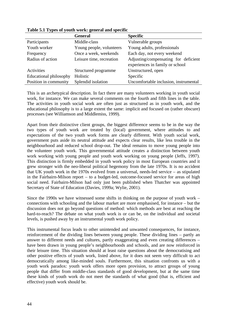|                        | <b>General</b>           | <b>Specific</b>                       |
|------------------------|--------------------------|---------------------------------------|
| Participants           | Middle-class             | Vulnerable groups                     |
| Youth worker           | Young people, volunteers | Young adults, professionals           |
| Frequency              | Once a week, weekends    | Each day, not every weekend           |
| Radius of action       | Leisure time, recreation | Adjusting/compensating for deficient  |
|                        |                          | experiences in family or school       |
| Activities             | Structured programme     | Unstructured, open                    |
| Educational philosophy | Holistic                 | Specific                              |
| Position in community  | Splendid isolation       | Uncomfortable inclusion, instrumental |

**Table 5.1 Types of youth work: general and specific**

This is an archetypical description. In fact there are many volunteers working in youth social work, for instance. We can make several comments on the fourth and fifth lines in the table. The activities in youth social work are often just as structured as in youth work, and the educational philosophy is to a large extent the same: implicit and focused on (rather obscure) processes (see Williamson and Middlemiss, 1999).

Apart from their distinctive client groups, the biggest difference seems to be in the way the two types of youth work are treated by (local) government, where attitudes to and expectations of the two youth work forms are clearly different. With youth social work, government puts aside its neutral attitude and expects clear results, like less trouble in the neighbourhood and reduced school drop-out. The ideal remains to move young people into the volunteer youth work. This governmental attitude creates a distinction between youth work working with young people and youth work working on young people (Jeffs, 1997). This distinction is firmly embedded in youth work policy in most European countries and it grew stronger with the neo-liberal political hegemony from the late 1970s. It is no accident that UK youth work in the 1970s evolved from a universal, needs-led service – as stipulated in the Fairbairn-Milson report – to a budget-led, outcome-focused service for areas of high social need. Fairbairn-Milson had only just been published when Thatcher was appointed Secretary of State of Education (Davies, 1999a; Wylie, 2001).

Since the 1990s we have witnessed some shifts in thinking on the purpose of youth work – connections with schooling and the labour market are more emphasised, for instance – but the discussion does not go beyond questions of method: which methods are best at reaching the hard-to-reach? The debate on what youth work is or can be, on the individual and societal levels, is pushed away by an instrumental youth work policy.

This instrumental focus leads to other unintended and unwanted consequences, for instance, reinforcement of the dividing lines between young people. These dividing lines – partly an answer to different needs and cultures, partly exaggerating and even creating differences – have been drawn in young people's neighbourhoods and schools, and are now reinforced in their leisure time. This situation should at least raise questions about the democratising and other positive effects of youth work, listed above, for it does not seem very difficult to act democratically among like-minded souls. Furthermore, this situation confronts us with a youth work paradox: youth work offers more open provision, to attract groups of young people that differ from middle-class standards of good development, but at the same time these kinds of youth work do not meet the standards of what good (that is, efficient and effective) youth work should be.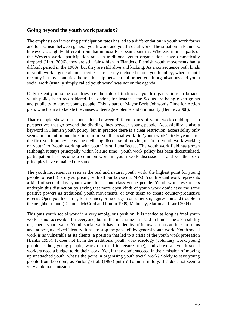# **Going beyond the youth work paradox?**

The emphasis on increasing participation rates has led to a differentiation in youth work forms and to a schism between general youth work and youth social work. The situation in Flanders, however, is slightly different from that in most European countries. Whereas, in most parts of the Western world, participation rates in traditional youth organisations have dramatically dropped (Hart, 2006), they are still fairly high in Flanders. Flemish youth movements had a difficult period in the 1980s, but they are still alive and kicking. As a consequence both kinds of youth work – general and specific – are clearly included in one youth policy, whereas until recently in most countries the relationship between uniformed youth organisations and youth social work (usually simply called youth work) was not on the agenda.

Only recently in some countries has the role of traditional youth organisations in broader youth policy been reconsidered. In London, for instance, the Scouts are being given grants and publicity to attract young people. This is part of Mayor Boris Johnson's Time for Action plan, which aims to tackle the causes of teenage violence and criminality (Bennet, 2008).

That example shows that connections between different kinds of youth work could open up perspectives that go beyond the dividing lines between young people. Accessibility is also a keyword in Flemish youth policy, but in practice there is a clear restriction: accessibility only seems important in one direction, from 'youth social work' to 'youth work'. Sixty years after the first youth policy steps, the civilising discourse of moving up from 'youth work working on youth' to 'youth working with youth' is still unaffected. The youth work field has grown (although it stays principally within leisure time), youth work policy has been decentralised, participation has become a common word in youth work discussion – and yet the basic principles have remained the same.

The youth movement is seen as the real and natural youth work, the highest point for young people to reach (hardly surprising with all our boy-scout MPs). Youth social work represents a kind of second-class youth work for second-class young people. Youth work researchers underpin this distinction by saying that more open kinds of youth work don't have the same positive powers as traditional youth movements, or even seem to create counter-productive effects. Open youth centres, for instance, bring drugs, consumerism, aggression and trouble in the neighbourhood (Dishion, McCord and Poulin 1999; Mahoney, Stattin and Lord 2004).

This puts youth social work in a very ambiguous position. It is needed as long as 'real youth work' is not accessible for everyone, but in the meantime it is said to hinder the accessibility of general youth work. Youth social work has no identity of its own. It has an interim status and, at best, a derived identity: it has to stop the gaps left by general youth work. Youth social work is as vulnerable as its clients, a position that led to a crisis of the youth work profession (Banks 1996). It does not fit in the traditional youth work ideology (voluntary work, young people leading young people, work restricted to leisure time); and above all youth social workers need a budget to do their work. Yet, if they don't succeed in their mission of moving up unattached youth, what's the point in organising youth social work? Solely to save young people from boredom, as Furlong et al. (1997) put it? To put it mildly, this does not seem a very ambitious mission.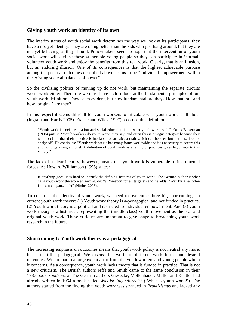# **Giving youth work an identity of its own**

The interim status of youth social work determines the way we look at its participants: they have a not-yet identity. They are doing better than the kids who just hang around, but they are not yet behaving as they should. Policymakers seem to hope that the intervention of youth social work will civilise those vulnerable young people so they can participate in 'normal' volunteer youth work and enjoy the benefits from this real work. Clearly, that is an illusion, but an enduring illusion. One of its consequences is that the highest achievable purpose among the positive outcomes described above seems to be "individual empowerment within the existing societal balances of power".

So the civilising politics of moving up do not work, but maintaining the separate circuits won't work either. Therefore we must have a close look at the fundamental principles of our youth work definition. They seem evident, but how fundamental are they? How 'natural' and how 'original' are they?

In this respect it seems difficult for youth workers to articulate what youth work is all about (Ingram and Harris 2005). France and Wiles (1997) recorded this definition:

"Youth work is social education and social education is … what youth workers do". Or as Baizerman (1996) puts it: "Youth workers do youth work, they say, and often this is a vague category because they tend to claim that their practice is ineffable, or artistic, a craft which can be seen but not described or analysed". He continues: "Youth work praxis has many forms worldwide and it is necessary to accept this and not urge a single model. A definition of youth work as a family of practices gives legitimacy to this variety."

The lack of a clear identity, however, means that youth work is vulnerable to instrumental forces. As Howard Williamson (1995) states:

If anything goes, it is hard to identify the defining features of youth work. The German author Nörber calls youth work therefore an *Allzweckwaffe* ('weapon for all targets') and he adds: "Wer für alles offen ist, ist nicht ganz dicht" (Nörber 2005).

To construct the identity of youth work, we need to overcome three big shortcomings in current youth work theory: (1) Youth work theory is a-pedagogical and not funded in practice. (2) Youth work theory is a-political and restricted to individual empowerment. And (3) youth work theory is a-historical, representing the (middle-class) youth movement as the real and original youth work. These critiques are important to give shape to broadening youth work research in the future.

### **Shortcoming 1: Youth work theory is a-pedagogical**

The increasing emphasis on outcomes means that youth work policy is not neutral any more, but it is still a-pedagogical. We discuss the worth of different work forms and desired outcomes. We do that to a large extent apart from the youth workers and young people whom it concerns. As a consequence, youth work lacks theory that is funded in practice. That is not a new criticism. The British authors Jeffs and Smith came to the same conclusion in their 1987 book *Youth work*. The German authors Giesecke, Mollenhauer, Müller and Kentler had already written in 1964 a book called *Was ist Jugendarbeit?* ('What is youth work?'). The authors started from the finding that youth work was stranded in *Praktizismus* and lacked any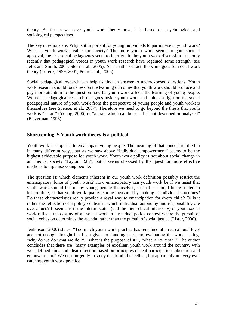theory. As far as we have youth work theory now, it is based on psychological and sociological perspectives.

The key questions are: Why is it important for young individuals to participate in youth work? What is youth work's value for society? The more youth work seems to gain societal approval, the less social pedagogues seem to interfere in the youth work discussion. It is only recently that pedagogical voices in youth work research have regained some strength (see Jeffs and Smith, 2005; Stein et al., 2005). As a matter of fact, the same goes for social work theory (Lorenz, 1999, 2001; Petrie et al., 2006).

Social pedagogical research can help us find an answer to underexposed questions. Youth work research should focus less on the learning outcomes that youth work should produce and pay more attention to the question how far youth work affects the learning of young people. We need pedagogical research that goes inside youth work and shines a light on the social pedagogical nature of youth work from the perspective of young people and youth workers themselves (see Spence, et al., 2007). Therefore we need to go beyond the thesis that youth work is "an art" (Young, 2006) or "a craft which can be seen but not described or analysed" (Baizerman, 1996).

# **Shortcoming 2: Youth work theory is a-political**

Youth work is supposed to emancipate young people. The meaning of that concept is filled in in many different ways, but as we saw above "individual empowerment" seems to be the highest achievable purpose for youth work. Youth work policy is not about social change in an unequal society (Taylor, 1987), but it seems obsessed by the quest for more effective methods to organise young people.

The question is: which elements inherent in our youth work definition possibly restrict the emancipatory force of youth work? How emancipatory can youth work be if we insist that youth work should be run by young people themselves, or that it should be restricted to leisure time, or that youth work quality can be measured by looking at individual outcomes? Do these characteristics really provide a royal way to emancipation for every child? Or is it rather the reflection of a policy context in which individual autonomy and responsibility are overvalued? It seems as if the interim status (and the hierarchical inferiority) of youth social work reflects the destiny of all social work in a residual policy context where the pursuit of social cohesion determines the agenda, rather than the pursuit of social justice (Lister, 2000).

Jenkinson (2000) states: "Too much youth work practice has remained at a recreational level and not enough thought has been given to standing back and evaluating the work, asking: 'why do we do what we do'?', 'what is the purpose of it?', 'what is its aim?'." The author concludes that there are "many examples of excellent youth work around the country, with well-defined aims and clear direction based on principles of real participation, liberation and empowerment." We need urgently to study that kind of excellent, but apparently not very eyecatching youth work practice.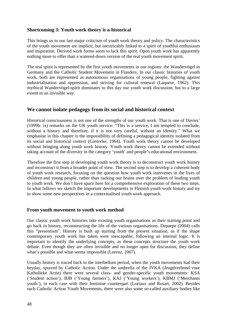## **Shortcoming 3: Youth work theory is a-historical**

This brings us to our last major criticism of youth work theory and policy. The characteristics of the youth movement are implicit, but inextricably linked to a spirit of youthful enthusiasm and inspiration. Derived work forms seem to lack this spirit. Open youth work has apparently nothing more to offer than a watered-down version of the real youth movement spirit.

The real spirit is represented by the first youth movements in our regions: the Wandervögel in Germany and the Catholic Student Movement in Flanders. In our classic histories of youth work, both are represented as autonomous organisations of young people, fighting against industrialisation and oppression, and striving for cultural renewal (Laqueur, 1962). This mythical Wandervögel-spirit dominates to this day our youth work discussion, but to a large extent in an invisible way.

# **We cannot isolate pedagogy from its social and historical context**

Historical consciousness is not one of the strengths of our youth work. That is one of Davies' (1999b: ix) remarks on the UK youth service: "This is a service, I am tempted to conclude, without a history and therefore, if it is not very careful, without an identity." What we emphasise in this chapter is the impossibility of defining a pedagogical identity isolated from its social and historical context (Giesecke, 1964). Youth work theory cannot be developed without bringing along youth work history. Youth work theory cannot be extended without taking account of the diversity in the category 'youth' and people's educational environment.

Therefore the first step in developing youth work theory is to deconstruct youth work history and reconstruct it from a broader point of view. The second step is to develop a coherent body of youth work research, focusing on the question how youth work intervenes in the lives of children and young people, rather than racking our brains over the problem of leading youth to youth work. We don't have space here for a comprehensive exploration of these two steps. In what follows we sketch the important developments in Flemish youth work history and try to show some new perspectives in a contextualised youth work approach.

### **From youth movement to youth work method**

Our classic youth work histories take existing youth organisations as their starting point and go back in history, reconstructing the life of the various organisations. Depaepe (2004) calls this "presentism". History is built up starting from the present situation, as if the shape contemporary youth work has taken were inescapable, following an internal logic. It is important to identify the underlying concepts, as these concepts structure the youth work debate. Even though they are often invisible and no longer open for discussion, they define what's possible and what seems impossible (Lorenz, 2007).

Usually history is traced back to the interbellum period, when the youth movements had their heyday, spurred by Catholic Action. Under the umbrella of the JVKA (Jeugdverbond voor Katholieke Actie) there were several class- and gender-specific youth movements: KSA ('Student action'), BJB ('Young farmers'), KAJ ('Young workers'), KBMJ ('Merchants youth'), in each case with their feminine counterpart (Loriaux and Rosart, 2002). Besides such Catholic Action Youth Movements, there were also some so-called auxiliary bodies like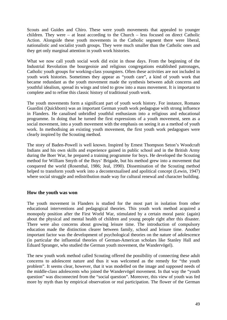Scouts and Guides and Chiro. These were youth movements that appealed to younger children. They were – at least according to the Church – less focused on direct Catholic Action. Alongside these youth movements in the Catholic segment there were liberal, nationalistic and socialist youth groups. They were much smaller than the Catholic ones and they get only marginal attention in youth work histories.

What we now call youth social work did exist in those days. From the beginning of the Industrial Revolution the bourgeoisie and religious congregations established patronages, Catholic youth groups for working-class youngsters. Often these activities are not included in youth work histories. Sometimes they appear as "youth care", a kind of youth work that became redundant as the youth movement made the synthesis between adult concerns and youthful idealism, spread its wings and tried to grow into a mass movement. It is important to complete and to refine this classic history of traditional youth work.

The youth movements form a significant part of youth work history. For instance, Romano Guardini (Quickborn) was an important German youth work pedagogue with strong influence in Flanders. He canalised unbridled youthful enthusiasm into a religious and educational programme. In doing that he turned the first expressions of a youth movement, seen as a social movement, into a youth movement with the emphasis on seeing it as a method of youth work. In methodising an existing youth movement, the first youth work pedagogues were clearly inspired by the Scouting method.

The story of Baden-Powell is well known. Inspired by Ernest Thompson Seton's Woodcraft Indians and his own skills and experience gained in public school and in the British Army during the Boer War, he prepared a training programme for boys. He developed the Scouting method for William Smyth of the Boys' Brigade, but his method grew into a movement that conquered the world (Rosenthal, 1986; Jeal, 1990). Dissemination of the Scouting method helped to transform youth work into a decontextualised and apolitical concept (Lewin, 1947) where social struggle and redistribution made way for cultural renewal and character building.

### **How the youth was won**

The youth movement in Flanders is studied for the most part in isolation from other educational interventions and pedagogical theories. This youth work method acquired a monopoly position after the First World War, stimulated by a certain moral panic (again) about the physical and mental health of children and young people right after this disaster. There were also concerns about growing leisure time. The introduction of compulsory education made the distinction clearer between family, school and leisure time. Another important factor was the development of psychological theories on the nature of adolescence (in particular the influential theories of German-American scholars like Stanley Hall and Eduard Spranger, who studied the German youth movement, the Wandervögel).

The new youth work method called Scouting offered the possibility of connecting these adult concerns to adolescent nature and thus it was welcomed as the remedy for "the youth problem". It seems clear, however, that it was modelled on the image and supposed needs of the middle-class adolescents who joined the Wandervögel movement. In that way the "youth question" was disconnected from the "social question". Moreover, this view of youth was fed more by myth than by empirical observation or real participation. The flower of the German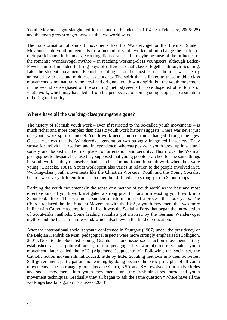Youth Movement got slaughtered in the mud of Flanders in 1914-18 (Tyldesley, 2006: 25) and the myth grew stronger between the two world wars.

The transformation of student movements like the Wandervögel or the Flemish Student Movement into youth movements (as a method of youth work) did not change the profile of their participants. In Flanders, Scouting did not succeed – maybe because of the influence of the romantic Wandervögel mythos – in reaching working-class youngsters, although Baden-Powell himself intended to bring boys of different social classes together through Scouting. Like the student movement, Flemish scouting – for the most part Catholic – was clearly animated by priests and middle-class students. The spirit that is linked to these middle-class movements is not naturally the "real and original" youth work spirit, but the youth movement in the second sense (based on the scouting method) seems to have dispelled other forms of youth work, which may have led – from the perspective of some young people – to a situation of boring uniformity.

## **Where have all the working-class youngsters gone?**

The history of Flemish youth work – even if restricted to the so-called youth movements – is much richer and more complex than classic youth work history suggests. There was never just one youth work spirit or model. Youth work needs and demands changed through the ages. Giesecke shows that the Wandervögel generation was strongly integrated in society. They strove for individual freedom and independence, whereas post-war youth grew up in a plural society and looked in the first place for orientation and security. This drove the Weimar pedagogues to despair, because they supposed that young people searched for the same things in youth work as they themselves had searched for and found in youth work when they were young (Giesecke, 1981). Youth work spirit also varies in relation to the people involved in it. Working-class youth movements like the Christian Workers' Youth and the Young Socialist Guards were very different from each other, but differed also strongly from Scout troops.

Defining the youth movement (in the sense of a method of youth work) as the best and most effective kind of youth work instigated a strong push to transform existing youth work into Scout look-alikes. This was not a sudden transformation but a process that took years. The Church replaced the first Student Movement with the KSA, a youth movement that was more in line with Catholic assumptions. In fact it was the Socialist Party that began the introduction of Scout-alike methods. Some leading socialists got inspired by the German Wandervögel mythos and the back-to-nature wind, which also blew in the field of education.

After the international socialist youth conference in Stuttgart (1907) under the presidency of the Belgian Hendrik de Man, pedagogical aspects were more strongly emphasised (Collignon, 2001). Next to the Socialist Young Guards – a one-issue social action movement – they established a less political and (from a pedagogical viewpoint) more valuable youth movement, later called the AJC (Algemene Jeugdcentrale). Following the socialists, the Catholic action movements introduced, little by little, Scouting methods into their activities. Self-government, participation and learning by doing became the basic principles of all youth movements. The patronage groups became Chiro, KSA and KAJ evolved from study circles and social movements into youth movements, and the fresh-air cures introduced youth movement techniques. Gradually they all began to ask the same question "Where have all the working-class kids gone?" (Coussée, 2008).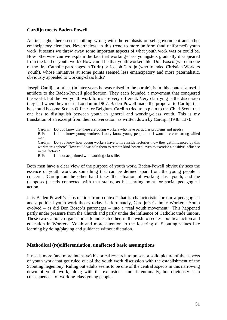## **Cardijn meets Baden-Powell**

At first sight, there seems nothing wrong with the emphasis on self-government and other emancipatory elements. Nevertheless, in this trend to more uniform (and uniformed) youth work, it seems we threw away some important aspects of what youth work was or could be. How otherwise can we explain the fact that working-class youngsters gradually disappeared from the land of youth work? How can it be that youth workers like Don Bosco (who ran one of the first Catholic patronages in Turin) or Joseph Cardijn (who founded Christian Workers Youth), whose initiatives at some points seemed less emancipatory and more paternalistic, obviously appealed to working-class kids?

Joseph Cardijn, a priest (in later years he was raised to the purple), is in this context a useful antidote to the Baden-Powell glorification. They each founded a movement that conquered the world, but the two youth work forms are very different. Very clarifying is the discussion they had when they met in London in 1907. Baden-Powell made the proposal to Cardijn that he should become Scouts Officer for Belgium. Cardijn tried to explain to the Chief Scout that one has to distinguish between youth in general and working-class youth. This is my translation of an excerpt from their conversation, as written down by Cardijn (1948: 137):

Cardiin: Do you know that there are young workers who have particular problems and needs? B-P: I don't know young workers. I only know young people and I want to create strong-willed men. Cardijn: Do you know how young workers have to live inside factories, how they get influenced by this workman's sphere? How could we help them to remain kind-hearted, even to exercise a positive influence in the factory? B-P: I'm not acquainted with working-class life.

Both men have a clear view of the purpose of youth work. Baden-Powell obviously sees the

essence of youth work as something that can be defined apart from the young people it concerns. Cardijn on the other hand takes the situation of working-class youth, and the (supposed) needs connected with that status, as his starting point for social pedagogical action.

It is Baden-Powell's "abstraction from context" that is characteristic for our a-pedagogical and a-political youth work theory today. Unfortunately, Cardijn's Catholic Workers' Youth evolved – as did Don Bosco's patronages – into a "real youth movement". This happened partly under pressure from the Church and partly under the influence of Catholic trade unions. These two Catholic organisations found each other, in the wish to see less political action and education in Workers' Youth and more attention to the fostering of Scouting values like learning by doing/playing and guidance without dictation.

### **Methodical (re)differentiation, unaffected basic assumptions**

It needs more (and more intensive) historical research to present a solid picture of the aspects of youth work that got ruled out of the youth work discussion with the establishment of the Scouting hegemony. Ruling out adults seems to be one of the central aspects in this narrowing down of youth work, along with the exclusion – not intentionally, but obviously as a consequence – of working-class young people.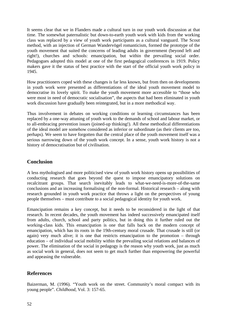It seems clear that we in Flanders made a cultural turn in our youth work discussion at that time. The somewhat paternalistic but down-to-earth youth work with kids from the working class was replaced by a view of youth work participants as a cultural vanguard. The Scout method, with an injection of German Wandervögel romanticism, formed the prototype of the youth movement that suited the concerns of leading adults in government (beyond left and right!), churches and schools: emancipation, but within the prevailing social order. Pedagogues adopted this model at one of the first pedagogical conferences in 1919. Policy makers gave it the status of best practice with the start of the official youth work policy in 1945.

How practitioners coped with these changes is far less known, but from then on developments in youth work were presented as differentiations of the ideal youth movement model to democratise its lovely spirit. To make the youth movement more accessible to "those who were most in need of democratic socialisation", the aspects that had been eliminated in youth work discussion have gradually been reintegrated, but in a more methodical way.

Thus involvement in debates on working conditions or learning circumstances has been replaced by a one-way attuning of youth work to the demands of school and labour market, or to all-embracing prevention issues (joined-up thinking!). All these methodical differentiations of the ideal model are somehow considered as inferior or subordinate (as their clients are too, perhaps). We seem to have forgotten that the central place of the youth movement itself was a serious narrowing down of the youth work concept. In a sense, youth work history is not a history of democratisation but of civilisation.

# **Conclusion**

A less mythologised and more politicised view of youth work history opens up possibilities of conducting research that goes beyond the quest to impose emancipatory solutions on recalcitrant groups. That search inevitably leads to what-we-need-is-more-of-the-same conclusions and an increasing formalising of the non-formal. Historical research – along with research grounded in youth work practice that throws a light on the perspectives of young people themselves – must contribute to a social pedagogical identity for youth work.

Emancipation remains a key concept, but it needs to be reconsidered in the light of that research. In recent decades, the youth movement has indeed successively emancipated itself from adults, church, school and party politics, but in doing this it further ruled out the working-class kids. This emancipation is one that falls back on the modern concept of emancipation, which has its roots in the 19th-century moral crusade. That crusade is still (or again) very much alive; it is one that restricts emancipation to the promotion – through education – of individual social mobility within the prevailing social relations and balances of power. The elimination of the social in pedagogy is the reason why youth work, just as much as social work in general, does not seem to get much further than empowering the powerful and appeasing the vulnerable.

# **References**

Baizerman, M. (1996). "Youth work on the street. Community's moral compact with its young people". *Childhood*, Vol. 3: 157-65.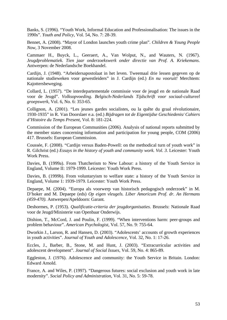Banks, S. (1996). "Youth Work, Informal Education and Professionalisation: The issues in the 1990s". *Youth and Policy*, Vol. 54, No. 7: 28-39.

Bennet, A. (2008). "Mayor of London launches youth crime plan". *Children & Young People Now*, 3 November 2008.

Cammaer H., Buyck, L., Geeraert, A., Van Wolput, N., and Wauters, N. (1967). *Jeugdproblematiek. Tien jaar onderzoekswerk onder directie van Prof. A. Kriekemans*. Antwerpen: de Nederlandsche Boekhandel.

Cardijn, J. (1948). "Arbeidersapostolaat in het leven. Tweemaal drie lessen gegeven op de nationale studieweken voor gewestleiders" in J. Cardijn (ed.) *En nu vooruit!* Merchtem: Kajottersbeweging.

Collard, L. (1957). "De interdepartementale commissie voor de jeugd en de nationale Raad voor de Jeugd". *Volksopvoeding. Belgisch-Nederlands Tijdschrift voor sociaal-cultureel groepswerk*, Vol. 6, No. 6: 353-65.

Collignon, A. (2001). "Les jeunes gardes socialistes, ou la quête du graal révolutionaire, 1930-1935" in R. Van Doorslaer e.a. (ed.) *Bijdragen tot de Eigentijdse Geschiedenis/ Cahiers d'Histoire du Temps Present*, Vol. 8: 181-224.

Commission of the European Communities (2006). Analysis of national reports submitted by the member states concerning information and participation for young people, COM (2006) 417. Brussels: European Commission.

Coussée, F. (2008). "Cardijn versus Baden-Powell: on the methodical turn of youth work" in R. Gilchrist (ed.) *Essays in the history of youth and community work. Vol. 3*. Leicester: Youth Work Press.

Davies, B. (1999a). From Thatcherism to New Labour: a history of the Youth Service in England, Volume II: 1979-1999. Leicester: Youth Work Press.

Davies, B. (1999b). From voluntaryism to welfare state: a history of the Youth Service in England, Volume 1: 1939-1979. Leicester: Youth Work Press.

Depaepe, M. (2004). "Europa als voorwerp van historisch pedagogisch onderzoek" in M. D'hoker and M. Depaepe (eds) *Op eigen vleugels. Liber Amoricum Prof. dr. An Hermans (459-470).* Antwerpen/Apeldoorn: Garant*.*

Deshormes, P. (1953). *Qualificatie-criteria der jeugdorganisaties*. Brussels: Nationale Raad voor de Jeugd/Ministerie van Openbaar Onderwijs.

Dishion, T., McCord, J. and Poulin, F. (1999). "When interventions harm: peer-groups and problem behaviour". *American Psychologist*, Vol. 57, No. 9: 755-64.

Dworkin J., Larson, R. and Hansen, D. (2003). "Adolescents' accounts of growth experiences in youth activities". *Journal of Youth and Adolescence*, Vol. 32, No. 1: 17-26.

Eccles, J., Barber, B., Stone, M. and Hunt, J. (2003). "Extracurricular activities and adolescent development". *Journal of Social Issues*, Vol. 59, No. 4: 865-89.

Eggleston, J. (1976). Adolescence and community: the Youth Service in Britain. London: Edward Arnold.

France, A. and Wiles, P. (1997). "Dangerous futures: social exclusion and youth work in late modernity". *Social Policy and Administration*, Vol. 31, No. 5: 59-78.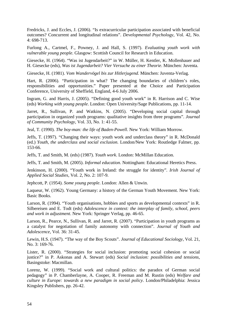Fredricks, J. and Eccles, J. (2006). "Is extracurricular participation associated with beneficial outcomes? Concurrent and longitudinal relations". *Developmental Psychology*, Vol. 42, No. 4: 698-713.

Furlong A., Cartmel, F., Powney, J. and Hall, S. (1997). *Evaluating youth work with vulnerable young people*. Glasgow: Scottish Council for Research in Education.

Giesecke, H. (1964). "Was ist Jugendarbeit?" in W. Müller, H. Kentler, K. Mollenhauer and H. Giesecke (eds), *Was ist Jugendarbeit? Vier Versuche zu einer Theorie*. München: Juventa.

Giesecke, H. (1981). *Vom Wandervögel bis zur Hitlerjugend*. München: Juventa-Verlag.

Hart, R. (2006). "Participation in what? The changing boundaries of children's roles, responsibilities and opportunities." Paper presented at the Choice and Participation Conference, University of Sheffield, England, 4-6 July 2006.

Ingram, G. and Harris, J. (2005). "Defining good youth work" in R. Harrison and C. Wise (eds) *Working with young people*. London: Open University/Sage Publications, pp. 11-14.

Jarret, R., Sullivan, P. and Watkins, N. (2005). "Developing social capital through participation in organized youth programs: qualitative insights from three programs". *Journal of Community Psychology*, Vol. 33, No. 1: 41-55.

Jeal, T. (1990). *The boy-man: the life of Baden-Powell*. New York: William Morrow.

Jeffs, T. (1997). "Changing their ways: youth work and underclass theory" in R. McDonald (ed.) *Youth, the underclass and social exclusion*. London/New York: Routledge Falmer, pp. 153-66.

Jeffs, T. and Smith, M. (eds) (1987). *Youth work*. London: McMillan Education.

Jeffs, T. and Smith, M. (2005). *Informal education*. Nottingham: Educational Heretics Press.

Jenkinson, H. (2000). "Youth work in Ireland: the struggle for identity"*. Irish Journal of Applied Social Studies*, Vol. 2, No. 2: 107-9.

Jephcott, P. (1954). *Some young people*. London: Allen & Unwin.

Laqueur, W. (1962). Young Germany: a history of the German Youth Movement. New York: Basic Books.

Larson, R. (1994). "Youth organisations, hobbies and sports as developmental contexts" in R. Silbereisen and E. Todt (eds) *Adolescence in context: the interplay of family, school, peers and work in adjustment*. New York: Springer Verlag, pp. 46-65.

Larson, R., Pearce, N., Sullivan, R. and Jarret, R. (2007). "Participation in youth programs as a catalyst for negotiation of family autonomy with connection". *Journal of Youth and Adolescence*, Vol. 36: 31-45.

Lewin, H.S. (1947). "The way of the Boy Scouts". *Journal of Educational Sociology*, Vol. 21, No. 3: 169-76.

Lister, R. (2000). "Strategies for social inclusion: promoting social cohesion or social justice?" in P. Askonas and A. Stewart (eds) *Social inclusion: possibilities and tensions*, Basingstoke: Macmillan.

Lorenz, W. (1999). "Social work and cultural politics: the paradox of German social pedagogy" in P. Chamberlayne, A. Cooper, R. Freeman and M. Rustin (eds) *Welfare and culture in Europe: towards a new paradigm in social policy*. London/Philadelphia: Jessica Kingsley Publishers, pp. 26-42.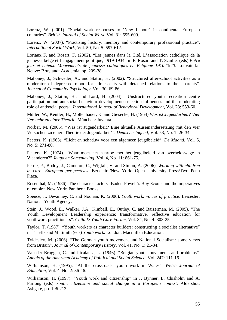Lorenz, W. (2001). "Social work responses to 'New Labour' in continental European countries". *British Journal of Social Work*, Vol. 31: 595-609.

Lorenz, W. (2007). "Practising history: memory and contemporary professional practice". *International Social Work*, Vol. 50, No. 5: 597-612.

Loriaux F. and Rosart, F. (2002). "Les jeunes dans la Cité. L'association catholique de la jeunesse belge et l'engagement politique, 1919-1934" in F. Rosart and T. Scaillet (eds) *Entre jeux et enjeux. Mouvements de jeunesse catholiques en Belgique 1910-1940*. Louvain-la-Neuve: Bruylandt Academia, pp. 209-38.

Mahoney, J., Schweder, A., and Stattin, H. (2002). "Structured after-school activities as a moderator of depressed mood for adolescents with detached relations to their parents". *Journal of Community Psychology*, Vol. 30: 69-86.

Mahoney, J., Stattin, H., and Lord, H. (2004). "Unstructured youth recreation centre participation and antisocial behaviour development: selection influences and the moderating role of antisocial peers". *International Journal of Behavioral Development*, Vol. 28: 553-60.

Müller, W., Kentler, H., Mollenhauer, K. and Giesecke, H. (1964) *Was ist Jugendarbeit? Vier Versuche zu einer Theorie*. München: Juventa.

Nörber, M. (2005). "Was ist Jugendarbeit? Eine aktuelle Auseinandersetzung mit den vier Versuchen zu einer 'Theorie der Jugendarbeit'". *Deutsche Jugend*, Vol. 53, No. 1: 26-34.

Peeters, K. (1963). "Licht en schaduw voor een algemeen jeugdbeleid". *De Maand*, Vol. 6, No. 5: 271-80.

Peeters, K. (1974). "Waar moet het naartoe met het jeugdbeleid van overheidswege in Vlaanderen?" *Jeugd en Samenleving*, Vol. 4, No. 11: 861-75.

Petrie, P., Boddy, J., Cameron, C., Wigfall, V. and Simon, A. (2006). *Working with children in care: European perspectives.* Berkshire/New York: Open University Press/Two Penn Plaza.

Rosenthal, M. (1986). The character factory: Baden-Powell's Boy Scouts and the imperatives of empire. New York: Pantheon Books.

Spence, J., Devanney, C. and Noonan, K. (2006). *Youth work: voices of practice*. Leicester: National Youth Agency.

Stein, J., Wood, E., Walker, J.A., Kimball, E., Outley, C. and Baizerman, M. (2005). "The Youth Development Leadership experience: transformative, reflective education for youthwork practitioners". *Child & Youth Care Forum*, Vol. 34, No. 4: 303-25.

Taylor, T. (1987). "Youth workers as character builders: constructing a socialist alternative" in T. Jeffs and M. Smith (eds) *Youth work*. London: Macmillan Education.

Tyldesley, M. (2006). "The German youth movement and National Socialism: some views from Britain". *Journal of Contemporary History*, Vol. 41, No. 1: 21-34.

Van der Bruggen, C. and Picalausa, L. (1946). "Belgian youth movements and problems". *Annals of the American Academy of Political and Social Science*, Vol. 247: 111-16.

Williamson, H. (1995). "At the crossroads: youth work in Wales". *Welsh Journal of Education*, Vol. 4, No. 2: 36-46.

Williamson, H. (1997). "Youth work and citizenship" in J. Bynner, L. Chisholm and A. Furlong (eds) *Youth, citizenship and social change in a European context*. Aldershot: Ashgate, pp. 196-213.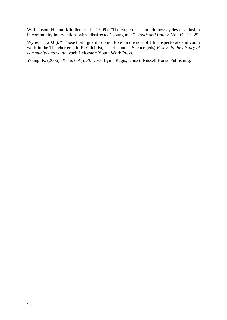Williamson, H., and Middlemiss, R. (1999). "The emperor has no clothes: cycles of delusion in community interventions with 'disaffected' young men". *Youth and Policy*, Vol. 63: 13–25.

Wylie, T. (2001). "Those that I guard I do not love': a memoir of HM Inspectorate and youth work in the Thatcher era" in R. Gilchrist, T. Jeffs and J. Spence (eds) *Essays in the history of community and youth work*. Leicester: Youth Work Press.

Young, K. (2006). *The art of youth work*. Lyme Regis, Dorset: Russell House Publishing.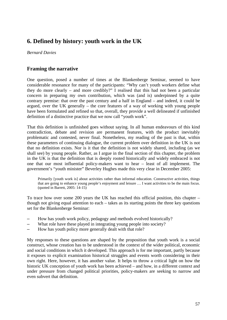# **6. Defined by history: youth work in the UK**

*Bernard Davies*

# **Framing the narrative**

One question, posed a number of times at the Blankenberge Seminar, seemed to have considerable resonance for many of the participants: "Why can't youth workers define what they do more clearly – and more credibly?" I realised that this had not been a particular concern in preparing my own contribution, which was (and is) underpinned by a quite contrary premise: that over the past century and a half in England – and indeed, it could be argued, over the UK generally – the core features of a way of working with young people have been formulated and refined so that, overall, they provide a well delineated if unfinished definition of a distinctive practice that we now call "youth work".

That this definition is unfinished goes without saying. In all human endeavours of this kind contradiction, debate and revision are permanent features, with the product inevitably problematic and contested, never final. Nonetheless, my reading of the past is that, within these parameters of continuing dialogue, the current problem over definition in the UK is not that no definition exists. Nor is it that the definition is not widely shared, including (as we shall see) by young people. Rather, as I argue in the final section of this chapter, the problem in the UK is that the definition that is deeply rooted historically and widely embraced is not one that our most influential policy-makers want to hear – least of all implement. The government's "youth minister" Beverley Hughes made this very clear in December 2005:

Primarily [youth work is] about activities rather than informal education. Constructive activities, things that are going to enhance young people's enjoyment and leisure … I want activities to be the main focus. (quoted in Barrett, 2005: 14-15)

To trace how over some 200 years the UK has reached this official position, this chapter – though not giving equal attention to each – takes as its starting points the three key questions set for the Blankenberge Seminar:

- How has youth work policy, pedagogy and methods evolved historically?
- What role have these played in integrating young people into society?
- How has youth policy more generally dealt with that role?

My responses to these questions are shaped by the proposition that youth work is a social construct, whose creation has to be understood in the context of the wider political, economic and social conditions in which it developed. This approach is for me important, partly because it exposes to explicit examination historical struggles and events worth considering in their own right. Here, however, it has another value. It helps to throw a critical light on how the historic UK conception of youth work has been achieved – and how, in a different context and under pressure from changed political priorities, policy-makers are seeking to narrow and even subvert that definition.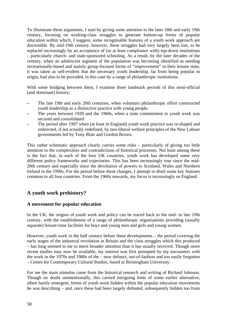To illuminate these arguments, I start by giving some attention to the later 18th and early 19th century, focusing on working-class struggles to generate bottom-up forms of popular education within which, I suggest, some recognisable features of a youth work approach are discernible. By mid-19th century, however, these struggles had very largely been lost, to be replaced increasingly by an acceptance of (or at least compliance with) top-down institutions – particularly church- and state-sponsored schooling. As a result, by the later decades of the century, when an adolescent segment of the population was becoming identified as needing recreationally-based and mainly group-focused forms of "improvement" in their leisure time, it was taken as self-evident that the necessary youth leadership, far from being popular in origin, had also to be provided, in this case by a range of philanthropic institutions.

With some bridging between them, I examine three landmark periods of this semi-official (and dominant) history:

- The late 19th and early 20th centuries, when voluntary philanthropic effort constructed youth leadership as a distinctive practice with young people.
- The years between 1939 and the 1960s, when a state commitment to youth work was secured and consolidated.
- The period after 1997 when (at least in England) youth work practice was re-shaped and redirected, if not actually redefined, by neo-liberal welfare principles of the New Labour governments led by Tony Blair and Gordon Brown.

This rather schematic approach clearly carries some risks – particularly of giving too little attention to the complexities and contradictions of historical processes. Not least among these is the fact that, in each of the four UK countries, youth work has developed some very different policy frameworks and trajectories. This has been increasingly true since the mid-20th century and especially since the devolution of powers to Scotland, Wales and Northern Ireland in the 1990s. For the period before these changes, I attempt to distil some key features common to all four countries. From the 1960s onwards, my focus is increasingly on England.

# **A youth work prehistory?**

# **A movement for popular education**

In the UK, the origins of youth work and policy can be traced back to the mid- to late 19th century, with the establishment of a range of philanthropic organisations providing (usually separate) leisure-time facilities for boys and young men and girls and young women.

However, youth work in the half century before these developments – the period covering the early stages of the industrial revolution in Britain and the class struggles which this produced – has long seemed to me to merit broader attention than it has usually received. Though more recent studies may now be available, my interest was first prompted by my encounters with the work in the 1970s and 1980s of the – now defunct, out-of-fashion and too easily forgotten – Centre for Contemporary Cultural Studies, based at Birmingham University.

For me the main stimulus came from the historical research and writing of Richard Johnson. Though no doubt unintentionally, this carried intriguing hints of some earlier alternative, albeit barely emergent, forms of youth work hidden within the popular education movements he was describing – and, once these had been largely defeated, subsequently hidden too from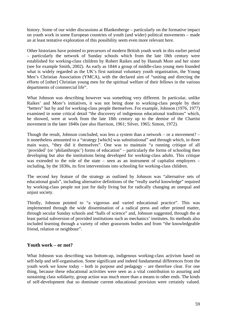history. Some of our wider discussions at Blankenberge – particularly on the formative impact on youth work in some European countries of youth (and wider) political movements – made an at least tentative exploration of this possibility seem even more relevant here.

Other historians have pointed to precursors of modern British youth work in this earlier period – particularly the network of Sunday schools which from the late 18th century were established for working-class children by Robert Raikes and by Hannah More and her sister (see for example Smith, 2002). As early as 1844 a group of middle-class young men founded what is widely regarded as the UK's first national voluntary youth organisation, the Young Men's Christian Association (YMCA), with the declared aim of "uniting and directing the efforts of [other] Christian young men for the spiritual welfare of their fellows in the various departments of commercial life".

What Johnson was describing however was something very different. In particular, unlike Raikes' and More's initiatives, it was not being done to working-class people by their "betters" but by and for working-class people themselves. For example, Johnson (1976, 1977) examined in some critical detail "the discovery of indigenous educational traditions" which, he showed, were at work from the late 18th century up to the demise of the Chartist movement in the later 1840s (see also Harrison, 1961; Silver, 1965; Simon, 1972).

Though the result, Johnson concluded, was less a system than a network – or a movement? – it nonetheless amounted to a "strategy [which] was substitutional" and through which, in three main ways, "they did it themselves". One was to maintain "a running critique of all 'provided' (or 'philanthropic') forms of education" – particularly the forms of schooling then developing but also the institutions being developed for working-class adults. This critique was extended to the role of the state – seen as an instrument of capitalist employers – including, by the 1830s, its first interventions into schooling for working-class children.

The second key feature of the strategy as outlined by Johnson was "alternative sets of educational goals", including alternative definitions of the "really useful knowledge" required by working-class people not just for daily living but for radically changing an unequal and unjust society.

Thirdly, Johnson pointed to "a vigorous and varied educational practice". This was implemented through the wide dissemination of a radical press and other printed matter, through secular Sunday schools and "halls of science" and, Johnson suggested, through the at least partial subversion of provided institutions such as mechanics' institutes. Its methods also included learning through a variety of other grassroots bodies and from "the knowledgeable friend, relation or neighbour".

### **Youth work – or not?**

What Johnson was describing was bottom-up, indigenous working-class activism based on self-help and self-organisation. Some significant and indeed fundamental differences from the youth work we know today – both in purpose and pedagogy – are therefore clear. For one thing, because these educational activities were seen as a vital contribution to assuring and sustaining class solidarity, group action was much more than a means to other ends. The kinds of self-development that so dominate current educational provision were certainly valued.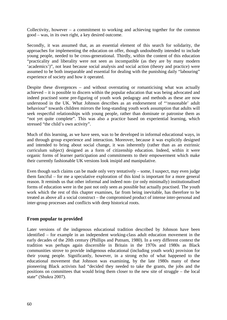Collectivity, however – a commitment to working and achieving together for the common good – was, in its own right, a key desired outcome.

Secondly, it was assumed that, as an essential element of this search for solidarity, the approaches for implementing the education on offer, though undoubtedly intended to include young people, needed to be cross-generational. Thirdly, within the content of this education "practicality and liberality were not seen as incompatible (as they are by many modern 'academics')", not least because social analysis and social action (theory and practice) were assumed to be both inseparable and essential for dealing with the punishing daily "labouring" experience of society and how it operated.

Despite these divergences – and without overstating or romanticising what was actually achieved – it is possible to discern within the popular education that was being advocated and indeed practised some pre-figuring of youth work pedagogy and methods as these are now understood in the UK. What Johnson describes as an endorsement of "'reasonable' adult behaviour" towards children mirrors the long-standing youth work assumption that adults will seek respectful relationships with young people, rather than dominate or patronise them as "not yet quite complete". This was also a practice based on experiential learning, which stressed "the child's own activity".

Much of this learning, as we have seen, was to be developed in informal educational ways, in and through group experience and interaction. Moreover, because it was explicitly designed and intended to bring about social change, it was inherently (rather than as an extrinsic curriculum subject) designed as a form of citizenship education. Indeed, within it were organic forms of learner participation and commitments to their empowerment which make their currently fashionable UK versions look insipid and manipulative.

Even though such claims can be made only very tentatively – some, I suspect, may even judge them fanciful – for me a speculative exploration of this kind is important for a more general reason. It reminds us that other informal and indeed non- (or only minimally) institutionalised forms of education were in the past not only seen as possible but actually practised. The youth work which the rest of this chapter examines, far from being inevitable, has therefore to be treated as above all a social construct – the compromised product of intense inter-personal and inter-group processes and conflicts with deep historical roots.

# **From popular to provided**

Later versions of the indigenous educational tradition described by Johnson have been identified – for example in an independent working-class adult education movement in the early decades of the 20th century (Phillips and Putnam, 1980). In a very different context the tradition was perhaps again discernible in Britain in the 1970s and 1980s as Black communities strove to provide indigenous educational (including youth work) provision for their young people. Significantly, however, in a strong echo of what happened to the educational movement that Johnson was examining, by the late 1980s many of these pioneering Black activists had "decided they needed to take the grants, the jobs and the positions on committees that would bring them closer to the new site of struggle – the local state" (Shukra 2007).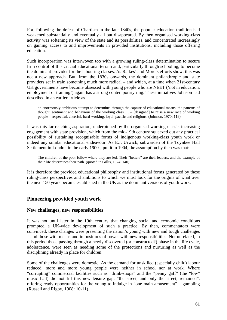For, following the defeat of Chartism in the late 1840s, the popular education tradition had weakened substantially and eventually all but disappeared. By then organised working-class activity was softening its view of the state and its possibilities, and concentrated increasingly on gaining access to and improvements in provided institutions, including those offering education.

Such incorporation was interwoven too with a growing ruling-class determination to secure firm control of this crucial educational terrain and, particularly through schooling, to become the dominant provider for the labouring classes. As Raikes' and More's efforts show, this was not a new approach. But, from the 1830s onwards, the dominant philanthropic and state providers set in train something much more radical – and which, at a time when 21st-century UK governments have become obsessed with young people who are NEET ('not in education, employment or training') again has a strong contemporary ring. These initiatives Johnson had described in an earlier article as

an enormously ambitious attempt to determine, through the capture of educational means, the patterns of thought, sentiment and behaviour of the working class … – [designed] to raise a new race of working people – respectful, cheerful, hard-working, loyal, pacific and religious. (Johnson, 1970: 119)

It was this far-reaching aspiration, underpinned by the organised working class's increasing engagement with state provision, which from the mid-19th century squeezed out any practical possibility of sustaining recognisable forms of indigenous working-class youth work or indeed any similar educational endeavour. As E.J. Urwick, subwarden of the Toynbee Hall Settlement in London in the early 1900s, put it in 1904, the assumption by then was that:

The children of the poor follow where they are led. Their "betters" are their leaders, and the example of their life determines their path. (quoted in Gillis, 1974: 140)

It is therefore the provided educational philosophy and institutional forms generated by these ruling-class perspectives and ambitions to which we must look for the origins of what over the next 150 years became established in the UK as the dominant versions of youth work.

# **Pioneering provided youth work**

### **New challenges, new responsibilities**

It was not until later in the 19th century that changing social and economic conditions prompted a UK-wide development of such a practice. By then, commentators were convinced, these changes were presenting the nation's young with new and tough challenges – and those with means and in positions of power with new responsibilities. Not unrelated, in this period those passing through a newly discovered (or constructed?) phase in the life cycle, adolescence, were seen as needing some of the protections and nurturing as well as the disciplining already in place for children.

Some of the challenges were domestic. As the demand for unskilled (especially child) labour reduced, more and more young people were neither in school nor at work. Where "corrupting" commercial facilities such as "drink-shops" and the "penny gaff" (the "low" music hall) did not fill this new leisure gap, "the street, and only the street, remained", offering ready opportunities for the young to indulge in "one main amusement" – gambling (Russell and Rigby, 1908: 10-11).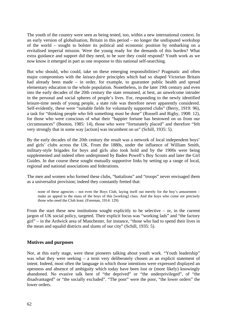The youth of the country were seen as being tested, too, within a new international context. In an early version of globalisation, Britain in this period – no longer the undisputed workshop of the world – sought to bolster its political and economic position by embarking on a revitalised imperial mission. Were the young ready for the demands of this burden? What extra guidance and support did they need, to be sure they could respond? Youth work as we now know it emerged in part as one response to this national self-searching.

But who should, who could, take on these emerging responsibilities? Pragmatic and often major compromises with the *laissez-faire* principles which had so shaped Victorian Britain had already been made – in order, for example, to guarantee public health and spread elementary education to the whole population. Nonetheless, in the later 19th century and even into the early decades of the 20th century the state remained, at best, an unwelcome intruder in the personal and social spheres of people's lives. For, responding to the newly identified leisure-time needs of young people, a state role was therefore never apparently considered. Self-evidently, these were "suitable fields for voluntarily supported clubs" (Berry, 1919: 96), a task for "thinking people who felt something must be done" (Russell and Rigby, 1908: 12), for those who were conscious of what their "happier fortune has bestowed on us from our circumstances" (Booton, 1985: 14), those who were "fortunately placed" and therefore "felt very strongly that in some way [action] was incumbent on us" (Schill, 1935: 5).

By the early decades of the 20th century the result was a network of local independent boys' and girls' clubs across the UK. From the 1880s, under the influence of William Smith, military-style brigades for boys and girls also took hold and by the 1900s were being supplemented and indeed often underpinned by Baden Powell's Boy Scouts and later the Girl Guides. In due course these sought mutually supportive links by setting up a range of local, regional and national associations and federations.

The men and women who formed these clubs, "battalions" and "troops" never envisaged them as a universalist provision; indeed they constantly fretted that:

none of these agencies – not even the Boys Club, laying itself out merely for the boy's amusement – make an appeal to the mass of the boys of this [working] class. And the boys who come are precisely those who need the Club least. (Freeman, 1914: 129)

From the start these new institutions sought explicitly to be selective  $-$  or, in the current jargon of UK social policy, targeted. Their explicit focus was "working lads" and "the factory girl" – in the Ardwick area of Manchester, for instance, "those who had to spend their lives in the mean and squalid districts and slums of our city" (Schill, 1935: 5).

### **Motives and purposes**

Nor, at this early stage, were these pioneers talking about youth work. "Youth leadership" was what they were seeking – a term very deliberately chosen as an explicit statement of intent. Indeed, most often the language in which those intentions were expressed displayed an openness and absence of ambiguity which today have been lost or (more likely) knowingly abandoned. No evasive talk here of "the deprived" or "the underprivileged", of "the disadvantaged" or "the socially excluded". "The poor" were the poor, "the lower orders" the lower orders.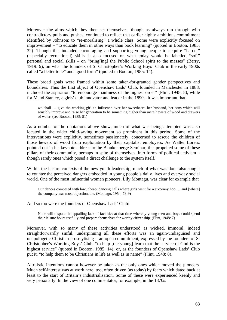Moreover the aims which they then set themselves, though as always run through with contradictory pulls and pushes, continued to reflect that earlier highly ambitious commitment identified by Johnson: to "re-moralising" a whole class. Some were explicitly focused on improvement – "to educate them in other ways than book learning" (quoted in Booton, 1985: 32). Though this included encouraging and supporting young people to acquire "harder" (especially recreational) skills, it also focused on what today would be labelled "soft" personal and social skills – on "bring[ing] the Public School spirit to the masses" (Berry, 1919: 9), on what the founders of St Christopher's Working Boys' Club in the early 1900s called "a better tone" and "good form" (quoted in Booton, 1985: 14).

These broad goals were framed within some taken-for-granted gender perspectives and boundaries. Thus the first object of Openshaw Lads' Club, founded in Manchester in 1888, included the aspiration "to encourage manliness of the highest order" (Flint, 1948: 8), while for Maud Stanley, a girls' club innovator and leader in the 1890s, it was important that:

we shall … give the working girl an influence over her sweetheart, her husband, her sons which will sensibly improve and raise her generation to be something higher than mere hewers of wood and drawers of water. (see Booton, 1985: 51)

As a number of the quotations above show, much of what was being attempted was also located in the wider child-saving movement so prominent in this period. Some of the interventions were explicitly, sometimes passionately, concerned to rescue the children of those hewers of wood from exploitation by their capitalist employers. As Walter Lorenz pointed out in his keynote address to the Blankenberge Seminar, this propelled some of these pillars of their community, perhaps in spite of themselves, into forms of political activism – though rarely ones which posed a direct challenge to the system itself.

Within the leisure contexts of the new youth leadership, much of what was done also sought to counter the perceived dangers embedded in young people's daily lives and everyday social world. One of the most influential women pioneers, Lily Montagu, was clear for example that

Our dances competed with low, cheap, dancing halls where girls went for a sixpenny hop … and [where] the company was most objectionable. (Montagu, 1954: 78-9)

And so too were the founders of Openshaw Lads' Club:

None will dispute the appalling lack of facilities at that time whereby young men and boys could spend their leisure hours usefully and prepare themselves for worthy citizenship. (Flint, 1948: 7)

Moreover, with so many of these activities understood as wicked, immoral, indeed straightforwardly sinful, underpinning all these efforts was an again-undisguised and unapologetic Christian proselytising – an open commitment, expressed by the founders of St Christopher's Working Boys' Club, "to help [the young] learn that the service of God is the highest service" (quoted in Booton, 1985: 14); or, as the founders of Openshaw Lads' Club put it, "to help them to be Christians in life as well as in name" (Flint, 1948: 8).

Altruistic intentions cannot however be taken as the only ones which moved the pioneers. Much self-interest was at work here, too, often driven (as today) by fears which dated back at least to the start of Britain's industrialisation. Some of these were experienced keenly and very personally. In the view of one commentator, for example, in the 1870s: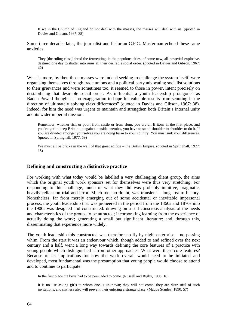If we in the Church of England do not deal with the masses, the masses will deal with us. (quoted in Davies and Gibson, 1967: 38)

Some three decades later, the journalist and historian C.F.G. Masterman echoed these same anxieties:

They [the ruling class] dread the fermenting, in the populous cities, of some new, all-powerful explosive, destined one day to shatter into ruins all their desirable social order. (quoted in Davies and Gibson, 1967: 35)

What is more, by then those masses were indeed seeking to challenge the system itself, were organising themselves through trade unions and a political party advocating socialist solutions to their grievances and were sometimes too, it seemed to those in power, intent precisely on destabilising that desirable social order. As influential a youth leadership protagonist as Baden Powell thought it "no exaggeration to hope for valuable results from scouting in the direction of ultimately solving class differences" (quoted in Davies and Gibson, 1967: 38). Indeed, for him the need was urgent to maintain and strengthen both Britain's internal unity and its wider imperial mission:

Remember, whether rich or poor, from castle or from slum, you are all Britons in the first place, and you've got to keep Britain up against outside enemies, you have to stand shoulder to shoulder to do it. If you are divided amongst yourselves you are doing harm to your country. You must sink your differences. (quoted in Springhall, 1977: 59)

We must all be bricks in the wall of that great edifice – the British Empire. (quoted in Springhall, 1977: 15)

### **Defining and constructing a distinctive practice**

For working with what today would be labelled a very challenging client group, the aims which the original youth work sponsors set for themselves were thus very stretching. For responding to this challenge, much of what they did was probably intuitive, pragmatic, heavily reliant on trial and error. Much too, no doubt, was transient – long lost to history. Nonetheless, far from merely emerging out of some accidental or inevitable impersonal process, the youth leadership that was pioneered in the period from the 1860s and 1870s into the 1900s was designed and constructed: drawing on a self-conscious analysis of the needs and characteristics of the groups to be attracted; incorporating learning from the experience of actually doing the work; generating a small but significant literature; and, through this, disseminating that experience more widely.

The youth leadership this constructed was therefore no fly-by-night enterprise – no passing whim. From the start it was an endeavour which, though added to and refined over the next century and a half, went a long way towards defining the core features of a practice with young people which distinguished it from other approaches. What were these core features? Because of its implications for how the work overall would need to be initiated and developed, most fundamental was the presumption that young people would choose to attend and to continue to participate:

In the first place the boys had to be persuaded to come. (Russell and Rigby, 1908, 18)

It is no use asking girls to whom one is unknown; they will not come; they are distrustful of such invitations, and shyness also will prevent their entering a strange place. (Maude Stanley, 1890: 57)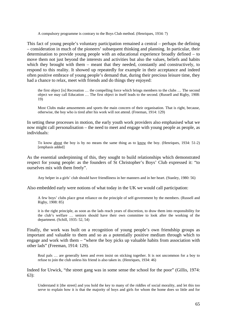A compulsory programme is contrary to the Boys Club method. (Henriques, 1934: 7)

This fact of young people's voluntary participation remained a central – perhaps the defining – consideration in much of the pioneers' subsequent thinking and planning. In particular, their determination to provide young people with an educational experience broadly defined – to move them not just beyond the interests and activities but also the values, beliefs and habits which they brought with them – meant that they needed, constantly and constructively, to respond to this reality. It showed up repeatedly for example in their acceptance and indeed often positive embrace of young people's demand that, during their precious leisure time, they had a chance to relax, meet with friends and do things they enjoyed:

the first object [is] Recreation … the compelling force which brings members to the clubs … The second object we may call Education … The first object in itself leads to the second. (Russell and Rigby, 1908: 19)

Most Clubs make amusements and sports the main concern of their organisation. That is right, because, otherwise, the boy who is tired after his work will not attend. (Freeman, 1914: 129)

In setting these processes in motion, the early youth work providers also emphasised what we now might call personalisation – the need to meet and engage with young people as people, as individuals:

To know about the boy is by no means the same thing as to know the boy. (Henriques, 1934: 51-2) [emphasis added]

As the essential underpinning of this, they sought to build relationships which demonstrated respect for young people: as the founders of St Christopher's Boys' Club expressed it: "to ourselves mix with them freely".

Any helper in a girls' club should have friendliness in her manners and in her heart. (Stanley, 1980: 56)

Also embedded early were notions of what today in the UK we would call participation:

A few boys' clubs place great reliance on the principle of self-government by the members. (Russell and Rigby, 1908: 85)

it is the right principle, as soon as the lads reach years of discretion, to draw them into responsibility for the club's welfare … seniors should have their own committee to look after the working of the department. (Schill, 1935: 52, 54)

Finally, the work was built on a recognition of young people's own friendship groups as important and valuable to them and so as a potentially positive medium through which to engage and work with them – "where the boy picks up valuable habits from association with other lads" (Freeman, 1914: 129).

Real pals … are generally keen and even insist on sticking together. It is not uncommon for a boy to refuse to join the club unless his friend is also taken in. (Henriques, 1934: 46)

Indeed for Urwick, "the street gang was in some sense the school for the poor" (Gillis, 1974: 63):

Understand it [the street] and you hold the key to many of the riddles of social morality, and let this too serve to explain how it is that the majority of boys and girls for whom the home does so little and for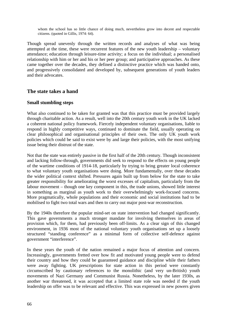whom the school has so little chance of doing much, nevertheless grow into decent and respectable citizens. (quoted in Gillis, 1974: 64).

Though spread unevenly through the written records and analyses of what was being attempted at the time, these were recurrent features of the new youth leadership – voluntary attendance; education through leisure-time activity; a focus on the individual; a personalised relationship with him or her and his or her peer group; and participative approaches. As these came together over the decades, they defined a distinctive practice which was handed onto, and progressively consolidated and developed by, subsequent generations of youth leaders and their advocates.

# **The state takes a hand**

## **Small stumbling steps**

What also continued to be taken for granted was that this practice must be provided largely through charitable action. As a result, well into the 20th century youth work in the UK lacked a coherent national policy framework. Fiercely independent voluntary organisations, liable to respond in highly competitive ways, continued to dominate the field, usually operating on clear philosophical and organisational principles of their own. The only UK youth work policies which could be said to exist were by and large their policies, with the most unifying issue being their distrust of the state.

Not that the state was entirely passive in the first half of the 20th century. Though inconsistent and lacking follow-through, governments did seek to respond to the effects on young people of the wartime conditions of 1914-18, particularly by trying to bring greater local coherence to what voluntary youth organisations were doing. More fundamentally, over these decades the wider political context shifted. Pressures again built up from below for the state to take greater responsibility for ameliorating the worst excesses of capitalism, particularly from the labour movement – though one key component in this, the trade unions, showed little interest in something as marginal as youth work to their overwhelmingly work-focused concerns. More pragmatically, whole populations and their economic and social institutions had to be mobilised to fight two total wars and then to carry out major post-war reconstruction.

By the 1940s therefore the popular mind-set on state intervention had changed significantly. This gave governments a much stronger mandate for involving themselves in areas of provision which, for them, had previously been off-limits. As a clear sign of this changed environment, in 1936 most of the national voluntary youth organisations set up a loosely structured "standing conference" as a minimal form of collective self-defence against government "interference".

In these years the youth of the nation remained a major focus of attention and concern. Increasingly, governments fretted over how fit and motivated young people were to defend their country and how they could be guaranteed guidance and discipline while their fathers were away fighting. UK prescriptions for state action in this period were constantly circumscribed by cautionary references to the monolithic (and very un-British) youth movements of Nazi Germany and Communist Russia. Nonetheless, by the later 1930s, as another war threatened, it was accepted that a limited state role was needed if the youth leadership on offer was to be relevant and effective. This was expressed in new powers given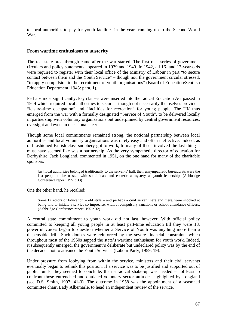to local authorities to pay for youth facilities in the years running up to the Second World War.

### **From wartime enthusiasm to austerity**

The real state breakthrough came after the war started. The first of a series of government circulars and policy statements appeared in 1939 and 1940. In 1942, all 16- and 17-year-olds were required to register with their local office of the Ministry of Labour in part "to secure contact between them and the Youth Service" – though not, the government circular stressed, "to apply compulsion to the recruitment of youth organisations" (Board of Education/Scottish Education Department, 1943: para. 1).

Perhaps most significantly, key clauses were inserted into the radical Education Act passed in 1944 which required local authorities to secure – though not necessarily themselves provide – "leisure-time occupation" and "facilities for recreation" for young people. The UK thus emerged from the war with a formally designated "Service of Youth", to be delivered locally in partnership with voluntary organisations but underpinned by central government resources, oversight and even an occasional steer.

Though some local commitments remained strong, the notional partnership between local authorities and local voluntary organisations was rarely easy and often ineffective. Indeed, as old-fashioned British class snobbery got to work, to many of those involved the last thing it must have seemed like was a partnership. As the very sympathetic director of education for Derbyshire, Jack Longland, commented in 1951, on the one hand for many of the charitable sponsors:

[as] local authorities belonged traditionally to the servants' hall, their unsympathetic bureaucrats were the last people to be trusted with so delicate and esoteric a mystery as youth leadership. (Ashbridge Conference report, 1951: 33)

One the other hand, he recalled:

Some Directors of Education – old style – and perhaps a civil servant here and there, were shocked at being told to initiate a service so imprecise, without compulsory sanctions or school attendance officers. (Ashbridge Conference report, 1951: 32)

A central state commitment to youth work did not last, however. With official policy committed to keeping all young people in at least part-time education till they were 18, powerful voices began to question whether a Service of Youth was anything more than a dispensable frill. Such doubts were reinforced by the severe financial constraints which throughout most of the 1950s sapped the state's wartime enthusiasm for youth work. Indeed, it subsequently emerged, the government's deliberate but undeclared policy was by the end of the decade "not to advance the Youth Service" (Labour Party, 1959: 19).

Under pressure from lobbying from within the service, ministers and their civil servants eventually began to rethink this position. If a service was to be justified and supported out of public funds, they seemed to conclude, then a radical shake-up was needed – not least to confront those entrenched and outdated voluntary sector attitudes highlighted by Longland (see D.S. Smith, 1997: 41-3). The outcome in 1958 was the appointment of a seasoned committee chair, Lady Albemarle, to head an independent review of the service.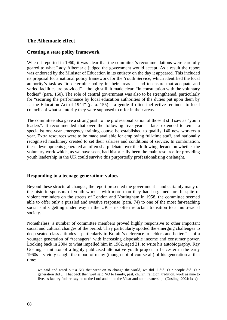# **The Albemarle effect**

## **Creating a state policy framework**

When it reported in 1960, it was clear that the committee's recommendations were carefully geared to what Lady Albemarle judged the government would accept. As a result the report was endorsed by the Minister of Education in its entirety on the day it appeared. This included its proposal for a national policy framework for the Youth Service, which identified the local authority's task as "to determine policy in their areas … and to ensure that adequate and varied facilities are provided" – though still, it made clear, "in consultation with the voluntary bodies" (para. 160). The role of central government was also to be strengthened, particularly for "securing the performance by local education authorities of the duties put upon them by … the Education Act of 1944" (para. 155) – a gentle if often ineffective reminder to local councils of what statutorily they were supposed to offer in their areas.

The committee also gave a strong push to the professionalisation of those it still saw as "youth leaders". It recommended that over the following five years  $-$  later extended to ten  $-$  a specialist one-year emergency training course be established to qualify 140 new workers a year. Extra resources were to be made available for employing full-time staff, and nationally recognised machinery created to set their salaries and conditions of service. In combination, these developments generated an often sharp debate over the following decade on whether the voluntary work which, as we have seen, had historically been the main resource for providing youth leadership in the UK could survive this purportedly professionalising onslaught.

### **Responding to a teenage generation: values**

Beyond these structural changes, the report presented the government – and certainly many of the historic sponsors of youth work – with more than they had bargained for. In spite of violent reminders on the streets of London and Nottingham in 1958, the committee seemed able to offer only a puzzled and evasive response (para. 74) to one of the most far-reaching social shifts getting under way in the  $UK -$  its often reluctant transition to a multi-racial society.

Nonetheless, a number of committee members proved highly responsive to other important social and cultural changes of the period. They particularly spotted the emerging challenges to deep-seated class attitudes – particularly to Britain's deference to "elders and betters" – of a younger generation of "teenagers" with increasing disposable income and consumer power. Looking back in 2004 to what impelled him in 1962, aged 21, to write his autobiography, Ray Gosling – initiator of a highly publicised alternative youth project in Leicester in the early 1960s – vividly caught the mood of many (though not of course all) of his generation at that time:

we said and acted out a NO that went on to change the world, we did. I did. Our people did. Our generation did … That back then we/I said NO to family, past, church, religion, tradition, work as nine to five, as factory fodder; say no to the Lord and no to the Vicar and no to ownership. (Gosling, 2004: ix-x)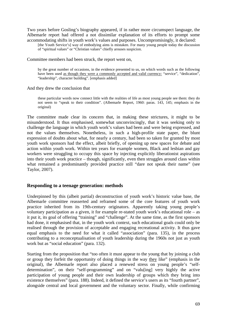Two years before Gosling's biography appeared, if in rather more circumspect language, the Albemarle report had offered a not dissimilar explanation of its efforts to prompt some accommodating shifts in youth work's values and purposes. Uncompromisingly, it declared:

[the Youth Service's] way of embodying aims is mistaken. For many young people today the discussion of "spiritual values" or "Christian values" chiefly arouses suspicion.

Committee members had been struck, the report went on,

by the great number of occasions, in the evidence presented to us, on which words such as the following have been used as though they were a commonly accepted and valid currency: "service", "dedication", "leadership", character building". [emphasis added]

And they drew the conclusion that

these particular words now connect little with the realities of life as most young people see them: they do not seem to "speak to their condition". (Albemarle Report, 1960: paras. 143, 145; emphasis in the original)

The committee made clear its concern that, in making these strictures, it might to be misunderstood. It thus emphasised, somewhat unconvincingly, that it was seeking only to challenge the language in which youth work's values had been and were being expressed, and not the values themselves. Nonetheless, in such a high-profile state paper, the blunt expression of doubts about what, for nearly a century, had been so taken for granted by most youth work sponsors had the effect, albeit briefly, of opening up new spaces for debate and action within youth work. Within ten years for example women, Black and lesbian and gay workers were struggling to occupy this space by injecting explicitly liberationist aspirations into their youth work practice – though, significantly, even then struggles around class within what remained a predominantly provided practice still "dare not speak their name" (see Taylor, 2007).

#### **Responding to a teenage generation: methods**

Underpinned by this (albeit partial) deconstruction of youth work's historic value base, the Albemarle committee reasserted and reframed some of the core features of youth work practice inherited from its 19th-century originators. Apparently taking young people's voluntary participation as a given, it for example re-stated youth work's educational role – as it put it, its goal of offering "training" and "challenge". At the same time, as the first sponsors had done, it emphasised that, in the youth work context, such educational goals could only be realised through the provision of acceptable and engaging recreational activity. It thus gave equal emphasis to the need for what it called "association" (para. 135), in the process contributing to a reconceptualisation of youth leadership during the 1960s not just as youth work but as "social education" (para. 132).

Starting from the proposition that "too often it must appear to the young that by joining a club or group they forfeit the opportunity of doing things in the way they like" (emphasis in the original), the Albemarle report also placed a renewed stress on young people's "selfdetermination", on their "self-programming" and on "valu[ing] very highly the active participation of young people and their own leadership of groups which they bring into existence themselves" (para. 188). Indeed, it defined the service's users as its "fourth partner", alongside central and local government and the voluntary sector. Finally, while confirming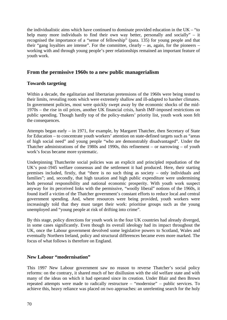the individualistic aims which have continued to dominate provided education in the UK – "to help many more individuals to find their own way better, personally and socially" – it recognised the importance of a "sense of fellowship" (para. 135) for young people and that their "gang loyalties are intense". For the committee, clearly  $-$  as, again, for the pioneers  $$ working with and through young people's peer relationships remained an important feature of youth work.

# **From the permissive 1960s to a new public managerialism**

# **Towards targeting**

Within a decade, the egalitarian and libertarian pretensions of the 1960s were being tested to their limits, revealing roots which were extremely shallow and ill-adapted to harsher climates. In government policies, most were quickly swept away by the economic shocks of the mid-1970s – the rise in oil prices, another UK financial crisis, harsh IMF-imposed restrictions on public spending. Though hardly top of the policy-makers' priority list, youth work soon felt the consequences.

Attempts began early – in 1971, for example, by Margaret Thatcher, then Secretary of State for Education – to concentrate youth workers' attention on state-defined targets such as "areas of high social need" and young people "who are demonstrably disadvantaged". Under the Thatcher administrations of the 1980s and 1990s, this refinement – or narrowing – of youth work's focus became more systematic.

Underpinning Thatcherite social policies was an explicit and principled repudiation of the UK's post-1945 welfare consensus and the settlement it had produced. Here, their starting premises included, firstly, that "there is no such thing as society – only individuals and families"; and, secondly, that high taxation and high public expenditure were undermining both personal responsibility and national economic prosperity. With youth work suspect anyway for its perceived links with the permissive, "woolly liberal" notions of the 1960s, it found itself a victim of the Thatcher government's constant efforts to reduce local and central government spending. And, where resources were being provided, youth workers were increasingly told that they must target their work: prioritise groups such as the young unemployed and "young people at risk of drifting into crime".

By this stage, policy directions for youth work in the four UK countries had already diverged, in some cases significantly. Even though its overall ideology had its impact throughout the UK, once the Labour government devolved some legislative powers to Scotland, Wales and eventually Northern Ireland, policy and structural differences became even more marked. The focus of what follows is therefore on England.

# **New Labour "modernisation"**

This 1997 New Labour government saw no reason to reverse Thatcher's social policy reforms: on the contrary, it shared much of her disillusion with the old welfare state and with many of the ideas on which it had operated since its creation. Under Blair and then Brown repeated attempts were made to radically restructure – "modernise" – public services. To achieve this, heavy reliance was placed on two approaches: an unrelenting search for the holy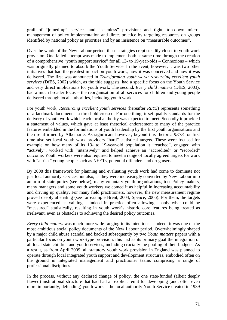grail of "joined-up" services and "seamless" provision; and tight, top-down micromanagement of policy implementation and direct practice by targeting resources on groups identified by national policy as priorities and by an insistence on "measurable outcomes".

Over the whole of the New Labour period, these strategies crept steadily closer to youth work provision. One failed attempt was made to implement both at same time through the creation of a comprehensive "youth support service" for all 13- to 19-year-olds – Connexions – which was originally planned to absorb the Youth Service. In the event, however, it was two other initiatives that had the greatest impact on youth work, how it was conceived and how it was delivered. The first was announced in *Transforming youth work: resourcing excellent youth services* (DfES, 2002) which, as the title suggests, had a specific focus on the Youth Service and very direct implications for youth work. The second, *Every child matters* (DfES, 2003), had a much broader focus – the reorganisation of all services for children and young people delivered through local authorities, including youth work.

For youth work, *Resourcing excellent youth services* (hereafter *REYS*) represents something of a landmark document – a threshold crossed. For one thing, it set quality standards for the delivery of youth work which each local authority was expected to meet. Secondly it provided a statement of values, which gave at least rhetorical endorsement to many of the practice features embedded in the formulations of youth leadership by the first youth organisations and then re-affirmed by Albemarle. As significant however, beyond this rhetoric *REYS* for first time also set local youth work providers "hard" statistical targets. These were focused for example on how many of its 13- to 19-year-old population it "reached", engaged with "actively", worked with "intensively" and helped achieve an "accredited" or "recorded" outcome. Youth workers were also required to meet a range of locally agreed targets for work with "at risk" young people such as NEETs, potential offenders and drug users.

By 2008 this framework for planning and evaluating youth work had come to dominate not just local authority services but also, as they were increasingly converted by New Labour into an arm of state policy (see below), many voluntary youth organisations, too. Policy-makers, many managers and some youth workers welcomed it as helpful in increasing accountability and driving up quality. For many field practitioners, however, the new measurement regime proved deeply alienating (see for example Brent, 2004; Spence, 2006). For them, the targets were experienced as valuing – indeed in practice often allowing – only what could be "measured" statistically, resulting in youth work's historic core features being treated as irrelevant, even as obstacles to achieving the desired policy outcomes.

*Every child matters* was much more wide-ranging in its intentions – indeed, it was one of the most ambitious social policy documents of the New Labour period. Overwhelmingly shaped by a major child abuse scandal and backed subsequently by two *Youth matters* papers with a particular focus on youth work-type provision, this had as its primary goal the integration of all local state children and youth services, including crucially the pooling of their budgets. As a result, as from April 2009, all statutory youth work provision in England was planned to operate through local integrated youth support and development structures, embodied often on the ground in integrated management and practitioner teams comprising a range of professional disciplines.

In the process, without any declared change of policy, the one state-funded (albeit deeply flawed) institutional structure that had had an explicit remit for developing (and, often even more importantly, defending) youth work – the local authority Youth Service created in 1939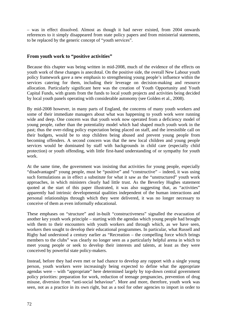– was in effect dissolved. Almost as though it had never existed, from 2004 onwards references to it simply disappeared from state policy papers and from ministerial statements, to be replaced by the generic concept of "youth services".

# **From youth work to "positive activities"**

Because this chapter was being written in mid-2008, much of the evidence of the effects on youth work of these changes is anecdotal. On the positive side, the overall New Labour youth policy framework gave a new emphasis to strengthening young people's influence within the services catering for them, including their leverage on decision-making and resource allocation. Particularly significant here was the creation of Youth Opportunity and Youth Capital Funds, with grants from the funds to local youth projects and activities being decided by local youth panels operating with considerable autonomy (see Golden et al., 2008).

By mid-2008 however, in many parts of England, the concerns of many youth workers and some of their immediate managers about what was happening to youth work were running wide and deep. One concern was that youth work now operated from a deficiency model of young people, rather than the potentiality model which had shaped much youth work in the past; thus the over-riding policy expectation being placed on staff, and the irresistible call on their budgets, would be to stop children being abused and prevent young people from becoming offenders. A second concern was that the new local children and young people services would be dominated by staff with backgrounds in child care (especially child protection) or youth offending, with little first-hand understanding of or sympathy for youth work.

At the same time, the government was insisting that activities for young people, especially "disadvantaged" young people, must be "positive" and "constructive" – indeed, it was using such formulations as in effect a substitute for what it saw as the "unstructured" youth work approaches, in which ministers clearly had little trust. As the Beverley Hughes statement quoted at the start of this paper illustrated, it was also suggesting that, as "activities" apparently had intrinsic developmental qualities independent of the human interactions and personal relationships through which they were delivered, it was no longer necessary to conceive of them as even informally educational.

These emphases on "structure" and in-built "constructiveness" signalled the evacuation of another key youth work principle – starting with the agendas which young people had brought with them to their encounters with youth workers and through which, as we have seen, workers then sought to develop their educational programmes. In particular, what Russell and Rigby had understood a century earlier as "Recreation – the compelling force which brings members to the clubs" was clearly no longer seen as a particularly helpful arena in which to meet young people or seek to develop their interests and talents, at least as they were conceived by powerful state policy-makers.

Instead, before they had even met or had chance to develop any rapport with a single young person, youth workers were increasingly being expected to define what the appropriate agendas were – with "appropriate" here determined largely by top-down central government policy priorities: preparation for work, reduction of teenage pregnancies, prevention of drug misuse, diversion from "anti-social behaviour". More and more, therefore, youth work was seen, not as a practice in its own right, but as a tool for other agencies to import in order to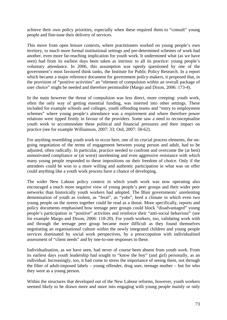achieve their own policy priorities, especially when these required them to "consult" young people and fine-tune their delivery of services.

This move from open leisure contexts, where practitioners worked on young people's own territory, to much more formal institutional settings and pre-determined schemes of work had another, even more far-reaching implication for youth work. It undermined what (as we have seen) had from its earliest days been taken as intrinsic to all its practice: young people's voluntary attendance. In 2006, this assumption was openly questioned by one of the government's most favoured think tanks, the Institute for Public Policy Research. In a report which became a major reference document for government policy-makers, it proposed that, in the provision of "positive activities" an "element of compulsion within an overall package of user choice" might be needed and therefore permissible (Margo and Dixon, 2006: 173-4).

In the main however the threat of compulsion was less direct, more creeping: youth work, often the only way of getting essential funding, was inserted into other settings. These included for example schools and colleges, youth offending teams and "entry to employment schemes" where young people's attendance was a requirement and where therefore power relations were tipped firmly in favour of the providers. Some saw a need to reconceptualise youth work to accommodate these political and financial pressures and their impact on practice (see for example Williamson, 2007: 33; Ord, 2007: 58-62).

For anything resembling youth work to occur here, one of its crucial process elements, the ongoing negotiation of the terms of engagement between young person and adult, had to be adjusted, often radically. In particular, practice needed to confront and overcome the (at best) unmotivated compliance or (at worst) unrelenting and even aggressive resistance with which many young people responded to these impositions on their freedom of choice. Only if the attendees could be won to a more willing and authentic participation in what was on offer could anything like a youth work process have a chance of developing.

The wider New Labour policy context in which youth work was now operating also encouraged a much more negative view of young people's peer groups and their wider peer networks than historically youth workers had adopted. The Blair governments' unrelenting demonisation of youth as violent, as "feral", as "yobs", bred a climate in which even two young people on the streets together could be read as a threat. More specifically, reports and policy documents emphasised how teenage peer groups could block "disadvantaged" young people's participation in "positive" activities and reinforce their "anti-social behaviour" (see for example Margo and Dixon, 2006: 118-20). For youth workers, too, validating work with and through the teenage peer group became more difficult as they found themselves negotiating an organisational culture within the newly integrated children and young people services dominated by social work perspectives, by a preoccupation with individualised assessment of "client needs" and by one-to-one responses to these.

Individualisation, as we have seen, had never of course been absent from youth work. From its earliest days youth leadership had sought to "know the boy" (and girl) personally, as an individual. Increasingly, too, it had come to stress the importance of seeing them, not through the filter of adult-imposed labels – young offender, drug user, teenage mother – but for who they were as a young person.

Within the structures that developed out of the New Labour reforms, however, youth workers seemed likely to be drawn more and more into engaging with young people mainly or only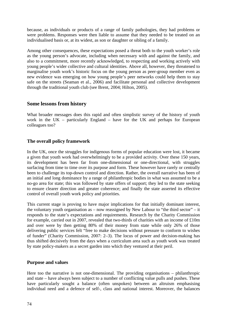because, as individuals or products of a range of family pathologies, they had problems or were problems. Responses were then liable to assume that they needed to be treated on an individualised basis or, at its widest, as son or daughter or sibling of a family.

Among other consequences, these expectations posed a threat both to the youth worker's role as the young person's advocate, including when necessary with and against the family, and also to a commitment, more recently acknowledged, to respecting and working actively with young people's wider collective and cultural identities. Above all, however, they threatened to marginalise youth work's historic focus on the young person as peer-group member even as new evidence was emerging on how young people's peer networks could help them to stay safe on the streets (Seaman et al., 2006) and facilitate personal and collective development through the traditional youth club (see Brent, 2004; Hilton, 2005).

### **Some lessons from history**

What broader messages does this rapid and often simplistic survey of the history of youth work in the UK – particularly England – have for the UK and perhaps for European colleagues too?

# **The overall policy framework**

In the UK, once the struggles for indigenous forms of popular education were lost, it became a given that youth work had overwhelmingly to be a provided activity. Over these 150 years, its development has been far from one-dimensional or one-directional, with struggles surfacing from time to time over its purpose and form. These however have rarely or centrally been to challenge its top-down control and direction. Rather, the overall narrative has been of an initial and long dominance by a range of philanthropic bodies in what was assumed to be a no-go area for state; this was followed by state offers of support; they led to the state seeking to ensure clearer direction and greater coherence; and finally the state asserted its effective control of overall youth work policy and priorities.

This current stage is proving to have major implications for that initially dominant interest, the voluntary youth organisation as – now reassigned by New Labour to "the third sector" – it responds to the state's expectations and requirements. Research by the Charity Commission for example, carried out in 2007, revealed that two-thirds of charities with an income of £10m and over were by then getting 80% of their money from state while only 26% of those delivering public services felt "free to make decisions without pressure to conform to wishes of funder" (Charity Commission, 2007: 2–3). The locus of power and decision-making has thus shifted decisively from the days when a curriculum area such as youth work was treated by state policy-makers as a secret garden into which they ventured at their peril.

### **Purpose and values**

Here too the narrative is not one-dimensional. The providing organisations – philanthropic and state – have always been subject to a number of conflicting value pulls and pushes. These have particularly sought a balance (often unspoken) between an altruism emphasising individual need and a defence of self-, class and national interest. Moreover, the balances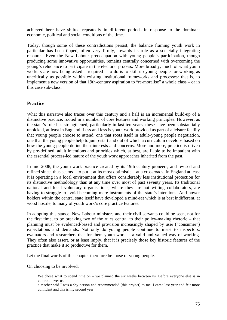achieved here have shifted repeatedly in different periods in response to the dominant economic, political and social conditions of the time.

Today, though some of these contradictions persist, the balance framing youth work in particular has been tipped, often very firmly, towards its role as a societally integrating resource. Even the New Labour preoccupation with young people's participation, though producing some innovative opportunities, remains centrally concerned with overcoming the young's reluctance to participate in the electoral process. More broadly, much of what youth workers are now being asked – required – to do is to skill-up young people for working as uncritically as possible within existing institutional frameworks and processes: that is, to implement a new version of that 19th-century aspiration to "re-moralise" a whole class – or in this case sub-class.

### **Practice**

What this narrative also traces over this century and a half is an incremental build-up of a distinctive practice, rooted in a number of core features and working principles. However, as the state's role has strengthened, particularly in last ten years, these have been substantially unpicked, at least in England. Less and less is youth work provided as part of a leisure facility that young people choose to attend, one that roots itself in adult–young people negotiation, one that the young people help to jump-start and out of which a curriculum develops based on how the young people define their interests and concerns. More and more, practice is driven by pre-defined, adult intentions and priorities which, at best, are liable to be impatient with the essential process-led nature of the youth work approaches inherited from the past.

In mid-2008, the youth work practice created by its 19th-century pioneers, and revised and refined since, thus seems – to put it at its most optimistic – at a crossroads. In England at least it is operating in a local environment that offers considerably less institutional protection for its distinctive methodology than at any time over most of past seventy years. Its traditional national and local voluntary organisations, where they are not willing collaborators, are having to struggle to avoid becoming mere instruments of the state's intentions. And power holders within the central state itself have developed a mind-set which is at best indifferent, at worst hostile, to many of youth work's core practice features.

In adopting this stance, New Labour ministers and their civil servants could be seen, not for the first time, to be breaking two of the rules central to their policy-making rhetoric – that planning must be evidenced-based and provision increasingly shaped by user ("consumer") expectations and demands. Not only do young people continue to insist to inspectors, evaluators and researchers that for them youth work is a valid and valued way of working. They often also assert, or at least imply, that it is precisely those key historic features of the practice that make it so productive for them.

Let the final words of this chapter therefore be those of young people.

On choosing to be involved:

We chose what to spend time on – we planned the six weeks between us. Before everyone else is in control, never us.

a teacher said I was a shy person and recommended [this project] to me. I came last year and felt more confident and this is my second year.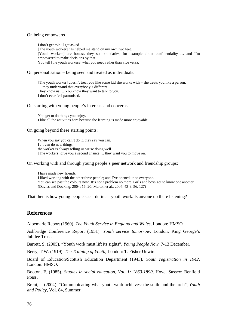On being empowered:

I don't get told; I get asked. [The youth worker] has helped me stand on my own two feet. [Youth workers] are honest, they set boundaries, for example about confidentiality … and I'm empowered to make decisions by that. You tell [the youth workers] what you need rather than vice versa.

On personalisation – being seen and treated as individuals:

[The youth worker] doesn't treat you like some kid she works with – she treats you like a person. … they understand that everybody's different. They know us … You know they want to talk to you. I don't ever feel patronised.

On starting with young people's interests and concerns:

You get to do things you enjoy. I like all the activities here because the learning is made more enjoyable.

On going beyond these starting points:

When you say you can't do it, they say you can. I … can do new things. the worker is always telling us we're doing well. [The workers] give you a second chance … they want you to move on.

On working with and through young people's peer network and friendship groups:

I have made new friends. I liked working with the other three people; and I've opened up to everyone. You can see past the colours now. It's not a problem no more. Girls and boys got to know one another. (Davies and Docking, 2004: 16, 20; Merton et al., 2004: 43-9, 56, 127)

That then is how young people see – define – youth work. Is anyone up there listening?

# **References**

Albemarle Report (1960). *The Youth Service in England and Wales*, London: HMSO.

Ashbridge Conference Report (1951). *Youth service tomorrow*, London: King George's Jubilee Trust.

Barrett, S. (2005). "Youth work must lift its sights", *Young People Now*, 7-13 December,

Berry, T.W. (1919). *The Training of Youth*, London: T. Fisher Unwin.

Board of Education/Scottish Education Department (1943). *Youth registration in 1942*, London: HMSO.

Booton, F. (1985). *Studies in social education, Vol. 1: 1860-1890*, Hove, Sussex: Benfield Press.

Brent, J. (2004). "Communicating what youth work achieves: the smile and the arch", *Youth and Policy*, Vol. 84, Summer.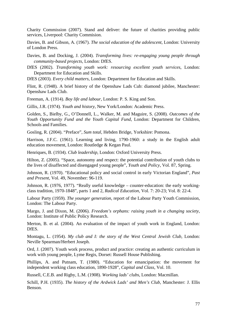Charity Commission (2007). Stand and deliver: the future of charities providing public services, Liverpool: Charity Commision.

Davies, B. and Gibson, A. (1967). *The social education of the adolescent*, London: University of London Press.

Davies, B. and Docking, J. (2004). *Transforming lives: re-engaging young people through community-based projects*, London: DfES.

DfES (2002). *Transforming youth work: resourcing excellent youth services*, London: Department for Education and Skills.

DfES (2003). *Every child matters*, London: Department for Education and Skills.

Flint, R. (1948). A brief history of the Openshaw Lads Cub: diamond jubilee, Manchester: Openshaw Lads Club.

Freeman, A. (1914). *Boy life and labour*, London: P. S. King and Son.

Gillis, J.R. (1974). *Youth and history*, New York/London: Academic Press.

Golden, S., Bielby, G., O'Donnell, L., Walker, M. and Maguire, S. (2008). *Outcomes of the Youth Opportunity Fund and the Youth Capital Fund*, London: Department for Children, Schools and Families.

Gosling, R. (2004). "Preface", *Sum total,* Hebden Bridge, Yorkshire: Pomona.

Harrison, J.F.C. (1961). Learning and living, 1790-1960: a study in the English adult education movement, London: Routledge & Kegan Paul.

Henriques, B. (1934). *Club leadership*, London: Oxford University Press.

Hilton, Z. (2005). "Space, autonomy and respect: the potential contribution of youth clubs to the lives of disaffected and disengaged young people", *Youth and Policy*, Vol. 87, Spring.

Johnson, R. (1970). "Educational policy and social control in early Victorian England", *Past and Present*, Vol. 49, November: 96-119.

Johnson, R. (1976, 1977). "Really useful knowledge – counter-education: the early workingclass tradition, 1970-1848", parts 1 and 2, *Radical Education*, Vol. 7: 20-23; Vol. 8: 22-4.

Labour Party (1959). *The younger generation*, report of the Labour Party Youth Commission, London: The Labour Party.

Margo, J. and Dixon, M. (2006). *Freedom's orphans: raising youth in a changing society*, London: Institute of Public Policy Research.

Merton, B. et al. (2004). An evaluation of the impact of youth work in England, London: DfES.

Montagu, L. (1954). *My club and I: the story of the West Central Jewish Club*, London: Neville Spearman/Herbert Joseph.

Ord, J. (2007). Youth work process, product and practice: creating an authentic curriculum in work with young people, Lyme Regis, Dorset: Russell House Publishing.

Phillips, A. and Putnam, T. (1980). "Education for emancipation: the movement for independent working class education, 1890-1928", *Capital and Class*, Vol. 10.

Russell, C.E.B. and Rigby, L.M. (1908). *Working lads' clubs*, London: Macmillan.

Schill, P.H. (1935). *The history of the Ardwick Lads' and Men's Club*, Manchester: J. Ellis Benson.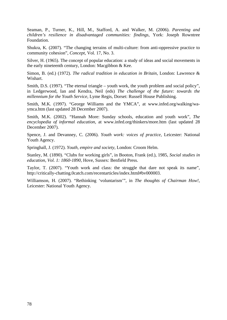Seaman, P., Turner, K., Hill, M., Stafford, A. and Walker, M. (2006). *Parenting and children's resilience in disadvantaged communities: findings*, York: Joseph Rowntree Foundation.

Shukra, K. (2007). "The changing terrains of multi-culture: from anti-oppressive practice to community cohesion", *Concept*, Vol. 17, No. 3.

Silver, H. (1965). The concept of popular education: a study of ideas and social movements in the early nineteenth century, London: Macgibbon & Kee.

Simon, B. (ed.) (1972). *The radical tradition in education in Britain*, London: Lawrence & Wishart.

Smith, D.S. (1997). "The eternal triangle – youth work, the youth problem and social policy", in Ledgerwood, Ian and Kendra, Neil (eds) *The challenge of the future: towards the millennium for the Youth Service*, Lyme Regis, Dorset: Russell House Publishing.

Smith, M.K. (1997). "George Williams and the YMCA", at www.infed.org/walking/waymca.htm (last updated 28 December 2007).

Smith, M.K. (2002). "Hannah More: Sunday schools, education and youth work", *The encyclopedia of informal education*, at www.infed.org/thinkers/more.htm (last updated 28 December 2007).

Spence, J. and Devanney, C. (2006). *Youth work: voices of practice*, Leicester: National Youth Agency.

Springhall, J. (1972). *Youth, empire and society*, London: Croom Helm.

Stanley, M. (1890). "Clubs for working girls", in Booton, Frank (ed.), 1985, *Social studies in education, Vol. 1: 1860-1890*, Hove, Sussex: Benfield Press.

Taylor, T. (2007). "Youth work and class: the struggle that dare not speak its name", http://critically-chatting.0catch.com/recentarticles/index.html#bv000003.

Williamson, H. (2007). "Rethinking 'voluntarism'", in *The thoughts of Chairman How!*, Leicester: National Youth Agency.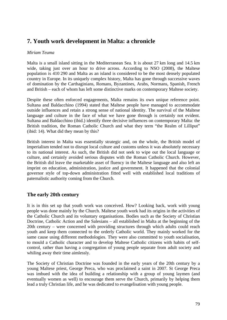# **7. Youth work development in Malta: a chronicle**

### *Miriam Teuma*

Malta is a small island sitting in the Mediterranean Sea. It is about 27 km long and 14.5 km wide, taking just over an hour to drive across. According to NSO (2008), the Maltese population is 410 290 and Malta as an island is considered to be the most densely populated country in Europe. In its uniquely complex history, Malta has gone through successive waves of domination by the Carthaginians, Romans, Byzantines, Arabs, Normans, Spanish, French and British – each of whom has left some distinctive marks on contemporary Maltese society.

Despite these often enforced engagements, Malta remains its own unique reference point. Sultana and Baldacchino (1994) stated that Maltese people have managed to accommodate outside influences and retain a strong sense of national identity. The survival of the Maltese language and culture in the face of what we have gone through is certainly not evident. Sultana and Baldacchino (ibid.) identify three decisive influences on contemporary Malta: the British tradition, the Roman Catholic Church and what they term "the Realm of Lilliput" (ibid: 14). What did they mean by this?

British interest in Malta was essentially strategic and, on the whole, the British model of imperialism tended not to disrupt local culture and customs unless it was absolutely necessary to its national interest. As such, the British did not seek to wipe out the local language or culture, and certainly avoided serious disputes with the Roman Catholic Church. However, the British did leave the marketable asset of fluency in the Maltese language and also left an imprint on education, administration, justice and government. It happened that the colonial governor style of top-down administration fitted well with established local traditions of paternalistic authority coming from the Church.

### **The early 20th century**

It is in this set up that youth work was conceived. How? Looking back, work with young people was done mainly by the Church. Maltese youth work had its origins in the activities of the Catholic Church and its voluntary organisations. Bodies such as the Society of Christian Doctrine, Catholic Action and the Salesians – all established in Malta at the beginning of the 20th century – were concerned with providing structures through which adults could reach youth and keep them connected to the orderly Catholic world. They mainly worked for the same cause using different methodologies. They were also committed to youth socialisation, to mould a Catholic character and to develop Maltese Catholic citizens with habits of selfcontrol, rather than having a congregation of young people separate from adult society and whiling away their time aimlessly.

The Society of Christian Doctrine was founded in the early years of the 20th century by a young Maltese priest, George Preca, who was proclaimed a saint in 2007. St George Preca was imbued with the idea of building a relationship with a group of young laymen (and eventually women as well) to encourage them serve the Church, primarily by helping them lead a truly Christian life, and he was dedicated to evangelisation with young people.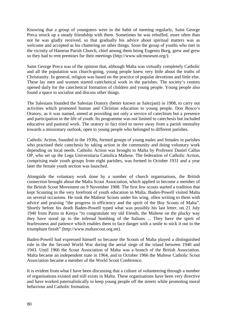Knowing that a group of youngsters were in the habit of meeting regularly, Saint George Preca struck up a steady friendship with them. Sometimes he was rebuffed, more often than not he was gladly received, so that gradually his advice about spiritual matters was as welcome and accepted as his chattering on other things. Soon the group of youths who met in the vicinity of Hamrun Parish Church, chief among them being Eugenio Borg, grew and grew so they had to rent premises for their meetings (http://www.sdcmuseum.org/).

Saint George Preca was of the opinion that, although Malta was virtually completely Catholic and all the population was church-going, young people knew very little about the truths of Christianity. In general, religion was based on the practice of popular devotions and little else. These lay men and women started catechetical work in the parishes. The society's centres opened daily for the catechetical formation of children and young people. Young people also found a space to socialise and discuss other things.

The Salesians founded the Salesian Oratory (better known as Salezjani) in 1908, to carry out activities which promoted human and Christian education to young people. Don Bosco's Oratory, as it was named, aimed at providing not only a service of catechism but a presence and participation in the life of youth. Its programme was not limited to catechesis but included educative and pastoral work. The oratory in fact tried to move away from a parish mentality towards a missionary outlook, open to young people who belonged to different parishes.

Catholic Action, founded in the 1930s, formed groups of young males and females in parishes who practised their catechesis by taking action in the community and doing voluntary work depending on local needs. Catholic Action was brought to Malta by Professor Daniel Callus OP, who set up the Lega Universitaria Cattolica Maltese. The federation of Catholic Action, comprising male youth groups from eight parishes, was formed in October 1931 and a year later the female youth section was launched.

Alongside the voluntary work done by a number of church organisations, the British connection brought about the Malta Scout Association, which applied to become a member of the British Scout Movement on 9 November 1908. The first few scouts started a tradition that kept Scouting in the very forefront of youth education in Malta. Baden-Powell visited Malta on several occasions. He took the Maltese Scouts under his wing, often writing to them with advice and praising "the progress in efficiency and the spirit of the Boy Scouts of Malta". Shortly before his death Baden-Powell typed what was possibly his last letter, on 21 July 1940 from Paxtu in Kenya "to congratulate my old friends, the Maltese on the plucky way they have stood up to the infernal bombing of the Italians ... They have the spirit of fearlessness and patience which enables them to face danger with a smile to stick it out to the triumphant finish" (http://www.maltascout.org.mt).

Baden-Powell had expressed himself so because the Scouts of Malta played a distinguished role in the the Second World War during the aerial siege of the island between 1940 and 1943. Until 1966 the Scout Association of Malta was a branch of the British Association. Malta became an independent state in 1964, and in October 1966 the Maltese Catholic Scout Association became a member of the World Scout Conference.

It is evident from what I have been discussing that a culture of volunteering through a number of organisations existed and still exists in Malta. These organisations have been very directive and have worked paternalistically to keep young people off the streets while promoting moral behaviour and Catholic formation.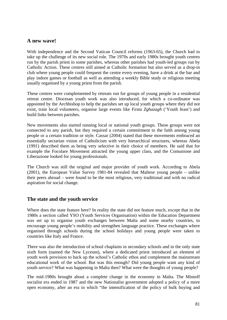## **A new wave!**

With independence and the Second Vatican Council reforms (1963-65), the Church had to take up the challenge of its new social role. The 1970s and early 1980s brought youth centres run by the parish priest in some parishes, whereas other parishes had youth-led groups run by Catholic Action. These centres still aimed at Catholic formation but also served as a drop-in club where young people could frequent the centre every evening, have a drink at the bar and play indoor games or football as well as attending a weekly Bible study or religious meeting usually organised by a young priest from the parish.

These centres were complemented by retreats run for groups of young people in a residential retreat centre. Diocesan youth work was also introduced, for which a co-ordinator was appointed by the Archbishop to help the parishes set up local youth groups where they did not exist, train local volunteers, organise large events like *Festa Zghazagh* ('Youth feast') and build links between parishes.

New movements also started running local or national youth groups. These groups were not connected to any parish, but they required a certain commitment to the faith among young people or a certain tradition or style. Cassar (2004) stated that these movements embraced an essentially sectarian vision of Catholicism with very hierarchical structures, whereas Abela (1991) described them as being very selective in their choice of members. He said that for example the Focolare Movement attracted the young upper class, and the Comunione and Liberazione looked for young professionals.

The Church was still the original and major provider of youth work. According to Abela (2001), the European Value Survey 1981-84 revealed that Maltese young people – unlike their peers abroad – were found to be the most religious, very traditional and with no radical aspiration for social change.

### **The state and the youth service**

Where does the state feature here? In reality the state did not feature much, except that in the 1980s a section called YSO (Youth Services Organisation) within the Education Department was set up to organise youth exchanges between Malta and some nearby countries, to encourage young people's mobility and strengthen language practice. These exchanges where organised through schools during the school holidays and young people were taken to countries like Italy and France.

There was also the introduction of school chaplains in secondary schools and in the only state sixth form (named the New Lyceum), where a dedicated priest introduced an element of youth work provision to back up the school's Catholic ethos and complement the mainstream educational work of the school. But was this enough? Did young people want any kind of youth service? What was happening in Malta then? What were the thoughts of young people?

The mid-1980s brought about a complete change in the economy in Malta. The Mintoff socialist era ended in 1987 and the new Nationalist government adopted a policy of a more open economy, after an era in which "the intensification of the policy of bulk buying and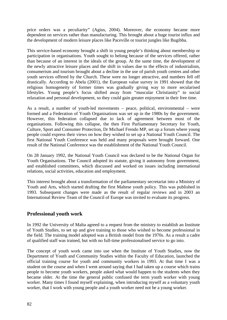price orders was a peculiarity" (Agius, 2004). Moreover, the economy became more dependent on services rather than manufacturing. This brought about a huge tourist influx and the development of modern leisure places like Paceville or tourist jungles like Bugibba.

This service-based economy brought a shift in young people's thinking about membership or participation in organisations. Youth sought to belong because of the services offered, rather than because of an interest in the ideals of the group. At the same time, the development of the newly attractive leisure places and the shift in values due to the effects of industrialism, consumerism and tourism brought about a decline in the use of parish youth centres and other youth services offered by the Church. These were no longer attractive, and numbers fell off drastically. According to Abela (2001), the European value survey in 1991 showed that the religious homogeneity of former times was gradually giving way to more secularised lifestyles. Young people's focus shifted away from "muscular Christianity" to social relaxation and personal development, so they could gain greater enjoyment in their free time.

As a result, a number of youth-led movements – peace, political, environmental – were formed and a Federation of Youth Organisations was set up in the 1980s by the government. However, this federation collapsed due to lack of agreement between most of the organisations. Following this collapse, the then First Parliamentary Secretary for Youth, Culture, Sport and Consumer Protection, Dr Michael Frendo MP, set up a forum where young people could express their views on how they wished to set up a National Youth Council. The first National Youth Conference was held and many proposals were brought forward. One result of the National Conference was the establishment of the National Youth Council.

On 28 January 1992, the National Youth Council was declared to be the National Organ for Youth Organisations. The Council adopted its statute, giving it autonomy from government, and established committees, which discussed and worked on issues including international relations, social activities, education and employment.

This interest brought about a transformation of the parliamentary secretariat into a Ministry of Youth and Arts, which started drafting the first Maltese youth policy. This was published in 1993. Subsequent changes were made as the result of regular reviews and in 2003 an International Review Team of the Council of Europe was invited to evaluate its progress.

### **Professional youth work**

In 1992 the University of Malta agreed to a request from the ministry to establish an Institute of Youth Studies, to set up and give training to those who wished to become professional in the field. The training model adopted was a British model from the 1970s. As a result a cadre of qualified staff was trained, but with no full-time professionalised service to go into.

The concept of youth work came into use when the Institute of Youth Studies, now the Department of Youth and Community Studies within the Faculty of Education, launched the official training course for youth and community workers in 1993. At that time I was a student on the course and when I went around saying that I had taken up a course which trains people to become youth workers, people asked what would happen to the students when they became older. At the time the general public confused the term youth worker with young worker. Many times I found myself explaining, when introducing myself as a voluntary youth worker, that I work with young people and a youth worker need not be a young worker.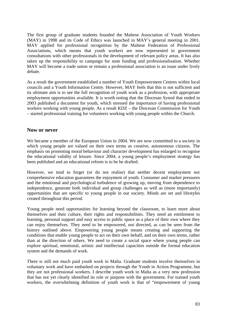The first group of graduate students founded the Maltese Association of Youth Workers (MAY) in 1998 and its Code of Ethics was launched in MAY's general meeting in 2001. MAY applied for professional recognition by the Maltese Federation of Professional Associations, which means that youth workers are now represented in government consultations with other professionals in the development of relevant policy areas. It has also taken up the responsibility to campaign for state funding and professionalisation. Whether MAY will become a trade union or remain a professional association is an issue under lively debate.

As a result the government established a number of Youth Empowerment Centres within local councils and a Youth Information Centre. However, MAY feels that this is not sufficient and its ultimate aim is to see the full recognition of youth work as a profession, with appropriate employment opportunities available. It is worth noting that the Diocesan Synod that ended in 2003 published a document for youth, which stressed the importance of having professional workers working with young people. As a result KDZ – the Diocesan Commission for Youth – started professional training for volunteers working with young people within the Church.

### **Now or never**

We became a member of the European Union in 2004. We are now committed to a society in which young people are valued on their own terms as creative, autonomous citizens. The emphasis on promoting moral behaviour and character development has enlarged to recognise the educational validity of leisure. Since 2004, a young people's employment strategy has been published and an educational reform is to be be drafted.

However, we tend to forget (or do not realise) that neither decent employment nor comprehensive education guarantees the enjoyment of youth. Consumer and market pressures and the emotional and psychological turbulence of growing up, moving from dependence to independence, generate both individual and group challenges as well as (more importantly) opportunities that are specific to young people in our society. Minds are set and lifestyles created throughout this period.

Young people need opportunities for learning beyond the classroom, to learn more about themselves and their culture, their rights and responsibilities. They need an entitlement to learning, personal support and easy access to public space as a place of their own where they can enjoy themselves. They need to be empowered, not directed, as can be seen from the history outlined above. Empowering young people means creating and supporting the conditions that enable young people to act on their own behalf, and on their own terms, rather than at the direction of others. We need to create a social space where young people can explore spiritual, emotional, artistic and intellectual capacities outside the formal education system and the demands of work.

There is still not much paid youth work in Malta. Graduate students involve themselves in voluntary work and have embarked on projects through the Youth in Action Programme, but they are not professional workers. I describe youth work in Malta as a very new profession that has not yet clearly identified its role or purpose with the government. For trained youth workers, the overwhelming definition of youth work is that of "empowerment of young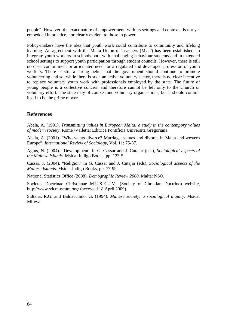people". However, the exact nature of empowerment, with its settings and contexts, is not yet embedded in practice, nor clearly evident to those in power.

Policy-makers have the idea that youth work could contribute to community and lifelong learning. An agreement with the Malta Union of Teachers (MUT) has been established, to integrate youth workers in schools both with challenging behaviour students and in extended school settings to support youth participation through student councils. However, there is still no clear commitment or articulated need for a regulated and developed profession of youth workers. There is still a strong belief that the government should continue to promote volunteering and so, while there is such an active voluntary sector, there is no clear incentive to replace voluntary youth work with professionals employed by the state. The future of young people is a collective concern and therefore cannot be left only to the Church or voluntary effort. The state may of course fund voluntary organisations, but it should commit itself to be the prime mover.

# **References**

Abela, A. (1991). *Transmitting values in European Malta: a study in the contempory values of modern society*. Rome /Valletta: Editrice Pontificia Universita Gregoriana.

Abela, A. (2001). "Who wants divorce? Marriage, values and divorce in Malta and western Europe", *International Review of Sociology*, Vol. 11: 75-87.

Agius, N. (2004). "Development" in G. Cassar and J. Cutajar (eds), *Sociological aspects of the Maltese Islands*. Msida: Indigo Books, pp. 123-5.

Cassar, J. (2004). "Religion" in G. Cassar and J. Cutajar (eds), *Sociological aspects of the Maltese Islands*. Msida: Indigo Books, pp. 77-99.

National Statistics Office (2008). *Demographic Review 2008*. Malta: NSO.

Societas Doctrinae Christianae M.U.S.E.U.M. (Society of Christian Doctrine) website, http://www.sdcmuseum.org/ (accessed 18 April 2009).

Sultana, R.G. and Baldacchino, G. (1994). *Maltese society: a sociological inquiry*. Msida: Mireva.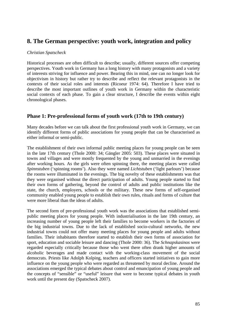# **8. The German perspective: youth work, integration and policy**

### *Christian Spatscheck*

Historical processes are often difficult to describe; usually, different sources offer competing perspectives. Youth work in Germany has a long history with many protagonists and a variety of interests striving for influence and power. Bearing this in mind, one can no longer look for objectivism in history but rather try to describe and reflect the relevant protagonists in the contexts of their social roles and interests (Ricoeur 1974: 64). Therefore I have tried to describe the most important outlines of youth work in Germany within the characteristic social contexts of each phase. To gain a clear structure, I describe the events within eight chronological phases.

## **Phase 1: Pre-professional forms of youth work (17th to 19th century)**

Many decades before we can talk about the first professional youth work in Germany, we can identify different forms of public associations for young people that can be characterised as either informal or semi-public.

The establishment of their own informal public meeting places for young people can be seen in the late 17th century (Thole 2000: 34; Gängler 2005: 503). These places were situated in towns and villages and were mostly frequented by the young and unmarried in the evenings after working hours. As the girls were often spinning there, the meeting places were called *Spinnstuben* ('spinning rooms'). Also they were named *Lichtstuben* ('light parlours') because the rooms were illuminated in the evenings. The big novelty of these establishments was that they were organised without the direct participation of adults. Young people started to find their own forms of gathering, beyond the control of adults and public institutions like the state, the church, employers, schools or the military. These new forms of self-organised community enabled young people to establish their own rules, rituals and forms of culture that were more liberal than the ideas of adults.

The second form of pre-professional youth work was the associations that established semipublic meeting places for young people. With industrialisation in the late 19th century, an increasing number of young people left their families to become workers in the factories of the big industrial towns. Due to the lack of established socio-cultural networks, the new industrial towns could not offer many meeting places for young people and adults without families. Their inhabitants therefore started to establish their own forms of association for sport, education and sociable leisure and dancing (Thole 2000: 36). The *Schnapskasinos* were regarded especially critically because those who went there often drank higher amounts of alcoholic beverages and made contact with the working-class movement of the social democrats. Priests like Adolph Kolping, teachers and officers started initiatives to gain more influence on the young people who were regarded as threatened by moral decline. Around the associations emerged the typical debates about control and emancipation of young people and the concepts of "sensible" or "useful" leisure that were to become typical debates in youth work until the present day (Spatscheck 2007).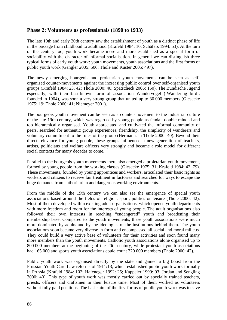## **Phase 2: Volunteers as professionals (1890 to 1933)**

The late 19th and early 20th century saw the establishment of youth as a distinct phase of life in the passage from childhood to adulthood (Krafeld 1984: 10; Schäfers 1994: 53). At the turn of the century too, youth work became more and more established as a special form of sociability with the character of informal socialisation. In general we can distinguish three typical forms of early youth work: youth movements, youth associations and the first forms of public youth work (Gängler 2005: 506; Thole and Küster 2005: 497).

The newly emerging bourgeois and proletarian youth movements can be seen as selforganised counter-movements against the increasing public control over self-organised youth groups (Krafeld 1984: 23, 42; Thole 2000: 40; Spatscheck 2006: 150). The Bündische Jugend especially, with their best-known form of association Wandervogel ('Wandering bird', founded in 1904), was soon a very strong group that united up to 30 000 members (Giesecke 1975: 19; Thole 2000: 41; Niemeyer 2001).

The bourgeois youth movement can be seen as a counter-movement to the industrial culture of the late 19th century, which was regarded by young people as feudal, double-minded and too hierarchically organised. Youth appreciated and cultivated the informal community of peers, searched for authentic group experiences, friendship, the simplicity of wanderers and voluntary commitment to the rules of the group (Hermann, in Thole 2000: 40). Beyond their direct relevance for young people, these groups influenced a new generation of teachers, artists, politicians and welfare officers very strongly and became a role model for different social contexts for many decades to come.

Parallel to the bourgeois youth movements there also emerged a proletarian youth movement, formed by young people from the working classes (Giesecke 1975: 31; Krafeld 1984: 42, 79). These movements, founded by young apprentices and workers, articulated their basic rights as workers and citizens to receive fair treatment in factories and searched for ways to escape the huge demands from authoritarian and dangerous working environments.

From the middle of the 19th century we can also see the emergence of special youth associations based around the fields of religion, sport, politics or leisure (Thole 2000: 42). Most of them developed within existing adult organisations, which opened youth departments with more freedom and room for the interests of young people. The adult organisations also followed their own interests in reaching "endangered" youth and broadening their membership base. Compared to the youth movements, these youth associations were much more dominated by adults and by the ideologies of the institutions behind them. The youth associations soon became very diverse in form and encompassed all social and moral milieus. They could build a very active base of volunteers for their activities and soon found many more members than the youth movements. Catholic youth associations alone organised up to 800 000 members at the beginning of the 20th century, while protestant youth associations had 165 000 and sports youth associations could count 320 000 members (Thole 2000: 42).

Public youth work was organised directly by the state and gained a big boost from the Prussian Youth Care Law reforms of 1911/13, which established public youth work formally in Prussia (Krafeld 1984: 102; Hafeneger 1992: 25; Kappeler 1999: 93; Jordan and Sengling 2000: 40). This type of youth work was mostly carried out by specially trained teachers, priests, officers and craftsmen in their leisure time. Most of them worked as volunteers without fully paid positions. The basic aim of the first forms of public youth work was to save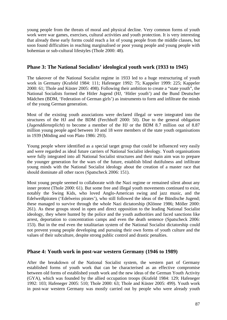young people from the threats of moral and physical decline. Very common forms of youth work were war games, exercises, cultural activities and youth protection. It is very interesting that already these early forms could reach a lot of young people from the middle classes, but soon found difficulties in reaching marginalised or poor young people and young people with bohemian or sub-cultural lifestyles (Thole 2000: 48).

## **Phase 3: The National Socialists' ideological youth work (1933 to 1945)**

The takeover of the National Socialist regime in 1933 led to a huge restructuring of youth work in Germany (Krafeld 1984: 111; Hafeneger 1992: 75; Kappeler 1999: 225; Kappeler 2000: 61; Thole and Küster 2005: 498). Following their ambition to create a "state youth", the National Socialists formed the Hitler Jugend (HJ, 'Hitler youth') and the Bund Deutscher Mädchen (BDM, 'Federation of German girls') as instruments to form and infiltrate the minds of the young German generation.

Most of the existing youth associations were declared illegal or were integrated into the structures of the HJ and the BDM (Ferchhoff 2000: 50). Due to the general obligation (*Jugenddienstplicht*) to become a member of the HJ or the BDM 8.7 million out of 8.87 million young people aged between 10 and 18 were members of the state youth organisations in 1939 (Möding and von Plato 1986: 293).

Young people where identified as a special target group that could be influenced very easily and were regarded as ideal future carriers of National Socialist ideology. Youth organisations were fully integrated into all National Socialist structures and their main aim was to prepare the younger generation for the wars of the future, establish blind dutifulness and infiltrate young minds with the National Socialist ideology about the creation of a master race that should dominate all other races (Spatscheck 2006: 151).

Most young people seemed to collaborate with the Nazi regime or remained silent about any inner protest (Thole 2000: 61). But some free and illegal youth movements continued to exist, notably the Swing Kids, who loved Anglo-American swing and jazz music, and the Edelweißpiraten ('Edelweiss pirates'), who still followed the ideas of the Bündische Jugend; these managed to survive through the whole Nazi dictatorship (Klönne 1986; Möller 2000: 261). As these groups stood in open and direct opposition to the leading National Socialist ideology, they where hunted by the police and the youth authorities and faced sanctions like arrest, deportation to concentration camps and even the death sentence (Spatscheck 2006: 153). But in the end even the totalitarian system of the National Socialist dictatorship could not prevent young people developing and pursuing their own forms of youth culture and the values of their subculture, despite strong public control and drastic penalties.

### **Phase 4: Youth work in post-war western Germany (1946 to 1989)**

After the breakdown of the National Socialist system, the western part of Germany established forms of youth work that can be characterised as an effective compromise between old forms of established youth work and the new ideas of the German Youth Activity (GYA), which was founded by the allied occupation troops (Krafeld 1984: 129; Hafeneger 1992: 103; Hafeneger 2005: 510; Thole 2000: 63; Thole and Küster 2005: 499). Youth work in post-war western Germany was mostly carried out by people who were already youth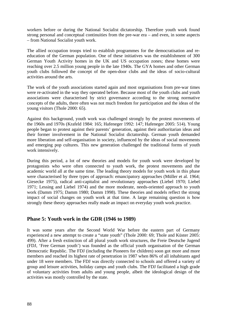workers before or during the National Socialist dictatorship. Therefore youth work found strong personal and conceptual continuities from the pre-war era – and even, in some aspects – from National Socialist youth work.

The allied occupation troops tried to establish programmes for the democratisation and reeducation of the German population. One of these initiatives was the establishment of 300 German Youth Activity homes in the UK and US occupation zones; these homes were reaching over 2.5 million young people in the late 1940s. The GYA homes and other German youth clubs followed the concept of the open-door clubs and the ideas of socio-cultural activities around the arts.

The work of the youth associations started again and most organisations from pre-war times were re-activated in the way they operated before. Because most of the youth clubs and youth associations were characterised by strict governance according to the strong normative concepts of the adults, there often was not much freedom for participation and the ideas of the young visitors (Thole 2000: 65).

Against this background, youth work was challenged strongly by the protest movements of the 1960s and 1970s (Krafeld 1984: 165; Hafeneger 1992: 147; Hafeneger 2005: 514). Young people began to protest against their parents' generation, against their authoritarian ideas and their former involvement in the National Socialist dictatorship. German youth demanded more liberation and self-organisation in society, influenced by the ideas of social movements and emerging pop cultures. This new generation challenged the traditional forms of youth work intensively.

During this period, a lot of new theories and models for youth work were developed by protagonists who were often connected to youth work, the protest movements and the academic world all at the same time. The leading theory models for youth work in this phase were characterised by three types of approach: emancipatory approaches (Müller et al. 1964; Giesecke 1975), radical anti-capitalist and revolutionary approaches (Liebel 1970; Liebel 1971; Lessing and Liebel 1974) and the more moderate, needs-oriented approach to youth work (Damm 1975; Damm 1980; Damm 1998). These theories and models reflect the strong impact of social changes on youth work at that time. A large remaining question is how strongly these theory approaches really made an impact on everyday youth work practice.

### **Phase 5: Youth work in the GDR (1946 to 1989)**

It was some years after the Second World War before the eastern part of Germany experienced a new attempt to create a "state youth" (Thole 2000: 69; Thole and Küster 2005: 499). After a fresh extinction of all plural youth work structures, the Freie Deutsche Jugend (FDJ, 'Free German youth') was founded as the official youth organisation of the German Democratic Republic. The FDJ (including the Pioneers for children) soon got more and more members and reached its highest rate of penetration in 1987 when 86% of all inhabitants aged under 18 were members. The FDJ was directly connected to schools and offered a variety of group and leisure activities, holiday camps and youth clubs. The FDJ facilitated a high grade of voluntary activities from adults and young people, albeit the ideological design of the activities was mostly controlled by the state.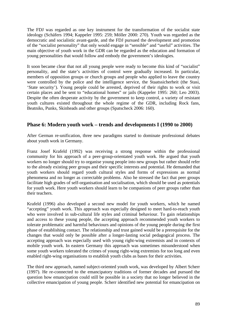The FDJ was regarded as one key instrument for the transformation of the socialist state ideology (Schäfers 1994; Kappeler 1995: 259; Möller 2000: 270). Youth was regarded as the democratic and socialistic avant-garde, and the FDJ pursued the development and promotion of the "socialist personality" that only would engage in "sensible" and "useful" activities. The main objective of youth work in the GDR can be regarded as the education and formation of young personalities that would follow and embody the government's ideologies.

It soon became clear that not all young people were ready to become this kind of "socialist" personality, and the state's activities of control were gradually increased. In particular, members of opposition groups or church groups and people who applied to leave the country were controlled by the police and the intelligence service, the Staatssicherheit (the Stasi, 'State security'). Young people could be arrested, deprived of their rights to work or visit certain places and be sent to "educational homes" or jails (Kappeler 1995: 260; Leo 2003). Despite the often desperate activity by the government to keep control, a variety of resistant youth cultures existed throughout the whole regime of the GDR, including Rock fans, Beatniks, Punks, Skinheads and other groups (Spatscheck 2006: 160).

## **Phase 6: Modern youth work – trends and developments I (1990 to 2000)**

After German re-unification, three new paradigms started to dominate professional debates about youth work in Germany.

Franz Josef Krafeld (1992) was receiving a strong response within the professional community for his approach of a peer-group-orientated youth work. He argued that youth workers no longer should try to organise young people into new groups but rather should refer to the already existing peer groups and their specific interests and potential. He demanded that youth workers should regard youth cultural styles and forms of expressions as normal phenomena and no longer as correctable problems. Also he stressed the fact that peer groups facilitate high grades of self-organisation and socialisation, which should be used as potentials for youth work. Here youth workers should learn to be companions of peer groups rather than their teachers.

Krafeld (1996) also developed a second new model for youth workers, which he named "accepting" youth work. This approach was especially designed to meet hard-to-reach youth who were involved in sub-cultural life styles and criminal behaviour. To gain relationships and access to these young people, the accepting approach recommended youth workers to tolerate problematic and harmful behaviours and opinions of the young people during the first phase of establishing contact. The relationship and trust gained would be a prerequisite for the changes that would only be possible after a longer-lasting social pedagogical process. The accepting approach was especially used with young right-wing extremists and in contexts of mobile youth work. In eastern Germany this approach was sometimes misunderstood when some youth workers tolerated the crimes of young right-wing extremists for too long and even enabled right-wing organisations to establish youth clubs as bases for their activities.

The third new approach, named subject-oriented youth work, was developed by Albert Scherr (1997). He re-connected to the emancipatory traditions of former decades and pursued the question how emancipation could still be possible in a society that no longer believed in the collective emancipation of young people. Scherr identified new potential for emancipation on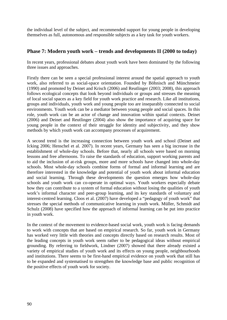the individual level of the subject, and recommended support for young people in developing themselves as full, autonomous and responsible subjects as a key task for youth workers.

## **Phase 7: Modern youth work – trends and developments II (2000 to today)**

In recent years, professional debates about youth work have been dominated by the following three issues and approaches.

Firstly there can be seen a special professional interest around the spatial approach to youth work, also referred to as social-space orientation. Founded by Böhnisch and Münchmeier (1990) and promoted by Deinet and Krisch (2006) and Reutlinger (2003; 2008), this approach follows ecological concepts that look beyond individuals or groups and stresses the meaning of local social spaces as a key field for youth work practice and research. Like all institutions, groups and individuals, youth work and young people too are inseparably connected to social environments. Youth work can be a mediator between young people and social spaces. In this role, youth work can be an actor of change and innovation within spatial contexts. Deinet (2006) and Deinet and Reutlinger (2004) also show the importance of acquiring space for young people in the context of their struggle for identity and subjectivity, and they show methods by which youth work can accompany processes of acquirement.

A second trend is the increasing connection between youth work and school (Deinet and Icking 2006; Henschel et al. 2007). In recent years, Germany has seen a big increase in the establishment of whole-day schools. Before that, nearly all schools were based on morning lessons and free afternoons. To raise the standards of education, support working parents and to aid the inclusion of at-risk groups, more and more schools have changed into whole-day schools. Most whole-day schools combine forms of formal and informal learning and are therefore interested in the knowledge and potential of youth work about informal education and social learning. Through these developments the question emerges how whole-day schools and youth work can co-operate in optimal ways. Youth workers especially debate how they can contribute to a system of formal education without losing the qualities of youth work's informal character and peer-group learning, and its key standards of voluntary and interest-centred learning. Cloos et al. (2007) have developed a "pedagogy of youth work" that stresses the special methods of communicative learning in youth work. Müller, Schmidt and Schulz (2008) have specified how the approach of informal learning can be put into practice in youth work.

In the context of the movement to evidence-based social work, youth work is facing demands to work with concepts that are based on empirical research. So far, youth work in Germany has worked very little with theories and concepts directly based on research results. Most of the leading concepts in youth work seem rather to be pedagogical ideas without empirical grounding. By referring to fieldwork, Lindner (2007) showed that there already existed a variety of empirical studies of youth work and its effects on young people, neighbourhoods and institutions. There seems to be first-hand empirical evidence on youth work that still has to be expanded and systematised to strengthen the knowledge base and public recognition of the positive effects of youth work for society.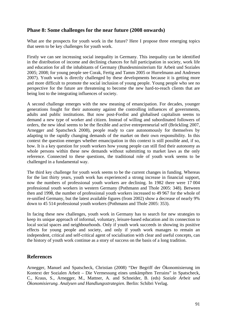## **Phase 8: Some challenges for the near future (2008 onwards)**

What are the prospects for youth work in the future? Here I propose three emerging topics that seem to be key challenges for youth work.

Firstly we can see increasing social inequality in Germany. This inequality can be identified in the distribution of income and declining chances for full participation in society, work life and education for all the inhabitants of Germany (Bundesminsiterium für Arbeit und Soziales 2005; 2008; for young people see Corak, Fertig and Tamm 2005 or Hurrelmann and Andresen 2007). Youth work is directly challenged by these developments because it is getting more and more difficult to promote the social inclusion of young people. Young people who see no perspective for the future are threatening to become the new hard-to-reach clients that are being lost to the integrating influences of society.

A second challenge emerges with the new meaning of emancipation. For decades, younger generations fought for their autonomy against the controlling influences of governments, adults and public institutions. But now post-Fordist and globalised capitalism seems to demand a new type of worker and citizen. Instead of willing and subordinated followers of orders, the new ideal seems to be the flexible and active entrepreneurial self (Bröckling 2007, Arnegger and Spatscheck 2008), people ready to care autonomously for themselves by adapting to the rapidly changing demands of the market on their own responsibility. In this context the question emerges whether emancipation in this context is still possible and, if so, how. It is a key question for youth workers how young people can still find their autonomy as whole persons within these new demands without submitting to market laws as the only reference. Connected to these questions, the traditional role of youth work seems to be challenged in a fundamental way.

The third key challenge for youth work seems to be the current changes in funding. Whereas for the last thirty years, youth work has experienced a strong increase in financial support, now the numbers of professional youth workers are declining. In 1982 there were 17 004 professional youth workers in western Germany (Pothmann and Thole 2005: 348). Between then and 1998, the number of professional youth workers increased to 49 967 for the whole of re-unified Germany, but the latest available figures (from 2002) show a decrease of nearly 9% down to 45 514 professional youth workers (Pothmann and Thole 2005: 353).

In facing these new challenges, youth work in Germany has to search for new strategies to keep its unique approach of informal, voluntary, leisure-based education and its connection to local social spaces and neighbourhoods. Only if youth work succeeds in showing its positive effects for young people and society, and only if youth work manages to remain an independent, critical and self-critical agent of socialisation with clear and useful concepts, can the history of youth work continue as a story of success on the basis of a long tradition.

### **References**

Arnegger, Manuel and Spatscheck, Christian (2008) "Der Begriff der Ökonomisierung im Kontext der Sozialen Arbeit – Die Vermessung eines umkämpften Terrains" in Spatscheck, C., Kraus, S., Arnegger, M., Mattner, A. and Schneider, B. (eds) *Soziale Arbeit und Ökonomisierung. Analysen und Handlungsstrategien*. Berlin: Schibri Verlag.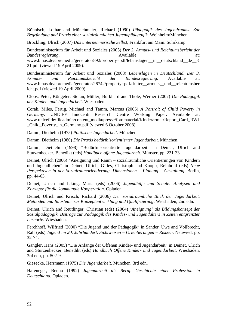Böhnisch, Lothar and Münchmeier, Richard (1990) *Pädagogik des Jugendraums. Zur Begründung und Praxis einer sozialräumlichen Jugendpädagogik*. Weinheim/München.

Bröckling, Ulrich (2007) *Das unternehmerische Selbst,* Frankfurt am Main: Suhrkamp.

Bundesministerium für Arbeit und Soziales (2005) *Der 2. Armuts- und Reichtumsbericht der Bundesregierung*. and the attempt of the Available attempt of the attempt of the attempt of the attempt of the attempt of the attempt of the attempt of the attempt of the attempt of the attempt of the attempt of the att www.bmas.de/coremedia/generator/892/property=pdf/lebenslagen\_in\_deutschland\_de\_8 21.pdf (viewed 19 April 2009).

Bundesministerium für Arbeit und Soziales (2008) *Lebenslagen in Deutschland. Der 3. Armuts- und Reichtumsbericht der Bundesregierung*. Available at: www.bmas.de/coremedia/generator/26742/property=pdf/dritter\_\_armuts\_\_und\_\_reichtumsber icht.pdf (viewed 19 April 2009).

Cloos, Peter, Köngeter, Stefan, Müller, Burkhard and Thole, Werner (2007) *Die Pädagogik der Kinder- und Jugendarbeit*. Wiesbaden.

Corak, Miles, Fertig, Michael and Tamm, Marcus (2005) *A Portrait of Child Poverty in Germany*. UNICEF Innocenti Research Centre Working Paper. Available at: www.unicef.de/fileadmin/content\_media/presse/fotomaterial/Kinderarmut/Report\_Card\_RWI \_Child\_Poverty\_in\_Germany.pdf (viewed 6 October 2008).

Damm, Diethelm (1975) *Politische Jugendarbeit*. München.

Damm, Diethelm (1980) *Die Praxis bedürfnisorientierter Jugendarbeit*. München.

Damm, Diethelm (1998) "Bedürfnisorientierte Jugendarbeit" in Deinet, Ulrich and Sturzenhecker, Benedikt (eds) *Handbuch offene Jugendarbeit*. Münster, pp. 221-33.

Deinet, Ulrich (2006) "Aneignung und Raum – sozialräumliche Orientierungen von Kindern und Jugendlichen" in Deinet, Ulrich, Gilles, Christoph and Knopp, Reinhold (eds) *Neue Perspektiven in der Sozialraumorientierung. Dimensionen – Planung – Gestaltung*. Berlin, pp. 44-63.

Deinet, Ulrich and Icking, Maria (eds) (2006) *Jugendhilfe und Schule: Analysen und Konzepte für die kommunale Kooperation*. Opladen.

Deinet, Ulrich and Krisch, Richard (2006) *Der sozialräumliche Blick der Jugendarbeit. Methoden und Bausteine zur Konzeptentwicklung und Qualifizierung*. Wiesbaden, 2nd edn.

Deinet, Ulrich and Reutlinger, Christian (eds) (2004) *'Aneignung' als Bildungskonzept der Sozialpädagogik. Beiträge zur Pädagogik des Kindes- und Jugendalters in Zeiten entgrenzter Lernorte*. Wiesbaden.

Ferchhoff, Wilfried (2000) "Die Jugend und der Pädagogik" in Sander, Uwe and Vollbrecht, Ralf (eds) *Jugend im 20. Jahrhundert. Sichtweisen – Orientierungen – Risiken*. Neuwied, pp. 32-74.

Gängler, Hans (2005) "Die Anfänge der Offenen Kinder- und Jugendarbeit" in Deinet, Ulrich and Sturzenhecker, Benedikt (eds) *Handbuch Offene Kinder- und Jugendarbeit*. Wiesbaden, 3rd edn, pp. 502-9.

Giesecke, Herrmann (1975) *Die Jugendarbeit*. München, 3rd edn.

Hafeneger, Benno (1992) *Jugendarbeit als Beruf. Geschichte einer Profession in Deutschland*. Opladen.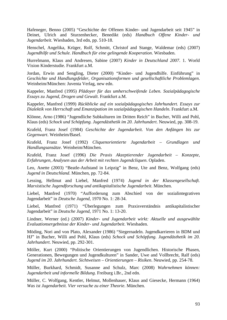Hafeneger, Benno (2005) "Geschichte der Offenen Kinder- und Jugendarbeit seit 1945" in Deinet, Ulrich and Sturzenhecker, Benedikt (eds) *Handbuch Offene Kinder- und Jugendarbeit*. Wiesbaden, 3rd edn, pp. 510-18.

Henschel, Angelika, Krüger, Rolf, Schmitt, Christof and Stange, Waldemar (eds) (2007) *Jugendhilfe und Schule. Handbuch für eine gelingende Kooperation*. Wiesbaden.

Hurrelmann, Klaus and Andresen, Sabine (2007) *Kinder in Deutschland 2007*. 1. World Vision Kinderstudie. Frankfurt a.M.

Jordan, Erwin and Sengling, Dieter (2000) "Kinder- und Jugendhilfe. Einführung" in *Geschichte und Handlungsfelder, Organisationsformen und gesellschaftliche Problemlagen*. Weinheim/München: Juventa Verlag, new edn.

Kappeler, Manfred (1995) *Plädoyer für das umherschweifende Leben. Sozialpädagogische Essays zu Jugend, Drogen und Gewalt*. Frankfurt a.M.

Kappeler, Manfred (1999) *Rückblicke auf ein sozialpädagogisches Jahrhundert. Essays zur Dialektik von Herrschaft und Emanzipation im sozialpädagogischen Handeln*. Frankfurt a.M.

Klönne, Arno (1986) "Jugendliche Subkulturen im Dritten Reich" in Bucher, Willi and Pohl, Klaus (eds) *Schock und Schöpfung. Jugendästhetik im 20. Jahrhundert*. Neuwied, pp. 308-19.

Krafeld, Franz Josef (1984) *Geschichte der Jugendarbeit. Von den Anfängen bis zur Gegenwart*. Weinheim/Basel.

Krafeld, Franz Josef (1992) *Cliquenorientierte Jugendarbeit – Grundlagen und Handlungsansätze*. Weinheim/München.

Krafeld, Franz Josef (1996) *Die Praxis Akzeptierender Jugendarbeit – Konzepte, Erfahrungen, Analysen aus der Arbeit mit rechten Jugendcliquen*. Opladen.

Leo, Anette (2003) "Beatle-Aufstand in Leipzig" in Benz, Ute and Benz, Wolfgang (eds) *Jugend in Deutschland*. München, pp. 72-84.

Lessing, Hellmut and Liebel, Manfred (1974) *Jugend in der Klassengesellschaft. Marxistische Jugendforschung und antikapitalistische Jugendarbeit*. München.

Liebel, Manfred (1970) "Aufforderung zum Abschied von der sozialintegrativen Jugendarbeit" in *Deutsche Jugend*, 1970 No. 1: 28-34.

Liebel, Manfred (1971) "Überlegungen zum Praxisverständnis antikapitalistischer Jugendarbeit" in *Deutsche Jugend*, 1971 No. 1: 13-20.

Lindner, Werner (ed.) (2007) *Kinder- und Jugendarbeit wirkt: Aktuelle und ausgewählte Evaluationsergebnisse der Kinder- und Jugendarbeit*. Wiesbaden.

Möding, Nori and von Plato, Alexander (1986) "Siegernadeln. Jugendkarrieren in BDM und HJ" in Bucher, Willi and Pohl, Klaus (eds) *Schock und Schöpfung. Jugendästhetik im 20. Jahrhundert*. Neuwied, pp. 292-301.

Möller, Kurt (2000) "Politische Orientierungen von Jugendlichen. Historische Phasen, Generationen, Bewegungen und Jugendkulturen" in Sander, Uwe and Vollbrecht, Ralf (eds) *Jugend im 20. Jahrhundert. Sichtweisen – Orientierungen – Risiken*. Neuwied, pp. 254-78.

Müller, Burkhard, Schmidt, Susanne and Schulz, Marc (2008) *Wahrnehmen können: Jugendarbeit und informelle Bildung*. Freiburg i.Br., 2nd edn.

Müller, C. Wolfgang, Kentler, Helmut, Mollenhauer, Klaus and Giesecke, Hermann (1964) *Was ist Jugendarbeit. Vier versuche zu einer Theorie*. München.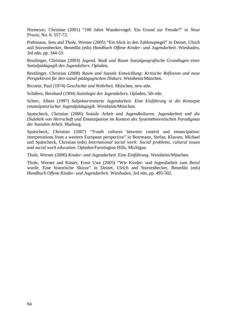Niemeyer, Christian (2001) "100 Jahre Wandervogel. Ein Grund zur Freude?" in *Neue Praxis*, No. 6: 557-72.

Pothmann, Jens and Thole, Werner (2005) "Ein blick in den Zahlenspiegel" in Deinet, Ulrich and Sturzenhecker, Benedikt (eds) *Handbuch Offene Kinder- und Jugendarbeit*. Wiesbaden, 3rd edn, pp. 344-53.

Reutlinger, Christian (2003) *Jugend, Stadt und Raum Sozialgeografische Grundlagen einer Sozialpädagogik des Jugendalters*. Opladen.

Reutlinger, Christian (2008) *Raum und Soziale Entwicklung: Kritische Reflexion und neue Perspektiven für den sozial-pädagogischen Diskurs*. Weinheim/München.

Ricoeur, Paul (1974) *Geschichte und Wahrheit*. München, new edn.

Schäfers, Bernhard (1994) *Soziologie des Jugendalters*. Opladen, 5th edn.

Scherr, Albert (1997) *Subjektorientierte Jugendarbeit. Eine Einführung in die Konzepte emanzipatorischer Jugendpädagogik*. Weinheim/München.

Spatscheck, Christian (2006) *Soziale Arbeit und Jugendkulturen. Jugendarbeit und die Dialektik von Herrschaft und Emanzipation im Kontext des Systemtheoretischen Paradigmas der Sozialen Arbeit*. Marburg.

Spatscheck, Christian (2007) "Youth cultures between control and emancipation: interpretations from a western European perspective" in Borrmann, Stefan, Klassen, Michael and Spatscheck, Christian (eds) *International social work: Social problems, cultural issues and social work education*. Opladen/Farmington Hills, Michigan.

Thole, Werner (2000) *Kinder- und Jugendarbeit. Eine Einführung*. Weinheim/München.

Thole, Werner and Küster, Ernst Uwe (2005) "Wie Kinder- und Jugendarbeit zum Beruf wurde. Eine historische Skizze" in Deinet, Ulrich and Sturzenhecker, Benedikt (eds) *Handbuch Offene Kinder- und Jugendarbeit*. Wiesbaden, 3rd edn, pp. 495-502.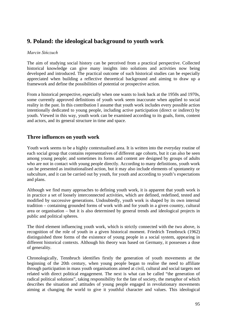# **9. Poland: the ideological background to youth work**

### *Marcin Sińczuch*

The aim of studying social history can be perceived from a practical perspective. Collected historical knowledge can give many insights into solutions and activities now being developed and introduced. The practical outcome of such historical studies can be especially appreciated when building a reflective theoretical background and aiming to draw up a framework and define the possibilities of potential or prospective action.

From a historical perspective, especially when one wants to look back at the 1950s and 1970s, some currently approved definitions of youth work seem inaccurate when applied to social reality in the past. In this contribution I assume that youth work includes every possible action intentionally dedicated to young people, including active participation (direct or indirect) by youth. Viewed in this way, youth work can be examined according to its goals, form, content and actors, and its general structure in time and space.

## **Three influences on youth work**

Youth work seems to be a highly contextualised area. It is written into the everyday routine of each social group that contains representatives of different age cohorts, but it can also be seen among young people; and sometimes its forms and content are designed by groups of adults who are not in contact with young people directly. According to many definitions, youth work can be presented as institutionalised action, but it may also include elements of spontaneity or subculture, and it can be carried out by youth, for youth and according to youth's expectations and plans.

Although we find many approaches to defining youth work, it is apparent that youth work is in practice a set of loosely interconnected activities, which are defined, redefined, tested and modified by successive generations. Undoubtedly, youth work is shaped by its own internal tradition – containing grounded forms of work with and for youth in a given country, cultural area or organisation – but it is also determined by general trends and ideological projects in public and political spheres.

The third element influencing youth work, which is strictly connected with the two above, is recognition of the role of youth in a given historical moment. Friedrich Tennbruck (1962) distinguished three forms of the existence of young people in a social system, appearing in different historical contexts. Although his theory was based on Germany, it possesses a dose of generality.

Chronologically, Tennbruch identifies firstly the generation of youth movements at the beginning of the 20th century, when young people began to realise the need to affiliate through participation in mass youth organisations aimed at civil, cultural and social targets not related with direct political engagement. The next is what can be called "the generation of radical political solutions", taking responsibility for the fate of society, the metaphor of which describes the situation and attitudes of young people engaged in revolutionary movements aiming at changing the world to give it youthful character and values. This ideological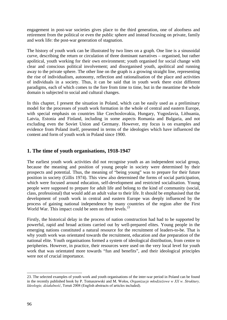engagement in post-war societies gives place to the third generation, one of aloofness and retirement from the political or even the public sphere and instead focusing on private, family and work life: the post-war generation of stagnation.

The history of youth work can be illustrated by two lines on a graph. One line is a sinusoidal curve, describing the return or circulation of three dominant narratives – organised, but rather apolitical, youth working for their own environment; youth organised for social change with clear and conscious political involvement; and disorganised youth, apolitical and running away to the private sphere. The other line on the graph is a growing straight line, representing the rise of individualism, autonomy, reflection and rationalisation of the place and activities of individuals in a society. Thus, it can be said that in youth work there exist different paradigms, each of which comes to the fore from time to time, but in the meantime the whole domain is subjected to social and cultural changes.

In this chapter, I present the situation in Poland, which can be easily used as a preliminary model for the processes of youth work formation in the whole of central and eastern Europe, with special emphasis on countries like Czechoslovakia, Hungary, Yugoslavia, Lithuania, Latvia, Estonia and Finland, including in some aspects Romania and Bulgaria, and not excluding even the Soviet Union and Germany. However, my focus is on examples and evidence from Poland itself, presented in terms of the ideologies which have influenced the content and form of youth work in Poland since 1900.

# **1. The time of youth organisations, 1918-1947**

The earliest youth work activities did not recognise youth as an independent social group, because the meaning and position of young people in society were determined by their prospects and potential. Thus, the meaning of "being young" was to prepare for their future position in society (Gillis 1974). This view also determined the forms of social participation, which were focused around education, self-development and restricted socialisation. Young people were supposed to prepare for adult life and belong to the kind of community (social, class, professional) that would add an adult value to their life. It should be emphasised that the development of youth work in central and eastern Europe was deeply influenced by the process of gaining national independence by many countries of the region after the First World War. This impact could be seen on three levels.<sup>[23](#page-95-0)</sup>

Firstly, the historical delay in the process of nation construction had had to be supported by powerful, rapid and broad actions carried out by well-prepared elites. Young people in the emerging nations constituted a natural resource for the recruitment of leaders-to-be. That is why youth work was orientated towards the recruitment, education and due preparation of the national elite. Youth organisations formed a system of ideological distribution, from centre to peripheries. However, in practice, their resources were used on the very local level for youth work that was orientated more towards "fun and benefits", and their ideological principles were not of crucial importance.

<span id="page-95-0"></span><sup>-</sup>23. The selected examples of youth work and youth organisations of the inter-war period in Poland can be found in the recently published book by P. Tomaszewski and M. Wołos, *Organizacje młodzieżowe w XX w. Struktury, Ideologie, działalność*, Toruń 2008 (English abstracts of articles included).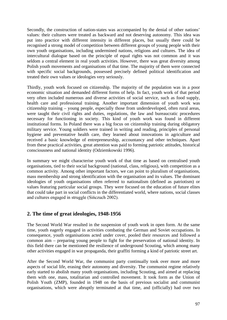Secondly, the construction of nation-states was accompanied by the denial of other nations' values: their cultures were treated as backward and not deserving autonomy. This idea was put into practice with different intensity in different places, but usually there could be recognised a strong model of competition between different groups of young people with their own youth organisations, including undermined nations, religions and cultures. The idea of intercultural dialogue based on the principle of equal rights was not common and it was seldom a central element in real youth activities. However, there was great diversity among Polish youth movements and organisations of that time. The majority of them were connected with specific social backgrounds, possessed precisely defined political identification and treated their own values or ideologies very seriously.

Thirdly, youth work focused on citizenship. The majority of the population was in a poor economic situation and demanded different forms of help. In fact, youth work of that period very often included numerous and diverse activities of social service, such as food supply, health care and professional training. Another important dimension of youth work was citizenship training – young people, especially those from underdeveloped, often rural areas, were taught their civil rights and duties, regulations, the law and bureaucratic procedures necessary for functioning in society. This kind of youth work was found in different institutional forms. In Poland there was a big focus on citizenship training during obligatory military service. Young soldiers were trained in writing and reading, principles of personal hygiene and preventative health care, they learned about innovations in agriculture and received a basic knowledge of entrepreneurship, accountancy and other techniques. Apart from these practical activities, great attention was paid to forming patriotic attitudes, historical consciousness and national identity (Odziemkowski 1996).

In summary we might characterise youth work of that time as based on centralised youth organisations, tied to their social background (national, class, religious), with competition as a common activity. Among other important factors, we can point to pluralism of organisations, mass membership and strong identification with the organisation and its values. The dominant ideologies of youth organisations often referred to nationalism (defined as patriotism) or values featuring particular social groups. They were focused on the education of future elites that could take part in social conflicts in the differentiated world, where nations, social classes and cultures engaged in struggle (Sińczuch 2002).

# **2. The time of great ideologies, 1948-1956**

The Second World War resulted in the suspension of youth work in open form. At the same time, youth eagerly engaged in activities combating the German and Soviet occupations. In consequence, youth organisations acted under cover, pooled their resources and followed a common aim – preparing young people to fight for the preservation of national identity. In this field there can be mentioned the resilience of underground Scouting, which among many other activities engaged in war propaganda, their graffiti forming a kind of patriotic street art.

After the Second World War, the communist party continually took over more and more aspects of social life, erasing their autonomy and diversity. The communist regime relatively early started to abolish many youth organisations, including Scouting, and aimed at replacing them with one, mass, totalitarian and controlled movement. It took form as the Union of Polish Youth (ZMP), founded in 1948 on the basis of previous socialist and communist organisations, which were abruptly terminated at that time, and (officially) had over two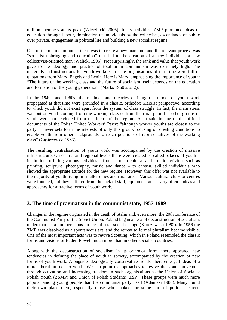million members at its peak (Wierzbicki 2006). In its activities, ZMP promoted ideas of education through labour, domination of individuals by the collective, ascendancy of public over private, engagement in political life and building a new socialist regime.

One of the main communist ideas was to create a new mankind, and the relevant process was "socialist upbringing and education" that led to the creation of a new individual, a new collectivist-oriented man (Walicki 1996). Not surprisingly, the rank and value that youth work gave to the ideology and practice of totalitarian communism was extremely high. The materials and instructions for youth workers in state organisations of that time were full of quotations from Marx, Engels and Lenin. Here is Marx, emphasising the importance of youth: "The future of the working class and the future of socialism itself depends on the education and formation of the young generation" (Marks 1960 s. 212).

In the 1940s and 1960s, the methods and theories defining the model of youth work propagated at that time were grounded in a classic, orthodox Marxist perspective, according to which youth did not exist apart from the system of class struggle. In fact, the main stress was put on youth coming from the working class or from the rural poor, but other groups of youth were not excluded from the focus of the regime. As it said in one of the official documents of the Polish United Workers' Party: "although worker youths are closest to the party, it never sets forth the interests of only this group, focusing on creating conditions to enable youth from other backgrounds to reach positions of representatives of the working class" (Gąsiorowski 1983).

The resulting centralisation of youth work was accompanied by the creation of massive infrastructure. On central and regional levels there were created so-called palaces of youth – institutions offering various activities – from sport to cultural and artistic activities such as painting, sculpture, photography, music and dance – to chosen, skilled individuals who showed the appropriate attitude for the new regime. However, this offer was not available to the majority of youth living in smaller cities and rural areas. Various cultural clubs or centres were founded, but they suffered from the lack of staff, equipment and – very often – ideas and approaches for attractive forms of youth work.

# **3. The time of pragmatism in the communist state, 1957-1989**

Changes in the regime originated in the death of Stalin and, even more, the 20th conference of the Communist Party of the Soviet Union. Poland began an era of deconstruction of socialism, understood as a homogeneous project of total social change (Kurczewska 1992). In 1956 the ZMP was dissolved as a spontaneous act, and the retreat to formal pluralism became visible. One of the most important acts was to revive Scouting, which in Poland resembled the classic forms and visions of Baden-Powell much more than in other socialist countries.

Along with the deconstruction of socialism in its orthodox form, there appeared new tendencies in defining the place of youth in society, accompanied by the creation of new forms of youth work. Alongside ideologically conservative trends, there emerged ideas of a more liberal attitude to youth. We can point to approaches to revive the youth movement through activation and increasing freedom in such organisations as the Union of Socialist Polish Youth (ZSMP) and Union of Polish Students (ZSP). These groups were much more popular among young people than the communist party itself (Adamski 1980). Many found their own place there, especially those who looked for some sort of political career,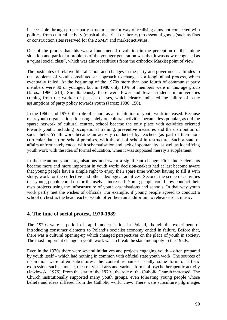inaccessible through proper party structures, or for way of realising aims not connected with politics, from cultural activity (musical, theatrical or literary) to essential goods (such as flats or construction sites reserved for the ZSMP) and market activities.

One of the proofs that this was a fundamental revolution in the perception of the unique situation and particular problems of the younger generation was that it was now recognised as a "quasi social class", which was almost seditious from the orthodox Marxist point of view.

The postulates of relative liberalisation and changes in the party and government attitudes to the problems of youth constituted an approach to change as a longitudinal process, which eventually failed. At the beginning of the 1970s more than one fourth of communist party members were 30 or younger, but in 1980 only 10% of members were in this age group (Jarosz 1986: 214). Simultaneously there were fewer and fewer students in universities coming from the worker or peasant classes, which clearly indicated the failure of basic assumptions of party policy towards youth (Jarosz 1986: 150).

In the 1960s and 1970s the role of school as an institution of youth work increased. Because mass youth organisations focusing solely on cultural activities became less popular, as did the sparse network of cultural centres, school became the only place with activities oriented towards youth, including occupational training, preventive measures and the distribution of social help. Youth work became an activity conducted by teachers (as part of their noncurricular duties) on school premises, with the aid of school infrastructure. Such a state of affairs unfortunately ended with schematisation and lack of spontaneity, as well as identifying youth work with the idea of formal education, when it was supposed merely a supplement.

In the meantime youth organisations underwent a significant change. First, ludic elements became more and more important in youth work: decision-makers had at last become aware that young people have a simple right to enjoy their spare time without having to fill it with study, work for the collective and other ideological additives. Second, the scope of activities that young people could do for themselves increased. Young people could now conduct their own projects using the infrastructure of youth organisations and schools. In that way youth work partly met the wishes of officials. For example, if young people agreed to conduct a school orchestra, the head teacher would offer them an auditorium to rehearse rock music.

### **4. The time of social protest, 1970-1989**

The 1970s were a period of rapid modernisation in Poland, though the experiment of introducing consumer elements to Poland's socialist economy ended in failure. Before that, there was a cultural opening-up which changed perspectives on the place of youth in society. The most important change in youth work was to break the state monopoly in the 1980s.

Even in the 1970s there were several initiatives and projects engaging youth – often prepared by youth itself – which had nothing in common with official state youth work. The sources of inspiration were often subcultures; the content remained usually some form of artistic expression, such as music, theatre, visual arts and various forms of psychotherapeutic activity (Jawłowska 1975). From the start of the 1970s, the role of the Catholic Church increased. The Church institutionally supported many youth groups, even tolerating young people whose beliefs and ideas differed from the Catholic world view. There were subculture pilgrimages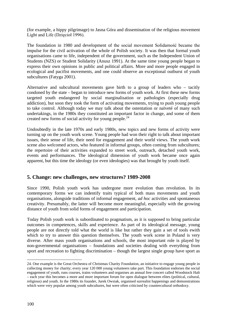(for example, a hippy pilgrimage) to Jasna Góra and dissemination of the religious movement Light and Life (Dzięcioł 1996).

The foundation in 1980 and development of the social movement Solidarność became the impulse for the civil activation of the whole of Polish society. It was then that formal youth organisations came to life, independent of the government, such as the Independent Union of Students (NZS) or Student Solidarity (Anusz 1991). At the same time young people began to express their own opinions in public and political affairs. More and more people engaged in ecological and pacifist movements, and one could observe an exceptional outburst of youth subcultures (Fatyga 2001).

Alternative and subcultural movements gave birth to a group of leaders who – tacitly condoned by the state – began to introduce new forms of youth work. At first these new forms targeted youth endangered by social marginalisation or pathologies (especially drug addiction), but soon they took the form of activating movements, trying to push young people to take control. Although today we may talk about the ostentation or naïveté of many such undertakings, in the 1980s they constituted an important factor in change, and some of them created new forms of social activity for young people.<sup>[24](#page-99-0)</sup>

Undoubtedly in the late 1970s and early 1980s, new topics and new forms of activity were turning up on the youth work scene. Young people had won their right to talk about important issues, their sense of life, their need for engagement and their world views. The youth work scene also welcomed actors, who featured in informal groups, often coming from subcultures; the repertoire of their activities expanded to street work, outreach, detached youth work, events and performances. The ideological dimension of youth work became once again apparent, but this time the ideology (or even ideologies) was that brought by youth itself.

### **5. Change: new challenges, new structures? 1989-2008**

Since 1990, Polish youth work has undergone more evolution than revolution. In its contemporary forms we can indentify traits typical of both mass movements and youth organisations, alongside traditions of informal engagement, *ad hoc* activities and spontaneous creativity. Presumably, the latter will become more meaningful, especially with the growing distance of youth from solid forms of engagement and participation.

Today Polish youth work is subordinated to pragmatism, as it is supposed to bring particular outcomes in competences, skills and experience. As part of its ideological message, young people are not directly told what the world is like but rather they gain a set of tools ewith which to try to answer this question themselves. The youth work scene in Poland is very diverse. After mass youth organisations and schools, the most important role is played by non-governmental organisations – foundations and societies dealing with everything from sport and recreation to fighting discrimination – though the largest single group have sport as

<span id="page-99-0"></span><sup>-</sup>24. One example is the Great Orchestra of Christmas Charity Foundation, an initiative to engage young people in collecting money for charity; every year 120 000 young volunteers take part. This foundation endorses the social engagement of youth, runs courses, trains volunteers and organises an annual free concert called Woodstock Halt – each year this becomes a more and more important forum for open dialogue between elites (political, cultural, religious) and youth. In the 1980s its founder, Jurek Owsiak, organised surrealist happenings and demonstrations which were very popular among youth subcultures, but were often criticised by countercultural orthodoxy.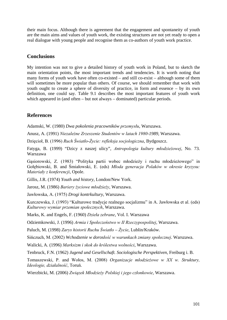their main focus. Although there is agreement that the engagement and spontaneity of youth are the main aims and values of youth work, the existing structures are not yet ready to open a real dialogue with young people and recognise them as co-authors of youth work practice.

## **Conclusions**

My intention was not to give a detailed history of youth work in Poland, but to sketch the main orientation points, the most important trends and tendencies. It is worth noting that many forms of youth work have often co-existed – and still co-exist – although some of them will sometimes be more popular than others. Of course, we should remember that work with youth ought to create a sphere of diversity of practice, in form and essence – by its own definition, one could say. Table 9.1 describes the most important features of youth work which appeared in (and often – but not always – dominated) particular periods.

# **References**

Adamski, W. (1980) *Dwa pokolenia pracowników przemysłu*, Warszawa.

Anusz, A. (1991) *Niezależne Zrzeszenie Studentów w latach 1980-1989*, Warszawa.

Dzięcioł, B. (1996) *Ruch Światło-Życie: refleksja socjologiczna*, Bydgoszcz.

Fatyga, B. (1999) "Dzicy z naszej ulicy", *Antropologia kultury młodzieżowej*, No. 73. Warszawa

Gąsiorowski, Z. (1983) "Polityka partii wobec młodzieży i ruchu młodzieżowego" in Gołębiowski, B. and Śmiałowski, E. (eds) *Młoda generacja Polaków w okresie kryzysu: Materiały z konferencji*, Opole.

Gillis, J.R. (1974) *Youth and history*, London/New York.

Jarosz, M. (1986) *Bariery życiowe młodzieży*, Warszawa.

Jawłowska, A. (1975) *Drogi kontrkultury*, Warszawa.

Kurczewska, J. (1993) "Kulturowe tradycje realnego socjalizmu" in A. Jawłowska et al. (eds) *Kulturowy wymiar przemian społecznych*, Warszawa.

Marks, K. and Engels, F. (1960) *Dzieła zebrane*, Vol. I. Warszawa

Odziemkowski, J. (1996) *Armia i Społeczeństwo w II Rzeczypospolitej*, Warszawa.

Paluch, M. (1998) *Zarys historii Ruchu Światło – Życie*, Lublin/Kraków.

Sińczuch, M. (2002) *Wchodzenie w dorosłość w warunkach zmiany społecznej*. Warszawa.

Walicki, A. (1996) *Marksizm i skok do królestwa wolności*, Warszawa.

Tenbruck, F.N. (1962) *Jugend und Gesellschaft. Sociologische Perspektiven*, Freiburg i. B.

Tomaszewski, P. and Wołos, M. (2008) *Organizacje młodzieżowe w XX w. Struktury, Ideologie, działalność*, Toruń.

Wierzbicki, M. (2006) *Związek Młodzieży Polskiej i jego członkowie*, Warszawa.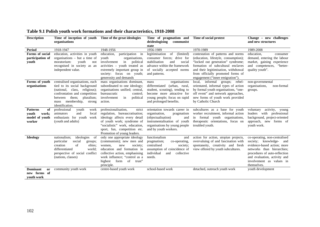| <b>Description</b>                                                         | Time of inception of youth<br>organisations                                                                                                                                                                                    | Time of the great ideologies                                                                                                                                                                                                          | Time of pragmatism and<br>communist<br>deideologising                                                                                                                               | Time of social protest                                                                                                                                                                                                                                                | Change – new challenges<br>and new structures                                                                                                                                                                                     |
|----------------------------------------------------------------------------|--------------------------------------------------------------------------------------------------------------------------------------------------------------------------------------------------------------------------------|---------------------------------------------------------------------------------------------------------------------------------------------------------------------------------------------------------------------------------------|-------------------------------------------------------------------------------------------------------------------------------------------------------------------------------------|-----------------------------------------------------------------------------------------------------------------------------------------------------------------------------------------------------------------------------------------------------------------------|-----------------------------------------------------------------------------------------------------------------------------------------------------------------------------------------------------------------------------------|
|                                                                            |                                                                                                                                                                                                                                |                                                                                                                                                                                                                                       | state                                                                                                                                                                               |                                                                                                                                                                                                                                                                       |                                                                                                                                                                                                                                   |
| <b>Period</b>                                                              | 1918-1947                                                                                                                                                                                                                      | 1948-1956                                                                                                                                                                                                                             | 1956-1989                                                                                                                                                                           | 1970-1989                                                                                                                                                                                                                                                             | 1989-2008                                                                                                                                                                                                                         |
| Forms of social<br>participation of<br>youth                               | education, activities in youth<br>organisations $-$ but a time of<br>youth<br>moratorium:<br>not<br>recognised in society as an<br>independent value.                                                                          | participation in<br>education,<br>youth<br>organisations,<br>involvement<br>in political<br>activities - youth treated as<br>extremely important group in<br>society: focus on youth;<br>generosity and demands                       | legitimisation<br>of<br>(limited)<br>consumer forces; drive for<br>stabilisation<br>social<br>and<br>advance within the framework<br>of socially accepted norms<br>and patterns.    | contestation of patterns and norms<br>(education, lifestyle, consumption);<br>"locked out generation" syndrome;<br>formation of subcultural enclaves<br>and their legitimisation, withdrawal<br>from officially promoted forms of<br>engagement ("inner emigration"). | education,<br>consumer<br>demand, entering the labour<br>market, gaining experience<br>and competences, "better-<br>quality youth".                                                                                               |
| Forms of youth<br>organisations                                            | centralised organisations, each<br>tied to its social background<br>class,<br>religious);<br>(national,<br>confrontation and competition<br>them;<br>pluralism;<br>between<br>membership,<br>mass<br>strong<br>identification. | mass organisations dominant,<br>subordinated to one ideology;<br>organisations unified; central,<br>bureaucratic<br>control:<br>in<br>political<br>involvement<br>action.                                                             | organisations<br>mass<br>differentiated (urban, rural,<br>student, scouting), tending to<br>become more attractive for<br>young people; focus on rapid<br>and prolonged benefits.   | informal<br>local,<br>groups; rebel-<br>orientated, informal types of action<br>by formal youth organisations, "one-<br>off event" and network approaches,<br>new forms of youth work provided<br>by Catholic Church                                                  | non-governmental<br>organisations,<br>non-formal<br>groups.                                                                                                                                                                       |
| <b>Patterns</b><br>of<br><b>vouth</b><br>work;<br>model of youth<br>worker | professional<br>youth<br>work<br>and<br>animators<br>local<br>enthusiasts for youth<br>work<br>(youth and adults)                                                                                                              | professionalisation,<br>strict<br>regulation, bureaucratisation;<br>ideology affects every detail<br>of youth work; syndrome of<br>"socialistic" work, education,<br>sport, fun, competition etc.<br>Promotion of young leaders.      | orientation towards career in<br>organisation,<br>pragmatism<br>(objectualisation)<br>and<br>instrumentalisation of youth<br>organisations by young people<br>and by youth workers. | subcultures as a base for youth<br>worker recruitment, informal action<br>in formal youth organisations,<br>therapeutic orientations, focus on<br>troubled youth.                                                                                                     | voluntary<br>activity,<br>young<br>leaders<br>with<br>professional<br>background, project-oriented<br>approach, new forms of<br>youth work.                                                                                       |
| <b>Ideology</b>                                                            | nationalism;<br>ideologies<br>of<br>particular<br>social<br>groups;<br>creation<br>of<br>elites;<br>differentiated<br>world;<br>perspective of social conflict<br>(nations, classes)                                           | only one appropriate ideology<br>(communism); new men and<br>society;<br>women.<br>new<br>education and formation in<br>collective action, emphasising<br>work influence: "control as a<br>form<br>of trust"<br>highest<br>principle. | functionalism<br>and<br>pragmatism;<br>co-operating,<br>centralised<br>society;<br>assumption of coincidence of<br>individual<br>and<br>collective<br>needs.                        | action for action, utopian projects,<br>overvaluing of and fascination with<br>spontaneity, creativity and fresh<br>view offered by youth subcultures.                                                                                                                | co-operating, non-centralised<br>society; knowledge- and<br>evidence-based action; more<br>networks than hierarchies;<br>procedures of auto-reflection<br>and evaluation, activity and<br>involvement as values in<br>themselves. |
| <b>Dominant</b><br>or<br>new forms of<br>vouth work                        | community youth work                                                                                                                                                                                                           | centre-based youth work                                                                                                                                                                                                               | school-based work                                                                                                                                                                   | detached, outreach youth work                                                                                                                                                                                                                                         | youth development                                                                                                                                                                                                                 |

# **Table 9.1 Polish youth work formations and their characteristics, 1918-2008**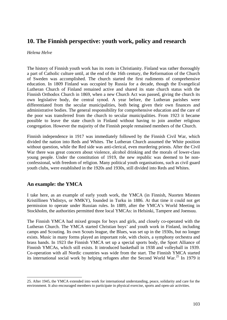# **10. The Finnish perspective: youth work, policy and research**

### *Helena Helve*

The history of Finnish youth work has its roots in Christianity. Finland was rather thoroughly a part of Catholic culture until, at the end of the 16th century, the Reformation of the Church of Sweden was accomplished. The church started the first rudiments of comprehensive education. In 1809 Finland was occupied by Russia for a decade, though the Evangelical Lutheran Church of Finland remained active and shared its state church status with the [Finnish Orthodox Church](http://en.wikipedia.org/wiki/Finnish_Orthodox_Church) in 1869, when a new Church Act was passed, giving the church its own legislative body, the central synod. A year before, the Lutheran parishes were differentiated from the secular municipalities, both being given their own finances and administrative bodies. The general responsibility for comprehensive education and the care of the poor was transferred from the church to secular municipalities. From 1923 it became possible to leave the state church in Finland without having to join another religious congregation. However the majority of the Finnish people remained members of the Church.

Finnish independence in 1917 was immediately followed by the [Finnish Civil War,](http://en.wikipedia.org/wiki/Finnish_Civil_War) which divided the nation into Reds and Whites. The Lutheran Church assumed the White position without question, while the Red side was anti-clerical, even murdering priests. After the Civil War there was great concern about violence, alcohol drinking and the morals of lower-class young people. Under the [constitution](http://en.wikipedia.org/wiki/Constitution_of_Finland) of [1919,](http://en.wikipedia.org/wiki/1919) the new republic was deemed to be nonconfessional, with freedom of religion. Many political youth organisations, such as civil guard youth clubs, were established in the 1920s and 1930s, still divided into Reds and Whites.

# **An example: the YMCA**

-

I take here, as an example of early youth work, the YMCA (in Finnish, Nuorten Miesten Kristillinen Yhdistys, or NMKY), founded in Turku in 1886. At that time it could not get permission to operate under Russian rules. In 1889, after the YMCA's World Meeting in Stockholm, the authorities permitted three local YMCAs: in Helsinki, Tampere and Joensuu.

The Finnish YMCA had mixed groups for boys and girls, and closely co-operated with the Lutheran Church. The YMCA started Christian boys' and youth work in Finland, including camps and Scouting. Its own Scouts league, the Blues, was set up in the 1930s, but no longer exists. Music in many forms played an important role, with choirs, a symphony orchestra and brass bands. In 1923 the Finnish YMCA set up a special sports body, the Sport Alliance of Finnish YMCAs, which still exists. It introduced basketball in 1938 and volleyball in 1939. Co-operation with all Nordic countries was wide from the start. The Finnish YMCA started its international social work by helping refugees after the Second World War.<sup>[25](#page-102-0)</sup> In 1979 it

<span id="page-102-0"></span><sup>25.</sup> After 1945, the YMCA extended into work for international understanding, peace, solidarity and care for the environment. It also encouraged members to participate in physical exercise, sports and open-air activities.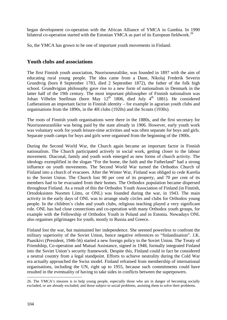began development co-operation with the African Alliance of YMCA in Gambia. In 1990 bilateral co-operation started with the Estonian YMCA as part of its European fieldwork.<sup>[26](#page-103-0)</sup>

So, the YMCA has grown to be one of important youth movements in Finland.

# **Youth clubs and associations**

The first Finnish youth association, Nuorisoseuraliike, was founded in 1897 with the aim of educating rural young people. The idea came from a Dane, Nikolaj Frederik Severin Grundtvig (born 8 September 1783, died 2 September 1872), the father of the [folk high](http://en.wikipedia.org/wiki/Folk_high_school)  [school.](http://en.wikipedia.org/wiki/Folk_high_school) Grundtvigian philosophy gave rise to a new form of nationalism in Denmark in the latter half of the 19th century. The most important philosopher of Finnish nationalism was [Johan Vilhelm Snellman](http://en.wikipedia.org/wiki/Johan_Vilhelm_Snellman) (born May  $12<sup>th</sup>$  1806, died July  $4<sup>th</sup>$  1881). He considered Lutheranism an important factor in Finnish identity – for example in agrarian youth clubs and organisations from the 1890s, in the 4H clubs (1920s) and the Scouts (1930s).

The roots of Finnish youth organisations were there in the 1880s, and the first secretary for Nuorisoseuranliike was being paid by the state already in 1906. However, early youth work was voluntary work for youth leisure-time activities and was often separate for boys and girls. Separate youth camps for boys and girls were organised from the beginning of the 1900s.

During the [Second World War,](http://en.wikipedia.org/wiki/Second_World_War) the Church again became an important factor in Finnish nationalism. The Church participated actively in social work, getting closer to the labour movement. Diaconal, family and youth work emerged as new forms of church activity. The ideology exemplified in the slogan "For the home, the faith and the Fatherland" had a strong influence on youth movements. The Second World War turned the Orthodox Church of Finland into a church of evacuees. After the Winter War, Finland was obliged to cede Karelia to the Soviet Union. The Church lost 90 per cent of its property, and 70 per cent of its members had to be evacuated from their homes. The Orthodox population became dispersed throughout Finland. As a result of this the Orthodox Youth Association of Finland (in Finnish, Ortodoksisten Nuorten Liitto, or ONL) was founded during the war, in 1943. The main activity in the early days of ONL was to arrange study circles and clubs for Orthodox young people. In the children's clubs and youth clubs, religious teaching played a very significant role. ONL has had close connections and co-operation with many Orthodox youth groups, for example with the Fellowship of Orthodox Youth in Poland and in Estonia. Nowadays ONL also organises pilgrimages for youth, mostly to Russia and Greece.

Finland lost the war, but maintained her independence. She seemed powerless to confront the military superiority of the Soviet Union, hence negative references to "finlandisation". J.K. Paasikivi (President, 1946-56) started a new foreign policy to the Soviet Union. The Treaty of Friendship, Co-operation and Mutual Assistance, signed in 1948, formally integrated Finland into the Soviet Union's security framework. Despite this, Finland could in fact be considered a neutral country from a legal standpoint. Efforts to achieve neutrality during the Cold War era actually approached the Swiss model. Finland refrained from membership of international organisations, including the UN, right up to 1955, because such commitments could have resulted in the eventuality of having to take sides in conflicts between the superpowers.

<span id="page-103-0"></span><sup>-</sup>26. The YMCA's mission is to help young people, especially those who are in danger of becoming socially excluded, or are already excluded, and those subject to social problems, assisting them to solve their problems.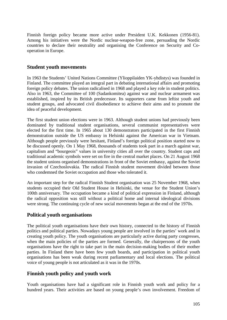Finnish foreign policy became more active under President U.K. Kekkonen (1956-81). Among his initiatives were the Nordic nuclear-weapon-free zone, persuading the Nordic countries to declare their neutrality and organising the Conference on Security and Cooperation in Europe.

### **Student youth movements**

In 1963 the Students' United Nations Committee (Ylioppilaiden YK-yhdistys) was founded in Finland. The committee played an integral part in debating international affairs and promoting foreign policy debates. The union radicalised in 1968 and played a key role in student politics. Also in 1963, the Committee of 100 (Sadankomitea) against war and nuclear armament was established, inspired by its British predecessor. Its supporters came from leftist youth and student groups, and advocated civil disobedience to achieve their aims and to promote the idea of peaceful development.

The first student union elections were in 1963. Although student unions had previously been dominated by traditional student organisations, several communist representatives were elected for the first time. In 1965 about 130 demonstrators participated in the first Finnish demonstration outside the US embassy in Helsinki against the American war in Vietnam. Although people previously were hesitant, Finland's foreign political position started now to be discussed openly. On 1 May 1968, thousands of students took part in a march against war, capitalism and "bourgeois" values in university cities all over the country. Student caps and traditional academic symbols were set on fire in the central market places. On 21 August 1968 the student unions organised demonstrations in front of the Soviet embassy, against the Soviet invasion of Czechoslovakia. The radical Finnish student movement divided between those who condemned the Soviet occupation and those who tolerated it.

An important step for the radical Finnish Student organisation was 25 November 1968, when students occupied their Old Student House in Helsinki, the venue for the Student Union's 100th anniversary. The occupation became a kind of political expression in Finland, although the radical opposition was still without a political home and internal ideological divisions were strong. The continuing cycle of new social movements began at the end of the 1970s.

# **Political youth organisations**

The political youth organisations have their own history, connected to the history of Finnish politics and political parties. Nowadays young people are involved in the parties' work and in creating youth policy. The youth organisations are particularly active during party congresses, when the main policies of the parties are formed. Generally, the chairpersons of the youth organisations have the right to take part in the main decision-making bodies of their mother parties. In Finland there have been few youth boards, and participation in political youth organisations has been weak during recent parliamentary and local elections. The political voice of young people is not articulated as it was in the 1970s.

# **Finnish youth policy and youth work**

Youth organisations have had a significant role in Finnish youth work and policy for a hundred years. Their activities are based on young people's own involvement. Freedom of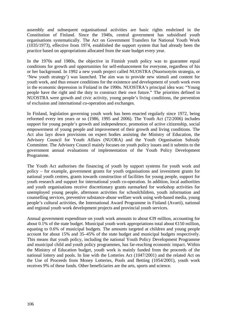assembly and subsequent organisational activities are basic rights enshrined in the Constitution of Finland. Since the 1940s, central government has subsidised youth organisations systematically. The Act on Government Transfers for National Youth Work (1035/1973), effective from 1974, established the support system that had already been the practice based on appropriations allocated from the state budget every year.

In the 1970s and 1980s, the objective in Finnish youth policy was to guarantee equal conditions for growth and opportunities for self-enhancement for everyone, regardless of his or her background. In 1992 a new youth project called NUOSTRA (Nuorisotyön strategia, or 'New youth strategy') was launched. The aim was to provide new stimuli and content for youth work, and thus ensure conditions for the existence and development of youth work even in the economic depression in Finland in the 1990s. NUOSTRA's principal idea was: "Young people have the right and the duty to construct their own future." The priorities defined in NUOSTRA were growth and civic activity, young people's living conditions, the prevention of exclusion and international co-operation and exchanges.

In Finland, legislation governing youth work has been enacted regularly since 1972, being reformed every ten years or so (1986, 1995 and 2006). The Youth Act (72/2006) includes support for young people's growth and independence, promotion of active citizenship, social empowerment of young people and improvement of their growth and living conditions. The Act also lays down provisions on expert bodies assisting the Ministry of Education, the Advisory Council for Youth Affairs (NUORA) and the Youth Organisation Subsidy Committee. The Advisory Council mainly focuses on youth policy issues and it submits to the government annual evaluations of implementation of the Youth Policy Development Programme.

The Youth Act authorises the financing of youth by support systems for youth work and policy – for example, government grants for youth organisations and investment grants for national youth centres, grants towards construction of facilities for young people, support for youth research and support for international youth co-operation. In addition, local authorities and youth organisations receive discretionary grants earmarked for workshop activities for unemployed young people, afternoon activities for schoolchildren, youth information and counselling services, preventive substance-abuse welfare work using web-based media, young people's cultural activities, the International Award Programme in Finland (Avarti), national and regional youth work development projects and provincial youth services.

Annual government expenditure on youth work amounts to about €39 million, accounting for about 0.1% of the state budget. Municipal youth work appropriations total about  $\epsilon$ 150 million, equating to 0.6% of municipal budgets. The amounts targeted at children and young people account for about 15% and 35–45% of the state budget and municipal budgets respectively. This means that youth policy, including the national Youth Policy Development Programme and municipal child and youth policy programmes, has far-reaching economic impact. Within the Ministry of Education budget, youth work is mainly funded from the proceeds of the national lottery and pools. In line with the Lotteries Act (1047/2001) and the related Act on the Use of Proceeds from Money Lotteries, Pools and Betting (1054/2001), youth work receives 9% of these funds. Other beneficiaries are the arts, sports and science.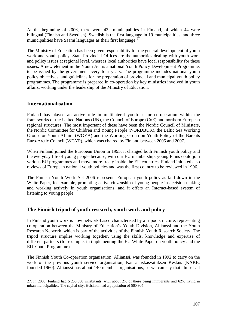At the beginning of 2006, there were 432 municipalities in Finland, of which 44 were bilingual (Finnish and Swedish). Swedish is the first language in 19 municipalities, and three municipalities have Saami languages as their first language. $^{27}$  $^{27}$  $^{27}$ 

The Ministry of Education has been given responsibility for the general development of youth work and youth policy. State Provincial Offices are the authorities dealing with youth work and policy issues at regional level, whereas local authorities have local responsibility for these issues. A new element in the Youth Act is a national Youth Policy Development Programme, to be issued by the government every four years. The programme includes national youth policy objectives, and guidelines for the preparation of provincial and municipal youth policy programmes. The programme is prepared in co-operation by key ministries involved in youth affairs, working under the leadership of the Ministry of Education.

## **Internationalisation**

Finland has played an active role in multilateral youth sector co-operation within the frameworks of the United Nations (UN), the Council of Europe (CoE) and northern European regional structures. The most important of these have been the Nordic Council of Ministers, the Nordic Committee for Children and Young People (NORDBUK), the Baltic Sea Working Group for Youth Affairs (WGYA) and the Working Group on Youth Policy of the Barents Euro-Arctic Council (WGYP), which was chaired by Finland between 2005 and 2007.

When Finland joined the European Union in 1995, it changed both Finnish youth policy and the everyday life of young people because, with our EU membership, young Finns could join various EU programmes and move more freely inside the EU countries. Finland initiated also reviews of European national youth policies and was the first country to be reviewed in 1996.

The Finnish Youth Work Act 2006 represents European youth policy as laid down in the White Paper, for example, promoting active citizenship of young people in decision-making and working actively in youth organisations, and it offers an Internet-based system of listening to young people.

# **The Finnish tripod of youth research, youth work and policy**

In Finland youth work is now network-based characterised by a tripod structure, representing co-operation between the Ministry of Education's Youth Division, Allianssi and the Youth Research Network, which is part of the activities of the Finnish Youth Research Society. The tripod structure implies working together, using the skills, knowledge and expertise of different partners (for example, in implementing the EU White Paper on youth policy and the EU Youth Programme).

The Finnish Youth Co-operation organisation, Allianssi, was founded in 1992 to carry on the work of the previous youth service organisation, Kansalaiskasvatuksen Keskus (KAKE, founded 1960). Allianssi has about 140 member organisations, so we can say that almost all

<span id="page-106-0"></span><sup>-</sup>27. In 2005, Finland had 5 255 580 inhabitants, with about 2% of these being immigrants and 62% living in urban municipalities. The capital city, Helsinki, had a population of 560 905.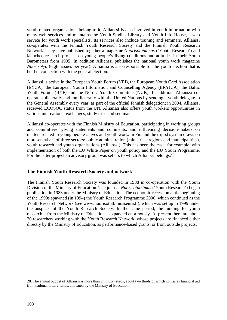youth-related organisations belong to it. Allianssi is also involved in youth information with many web services and maintains the Youth Studies Library and Youth Info House, a web service for youth work specialists. Its services also include training and seminars. Allianssi co-operates with the Finnish Youth Research Society and the Finnish Youth Research Network. They have published together a magazine *Nuorisotutkimus* ('Youth Research') and launched research projects on young people's living conditions and attitudes in their Youth Barometers from 1995. In addition Allianssi publishes the national youth work magazine *Nuorisotyö* (eight issues per year). Allianssi is also responsible for the youth election that is held in connection with the general election.

Allianssi is active in the European Youth Forum (YFJ), the European Youth Card Association (EYCA), the European Youth Information and Counselling Agency (ERYICA), the Baltic Youth Forum (BYF) and the Nordic Youth Committee (NUK). In addition, Allianssi cooperates bilaterally and multilaterally with the United Nations by sending a youth delegate to the General Assembly every year, as part of the official Finnish delegation; in 2004, Allianssi received ECOSOC status from the UN. Allianssi also offers youth workers opportunities in various international exchanges, study trips and seminars.

Allianssi co-operates with the Finnish Ministry of Education, participating in working groups and committees, giving statements and comments, and influencing decision-makers on matters related to young people's lives and youth work. In Finland the tripod system draws on representatives of three sectors: public administration (ministries, regions and municipalities), youth research and youth organisations (Allianssi). This has been the case, for example, with implementation of both the EU White Paper on youth policy and the EU Youth Programme. For the latter project an advisory group was set up, to which Allianssi belongs.<sup>[28](#page-107-0)</sup>

### **The Finnish Youth Research Society and network**

The Finnish Youth Research Society was founded in 1988 in co-operation with the Youth Division of the Ministry of Education. The journal *Nuorisotutkimus* ('Youth Research') began publication in 1983 under the Ministry of Education. The economic recession at the beginning of the 1990s spawned (in 1994) the Youth Research Programme 2000, which continued as the Youth Research Network (see [www.nuorisotutkimusseura.fi\)](http://www.nuorisotutkimusseura.fi/), which was set up in 1999 under the auspices of the Youth Research Society. In the same period, the funding for youth research – from the Ministry of Education – expanded enormously. At present there are about 20 researchers working with the Youth Research Network, whose projects are financed either directly by the Ministry of Education, as performance-based grants, or from outside projects.

-

<span id="page-107-0"></span><sup>28.</sup> The annual budget of Allianssi is more than 2 million euros, about two thirds of which comes as financial aid from national lottery funds, allocated by the Ministry of Education.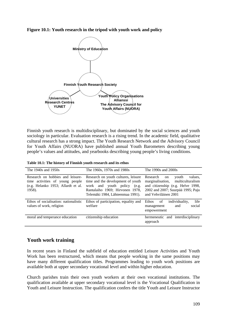#### **Figure 10.1: Youth research in the tripod with youth work and policy**



Finnish youth research is multidisciplinary, but dominated by the social sciences and youth sociology in particular. Evaluation research is a rising trend. In the academic field, qualitative cultural research has a strong impact. The Youth Research Network and the Advisory Council for Youth Affairs (NUORA) have published annual Youth Barometers describing young people's values and attitudes, and yearbooks describing young people's living conditions.

| Table 10.1: The history of Finnish youth research and its ethos |  |  |  |  |  |  |
|-----------------------------------------------------------------|--|--|--|--|--|--|
|-----------------------------------------------------------------|--|--|--|--|--|--|

| The 1940s and 1950s                                                                                                 | The 1960s, 1970s and 1980s                                                                                                                                                     | The 1990s and 2000s                                                                                                                                                       |
|---------------------------------------------------------------------------------------------------------------------|--------------------------------------------------------------------------------------------------------------------------------------------------------------------------------|---------------------------------------------------------------------------------------------------------------------------------------------------------------------------|
| Research on hobbies and leisure-<br>time activities of young people<br>(e.g. Helanko 1953; Allardt et al.<br>1958). | Research on youth cultures, leisure<br>time and the development of youth<br>work and youth policy (e.g.<br>Rantalaiho 1969; Hirvonen 1978,<br>Telemäki 1984, Lähteenmaa 1991). | Research<br>values.<br>youth<br>on<br>marginalisation, multiculturalism<br>and citizenship (e.g. Helve 1998,<br>2002 and 2007; Suurpää 1995; Paju<br>and Vehviläinen 2001 |
| Ethos of socialisation: nationalistic<br>values of work, religion                                                   | Ethos of participation, equality and<br>welfare                                                                                                                                | life<br>individuality,<br>Ethos<br>of<br>social<br>and<br>management<br>empowerment                                                                                       |
| moral and temperance education                                                                                      | citizenship education                                                                                                                                                          | hermeneutic and interdisciplinary<br>approach                                                                                                                             |

### **Youth work training**

In recent years in Finland the subfield of education entitled Leisure Activities and Youth Work has been restructured, which means that people working in the same positions may have many different qualification titles. Programmes leading to youth work positions are available both at upper secondary vocational level and within higher education.

Church parishes train their own youth workers at their own vocational institutions. The qualification available at upper secondary vocational level is the Vocational Qualification in Youth and Leisure Instruction. The qualification confers the title Youth and Leisure Instructor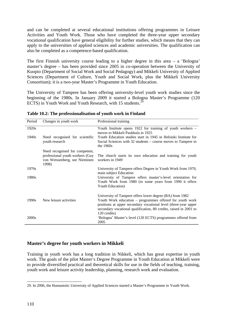and can be completed at several educational institutions offering programmes in Leisure Activities and Youth Work. Those who have completed the three-year upper secondary vocational qualification have general eligibility for further studies, which means that they can apply to the universities of applied sciences and academic universities. The qualification can also be completed as a competence-based qualification.

The first Finnish university course leading to a higher degree in this area – a 'Bologna' master's degree – has been provided since 2005 in co-operation between the University of Kuopio (Department of Social Work and Social Pedagogy) and Mikkeli University of Applied Sciences (Department of Culture, Youth and Social Work, plus the Mikkeli University Consortium); it is a two-year Master's Programme in Youth Education.

The University of Tampere has been offering university-level youth work studies since the beginning of the 1980s. In January 2009 it started a Bologna Master's Programme (120 ECTS) in Youth Work and Youth Research, with 15 students.<sup>[29](#page-109-0)</sup>

| Period | Changes in youth work                                                                                       | Professional training                                                                                                                                                                                                                                                        |
|--------|-------------------------------------------------------------------------------------------------------------|------------------------------------------------------------------------------------------------------------------------------------------------------------------------------------------------------------------------------------------------------------------------------|
| 1920s  |                                                                                                             | Youth Institute opens 1922 for training of youth workers –<br>moves to Mikkeli Paukkula in 1925                                                                                                                                                                              |
| 1940s  | Need recognised for scientific<br>youth research                                                            | Youth Education studies start in 1945 in Helsinki Institute for<br>Social Sciences with 32 students – course moves to Tampere in<br>the $1960s$                                                                                                                              |
|        | Need recognised for competent,<br>professional youth workers (Guy<br>von Weissenberg, see Nieminen<br>1998) | The church starts its own education and training for youth<br>workers in 1949                                                                                                                                                                                                |
| 1970s  |                                                                                                             | University of Tampere offers Degree in Youth Work from 1970,<br>main subject Education                                                                                                                                                                                       |
| 1980s  |                                                                                                             | University of Tampere offers master's-level orientation for<br>Youth Work from 1980 (in some years from 1990 it offers<br>Youth Education)                                                                                                                                   |
| 1990s  | New leisure activities                                                                                      | University of Tampere offers lower degree (BA) from 1982<br>Youth Work education - programmes offered for youth work<br>positions at upper secondary vocational level (three-year upper<br>secondary vocational qualification, 80 credits, raised in 2001 to<br>120 credits) |
| 2000s  |                                                                                                             | 'Bologna' Master's level (120 ECTS) programmes offered from<br>2005                                                                                                                                                                                                          |

**Table 10.2: The professionalisation of youth work in Finland**

### **Master's degree for youth workers in Mikkeli**

Training in youth work has a long tradition in Nikkeli, which has great expertise in youth work. The goals of the pilot Master's Degree Programme in Youth Education at Mikkeli were to provide diversified practical and theoretical skills for use in the fields of teaching, training, youth work and leisure activity leadership, planning, research work and evaluation.

<span id="page-109-0"></span><sup>-</sup>29. In 2006, the Humanistic University of Applied Sciences started a Master's Programme in Youth Work.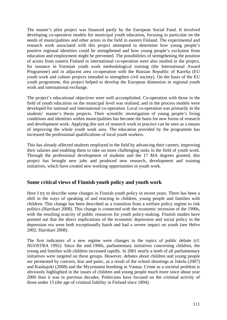The master's pilot project was financed partly by the European Social Fund. It involved developing co-operative models for municipal youth education, focusing in particular on the needs of municipalities and other actors in the field in eastern Finland. The experimental and research work associated with this project attempted to determine how young people's positive regional identities could be strengthened and how young people's exclusion from education and employment might be prevented. The possibilities of strengthening the position of actors from eastern Finland in international co-operation were also studied in the project, for instance in Estonian youth work methodological training (the International Award Programme) and in adjacent area co-operation with the Russian Republic of Karelia (EU youth work and culture projects intended to strengthen civil society). On the basis of the EU youth programme, this project helped to develop the European dimension in regional youth work and international exchange.

The project's educational objectives were well accomplished. Co-operation with those in the field of youth education on the municipal level was realised, and in the process models were developed for national and international co-operation. Local co-operation was primarily in the students' master's thesis projects. Their scientific investigation of young people's living conditions and identities within municipalities has become the basis for new forms of research and development work. Applying this sort of research work in practice can be seen as a means of improving the whole youth work area. The education provided by the programme has increased the professional qualifications of local youth workers.

This has already affected students employed in the field by advancing their careers, improving their salaries and enabling them to take on more challenging tasks in the field of youth work. Through the professional development of students and the 17 MA degrees granted, this project has brought new jobs and produced new research, development and training initiatives, which have created new working opportunities in youth work.

## **Some critical views of Finnish youth policy and youth work**

Here I try to describe some changes in Finnish youth policy in recent years. There has been a shift in the ways of speaking of and reacting to children, young people and families with children. This change has been described as a transition from a welfare policy regime to risk politics (Harrikari 2008). This change is connected with the economic recession of the 1990s, with the resulting scarcity of public resources for youth policy-making. Finnish studies have pointed out that the direct implications of the economic depression and social policy in the depression era were both exceptionally harsh and had a severe impact on youth (see Helve 2002; Harrikari 2008).

The first indicators of a new regime were changes in the topics of public debate (cf. NUOSTRA 1992). Since the mid-1990s, parliamentary initiatives concerning children, the young and families with children increased rapidly. In 2001 nearly a tenth of all parliamentary initiatives were targeted on these groups. However, debates about children and young people are permeated by concern, fear and panic, as a result of the school shootings at Jokela (2007) and Kauhajoki (2008) and the Myyrmanni bombing in Vantaa. Crime as a societal problem is obviously highlighted in the issues of children and young people much more since about year 2000 than it was in previous decades. Politicians have focused on the criminal activity of those under 15 (the age of criminal liability in Finland since 1894).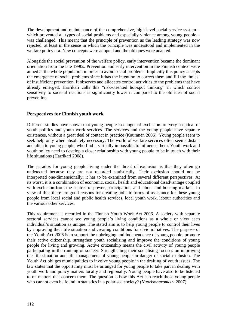The development and maintenance of the comprehensive, high-level social service system – which prevented all types of social problems and especially violence among young people – was challenged. This meant that the principle of prevention as the leading strategy was now rejected, at least in the sense in which the principle was understood and implemented in the welfare policy era. New concepts were adopted and the old ones were adapted.

Alongside the social prevention of the welfare policy, early intervention became the dominant orientation from the late 1990s. Prevention and early intervention in the Finnish context were aimed at the whole population in order to avoid social problems. Implicitly this policy accepts the emergence of social problems since it has the intention to correct them and fill the 'holes' of insufficient prevention. It observes and allocates control activities to the problems that have already emerged. Harrikari calls this "risk-oriented hot-spot thinking" in which control sensitivity to societal reactions is significantly lower if compared to the old idea of social prevention.

### **Perspectives for Finnish youth work**

Different studies have shown that young people in danger of exclusion are very sceptical of youth politics and youth work services. The services and the young people have separate existences, without a great deal of contact in practice (Kauranen 2006). Young people seem to seek help only when absolutely necessary. The world of welfare services often seems distant and alien to young people, who find it virtually impossible to influence them. Youth work and youth policy need to develop a closer relationship with young people to be in touch with their life situations (Harrikari 2008).

The paradox for young people living under the threat of exclusion is that they often go undetected because they are not recorded statistically. Their exclusion should not be interpreted one-dimensionally; it has to be examined from several different perspectives. At its worst, it is a combination of economic, social, health and educational disadvantage coupled with exclusion from the centres of power, participation, and labour and housing markets. In view of this, there are good reasons for creating holistic forms of assistance for these young people from local social and public health services, local youth work, labour authorities and the various other services.

This requirement is recorded in the Finnish Youth Work Act 2006. A society with separate sectoral services cannot see young people's living conditions as a whole or view each individual's situation as unique. The stated aim is to help young people to control their lives by improving their life situation and creating conditions for civic initiatives. The purpose of the Youth Act 2006 is to support the upbringing and independence of young people, promote their active citizenship, strengthen youth socialising and improve the conditions of young people for living and growing. Active citizenship means the civil activity of young people participating in the running of society. Strengthening their socialising focuses on improving the life situation and life management of young people in danger of social exclusion. The Youth Act obliges municipalities to involve young people in the drafting of youth issues. The law states that the opportunity must be arranged for young people to take part in dealing with youth work and policy matters locally and regionally. Young people have also to be listened to on matters that concern them. The question is how this Act can reach those young people who cannot even be found in statistics in a polarised society? (*Nuorisobarometri* 2007)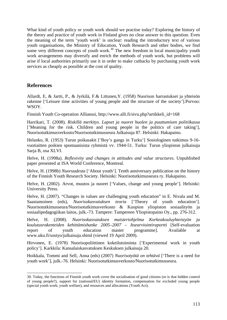What kind of youth policy or youth work should we practise today? Exploring the history of the theory and practice of youth work in Finland gives no clear answer to this question. Even the meaning of the term 'youth work' is unclear: reading the introductory text of various youth organisations, the Ministry of Education, Youth Research and other bodies, we find some very different concepts of youth work.<sup>[30](#page-112-0)</sup> The new freedom in local municipality youth work arrangements may diversify and enrich the methods of youth work, but problems will arise if local authorities primarily use it in order to make cutbacks by purchasing youth work services as cheaply as possible at the cost of quality.

## **References**

Allardt, E, & Jartti, P., & Jyrkilä, F.& Littunen,Y. (1958) Nuorison harrastukset ja yhteisön rakenne ['Leisure time activities of young people and the structure of the society'].Porvoo: WSOY.

Finnish Youth Co-operation Allianssi, [http://www.alli.fi/sivu.php?artikkeli\\_id=168](http://www.alli.fi/sivu.php?artikkeli_id=168)

Harrikari, T. (2008). *Riskillä merkitys. Lapset ja nuoret huolen ja puuttumisen politiikassa* ['Meaning for the risk. Children and young people in the politics of care taking']*,* Nuorisotutkimusverkosto/Nuorisotutkimusseura Julkaisuja 87. Helsinki: Hakapaino.

Helanko, R. (1953) Turun poikasakit ['Boy's gangs in Turku'] Sosiologinen tutkimus 9-16 vuotiaitten poikien spontaanisista ryhmistä vv. 1944-51. Turku: Turun yliopiston julkaisuja Sarja B, osa XLVI.

Helve, H. (1998a). *Reflexivity and changes in attitudes and value structures*. Unpublished paper presented at ISA World Conference, Montreal.

Helve, H. (1998b) *Nuoruudesta* ['About youth']. Tenth anniversary publication on the history of the Finnish Youth Research Society. Helsinki: Nuorisotutkimusseura ry. Hakapaino.

Helve, H. (2002). Arvot, muutos ja nuoret ['Values, change and young people']. Helsinki: University Press.

Helve, H. (2007). "Changes in values are challenging youth education" in E. Nivala and M. Saastamoinen (eds), *Nuorisokasvatuksen teoria* ['Theory of youth education']. Nuorisotutkimusseura/Nuorisotutkimusverkosto & Kuopion yliopiston sosiaalityön ja sosiaalipedagogiikan laitos, julk.-73. Tampere: Tampereen Yliopistopaino Oy., pp. 276-312.

Helve, H. (2008). *[Nuorisokasvatuksen maisteriohjelma Korkeakouluyhteistyön ja](http://www.uku.fi/sostyo/Itsearviointiraportti_Nuorisokasvatuksen_maisteriohjelma.pdf)  [koulutusrakenteiden kehittämishanke 2005–2007 –](http://www.uku.fi/sostyo/Itsearviointiraportti_Nuorisokasvatuksen_maisteriohjelma.pdf) Itsearviointiraportti* [Self-evaluation report of youth education master programme]. [Available at](http://www.uku.fi/sostyo/julkaisuja.shtml)  [www.uku.fi/sostyo/julkaisuja.shtml](http://www.uku.fi/sostyo/julkaisuja.shtml) (viewed 19 April 2009).

Hirvonen, E. (1978) Nuorisopoliittinen kokeilutoiminta ['Experimental work in youth policy']. Karkkila: Kansalaiskasvatuksen Keskuksen julkaisuja 20.

Hoikkala, Tommi and Sell, Anna (eds) (2007) *Nuorisotyötä on tehtävä* ['There is a need for youth work'], julk.-76. Helsinki: Nuorisotutkimusverkosto/Nuorisotutkimusseura.

<span id="page-112-0"></span><sup>-</sup>30. Today, the functions of Finnish youth work cover the socialisation of good citizens (or is that hidden control of young people?), support for (national/EU) identity formation, compensation for excluded young people (special youth work; youth welfare), and resources and allocations (Youth Act).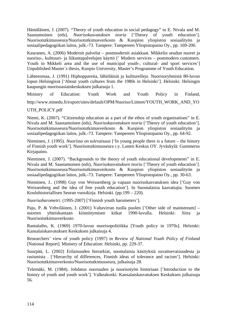Hämäläinen, J. (2007). "Theory of youth education in social pedagogy" in E. Nivala and M. Saastamoinen (eds), *Nuorisokasvatuksen teoria* ['Theory of youth education']. Nuorisotutkimusseura/Nuorisotutkimusverkosto & Kuopion yliopiston sosiaalityön ja sosiaalipedagogiikan laitos, julk.-73. Tampere: Tampereen Yliopistopaino Oy., pp. 169-200.

Kauranen, A. (2006) Modernit palvelut – postmodernit asiakkaat. Mikkelin seudun nuoret ja nuoriso-, kulttuuri- ja liikuntapalvelujen käyttö [' Modern services – postmodern customers. Youth in Mikkeli area and the use of municipal youth-, cultural- and sport services'] Unpublished Master´s thesis, Kuopio University, Master's Programme of Youth Education.

Lähteenmaa, J. (1991) Hiphoppareita, lähiöläisiä ja kultturelleja. Nuorisoryhmistä 80-luvun lopun Helsingissä ['About youth cultures from the 1980s in Helsinki']*.* Helsinki: Helsingin kaupungin nuorisoasiainkeskuksen julkaisuja 1.

Ministry of Education: Youth Work and Youth Policy in Finland**,**  [http://www.minedu.fi/export/sites/default/OPM/Nuoriso/Liitteet/YOUTH\\_WORK\\_AND\\_YO](http://www.minedu.fi/export/sites/default/OPM/Nuoriso/Liitteet/YOUTH_WORK_AND_YOUTH_POLICY.pdf)

#### [UTH\\_POLICY.pdf](http://www.minedu.fi/export/sites/default/OPM/Nuoriso/Liitteet/YOUTH_WORK_AND_YOUTH_POLICY.pdf)

Niemi, K. (2007). "Citizenship education as a part of the ethos of youth organisations" in E. Nivala and M. Saastamoinen (eds), *Nuorisokasvatuksen teoria* ['Theory of youth education']. Nuorisotutkimusseura/Nuorisotutkimusverkosto & Kuopion yliopiston sosiaalityön ja sosiaalipedagogiikan laitos, julk.-73. Tampere: Tampereen Yliopistopaino Oy., pp. 64-92.

Nieminen, J. (1995). *Nuorissa on tulevaisuus* ['In young people there is a future – the history of Finnish youth work']. Nuorisotutkimusseura r.y. Lasten Keskus OY. Jyväskylä: Gummerus Kirjapaino.

Nieminen, J. (2007). "Backgrounds to the theory of youth educational developments" in E. Nivala and M. Saastamoinen (eds), *Nuorisokasvatuksen teoria* ['Theory of youth education']. Nuorisotutkimusseura/Nuorisotutkimusverkosto & Kuopion yliopiston sosiaalityön ja sosiaalipedagogiikan laitos, julk.-73. Tampere: Tampereen Yliopistopaino Oy., pp. 30-63.

Nieminen, J.. (1998) Guy von Weissenberg ja vapaan nuorisokasvatuksen idea ['Guy von Weissenberg and the idea of free youth education']. In Suomalaisia kasvattajia. Suomen Kouluhistoriallisen Seuran vuosikirja. Helsinki. (pp.199 – 220).

*Nuorisobarometri*. (1995-2007) ['Finnish youth barometers'].

Paju, P. & Vehviläinen, J. (2001) Valtavirran tuolla puolen ['Other side of mainstream] – nuorten yhteiskuntaan kiinnittymisen kitkat 1990-luvulla. Helsinki: Sitra ja Nuorisotutkimusverkosto

Rantalaiho, K. (1969) 1970-luvun nuorisopolitiikka [Youth policy in 1970s]. Helsinki: Kansalaiskasvatuksen Keskuksen julkaisuja 4.

Researchers' view of youth policy (1997) in *Review of National Youth Policy of Finland* [National Report]. Ministry of Education: Helsinki, pp. 229-37.

Suurpää, L. (2002) Erilaisuuden hierarkiat, suomalaisia käsityksiä suvaitsevaisuudesta ja rasismista . ['Hierarchy of differences, Finnish ideas of tolerance and racism']. Helsinki: Nuorisotutkimusverkosto/Nuorisotutkimusseura, julkaisuja 28.

Telemäki, M. (1984). Johdatus nuoruuden ja nuorisotyön historiaan ['Introduction to the history of youth and youth work']. Valkeakoski: Kansalaiskasvatuksen Keskuksen julkaisuja 56.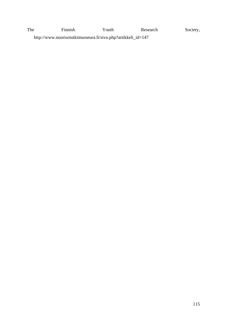The Finnish Youth Research Society, http://www.nuorisotutkimusseura.fi/sivu.php?artikkeli\_id=147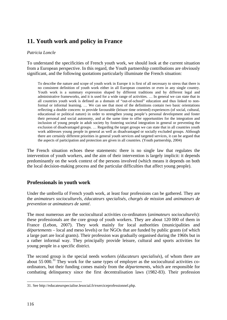# **11. Youth work and policy in France**

#### *Patricia Loncle*

To understand the specificities of French youth work, we should look at the current situation from a European perspective. In this regard, the Youth partnership contributions are obviously significant, and the following quotations particularly illuminate the French situation:

To describe the nature and scope of youth work in Europe it is first of all necessary to stress that there is no consistent definition of youth work either in all European countries or even in any single country. Youth work is a summary expression shaped by different traditions and by different legal and administrative frameworks, and it is used for a wide range of activities. … In general we can state that in all countries youth work is defined as a domain of "out-of-school" education and thus linked to nonformal or informal learning. … We can see that most of the definitions contain two basic orientations reflecting a double concern: to provide favourable (leisure time oriented) experiences (of social, cultural, educational or political nature) in order to strengthen young people's personal development and foster their personal and social autonomy, and at the same time to offer opportunities for the integration and inclusion of young people in adult society by fostering societal integration in general or preventing the exclusion of disadvantaged groups. … Regarding the target groups we can state that in all countries youth work addresses young people in general as well as disadvantaged or socially excluded groups. Although there are certainly different priorities in general youth services and targeted services, it can be argued that the aspects of participation and protection are given in all countries. (Youth partnership, 2004)

The French situation echoes these statements: there is no single law that regulates the intervention of youth workers, and the aim of their intervention is largely implicit: it depends predominantly on the work context of the persons involved (which means it depends on both the local decision-making process and the particular difficulties that affect young people).

## **Professionals in youth work**

Under the umbrella of French youth work, at least four professions can be gathered. They are the *animateurs socioculturels*, *éducateurs specialisés*, *chargés de mission* and *animateurs de prevention* or *animateurs de santé*.

The most numerous are the sociocultural activities co-ordinators (*animateurs socioculturels*): these professionals are the core group of youth workers. They are about 120 000 of them in France (Lebon, 2007). They work mainly for local authorities (municipalities and *départements* – local and meso levels) or for NGOs that are funded by public grants (of which a large part are local grants). Their profession was gradually organised during the 1960s but in a rather informal way. They principally provide leisure, cultural and sports activities for young people in a specific district.

The second group is the special needs workers (*éducateurs specialisés*), of whom there are about 55 000.<sup>[31](#page-115-0)</sup> They work for the same types of employer as the sociocultural activities coordinators, but their funding comes mainly from the *départements*, which are responsible for combating delinquency since the first decentralisation laws (1982-83). Their profession

<span id="page-115-0"></span><sup>-</sup>31. See http://educateurspecialise.lesocial.fr/exerciceprofessionnel.php.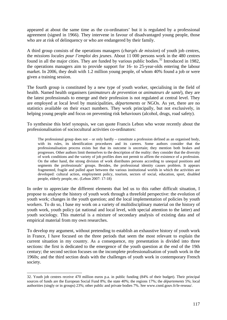appeared at about the same time as the co-ordinators' but it is regulated by a professional agreement (signed in 1966). They intervene in favour of disadvantaged young people, those who are at risk of delinquency or who are endangered by their family.

A third group consists of the operations managers (*chargés de mission*) of youth job centres, the *missions locales pour l'emploi des jeunes*. About 11 000 persons work in the 480 centres found in all the major cities. They are funded by various public bodies.<sup>[32](#page-116-0)</sup> Introduced in 1982, the operations managers aim to provide support for 16- to 25-year-olds entering the labour market. In 2006, they dealt with 1.2 million young people, of whom 40% found a job or were given a training session.

The fourth group is constituted by a new type of youth worker, specialising in the field of health. Named health organisers (*animateurs de prevention* or *animateurs de santé*), they are the latest professionals to emerge and their profession is not regulated at central level. They are employed at local level by municipalities, *départements* or NGOs. As yet, there are no statistics available on their exact numbers. They work principally, but not exclusively, in helping young people and focus on preventing risk behaviours (alcohol, drugs, road safety).

To synthesise this brief synopsis, we can quote Francis Lebon who wrote recently about the professionalisation of sociocultural activities co-ordinators:

The professional group does not – or only hardly – constitute a profession defined as an organised body, with its rules, its identification procedures and its careers. Some authors consider that the professionalisation process exists but that its outcome is uncertain; they mention both brakes and progresses. Other authors limit themselves to the description of the reality: they consider that the diversity of work conditions and the variety of job profiles does not permit to affirm the existence of a profession. On the other hand, the strong division of work distributes persons according to unequal positions and segments the professionals' groups. Besides, the professional identity causes problem. It appears fragmented, fragile and pulled apart between the various institutional worlds in which the activities are developed: cultural action, employment policy, tourism, sectors of social, education, sport, disabled people, elderly people, etc. (Lebon 2007: 17-18)

In order to appreciate the different elements that led us to this rather difficult situation, I propose to analyse the history of youth work through a threefold perspective: the evolution of youth work; changes in the youth question; and the local implementation of policies by youth workers. To do so, I base my work on a variety of multidisciplinary material on the history of youth work, youth policy (at national and local level, with special attention to the latter) and youth sociology. This material is a mixture of secondary analysis of existing data and of empirical material from my own researches.

To develop my argument, without pretending to establish an exhaustive history of youth work in France, I have focused on the three periods that seem the most relevant to explain the current situation in my country. As a consequence, my presentation is divided into three sections: the first is dedicated to the emergence of the youth question at the end of the 19th century; the second section focuses on the incomplete professionalisation of youth work in the 1960s; and the third section deals with the challenges of youth work in contemporary French society.

<span id="page-116-0"></span><sup>-</sup>32. Youth job centres receive 470 million euros p.a. in public funding (84% of their budget). Their principal sources of funds are the European Social Fund 8%; the state 40%; the regions 17%; the *départements* 5%; local authorities (singly or in groups) 23%; other public and private bodies 7%. See www.cnml.gouv.fr/le-reseau/.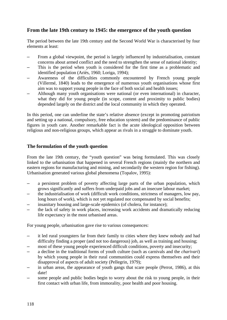## **From the late 19th century to 1945: the emergence of the youth question**

The period between the late 19th century and the Second World War is characterised by four elements at least:

- From a global viewpoint, the period is largely influenced by industrialisation, constant concerns about armed conflict and the need to strengthen the sense of national identity;
- This is the period when youth is considered for the first time as a problematic and identified population (Ariès, 1960; Loriga, 1994);
- Awareness of the difficulties commonly encountered by French young people (Villermé, 1840) leads to the emergence of numerous youth organisations whose first aim was to support young people in the face of both social and health issues;
- Although many youth organisations were national (or even international) in character, what they did for young people (in scope, content and proximity to public bodies) depended largely on the district and the local community in which they operated.

In this period, one can underline the state's relative absence (except in promoting patriotism and setting up a national, compulsory, free education system) and the predominance of public figures in youth care. Another remarkable fact is the acute ideological opposition between religious and non-religious groups, which appear as rivals in a struggle to dominate youth.

### **The formulation of the youth question**

From the late 19th century, the "youth question" was being formulated. This was closely linked to the urbanisation that happened in several French regions (mainly the northern and eastern regions for manufacturing and mining, and secondarily the western region for fishing). Urbanisation generated various global phenomena (Topalov, 1995):

- a persistent problem of poverty affecting large parts of the urban population, which grows significantly and suffers from underpaid jobs and an insecure labour market;
- the industrialisation of work (difficult work conditions, strictness of managers, low pay, long hours of work), which is not yet regulated nor compensated by social benefits;
- insanitary housing and large-scale epidemics (of cholera, for instance);
- the lack of safety in work places, increasing work accidents and dramatically reducing life expectancy in the most urbanised areas.

For young people, urbanisation gave rise to various consequences:

- it led rural youngsters far from their family to cities where they knew nobody and had difficulty finding a proper (and not too dangerous) job, as well as training and housing;
- most of these young people experienced difficult conditions, poverty and insecurity;
- a decline in the traditional forms of youth culture (such as carnivals and the *charivari*) by which young people in their rural communities could express themselves and their disapproval of aspects of adult society (Pellegrin, 1979);
- in urban areas, the appearance of youth gangs that scare people (Perrot, 1986), at this date!
- some people and public bodies begin to worry about the risk to young people, in their first contact with urban life, from immorality, poor health and poor housing.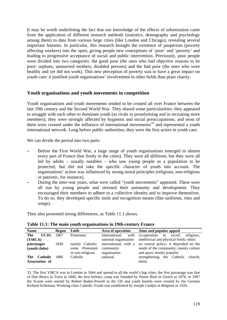It may be worth underlining the fact that our knowledge of the effects of urbanisation came from the application of different research methods (statistics, demography and psychology among them) to data from various large cities (like London and Chicago), revealing several important features. In particular, this research brought the existence of pauperism (poverty affecting workers) into the open, giving people new conceptions of 'poor' and 'poverty' and leading to progressive acceptance of social and public intervention. Previously, poor people were divided into two categories: the good poor (the ones who had objective reasons to be poor: orphans, unmarried mothers, disabled persons) and the bad poor (the ones who were healthy and yet did not work). This new perception of poverty was to have a great impact on youth care: it justified youth organisations' involvement in other fields than plain charity.

#### **Youth organisations and youth movements in competition**

Youth organisations and youth movements tended to be created all over France between the late 19th century and the Second World War. They shared some particularities: they appeared to struggle with each other to dominate youth (as rivals in proselytising and in recruiting more members); they were strongly affected by hygienist and social preoccupations; and most of them were created under the influence of international movements<sup>[33](#page-118-0)</sup> and represented a youth international network. Long before public authorities, they were the first actors in youth care.

We can divide the period into two parts:

- Before the First World War, a large range of youth organisations emerged in almost every part of France (but firstly in the cities). They were all different, but they were all led by adults – usually notables – who saw young people as a population to be protected, but did not take the specific character of youth into account. The organisations' action was influenced by strong moral principles (religious, non-religious or patriotic, for instance).
- During the inter-war years, what were called "youth movements" appeared. These were all run by young people and stressed their autonomy and development. They encouraged their members to adhere to a collective identity and to improve themselves. To do so, they developed specific tools and recognition means (like uniforms, rites and songs).

They also presented strong differences, as Table 11.1 shows.

| <b>Name</b>                              | <b>Begun</b> | Faith                                  | Area of operation         | Aims and popular appeal                                              |
|------------------------------------------|--------------|----------------------------------------|---------------------------|----------------------------------------------------------------------|
| The<br><b>UCJG</b>                       | 1867         | Protestant                             | international.            | with co-operation in social, religious,                              |
| (YMCA)                                   |              |                                        | national organisation     | intellectual and physical fields; elitist                            |
| patronages                               | 1830         | mainly Catholic:                       |                           | international, with a no central policy: it depended on the          |
| (youth clubs)                            |              | Protestant<br>some<br>or non-religious | community<br>organisation | needs of the community; mainly culture<br>and sport; mostly populist |
| <b>Catholic</b><br>The<br>Association of | 1886         | Catholic                               | national                  | strengthening the Catholic church;<br>elitist                        |

**Table 11.1: The main youth organisations in 19th-century France**

<span id="page-118-0"></span><sup>-</sup>33. The first YMCA was in London in 1844 and spread to all the world's big cities; the first patronage was that of Don Bosco in Turin in 1840; the first holiday camp was founded by Pastor Bion in Zurich in 1876; in 1907 the Scouts were started by Robert Baden-Powell in the UK and youth hostels were created by the German Richard Schirman; Working-class Catholic Youth was established by Joseph Cardjin in Belgium in 1926.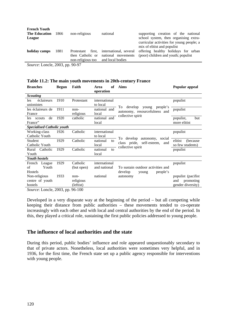| <b>French Youth</b><br><b>The Education</b><br>League | 1866 | non-religious                                                                  | national                                     | supporting creation of the national<br>school system, then organising extra-<br>curricular activities for young people; a<br>mix of elitist and populist |
|-------------------------------------------------------|------|--------------------------------------------------------------------------------|----------------------------------------------|----------------------------------------------------------------------------------------------------------------------------------------------------------|
| holiday camps                                         | 1881 | first,<br>Protestant<br>then Catholic or<br>non-religious too and local bodies | international, several<br>national movements | offering healthy holidays for urban<br>(poor) children and youth; populist                                                                               |
| $C = I = 1.2002 = 00.07$                              |      |                                                                                |                                              |                                                                                                                                                          |

*Source*: Loncle, 2003, pp. 90-97

#### **Table 11.2: The main youth movements in 20th-century France**

| <b>Branches</b>                   | <b>Begun</b> | Faith      | <b>of</b><br>Area<br>operation | <b>Aims</b>                                                         | Popular appeal       |
|-----------------------------------|--------------|------------|--------------------------------|---------------------------------------------------------------------|----------------------|
| <b>Scouting</b>                   |              |            |                                |                                                                     |                      |
| éclaireurs<br>les                 | 1910         | Protestant | international                  |                                                                     | populist             |
| unionistes                        |              |            | to local                       |                                                                     |                      |
| les éclaireurs de                 | 1911         | $non-$     | national and                   | develop<br>young<br>people's<br>To<br>autonomy, resourcefulness and | populist             |
| France                            |              | religious  | local                          | collective spirit                                                   |                      |
| de<br>scouts<br>les               | 1920         | catholic   | national and                   |                                                                     | populist,<br>but     |
| France"                           |              |            | local                          |                                                                     | more elitist         |
| <b>Specialised Catholic youth</b> |              |            |                                |                                                                     |                      |
| Working-class                     | 1926         | Catholic   | international                  |                                                                     | populist             |
| Catholic Youth                    |              |            | to local                       | To develop autonomy, social                                         |                      |
| Student                           | 1929         | Catholic   | national<br>to                 | class pride, self-esteem,<br>and                                    | elitist<br>(because) |
| Catholic Youth                    |              |            | local                          | collective spirit                                                   | so few students)     |
| Rural<br>Catholic                 | 1929         | Catholic   | national<br>to                 |                                                                     | populist             |
| Youth                             |              |            | local                          |                                                                     |                      |
| <b>Youth hostels</b>              |              |            |                                |                                                                     |                      |
| French<br>League                  | 1929         | Catholic   | international                  |                                                                     | populist             |
| of<br>Youth                       |              | (but open) | and national                   | To sustain outdoor activities and                                   |                      |
| Hostels                           |              |            |                                | develop<br>people's<br>young                                        |                      |
| Non-religious                     | 1933         | $non-$     | national                       | autonomy                                                            | populist (pacifist)  |
| centre of youth                   |              | religious  |                                |                                                                     | promoting<br>and     |
| hostels                           |              | (leftist)  |                                |                                                                     | gender diversity)    |
| $Source$ I onele 2003 pp. 96-100  |              |            |                                |                                                                     |                      |

*Source*: Loncle, 2003, pp. 96-100

Developed in a very disparate way at the beginning of the period – but all competing while keeping their distance from public authorities – these movements tended to co-operate increasingly with each other and with local and central authorities by the end of the period. In this, they played a critical role, sustaining the first public policies addressed to young people.

### **The influence of local authorities and the state**

During this period, public bodies' influence and role appeared unquestionably secondary to that of private actors. Nonetheless, local authorities were sometimes very helpful, and in 1936, for the first time, the French state set up a public agency responsible for interventions with young people.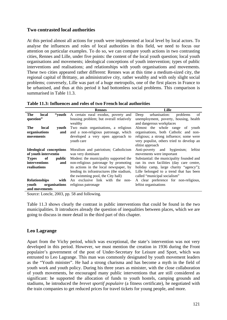### **Two contrasted local authorities**

At this period almost all actions for youth were implemented at local level by local actors. To analyse the influences and roles of local authorities in this field, we need to focus our attention on particular examples. To do so, we can compare youth actions in two contrasting cities, Rennes and Lille, under five points: the content of the local youth question; local youth organisations and movements; ideological conceptions of youth intervention; types of public interventions and realisations; and relationships with youth organisations and movements. These two cities appeared rather different: Rennes was at this time a medium-sized city, the regional capital of Brittany, an administrative city, rather wealthy and with only slight social problems; conversely, Lille was part of a huge metropolis, one of the first places in France to be urbanised, and thus at this period it had bottomless social problems. This comparison is summarised in Table 11.3.

|                                                                 | <b>Rennes</b>                              | Lille                                     |  |  |
|-----------------------------------------------------------------|--------------------------------------------|-------------------------------------------|--|--|
| The<br>local                                                    | "youth A certain rural exodus, poverty and | urbanisation:<br>of<br>problems<br>Deep   |  |  |
| question"                                                       | housing problem; but overall relatively    | unemployment, poverty, housing, health    |  |  |
|                                                                 | wealthy                                    | and dangerous workplaces                  |  |  |
| The<br>local<br>vouth                                           | Two main organisations, a religious        | Almost the whole range<br>of<br>youth     |  |  |
| organisations<br>and                                            | and a non-religious patronage, which       | organisations, both Catholic and non-     |  |  |
| movements                                                       | developed a very open approach to          | religious; a strong influence; some were  |  |  |
|                                                                 | youth care                                 | very populist, others tried to develop an |  |  |
|                                                                 |                                            | elitist approach                          |  |  |
| Ideological conceptions<br>Moralism and patriotism; Catholicism |                                            | Anti-poverty and hygienism;<br>leftist    |  |  |
| of youth interventio                                            | was very dominant                          | movements were important                  |  |  |
| of<br><b>Types</b><br>public                                    | Modest: the municipality supported the     | Substantial: the municipality founded and |  |  |
| <i>interventions</i><br>and                                     | non-religious patronage by promoting       | ran its own facilities (day care centre,  |  |  |
| realisations                                                    | its actions in the local newspaper, by     | holiday camp, large charity "agency");    |  |  |
|                                                                 | lending its infrastructures (the stadium,  | Lille belonged to a trend that has been   |  |  |
|                                                                 | the swimming pool, the City hall)          | called "municipal socialism"              |  |  |
| <b>Relationships</b><br>with                                    | An exclusive link with the non-            | A clear preference for non-religious,     |  |  |
| organisations<br>vouth                                          | religious patronage                        | leftist organisations                     |  |  |
| and movements                                                   |                                            |                                           |  |  |

**Table 11.3: Influences and roles of two French local authorities**

Source: Loncle, 2003, pp. 58 and following.

Table 11.3 shows clearly the contrast in public interventions that could be found in the two municipalities. It introduces already the question of inequalities between places, which we are going to discuss in more detail in the third part of this chapter.

### **Leo Lagrange**

Apart from the Vichy period, which was exceptional, the state's intervention was not very developed in this period. However, we must mention the creation in 1936 during the Front populaire's government of the post of Under-Secretary for Leisure and Sport, which was entrusted to Leo Lagrange. This man was commonly designated by youth movement leaders as the "Youth minister". He had a strong charisma and has become a myth in the field of youth work and youth policy. During his three years as minister, with the close collaboration of youth movements, he encouraged many public interventions that are still considered as significant: he supported the allocation of funds to youth hostels, camping grounds and stadiums, he introduced the *brevet sportif populaire* (a fitness certificate), he negotiated with the train companies to get reduced prices for travel tickets for young people, and more.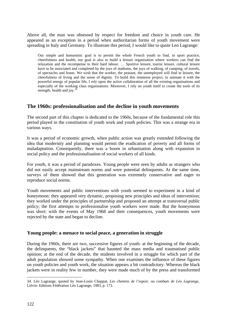Above all, the man was obsessed by respect for freedom and choice in youth care. He appeared as an exception in a period when authoritarian forms of youth movement were spreading in Italy and Germany. To illustrate this period, I would like to quote Leo Lagrange:

Our simple and humanistic goal is to permit the whole French youth to find, in sport practice, cheerfulness and health, our goal is also to build a leisure organisation where workers can find the relaxation and the recompense to their hard labour. … Sportive leisure, tourist leisure, cultural leisure have to be associated and completed by the joys of stadiums, the joys of walking, of camping, of travels, of spectacles and feasts. We wish that the worker, the peasant, the unemployed will find in leisure, the cheerfulness of living and the sense of dignity. To build this immense project, to animate it with the powerful energy of popular life, I rely upon the active collaboration of all the existing organisations and especially of the working class organisations. Moreover, I rely on youth itself to create the tools of its strength, health and joy. $34$ 

### **The 1960s: professionalisation and the decline in youth movements**

The second part of this chapter is dedicated to the 1960s, because of the fundamental role this period played in the constitution of youth work and youth policies. This was a strange era in various ways.

It was a period of economic growth, when public action was greatly extended following the idea that modernity and planning would permit the eradication of poverty and all forms of maladaptation. Consequently, there was a boom in urbanisation along with expansion in social policy and the professionalisation of social workers of all kinds.

For youth, it was a period of paradoxes. Young people were seen by adults as strangers who did not easily accept mainstream norms and were potential delinquents. At the same time, surveys of them showed that this generation was extremely conservative and eager to reproduce social norms.

Youth movements and public interventions with youth seemed to experiment in a kind of honeymoon: they appeared very dynamic, proposing new principles and ideas of intervention; they worked under the principles of partnership and proposed an attempt at transversal public policy; the first attempts to professionalise youth workers were made. But the honeymoon was short: with the events of May 1968 and their consequences, youth movements were rejected by the state and began to decline.

### **Young people: a menace to social peace, a generation in struggle**

During the 1960s, there are two, successive figures of youth: at the beginning of the decade, the delinquents, the "black jackets" that haunted the mass media and traumatised public opinion; at the end of the decade, the students involved in a struggle for which part of the adult population showed some sympathy. When one examines the influence of these figures on youth policies and youth work, the situation appears a bit contradictory. Whereas the black jackets were in reality few in number, they were made much of by the press and transformed

<span id="page-121-0"></span><sup>-</sup>34. Léo Lagrange, quoted by Jean-Louis Chappat, *Les chemins de l'espoir, ou combats de Léo Lagrange*, Liévin: Editions Fédération Léo Lagrange, 1983, p. 173.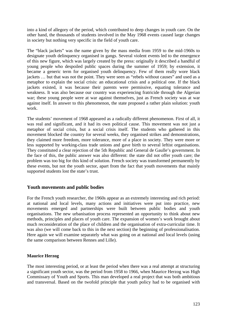into a kind of allegory of the period, which contributed to deep changes in youth care. On the other hand, the thousands of students involved in the May 1968 events caused large changes in society but nothing very specific in the field of youth care.

The "black jackets" was the name given by the mass media from 1959 to the mid-1960s to designate youth delinquency organised in gangs. Several violent events led to the emergence of this new figure, which was largely created by the press: originally it described a handful of young people who despoiled public spaces during the summer of 1959; by extension, it became a generic term for organised youth delinquency. Few of them really wore black jackets … but that was not the point. They were seen as "rebels without causes" and used as a metaphor to explain the social crisis: an educational crisis and a political one. If the black jackets existed, it was because their parents were permissive, equating tolerance and weakness. It was also because our country was experiencing fratricide through the Algerian war; these young people were at war against themselves, just as French society was at war against itself. In answer to this phenomenon, the state proposed a rather plain solution: youth work.

The students' movement of 1968 appeared as a radically different phenomenon. First of all, it was real and significant, and it had its own political cause. This movement was not just a metaphor of social crisis, but a social crisis itself. The students who gathered in this movement blocked the country for several weeks, they organised strikes and demonstrations, they claimed more freedom, more tolerance, more of a place in society. They were more or less supported by working-class trade unions and gave birth to several leftist organisations. They constituted a clear rejection of the 5th Republic and General de Gaulle's government. In the face of this, the public answer was also different: the state did not offer youth care; the problem was too big for this kind of solution. French society was transformed permanently by these events, but not the youth sector, apart from the fact that youth movements that mainly supported students lost the state's trust.

#### **Youth movements and public bodies**

For the French youth researcher, the 1960s appear as an extremely interesting and rich period: at national and local levels, many actions and initiatives were put into practice, new movements emerged and partnerships were built between public bodies and youth organisations. The new urbanisation process represented an opportunity to think about new methods, principles and places of youth care. The expansion of women's work brought about much reconsideration of the place of children and the organisation of extra-curricular time. It was also (we will come back to this in the next section) the beginning of professionalisation. Here again we will examine separately what was going on at national and local levels (using the same comparison between Rennes and Lille).

#### **Maurice Herzog**

The most interesting period, or at least the period when there was a real attempt at structuring a significant youth sector, was the period from 1958 to 1966, when Maurice Herzog was High Commissary of Youth and Sports. This man developed a real project that was both ambitious and transversal. Based on the twofold principle that youth policy had to be organised with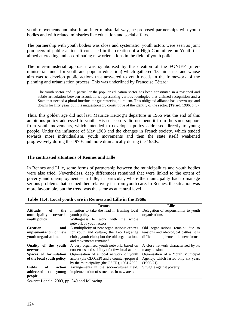youth movements and also in an inter-ministerial way, he proposed partnerships with youth bodies and with related ministries like education and social affairs.

The partnership with youth bodies was close and systematic: youth actors were seen as joint producers of public action. It consisted in the creation of a High Committee on Youth that aimed at creating and co-ordinating new orientations in the field of youth policies.

The inter-ministerial approach was symbolised by the creation of the FONJEP (interministerial funds for youth and popular education) which gathered 13 ministries and whose aim was to develop public actions that answered to youth needs in the framework of the planning and urbanisation process. This was underlined by Françoise Tétard:

The youth sector and in particular the popular education sector has been constituted in a reasoned and subtle articulation between associations representing various ideologies that claimed recognition and a State that needed a plural interlocutor guaranteeing pluralism. This obligated alliance has known ups and downs for fifty years but it is unquestionably constitutive of the identity of the sector. (Tétard, 1996, p. 3)

Thus, this golden age did not last: Maurice Herzog's departure in 1966 was the end of this ambitious policy addressed to youth. His successors did not benefit from the same support from youth movements, which intended to develop a policy addressed directly to young people. Under the influence of May 1968 and the changes in French society, which tended towards more individualism, youth movements and then the state itself weakened progressively during the 1970s and more dramatically during the 1980s.

#### **The contrasted situations of Rennes and Lille**

In Rennes and Lille, some forms of partnership between the municipalities and youth bodies were also tried. Nevertheless, deep differences remained that were linked to the extent of poverty and unemployment – in Lille, in particular, where the municipality had to manage serious problems that seemed then relatively far from youth care. In Rennes, the situation was more favourable, but the trend was the same as at central level.

|                               | <b>Rennes</b>                                                                         | Lille                                   |
|-------------------------------|---------------------------------------------------------------------------------------|-----------------------------------------|
| <b>Attitude</b><br>of<br>the  | Intention to take the lead in framing local                                           | Delegation of responsibility to youth   |
| municipality<br>towards       | youth policy                                                                          | organisations                           |
| youth policy                  | Willingness to work with the whole                                                    |                                         |
|                               | network of youth actors                                                               |                                         |
| <b>Creation</b><br>and        | A multiplicity of new organisations: centres                                          | Old organisations remain; due to        |
| implementation of new         | for youth and culture; the Léo Lagrange                                               | tensions and ideological battles, it is |
| youth organisations           | difficult to implement the new forms<br>clubs, youth clubs; but the old organisations |                                         |
|                               | and movements remained                                                                |                                         |
| Quality of the youth          | A very organised youth network, based on                                              | A close network characterised by its    |
| network                       | consensus and stability of a few local actors                                         | many tensions                           |
| Spaces of formulation         | Organisation of a local network of youth                                              | Organisation of a Youth Municipal       |
| of the local youth policy     | actors (the CLOJEP) and a counter-proposal                                            | Agency, which lasted only six years     |
|                               | by the municipality (the OSCR), 1961-2006                                             | $(1965 - 71)$                           |
| <b>Fields</b><br>of<br>action | Arrangements in the socio-cultural field,                                             | Struggle against poverty                |
| addressed<br>to<br>young      | implementation of structures in new areas                                             |                                         |
| people                        |                                                                                       |                                         |

**Table 11.4: Local youth care in Rennes and Lille in the 1960s**

*Source*: Loncle, 2003, pp. 249 and following.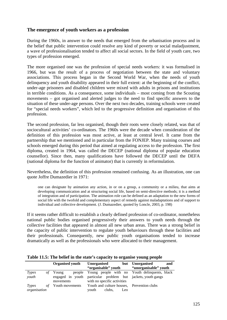### **The emergence of youth workers as a profession**

During the 1960s, in answer to the needs that emerged from the urbanisation process and in the belief that public intervention could resolve any kind of poverty or social maladjustment, a wave of professionalisation tended to affect all social sectors. In the field of youth care, two types of profession emerged.

The more organised one was the profession of special needs workers: it was formalised in 1966, but was the result of a process of negotiation between the state and voluntary associations. This process began in the Second World War, when the needs of youth delinquency and youth disability appeared in their full extent: at the beginning of the conflict, under-age prisoners and disabled children were mixed with adults in prisons and institutions in terrible conditions. As a consequence, some individuals – most coming from the Scouting movements – got organised and alerted judges to the need to find specific answers to the situation of these under-age persons. Over the next two decades, training schools were created for "special needs workers", which led to the progressive definition and organisation of this profession.

The second profession, far less organised, though their roots were closely related, was that of sociocultural activities' co-ordinators. The 1960s were the decade when consideration of the definition of this profession was most active, at least at central level. It came from the partnership that we mentioned and in particular from the FONJEP. Many training courses and schools emerged during this period that aimed at regulating access to the profession. The first diploma, created in 1964, was called the DECEP (national diploma of popular education counsellor). Since then, many qualifications have followed the DECEP until the DEFA (national diploma for the function of animator) that is currently in reformulation.

Nevertheless, the definition of this profession remained confusing. As an illustration, one can quote Joffre Dumazedier in 1971:

one can designate by animation any action, in or on a group, a community or a milieu, that aims at developing communication and at structuring social life, based on semi-directive methods; it is a method of integration and of participation. The animation role can be defined as an adaptation to the new forms of social life with the twofold and complementary aspect of remedy against maladaptations and of support to individual and collective development. (J. Dumazedier, quoted by Loncle, 2003, p. 198)

If it seems rather difficult to establish a clearly defined profession of co-ordinator, nonetheless national public bodies organised progressively their answers to youth needs through the collective facilities that appeared in almost all new urban areas. There was a strong belief in the capacity of public intervention to regulate youth behaviours through these facilities and their professionals. Consequently, new public youth organisations tended to increase dramatically as well as the professionals who were allocated to their management.

|              | <b>Organised youth</b>    | <b>Unorganised</b>                                           | but Unorganised<br>and |
|--------------|---------------------------|--------------------------------------------------------------|------------------------|
|              |                           | "organisable" youth                                          | "unorganisable" youth  |
| Types        | Young                     | people Young people with no Youth delinquents, black         |                        |
| youth        |                           | engaged in youth particular problem but jackets, youth gangs |                        |
|              | movements                 | with no specific activities                                  |                        |
| Types        | <i>of</i> Youth movements | Youth and culture houses, Prevention clubs                   |                        |
| organisation |                           | clubs,<br>youth<br>Leo                                       |                        |

**Table 11.5: The belief in the state's capacity to organise young people**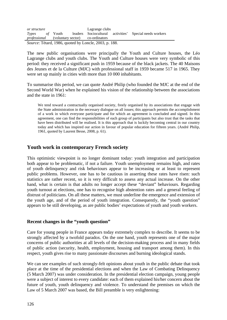| or structure                                          |  |  |  | Lagrange clubs                                       |  |                                                         |
|-------------------------------------------------------|--|--|--|------------------------------------------------------|--|---------------------------------------------------------|
| <i>Types of</i> Youth                                 |  |  |  |                                                      |  | leaders Sociocultural activities' Special needs workers |
|                                                       |  |  |  | <i>professional</i> (voluntary sector) co-ordinators |  |                                                         |
| Source: Tétard, 1986, quoted by Loncle, 2003, p. 188. |  |  |  |                                                      |  |                                                         |

The new public organisations were principally the Youth and Culture houses, the Léo Lagrange clubs and youth clubs. The Youth and Culture houses were very symbolic of this period: they received a significant push in 1959 because of the black jackets. The 40 Maisons des Jeunes et de la Culture (MJC) with professional staff in 1959 became 517 in 1965. They were set up mainly in cities with more than 10 000 inhabitants.

To summarise this period, we can quote André Philip (who founded the MJC at the end of the Second World War) when he explained his vision of the relationship between the associations and the state in 1961:

We tend toward a contractually organised society, freely organised by its associations that engage with the State administration in the necessary dialogue on all issues; this approach permits the accomplishment of a work in which everyone participate and for which an agreement is concluded and signed. In this agreement, one can find the responsibilities of each group of participants but also trust that the tasks that have been distributed will be realised. It is this approach that is luckily becoming central in our country today and which has inspired our action in favour of popular education for fifteen years. (André Philip, 1961, quoted by Laurent Besse, 2008, p. 61).

## **Youth work in contemporary French society**

This optimistic viewpoint is no longer dominant today: youth integration and participation both appear to be problematic, if not a failure. Youth unemployment remains high, and rates of youth delinquency and risk behaviours appear to be increasing or at least to represent public problems. However, one has to be cautious in asserting these rates have risen: such statistics are rather recent, so it is very difficult to assess any actual increase. On the other hand, what is certain is that adults no longer accept these "deviant" behaviours. Regarding youth turnout at elections, one has to recognise high abstention rates and a general feeling of distrust of politicians. On all these matters, we must underline the emergence and extension of the youth age, and of the period of youth integration. Consequently, the "youth question" appears to be still developing, as are public bodies' expectations of youth and youth workers.

#### **Recent changes in the "youth question"**

Care for young people in France appears today extremely complex to describe. It seems to be strongly affected by a twofold paradox. On the one hand, youth represents one of the major concerns of public authorities at all levels of the decision-making process and in many fields of public action (security, health, employment, housing and transport among them). In this respect, youth gives rise to many passionate discourses and burning ideological stands.

We can see examples of such strongly-felt opinions about youth in the public debate that took place at the time of the presidential elections and when the Law of Combating Delinquency (5 March 2007) was under consideration. In the presidential election campaign, young people were a subject of interest to every candidate: each of them explained his/her concern about the future of youth, youth delinquency and violence. To understand the premises on which the Law of 5 March 2007 was based, the Bill preamble is very enlightening: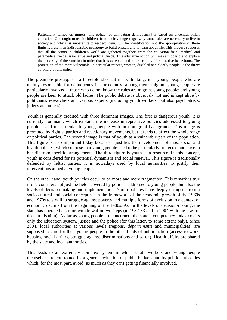Particularly turned on minors, this policy [of combating delinquency] is based on a central pillar: education. One ought to teach children, from their youngest age, why some rules are necessary to live in society and why it is imperative to respect them. ... The identification and the appropriation of these limits represent an indispensable pedagogy to build oneself and to learn about life. This process supposes that all the actors in children's world are gathered together: from the education field, medical and paramedical fields, associative and judicial fields. This educative action will make it possible to explain the necessity of the sanction in order that it is accepted and in order to avoid reiterative behaviours. The protection of the more vulnerable, in particular minors, women, disabled and elderly people, is the direct corollary of this policy.

The preamble presupposes a threefold shortcut in its thinking: it is young people who are mainly responsible for delinquency in our country; among them, migrant young people are particularly involved – those who do not know the rules are migrant young people; and young people are keen to attack old ladies. The public debate is obviously hot and is kept alive by politicians, researchers and various experts (including youth workers, but also psychiatrists, judges and others).

Youth is generally credited with three dominant images. The first is dangerous youth: it is currently dominant, which explains the increase in repressive policies addressed to young people – and in particular to young people with an immigrant background. This image is promoted by rightist parties and reactionary movements, but it tends to affect the whole range of political parties. The second image is that of youth as a vulnerable part of the population. This figure is also important today because it justifies the development of most social and health policies, which suppose that young people need to be particularly protected and have to benefit from specific arrangements. The third figure is youth as a resource. In this concept, youth is considered for its potential dynamism and social renewal. This figure is traditionally defended by leftist parties; it is nowadays used by local authorities to justify their interventions aimed at young people.

On the other hand, youth policies occur to be more and more fragmented. This remark is true if one considers not just the fields covered by policies addressed to young people, but also the levels of decision-making and implementation. Youth policies have deeply changed, from a socio-cultural and social concept set in the framework of the economic growth of the 1960s and 1970s to a will to struggle against poverty and multiple forms of exclusion in a context of economic decline from the beginning of the 1980s. As for the levels of decision-making, the state has operated a strong withdrawal in two steps (in 1982-83 and in 2004 with the laws of decentralisation). As far as young people are concerned, the state's competency today covers only the education system, justice and the police (for this latter, to some extent only). Since 2004, local authorities at various levels (regions, *départements* and municipalities) are supposed to care for their young people in the other fields of public action (access to work, housing, social affairs, struggle against discriminations and so on). Health affairs are shared by the state and local authorities.

This leads to an extremely complex system in which youth workers and young people themselves are confronted by a general reduction of public budgets and by public authorities which, for the most part, avoid (as much as they can) getting financially involved.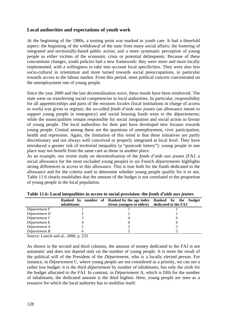### **Local authorities and expectations of youth work**

At the beginning of the 1980s, a turning point was marked in youth care. It had a threefold aspect: the beginning of the withdrawal of the state from many social affairs; the fostering of integrated and territorially-based public action; and a more systematic perception of young people as either victims of the economic crisis or potential delinquents. Because of these concomitant changes, youth policies had a new framework: they were more and more locally implemented, with a willingness to take into account local specificities. They were also less socio-cultural in orientation and more turned towards social preoccupations, in particular towards access to the labour market. From this period, most political concern concentrated on the unemployment rate of young people.

Since the year 2000 and the last decentralisation wave, these trends have been reinforced. The state went on transferring social competencies to local authorities. In particular, responsibility for all apprenticeships and parts of the *missions locales* (local institutions in charge of access to work) was given to regions; the so-called *fonds d'aide aux jeunes* (an allowance meant to support young people in emergency) and social housing funds went to the *départements*; while the municipalities remain responsible for social integration and social action in favour of young people. The local authorities for their part have developed new focuses towards young people. Central among these are the questions of unemployment, civic participation, health and repression. Again, the limitation of this trend is that these initiatives are partly discretionary and not always well conceived or properly integrated at local level. They have introduced a greater risk of territorial inequality (a "postcode lottery"): young people in one place may not benefit from the same care as those in another place.

As an example, our recent study on decentralisation of the *fonds d'aide aux jeunes* (FAJ, a social allowance for the most excluded young people) in six French *départements* highlights strong differences in access to this allowance. This is true both for the funds dedicated to the allowance and for the criteria used to determine whether young people qualify for it or not. Table 11.6 clearly establishes that the amount of the budget is not correlated to the proportion of young people in the local population.

|               | Ranked by number of Ranked by the age index Ranked by the<br><i>inhabitants</i> | (from youngest to oldest) dedicated to the FAJ | budget |
|---------------|---------------------------------------------------------------------------------|------------------------------------------------|--------|
| Département F |                                                                                 |                                                |        |
| Département D |                                                                                 |                                                |        |
| Département C |                                                                                 |                                                | n      |
| Département E |                                                                                 |                                                |        |
| Département A |                                                                                 |                                                |        |
| Département B |                                                                                 |                                                |        |

**Table 11.6: Local inequalities in access to social provision: the** *fonds d'aide aux jeunes*

*Source*: Loncle and al., 2008, p. 233

As shown in the second and third columns, the amount of money dedicated to the FAJ is not automatic and does not depend only on the number of young people. It is more the result of the political will of the President of the *Département*, who is a locally elected person. For instance, in *Département* C, where young people are not considered as a priority, we can see a rather low budget: it is the third *département* by number of inhabitants, but only the sixth for the budget allocated to the FAJ. In contrast, in *Département* A, which is fifth for the number of inhabitants, the dedicated amount is the third highest. Here, young people are seen as a resource for which the local authority has to mobilise itself.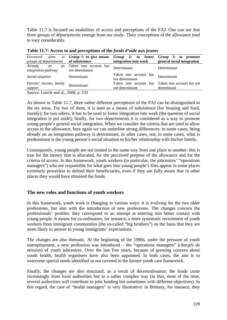Table 11.7 is focused on modalities of access and perceptions of the FAJ. One can see that three groups of *départements* emerge from our study. Their conceptions of the allowance tend to vary considerably.

| Perceived<br>aims<br>in                           | Group 1: to give means                    | Group 2: to foster                        | Group 3: to promote                       |
|---------------------------------------------------|-------------------------------------------|-------------------------------------------|-------------------------------------------|
| groups of départements                            | of subsistence                            | integration into work                     | general social integration                |
| Already<br>an<br>on<br><i>integration pathway</i> | Taken into account but<br>not determinant | <b>Determinant</b>                        | Determinant                               |
| Social situation                                  | Determinant                               | Taken into account but<br>not determinant | Determinant                               |
| Parents' income, family<br>support                | Determinant                               | Taken into account but<br>not determinant | Taken into account but not<br>determinant |

**Table 11.7: Access to and perceptions of the** *fonds d'aide aux jeunes*

*Source*: Loncle and al., 2008, p. 233

As shown in Table 11.7, three rather different perceptions of the FAJ can be distinguished in the six areas. For two of them, it is seen as a means of subsistence (for housing and food, mainly); for two others, it has to be used to foster integration into work (the question of social integration is put aside); finally, for two *départements* it is considered as a way to promote young people's general social integration. When we consider the criteria that are used to allow access to the allowance, here again we can underline strong differences: in some cases, being already on an integration pathway is determinant, in other cases, not; in some cases, what is predominant is the young person's social situation or his/her relationship with his/her family.

Consequently, young people are not treated in the same way from one place to another: this is true for the money that is allocated, for the perceived purpose of the allowance and for the criteria of access. In this framework, youth workers (in particular, the jobcentres' "operations managers") who are responsible for what goes into young people's files appear in some places extremely powerless to defend their beneficiaries, even if they are fully aware that in other places they would have obtained the funds.

### **The new roles and functions of youth workers**

In this framework, youth work is changing in various ways: it is evolving for the two older professions, but also with the introduction of new professions. The changes concern the professionals' profiles: they correspond to an attempt at entering into better contact with young people. It means for co-ordinators, for instance, a more systematic recruitment of youth workers from immigrant communities (the so-called "big brothers") on the basis that they are more likely to answer to young immigrants' expectations.

The changes are also thematic. At the beginning of the 1980s, under the pressure of youth unemployment, a new profession was introduced – the "operations managers" (*chargés de mission*) of youth jobcentres. Over the last five years, because of growing concern about youth health, health organisers have also been appointed. In both cases, the aim is to overcome special needs identified as not covered in the former youth care framework.

Finally, the changes are also structural, as a result of decentralisation: the funds come increasingly from local authorities but in a rather complex way (in that, most of the time, several authorities will contribute to jobs funding but sometimes with different objectives). In this regard, the case of "health managers" is very illustrative: in Brittany, for instance, they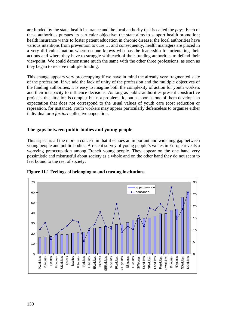are funded by the state, health insurance and the local authority that is called the *pays*. Each of these authorities pursues its particular objective: the state aims to support health promotion; health insurance wants to foster patient education in chronic disease; the local authorities have various intentions from prevention to cure … and consequently, health managers are placed in a very difficult situation where no one knows who has the leadership for orientating their actions and where they have to struggle with each of their funding authorities to defend their viewpoint. We could demonstrate much the same with the other three professions, as soon as they began to receive multiple funding.

This change appears very preoccupying if we have in mind the already very fragmented state of the profession. If we add the lack of unity of the profession and the multiple objectives of the funding authorities, it is easy to imagine both the complexity of action for youth workers and their incapacity to influence decisions. As long as public authorities present constructive projects, the situation is complex but not problematic, but as soon as one of them develops an expectation that does not correspond to the usual values of youth care (cost reduction or repression, for instance), youth workers may appear particularly defenceless to organise either individual or *a fortiori* collective opposition.

### **The gaps between public bodies and young people**

This aspect is all the more a concern in that it echoes an important and widening gap between young people and public bodies. A recent survey of young people's values in Europe reveals a worrying preoccupation among French young people. They appear on the one hand very pessimistic and mistrustful about society as a whole and on the other hand they do not seem to feel bound to the rest of society.



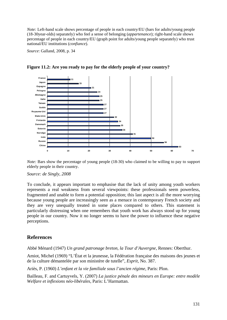*Note:* Left-hand scale shows percentage of people in each country/EU (bars for adults/young people (18-30year-olds) separately) who feel a sense of belonging (*appartenance*); right-hand scale shows percentage of people in each country/EU (graph point for adults/young people separately) who trust national/EU institutions (*confiance*).

*Source*: Galland, 2008, p. 34



**Figure 11.2: Are you ready to pay for the elderly people of your country?**

*Note:* Bars show the percentage of young people (18-30) who claimed to be willing to pay to support elderly people in their country.

#### *Source: de Singly, 2008*

To conclude, it appears important to emphasise that the lack of unity among youth workers represents a real weakness from several viewpoints: these professionals seem powerless, fragmented and unable to form a potential opposition; this last aspect is all the more worrying because young people are increasingly seen as a menace in contemporary French society and they are very unequally treated in some places compared to others. This statement is particularly distressing when one remembers that youth work has always stood up for young people in our country. Now it no longer seems to have the power to influence these negative perceptions.

### **References**

Abbé Ménard (1947) *Un grand patronage breton, la Tour d'Auvergne*, Rennes: Oberthur.

Amiot, Michel (1969) "L'État et la jeunesse, la Fédération française des maisons des jeunes et de la culture démantelée par son ministère de tutelle", *Esprit*, No. 387.

Ariès, P. (1960) *L'enfant et la vie familiale sous l'ancien régime*, Paris: Plon.

Bailleau, F. and Cartuyvels, Y. (2007) *La justice pénale des mineurs en Europe: entre modèle Welfare et inflexions néo-libérales*, Paris: L'Harmattan.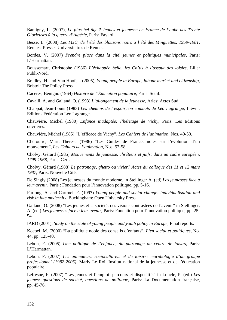Bantigny, L. (2007), *Le plus bel âge ? Jeunes et jeunesse en France de l'aube des Trente Glorieuses à la guerre d'Algérie*, Paris: Fayard.

Besse, L. (2008) *Les MJC, de l'été des blousons noirs à l'été des Minguettes, 1959-1981*, Rennes: Presses Universitaires de Rennes.

Bordes, V. (2007) *Prendre place dans la cité, jeunes et politiques municipales*, Paris: L'Harmattan.

Boussemart, Christophe (1986) *L'échappée belle, les Ch'tis à l'assaut des loisirs*, Lille: Publi-Nord.

Bradley, H. and Van Hoof, J. (2005), *Young people in Europe, labour market and citizenship*, Bristol: The Policy Press.

Cacérès, Benigno (1964) *Histoire de l'Éducation populaire*, Paris: Seuil.

Cavalli, A. and Galland, O. (1993) *L'allongement de la jeunesse*, Arles: Actes Sud.

Chappat, Jean-Louis (1983) *Les chemins de l'espoir, ou combats de Léo Lagrange*, Liévin: Editions Fédération Léo Lagrange.

Chauvière, Michel (1980) *Enfance inadaptée: l'héritage de Vichy*, Paris: Les Editions ouvrières.

Chauvière, Michel (1985) "L'efficace de Vichy", *Les Cahiers de l'animation*, Nos. 49-50.

Chéroutre, Marie-Thérèse (1986) "Les Guides de France, notes sur l'évolution d'un mouvement", *Les Cahiers de l'animation*, Nos. 57-58.

Cholvy, Gérard (1985) *Mouvements de jeunesse, chrétiens et juifs: dans un cadre européen, 1799-1968*, Paris: Cerf.

Cholvy, Gérard (1988) *Le patronage, ghetto ou vivier? Actes du colloque des 11 et 12 mars 1987*, Paris: Nouvelle Cité.

De Singly (2008) Les jeunesses du monde moderne, in Stellinger A. (ed) *Les jeunesses face à leur avenir*, Paris : Fondation pour l'innovation politique, pp. 5-16.

Furlong, A. and Cartmel, F. (1997) *Young people and social change: individualisation and risk in late modernity*, Buckingham: Open University Press.

Galland, O. (2008) "Les jeunes et la société: des visions contrastées de l'avenir" in Stellinger, A. (ed.) *Les jeunesses face à leur avenir*, Paris: Fondation pour l'innovation politique, pp. 25- 54.

IARD (2001), *Study on the state of young people and youth policy in Europe*, Final reports.

Koebel, M. (2000) "La politique noble des conseils d'enfants", *Lien social et politiques*, No. 44, pp. 125-40.

Lebon, F. (2005) *Une politique de l'enfance, du patronage au centre de loisirs*, Paris: L'Harmattan.

Lebon, F. (2007) *Les animateurs socioculturels et de loisirs: morphologie d'un groupe professionnel (1982-2005)*, Marly Le Roi: Institut national de la jeunesse et de l'éducation populaire.

Lefresne, F. (2007) "Les jeunes et l'emploi: parcours et dispositifs" in Loncle, P. (ed.) *Les jeunes: questions de société, questions de politique*, Paris: La Documentation française, pp. 45-76.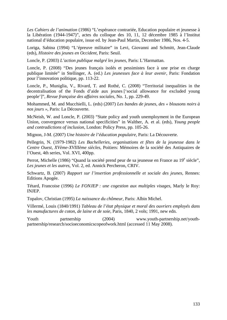*Les Cahiers de l'animation* (1986) "L'espérance contrariée, Education populaire et jeunesse à la Libération (1944-1947)", actes du colloque des 10, 11, 12 décembre 1985 à l'Institut national d'éducation populaire, issue ed. by Jean-Paul Martin, December 1986, Nos. 4-5.

Loriga, Sabina (1994) "L'épreuve militaire" in Levi, Giovanni and Schmitt, Jean-Claude (eds), *Histoire des jeunes en Occident*, Paris: Seuil.

Loncle, P. (2003) *L'action publique malgré les jeunes*, Paris: L'Harmattan.

Loncle, P. (2008) "Des jeunes français isolés et pessimistes face à une prise en charge publique limitée" in Stellinger, A. (ed.) *Les jeunesses face à leur avenir*, Paris: Fondation pour l'innovation politique, pp. 113-22.

Loncle, P., Muniglia, V., Rivard, T. and Rothé, C. (2008) "Territorial inequalities in the decentralisation of the Fonds d'aide aux jeunes ['social allowance for excluded young people']", *Revue française des affaires sociales*, No. 1, pp. 229-49.

Mohammed, M. and Mucchielli, L. (eds) (2007) *Les bandes de jeunes, des « blousons noirs à nos jours »*, Paris: La Découverte.

McNeish, W. and Loncle, P. (2003) "State policy and youth unemployment in the European Union, convergence versus national specificities" in Walther, A. et al. (eds), *Young people and contradictions of inclusion*, London: Policy Press, pp. 105-26.

Mignon, J-M. (2007) *Une histoire de l'éducation populaire,* Paris: La Découverte.

Pellegrin, N. (1979-1982) *Les Bachelleries, organisations et fêtes de la jeunesse dans le Centre Ouest, XVème-XVIIIème siècles*, Poitiers: Mémoires de la société des Antiquaires de l'Ouest, 4th series, Vol. XVI, 400pp.

Perrot, Michelle (1986) "Quand la société prend peur de sa jeunesse en France au 19<sup>e</sup> siècle", *Les jeunes et les autres*, Vol. 2, ed. Annick Percheron, CRIV.

Schwartz, B. (2007) *Rapport sur l'insertion professionnelle et sociale des jeunes*, Rennes: Editions Apogée.

Tétard, Francoise (1996) *Le FONJEP : une cogestion aux multiples visages*, Marly le Roy: INJEP.

Topalov, Christian (1995) *La naissance du chômeur,* Paris: Albin Michel.

Villermé, Louis (1840/1991) *Tableau de l'état physique et moral des ouvriers employés dans les manufactures de coton, de laine et de soie*, Paris, 1840, 2 vols; 1991, new edn.

Youth partnership (2004) [www.youth-partnership.net/youth](http://www.youth-partnership.net/youth-partnership/research/socioeconomicscopeofwork.html)[partnership/research/socioeconomicscopeofwork.html](http://www.youth-partnership.net/youth-partnership/research/socioeconomicscopeofwork.html) (accessed 11 May 2008).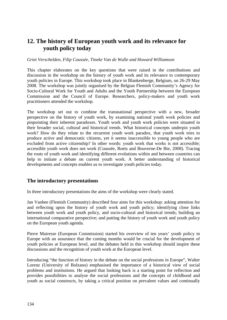# **12. The history of European youth work and its relevance for youth policy today**

#### *Griet Verschelden, Filip Coussée, Tineke Van de Walle and Howard Williamson*

This chapter elaborates on the key questions that were raised in the contributions and discussion in the workshop on the history of youth work and its relevance to contemporary youth policies in Europe. This workshop took place in Blankenberge, Belgium, on 26-29 May 2008. The workshop was jointly organised by the Belgian Flemish Community's Agency for Socio-Cultural Work for Youth and Adults and the Youth Partnership between the European Commission and the Council of Europe. Researchers, policy-makers and youth work practitioners attended the workshop.

The workshop set out to combine the transnational perspective with a new, broader perspective on the history of youth work, by examining national youth work policies and pinpointing their inherent paradoxes. Youth work and youth work policies were situated in their broader social, cultural and historical trends. What historical concepts underpin youth work? How do they relate to the recurrent youth work paradox, that youth work tries to produce active and democratic citizens, yet it seems inaccessible to young people who are excluded from active citizenship? In other words: youth work that works is not accessible; accessible youth work does not work (Coussée, Roets and Bouverne-De Bie, 2008). Tracing the roots of youth work and identifying different evolutions within and between countries can help to initiate a debate on current youth work. A better understanding of historical developments and concepts enables us to investigate youth policies today.

### **The introductory presentations**

In three introductory presentations the aims of the workshop were clearly stated.

Jan Vanhee (Flemish Community) described four aims for this workshop: asking attention for and reflecting upon the history of youth work and youth policy; identifying close links between youth work and youth policy, and socio-cultural and historical trends; building an international comparative perspective; and putting the history of youth work and youth policy on the European youth agenda.

Pierre Mairesse (European Commission) started his overview of ten years' youth policy in Europe with an assurance that the coming months would be crucial for the development of youth policies at European level, and the debates held in this workshop should inspire these discussions and the recognition of youth work at the European level.

Introducing "the function of history in the debate on the social professions in Europe", Walter Lorenz (University of Bolzano) emphasised the importance of a historical view of social problems and institutions. He argued that looking back is a starting point for reflection and provides possibilities to analyse the social professions and the concepts of childhood and youth as social constructs, by taking a critical position on prevalent values and continually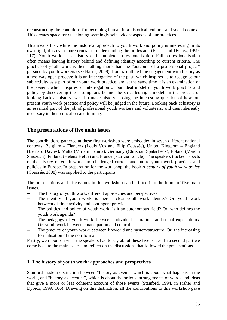reconstructing the conditions for becoming human in a historical, cultural and social context. This creates space for questioning seemingly self-evident aspects of our practices.

This means that, while the historical approach to youth work and policy is interesting in its own right, it is even more crucial in understanding the profession (Fisher and Dybicz, 1999: 117). Youth work has a history of incomplete professionalisation. Full professionalisation often means leaving history behind and defining identity according to current criteria. The practice of youth work is then nothing more than the "outcome of a professional project" pursued by youth workers (see Harris, 2008). Lorenz outlined the engagement with history as a two-way open process: it is an interrogation of the past, which inspires us to recognise our subjectivity as a part of our youth work practice, and at the same time it is an examination of the present, which inspires an interrogation of our ideal model of youth work practice and policy by discovering the assumptions behind the so-called right model. In the process of looking back at history, we also make history, posing the interesting question of how our present youth work practice and policy will be judged in the future. Looking back at history is an essential part of the job of professional youth workers and volunteers, and thus inherently necessary in their education and training.

## **The presentations of five main issues**

The contributions gathered at these first workshop were embedded in seven different national contexts: Belgium – Flanders (Louis Vos and Filip Coussée), United Kingdom – England (Bernard Davies), Malta (Miriam Teuma), Germany (Christian Spatscheck), Poland (Marcin Sińczuch), Finland (Helena Helve) and France (Patricia Loncle). The speakers tracked aspects of the history of youth work and challenged current and future youth work practices and policies in Europe. In preparation for the workshop, the book *A century of youth work policy* (Coussée, 2008) was supplied to the participants.

The presentations and discussions in this workshop can be fitted into the frame of five main issues.

- The history of youth work: different approaches and perspectives
- The identity of youth work: is there a clear youth work identity? Or: youth work between distinct activity and contingent practice.
- The politics and policy of youth work: is it an autonomous field? Or: who defines the youth work agenda?
- The pedagogy of youth work: between individual aspirations and social expectations. Or: youth work between emancipation and control.
- The practice of youth work: between lifeworld and system/structure. Or: the increasing formalisation of the non-formal.

Firstly, we report on what the speakers had to say about these five issues. In a second part we come back to the main issues and reflect on the discussions that followed the presentations.

#### **1. The history of youth work: approaches and perspectives**

Stanford made a distinction between "history-as-event", which is about what happens in the world, and "history-as-account", which is about the ordered arrangements of words and ideas that give a more or less coherent account of those events (Stanford, 1994, in Fisher and Dybicz, 1999: 106). Drawing on this distinction, all the contributions to this workshop gave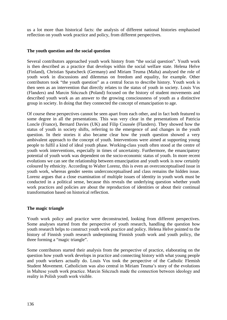us a lot more than historical facts: the analysis of different national histories emphasised reflection on youth work practice and policy, from different perspectives.

#### **The youth question and the social question**

Several contributors approached youth work history from "the social question". Youth work is then described as a practice that develops within the social welfare state. Helena Helve (Finland), Christian Spatscheck (Germany) and Miriam Teuma (Malta) analysed the role of youth work in discussions and dilemmas on freedom and equality, for example. Other contributors took "the youth question" as a central focus to describe history. Youth work is then seen as an intervention that directly relates to the status of youth in society. Louis Vos (Flanders) and Marcin Sińczuch (Poland) focused on the history of student movements and described youth work as an answer to the growing consciousness of youth as a distinctive group in society. In doing that they connected the concept of emancipation to age.

Of course these perspectives cannot be seen apart from each other, and in fact both featured to some degree in all the presentations. This was very clear in the presentations of Patricia Loncle (France), Bernard Davies (UK) and Filip Coussée (Flanders). They showed how the status of youth in society shifts, referring to the emergence of and changes in the youth question. In their stories it also became clear how the youth question showed a very ambivalent approach to the concept of youth. Interventions were aimed at supporting young people to fulfil a kind of ideal youth phase. Working-class youth often stood at the centre of youth work interventions, especially in times of uncertainty. Furthermore, the emancipatory potential of youth work was dependent on the socio-economic status of youth. In more recent evolutions we can see the relationship between emancipation and youth work is now certainly coloured by ethnicity. According to Walter Lorenz, this is even an overconceptualised issue in youth work, whereas gender seems underconceptualised and class remains the hidden issue. Lorenz argues that a close examination of multiple issues of identity in youth work must be conducted in a political sense, because this reveals the underlying question whether youth work practices and policies are about the reproduction of identities or about their continual transformation based on historical reflection.

#### **The magic triangle**

Youth work policy and practice were deconstructed, looking from different perspectives. Some analyses started from the perspective of youth research, handling the question how youth research helps to construct youth work practice and policy. Helena Helve pointed to the history of Finnish youth research underpinning Finnish youth work and youth policy, the three forming a "magic triangle".

Some contributors started their analysis from the perspective of practice, elaborating on the question how youth work develops in practice and connecting history with what young people and youth workers actually do. Louis Vos took the perspective of the Catholic Flemish Student Movement. Catholicism was also central in Miriam Teuma's story of the evolutions in Maltese youth work practice. Marcin Sińczuch made the connection between ideology and reality in Polish youth work visible.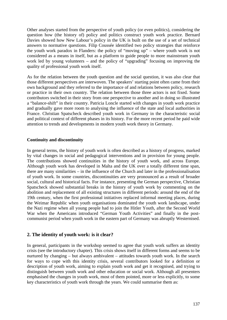Other analyses started from the perspective of youth policy (or even politics), considering the question how (the history of) policy and politics construct youth work practice. Bernard Davies showed how New Labour's policy in the UK is built on the use of a set of technical answers to normative questions. Filip Coussée identified two policy strategies that reinforce the youth work paradox in Flanders: the policy of "moving up" – where youth work is not considered as a means in itself, but as a platform to guide people to more mainstream youth work led by young volunteers – and the policy of "upgrading" focusing on improving the quality of professional youth work itself.

As for the relation between the youth question and the social question, it was also clear that those different perspectives are interwoven. The speakers' starting point often came from their own background and they referred to the importance of and relations between policy, research or practice in their own country. The relation between those three actors is not fixed. Some contributors switched in their story from one perspective to another and in doing so illustrated a "balance-shift" in their country. Patricia Loncle started with changes in youth work practice and gradually gave more room to analysing the influence of the state and local authorities in France. Christian Spatscheck described youth work in Germany in the characteristic social and political context of different phases in its history. For the more recent period he paid wide attention to trends and developments in modern youth work theory in Germany.

#### **Continuity and discontinuity**

In general terms, the history of youth work is often described as a history of progress, marked by vital changes in social and pedagogical interventions and in provision for young people. The contributions showed continuities in the history of youth work, and across Europe. Although youth work has developed in Malta and the UK over a totally different time span, there are many similarities – in the influence of the Church and later in the professionalisation of youth work. In some countries, discontinuities are very pronounced as a result of broader social, cultural and historical facts. For instance, presenting the German perspective, Christian Spatscheck showed substantial breaks in the history of youth work by commenting on the abolition and replacement of all existing structures in different periods: around the end of the 19th century, when the first professional initiatives replaced informal meeting places, during the Weimar Republic when youth organisations dominated the youth work landscape, under the Nazi regime when all young people had to join the Hitler Youth, after the Second World War when the Americans introduced "German Youth Activities" and finally in the postcommunist period when youth work in the eastern part of Germany was abruptly Westernised.

#### **2. The identity of youth work: is it clear?**

In general, participants in the workshop seemed to agree that youth work suffers an identity crisis (see the introductory chapter). This crisis shows itself in different forms and seems to be nurtured by changing – but always ambivalent – attitudes towards youth work. In the search for ways to cope with this identity crisis, several contributors looked for a definition or description of youth work, aiming to explain youth work and get it recognised, and trying to distinguish between youth work and other education or social work. Although all presenters emphasised the changes in youth work, most of them pointed, more or less explicitly, to some key characteristics of youth work through the years. We could summarise them as: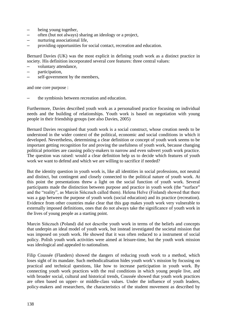- being young together,
- often (but not always) sharing an ideology or a project,
- nurturing associational life,
- providing opportunities for social contact, recreation and education.

Bernard Davies (UK) was the most explicit in defining youth work as a distinct practice in society. His definition incorporated several core features: three central values:

- voluntary attendance,
- participation,
- self-government by the members,

and one core purpose :

– the symbiosis between recreation and education.

Furthermore, Davies described youth work as a personalised practice focusing on individual needs and the building of relationships. Youth work is based on negotiation with young people in their friendship groups (see also Davies, 2005)

Bernard Davies recognised that youth work is a social construct, whose creation needs to be understood in the wider context of the political, economic and social conditions in which it developed. Nevertheless, determining a clear definition or concept of youth work seems to be important getting recognition for and proving the usefulness of youth work, because changing political priorities are causing policy-makers to narrow and even subvert youth work practice. The question was raised: would a clear definition help us to decide which features of youth work we want to defend and which we are willing to sacrifice if needed?

But the identity question in youth work is, like all identities in social professions, not neutral and distinct, but contingent and closely connected to the political nature of youth work. At this point the presentations threw a light on the social function of youth work. Several participants made the distinction between purpose and practice in youth work (the "surface" and the "reality", as Marcin Sińczuch called them). Helena Helve (Finland) showed that there was a gap between the purpose of youth work (social education) and its practice (recreation). Evidence from other countries make clear that this gap makes youth work very vulnerable to externally imposed definitions, ones that do not always take the significance of youth work in the lives of young people as a starting point.

Marcin Sińczuch (Poland) did not describe youth work in terms of the beliefs and concepts that underpin an ideal model of youth work, but instead investigated the societal mission that was imposed on youth work. He showed that it was often reduced to a instrument of social policy. Polish youth work activities were aimed at leisure-time, but the youth work mission was ideological and appealed to nationalism.

Filip Coussée (Flanders) showed the dangers of reducing youth work to a method, which loses sight of its mandate. Such methodicalisation hides youth work's mission by focusing on practical and technical questions, like how to increase participation in youth work. By connecting youth work practices with the real conditions in which young people live, and with broader social, cultural and historical trends, Coussée showed that youth work practices are often based on upper- or middle-class values. Under the influence of youth leaders, policy-makers and researchers, the characteristics of the student movement as described by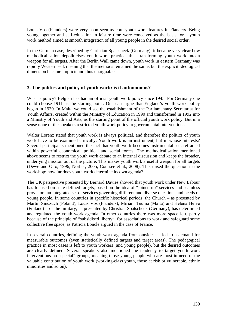Louis Vos (Flanders) were very soon seen as core youth work features in Flanders. Being young together and self-education in leisure time were conceived as the basis for a youth work method aimed at smooth integration of all young people in the desired social order.

In the German case, described by Christian Spatscheck (Germany), it became very clear how methodicalisation depoliticises youth work practice, thus transforming youth work into a weapon for all targets. After the Berlin Wall came down, youth work in eastern Germany was rapidly Westernised, meaning that the methods remained the same, but the explicit ideological dimension became implicit and thus unarguable.

### **3. The politics and policy of youth work: is it autonomous?**

What is policy? Belgian has had an official youth work policy since 1945. For Germany one could choose 1911 as the starting point. One can argue that England's youth work policy began in 1939. In Malta we could see the establishment of the Parliamentary Secretariat for Youth Affairs, created within the Ministry of Education in 1990 and transformed in 1992 into a Ministry of Youth and Arts, as the starting point of the official youth work policy. But in a sense none of the speakers restricted youth work policy to governmental interventions.

Walter Lorenz stated that youth work is always political, and therefore the politics of youth work have to be examined critically. Youth work is an instrument, but in whose interests? Several participants mentioned the fact that youth work becomes instrumentalised, reframed within powerful economical, political and social forces. The methodicalisation mentioned above seems to restrict the youth work debate to an internal discussion and keeps the broader, underlying mission out of the picture. This makes youth work a useful weapon for all targets (Dewe and Otto, 1996; Nörber, 2005; Coussée et al., 2008). This raised the question in the workshop: how far does youth work determine its own agenda?

The UK perspective presented by Bernard Davies showed that youth work under New Labour has focused on state-defined targets, based on the idea of "joined-up" services and seamless provision: an integrated set of services governing different and diverse questions and needs of young people. In some countries in specific historical periods, the Church – as presented by Martin Sińczuch (Poland), Louis Vos (Flanders), Miriam Teuma (Malta) and Helena Helve (Finland) – or the military, as presented by Christian Spatscheck (Germany), has determined and regulated the youth work agenda. In other countries there was more space left, partly because of the principle of "subsidised liberty", for associations to work and safeguard some collective free space, as Patricia Loncle argued in the case of France.

In several countries, defining the youth work agenda from outside has led to a demand for measurable outcomes (even statistically defined targets and target areas). The pedagogical practice in most cases is left to youth workers (and young people), but the desired outcomes are clearly defined. Several speakers also mentioned the tendency to target youth work interventions on "special" groups, meaning those young people who are most in need of the valuable contribution of youth work (working-class youth, those at risk or vulnerable, ethnic minorities and so on).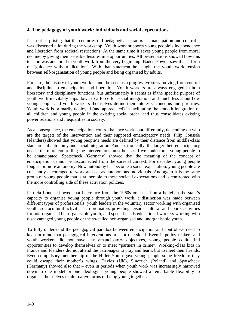### **4. The pedagogy of youth work: individuals and social expectations**

It is not surprising that the centuries-old pedagogical paradox – emancipation and control – was discussed a lot during the workshop. Youth work supports young people's independence and liberation from societal restrictions. At the same time it saves young people from moral decline by giving them sensible leisure-time opportunities. All presentations showed how this tension was anchored in youth work from the very beginning. Baden-Powell saw it as a form of "guidance without dictation". With that statement he caught the youth work tension between self-organisation of young people and being organised by adults.

For sure, the history of youth work cannot be seen as a progressive story moving from control and discipline to emancipation and liberation. Youth workers are always engaged in both liberatory and disciplinary functions, but unfortunately it seems as if the specific purpose of youth work inevitably slips down to a force for social integration, and much less about how young people and youth workers themselves define their interests, concerns and priorities. Youth work is primarily deployed (and appreciated) in facilitating the smooth integration of all children and young people in the existing social order, and thus consolidates existing power relations and inequalities in society.

As a consequence, the emancipation–control balance works out differently, depending on who are the targets of the intervention and their supposed emancipatory needs. Filip Coussée (Flanders) showed that young people's needs are defined by their distance from middle-class standards of autonomy and social integration. And so, ironically, the larger their emancipatory needs, the more controlling the interventions must be – as if we could force young people to be emancipated. Spatscheck (Germany) showed that the meaning of the concept of emancipation cannot be disconnected from the societal context. For decades, young people fought for more autonomy. Now autonomy has become a social expectation: young people are constantly encouraged to work and act as autonomous individuals. And again it is the same group of young people that is vulnerable to these societal expectations and is confronted with the more controlling side of these activation policies.

Patricia Loncle showed that in France from the 1960s on, based on a belief in the state's capacity to organise young people through youth work, a distinction was made between different types of professionals: youth leaders in the voluntary sector working with organised youth, sociocultural activities' co-ordinators providing leisure, cultural and sports activities for non-organised but organisable youth, and special needs educational workers working with disadvantaged young people or the so-called non-organised and unorganisable youth.

To fully understand the pedagogical paradox between emancipation and control we need to keep in mind that pedagogical interventions are not one-sided. Even if policy makers and youth workers did not have any emancipatory objectives, young people could find opportunities to develop themselves or to meet "partners in crime". Working-class kids in France and Flanders did not attend the patronages to pray and learn, but to meet their friends. Even compulsory membership of the Hitler Youth gave young people some freedom: they could escape their mother's wings. Davies (UK), Sińczuch (Poland) and Spatscheck (Germany) showed also that – even in periods when youth work was increasingly narrowed down to one model or one ideology – young people showed a remarkable flexibility to organise themselves in alternative forms of being young together.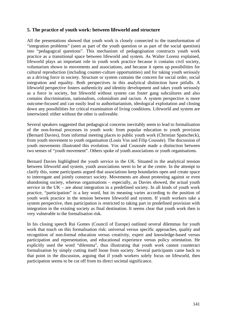### **5. The practice of youth work: between lifeworld and structure**

All the presentations showed that youth work is closely connected to the transformation of "integration problems" (seen as part of the youth question or as part of the social question) into "pedagogical questions". This mechanism of pedagogisation constructs youth work practice as a transitional space between lifeworld and system. As Walter Lorenz explained, lifeworld plays an important role in youth work practice because it contains civil society, voluntarism shown in movements and associations, and because it opens up possibilities for cultural reproduction (including counter-culture opportunities) and for taking youth seriously as a driving force in society. Structure or system contains the concern for social order, social integration and equality. Both perspectives in this analytical distinction have pitfalls. A lifeworld perspective fosters authenticity and identity development and takes youth seriously as a force in society, but lifeworld without system can foster gang subcultures and also contains discrimination, nationalism, colonialism and racism. A system perspective is more outcome-focused and can easily lead to authoritarianism, ideological exploitation and closing down any possibilities for critical examination of living conditions. Lifeworld and system are intertwined: either without the other is unliveable.

Several speakers suggested that pedagogical concerns inevitably seem to lead to formalisation of the non-formal processes in youth work: from popular education to youth provision (Bernard Davies), from informal meeting places to public youth work (Christian Spatscheck), from youth movement to youth organisation (Louis Vos and Filip Coussée). The discussion of youth movements illustrated this evolution. Vos and Cousssée made a distinction between two senses of "youth movement". Others spoke of youth associations or youth organisations.

Bernard Davies highlighted the youth service in the UK. Situated in the analytical tension between lifeworld and system, youth associations seem to be at the centre. In the attempt to clarify this, some participants argued that associations keep boundaries open and create space to interrogate and jointly construct society. Movements are about protesting against or even abandoning society, whereas organisations – especially, as Davies showed, the actual youth service in the UK – are about integration in a predefined society. In all kinds of youth work practice, "participation" is a key word, but its meaning varies according to the position of youth work practice in the tension between lifeworld and system. If youth workers take a system perspective, then participation is restricted to taking part in predefined provision with integration in the existing society as final destination. It seems clear that youth work then is very vulnerable to the formalisation risk.

In his closing speech Rui Gomes (Council of Europe) outlined several dilemmas for youth work that touch on this formalisation risk: universal versus specific approaches, quality and recognition of non-formal education versus creativity, expert and knowledge-based versus participation and representation, and educational experience versus policy orientation. He explicitly used the word "dilemma", thus illustrating that youth work cannot counteract formalisation by simply cutting itself loose from society. Several participants came back to that point in the discussion, arguing that if youth workers solely focus on lifeworld, then participation seems to be cut off from its direct societal significance.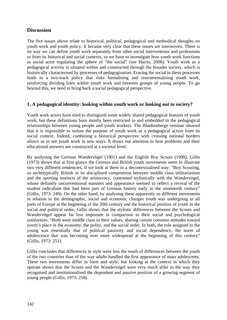## **Discussion**

The five issues above relate to historical, political, pedagogical and methodical thoughts on youth work and youth policy. It became very clear that these issues are interwoven. There is no way we can define youth work separately from other social interventions and professions or from its historical and social contexts, so we have to investigate how youth work functions as social actor regulating the sphere of "the social" (see Harris, 2008). Youth work as a pedagogical activity is situated within and constructed through the broader society, which is historically characterised by processes of pedagogisation. Erasing the social in these processes leads to a two-track policy that risks formalising and instrumentalising youth work, reinforcing dividing lines within youth work and between groups of young people. To go beyond this, we need to bring back a social pedagogical perspective.

### **1. A pedagogical identity: looking within youth work or looking out to society?**

Youth work actors have tried to distinguish some widely shared pedagogical features of youth work, but these definitions have mostly been restricted to and embedded in the pedagogical relationships between young people and youth workers. The Blankenberge seminar showed that it is impossible to isolate the purpose of youth work as a pedagogical action from its social context. Indeed, combining a historical perspective with crossing national borders allows us to see youth work in new ways. It draws our attention to how problems and their educational answers are constructed at a societal level.

By analysing the German Wandervögel (1901) and the English Boy Scouts (1908), Gillis (1973) shows that at first glance the German and British youth movements seem to illustrate two very different tendencies, if we look at them in a decontextualised way: "Boy Scouting, so archetypically British in its disciplined compromise between middle class utilitarianism and the sporting instincts of the aristocracy, contrasted stylistically with the Wandervögel, whose defiantly unconventional manners and appearance seemed to reflect a revival of the student radicalism that had been part of German history early in the nineteenth century" (Gillis, 1973: 249). On the other hand, by analysing these apparently so different movements in relation to the demographic, social and economic changes youth was undergoing in all parts of Europe at the beginning of the 20th century and the historical position of youth in the social and political order, Gillis shows that the stylistic differences between the Scouts and Wandervögel appear far less important in comparison to their social and psychological similarities: "Both were middle class in their values, sharing certain common attitudes toward youth's place in the economy, the polity, and the social order. In both, the role assigned to the young was essentially that of political passivity and social dependence, the norm of adolescence that was becoming ever more widespread at the beginning of this century" (Gillis, 1973: 251).

Gillis concludes that differences in style were less the result of differences between the youth of the two countries than of the way adults handled the first appearance of mass adolescents. These two movements differ in form and style, but looking at the context in which they operate shows that the Scouts and the Wandervögel were very much alike in the way they recognised and institutionalised the dependent and passive position of a growing segment of young people (Gillis, 1973: 258).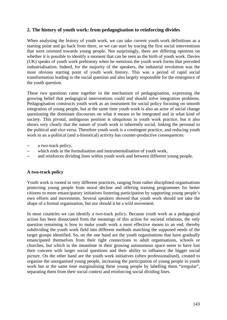### **2. The history of youth work: from pedagogisation to reinforcing divides**

When analysing the history of youth work, we can take current youth work definitions as a starting point and go back from there, or we can start by tracing the first social interventions that were oriented towards young people. Not surprisingly, there are differing opinions on whether it is possible to identify a moment that can be seen as the birth of youth work. Davies (UK) speaks of youth work prehistory when he mentions the youth work forms that preceded industrialisation. Indeed, for the majority of the speakers, the industrial revolution was the most obvious starting point of youth work history. This was a period of rapid social transformation leading to the social question and also largely responsible for the emergence of the youth question.

These two questions came together in the mechanism of pedagogisation, expressing the growing belief that pedagogical interventions could and should solve integration problems. Pedagogisation constructs youth work as an instrument for social policy focusing on smooth integration of young people, but at the same time youth work is also an actor of social change questioning the dominant discourses on what it means to be integrated and in what kind of society. This pivotal, ambiguous position is ubiquitous in youth work practice, but it also shows very clearly that the nature of youth work is inherently social, linking the personal to the political and vice versa. Therefore youth work is a contingent practice, and reducing youth work to an a-political (and a-historical) activity has counter-productive consequences:

- a two-track policy,
- which ends in the formalisation and instrumentalisation of youth work,
- and reinforces dividing lines within youth work and between different young people.

#### **A two-track policy**

Youth work is rooted in very different practices, ranging from rather disciplined organisations protecting young people from moral decline and offering training programmes for better citizens to more emancipatory initiatives fostering participation by supporting young people's own efforts and movements. Several speakers showed that youth work should not take the shape of a formal organisation, but nor should it be a wild movement.

In most countries we can identify a two-track policy. Because youth work as a pedagogical action has been dissociated from the meanings of this action for societal relations, the only question remaining is how to make youth work a most effective means to an end, thereby subdividing the youth work field into different methods matching the supposed needs of the target groups identified. So, on the one hand are the youth organisations that have gradually emancipated themselves from their tight connections to adult organisations, schools or churches, but which in the meantime in their growing autonomous space seem to have lost their concern with larger social questions and their ability to influence the bigger social picture. On the other hand are the youth work initiatives (often professionalised), created to organise the unorganised young people, increasing the participation of young people in youth work but at the same time marginalising these young people by labelling them "irregular", separating them from their social context and reinforcing social dividing lines.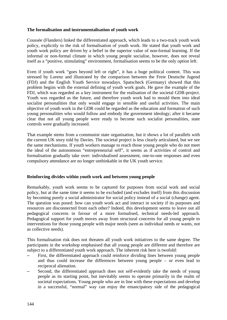#### **The formalisation and instrumentalisation of youth work**

Coussée (Flanders) linked the differentiated approach, which leads to a two-track youth work policy, explicitly to the risk of formalisation of youth work. He stated that youth work and youth work policy are driven by a belief in the superior value of non-formal learning. If the informal or non-formal climate in which young people socialise, however, does not reveal itself as a "positive, stimulating" environment, formalisation seems to be the only option left.

Even if youth work "goes beyond left or right", it has a huge political content. This was stressed by Lorenz and illustrated by the comparison between the Freie Deutsche Jugend (FDJ) and the English Youth Service nowadays. Spatscheck (Germany) showed that this problem begins with the external defining of youth work goals. He gave the example of the FDJ, which was regarded as a key instrument for the realisation of the societal GDR-project. Youth was regarded as the future, and therefore youth work had to mould them into ideal socialist personalities that only would engage in sensible and useful activities. The main objective of youth work in the GDR could be regarded as the education and formation of such young personalities who would follow and embody the government ideology; after it became clear that not all young people were ready to become such socialist personalities, state controls were gradually increased.

That example stems from a communist state organisation, but it shows a lot of parallels with the current UK story told by Davies. The societal project is less clearly articulated, but we see the same mechanisms. If youth workers manage to reach those young people who do not meet the ideal of the autonomous "entrepreneurial self", it seems as if activities of control and formalisation gradually take over: individualised assessment, one-to-one responses and even compulsory attendance are no longer unthinkable in the UK youth service.

#### **Reinforcing divides within youth work and between young people**

Remarkably, youth work seems to be captured for purposes from social work and social policy, but at the same time it seems to be excluded (and excludes itself) from this discussion by becoming purely a social administrator for social policy instead of a social (change) agent. The question was posed: how can youth work act and interact in society if its purposes and resources are disconnected from each other? Indeed, this development seems to leave out all pedagogical concerns in favour of a more formalised, technical needs-led approach. Pedagogical support for youth moves away from structural concerns for all young people to interventions for those young people with major needs (seen as individual needs or wants, not as collective needs).

This formalisation risk does not threaten all youth work initiatives to the same degree. The participants in the workshop emphasised that all young people are different and therefore are subject to a differentiated youth work approach. The inherent risk here is twofold:

- First, the differentiated approach could reinforce dividing lines between young people and thus could increase the differences between young people – or even lead to reciprocal alienation.
- Second, the differentiated approach does not self-evidently take the needs of young people as its starting point, but inevitably seems to operate primarily in the realm of societal expectations. Young people who are in line with these expectations and develop in a successful, "normal" way can enjoy the emancipatory side of the pedagogical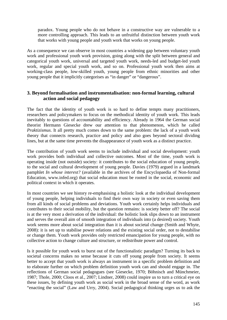paradox. Young people who do not behave in a constructive way are vulnerable to a more controlling approach. This leads to an unfruitful distinction between youth work that works with young people and youth work that works on young people.

As a consequence we can observe in most countries a widening gap between voluntary youth work and professional youth work provision, going along with the split between general and categorical youth work, universal and targeted youth work, needs-led and budget-led youth work, regular and special youth work, and so on. Professional youth work then aims at working-class people, low-skilled youth, young people from ethnic minorities and other young people that it implicitly categorises as "in danger" or "dangerous".

### **3. Beyond formalisation and instrumentalisation: non-formal learning, cultural action and social pedagogy**

The fact that the identity of youth work is so hard to define tempts many practitioners, researchers and policymakers to focus on the methodical identity of youth work. This leads inevitably to questions of accountability and efficiency. Already in 1964 the German social theorist Hermann Giesecke drew our attention to that phenomenon, which he called *Praktizismus*. It all pretty much comes down to the same problem: the lack of a youth work theory that connects research, practice and policy and also goes beyond sectoral dividing lines, but at the same time prevents the disappearance of youth work as a distinct practice.

The contribution of youth work seems to include individual and social development: youth work provides both individual and collective outcomes. Most of the time, youth work is operating inside (not outside) society: it contributes to the social education of young people, to the social and cultural development of young people. Davies (1979) argued in a landmark pamphlet *In whose interest?* (available in the archives of the Encyclopaedia of Non-formal Education, [www.infed.org\)](http://www.infed.org/) that social education must be rooted in the social, economic and political context in which it operates.

In most countries we see history re-emphasising a holistic look at the individual development of young people, helping individuals to find their own way in society or even saving them from all kinds of social problems and deviations. Youth work certainly helps individuals and contributes to their social mobility, but the question remains: is society better off? The social is at the very most a derivation of the individual: the holistic look slips down to an instrument and serves the overall aim of smooth integration of individuals into (a desired) society. Youth work seems more about social integration than it is about societal change (Smith and Whyte, 2008): it is set up to stabilise power relations and the existing social order, not to destabilise or change them. Youth work provides only restricted emancipation for young people, with no collective action to change culture and structure, or redistribute power and control.

Is it possible for youth work to burst out of the functionalistic paradigm? Turning its back to societal concerns makes no sense because it cuts off young people from society. It seems better to accept that youth work is always an instrument in a specific problem definition and to elaborate further on which problem definition youth work can and should engage in. The reflections of German social pedagogues (see Giesecke, 1970; Böhnisch and Münchmeier, 1987; Thole, 2000; Cloos et al., 2007; Lindner, 2008) could inspire us to turn a critical eye on these issues, by defining youth work as social work in the broad sense of the word, as work "enacting the social" (Law and Urry, 2004). Social pedagogical thinking urges us to ask the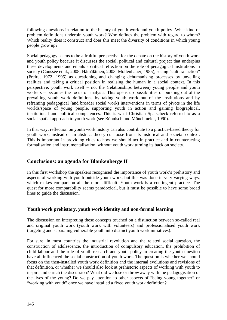following questions in relation to the history of youth work and youth policy. What kind of problem definitions underpin youth work? Who defines the problem with regard to whom? Which reality does it construct and does this meet the diversity of conditions in which young people grow up?

Social pedagogy seems to be a fruitful perspective for the debate on the history of youth work and youth policy because it discusses the social, political and cultural project that underpins these developments and entails a critical reflection on the role of pedagogical institutions in society (Coussée et al., 2008; Hämäläinen, 2003: Mollenhauer, 1985), seeing "cultural action" (Freire, 1972, 1995) as questioning and changing dehumanising processes by unveiling realities and taking a critical position in realising the human in a social context. In this perspective, youth work itself – not the (relationships between) young people and youth workers – becomes the focus of analysis. This opens up possibilities of bursting out of the prevailing youth work definitions by taking youth work out of the institutions and by reframing pedagogical (and broader social work) interventions in terms of pivots in the life worlds/space of young people, supporting youth in action and gaining biographical, institutional and political competences. This is what Christian Spatscheck referred to as a social spatial approach to youth work (see Böhnisch und Münchmeier, 1990).

In that way, reflection on youth work history can also contribute to a practice-based theory for youth work, instead of an abstract theory cut loose from its historical and societal context. This is important in providing clues to how we should act in practice and in counteracting formalisation and instrumentalisation, without youth work turning its back on society.

## **Conclusions: an agenda for Blankenberge II**

In this first workshop the speakers recognised the importance of youth work's prehistory and aspects of working with youth outside youth work, but this was done in very varying ways, which makes comparison all the more difficult. Youth work is a contingent practice. The quest for more comparability seems paradoxical, but it must be possible to have some broad lines to guide the discussion.

## **Youth work prehistory, youth work identity and non-formal learning**

The discussion on interpreting these concepts touched on a distinction between so-called real and original youth work (youth work with volunteers) and professionalised youth work (targeting and separating vulnerable youth into distinct youth work initiatives).

For sure, in most countries the industrial revolution and the related social question, the construction of adolescence, the introduction of compulsory education, the prohibition of child labour and the role of youth research and youth policy in creating the youth question have all influenced the social construction of youth work. The question is whether we should focus on the then-installed youth work definition and the internal evolutions and revisions of that definition, or whether we should also look at prehistoric aspects of working with youth to inspire and enrich the discussion? What did we lose or throw away with the pedagogisation of the lives of the young? Do we pay attention to other aspects of "being young together" or "working with youth" once we have installed a fixed youth work definition?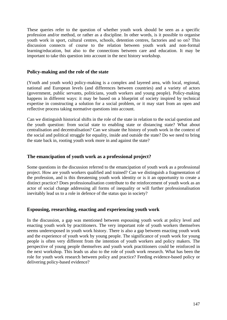These queries refer to the question of whether youth work should be seen as a specific profession and/or method, or rather as a discipline. In other words, is it possible to organise youth work in sport, cultural centres, schools, detention centres, factories and so on? This discussion connects of course to the relation between youth work and non-formal learning/education, but also to the connections between care and education. It may be important to take this question into account in the next history workshop.

#### **Policy-making and the role of the state**

(Youth and youth work) policy-making is a complex and layered area, with local, regional, national and European levels (and differences between countries) and a variety of actors (government, public servants, politicians, youth workers and young people). Policy-making happens in different ways: it may be based on a blueprint of society inspired by technical expertise in constructing a solution for a social problem, or it may start from an open and reflective process taking normative questions into account.

Can we distinguish historical shifts in the role of the state in relation to the social question and the youth question: from social state to enabling state or distancing state? What about centralisation and decentralisation? Can we situate the history of youth work in the context of the social and political struggle for equality, inside and outside the state? Do we need to bring the state back in, rooting youth work more in and against the state?

## **The emancipation of youth work as a professional project?**

Some questions in the discussion referred to the emancipation of youth work as a professional project. How are youth workers qualified and trained? Can we distinguish a fragmentation of the profession, and is this threatening youth work identity or is it an opportunity to create a distinct practice? Does professionalisation contribute to the reinforcement of youth work as an actor of social change addressing all forms of inequality or will further professionalisation inevitably lead us to a role in defence of the status quo in society?

## **Espousing, researching, enacting and experiencing youth work**

In the discussion, a gap was mentioned between espousing youth work at policy level and enacting youth work by practitioners. The very important role of youth workers themselves seems underexposed in youth work history. There is also a gap between enacting youth work and the experience of youth work by young people. The significance of youth work for young people is often very different from the intention of youth workers and policy makers. The perspective of young people themselves and youth work practitioners could be reinforced in the next workshop. This leads us also to the role of youth work research. What has been the role for youth work research between policy and practice? Feeding evidence-based policy or delivering policy-based evidence?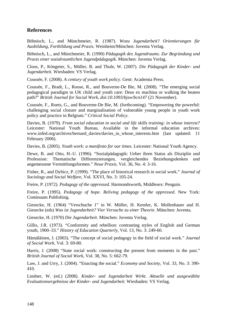## **References**

Böhnisch, L., and Münchmeier, R. (1987). *Wozu Jugendarbeit? Orientierungen für Ausbildung, Fortbildung und Praxis*. Weinheim/München: Juventa Verlag.

Böhnisch, L., and Münchmeier, R. (1990) *Pädagogik des Jugendraums. Zur Begründung und Praxis einer sozialraumlichen Jugendpädagogik*. München: Juventa Verlag.

Cloos, P., Köngeter, S., Müller, B. and Thole, W. (2007). *Die Pädagogik der Kinder- und Jugendarbeit*. Wiesbaden: VS Verlag.

Coussée, F. (2008). *A century of youth work policy*. Gent: Academia Press.

Coussée, F., Bradt, L., Roose, R., and Bouverne-De Bie, M. (2008). "The emerging social pedagogical paradigm in UK child and youth care: Deus ex machina or walking the beaten path?" *British Journal for Social Work, doi:10.1093/bjsw/bcn147* (21 November).

Coussée, F., Roets, G., and Bouverne-De Bie, M. (forthcoming). "Empowering the powerful: challenging social closure and marginalisation of vulnerable young people in youth work policy and practice in Belgium." *Critical Social Policy*.

Davies, B. (1979). *From social education to social and life skills training: in whose interest?*  Leicester: National Youth Bureau. Available in the informal education archives: www.infed.org/archives/bernard davies/davies in whose interests.htm (last updated: 11 February 2006).

Davies, B. (2005). *Youth work: a manifesto for our times*. Leicester: National Youth Agency.

Dewe, B. and Otto, H.-U. (1996). "Sozialpädagogik: Ueber ihren Status als Disziplin und Profession: Thematische Differenzierungen, vergleichendes Beziehungsdenken und angemessene Vermittlungsformen." *Neue Praxis*, Vol. 36, No. 4: 3-16.

Fisher, R., and Dybicz, P. (1999). "The place of historical research in social work." *Journal of Sociology and Social Welfare*, Vol. XXVI, No. 3: 105-24.

Freire, P. (1972). *Pedagogy of the oppressed*. Harmondsworth, Middlesex: Penguin.

Freire, P. (1995). *Pedagogy of hope. Reliving pedagogy of the oppressed*. New York: Continuum Publishing.

Giesecke, H. (1964) "Verschuche 1" in W. Müller, H. Kentler, K. Mollenhauer and H. Giesecke (eds) *Was ist Jugendarbeit? Vier Versuche zu einer Theorie*. München: Juventa.

Giesecke, H. (1970) *Die Jugendarbeit*. München: Juventa Verlag.

Gillis, J.R. (1973). "Conformity and rebellion: contrasting styles of English and German youth, 1900–33." *History of Education Quarterly*, Vol. 13, No. 3: 249-60.

Hämäläinen, J. (2003). "The concept of social pedagogy in the field of social work." *Journal of Social Work*, Vol. 3: 69-80.

Harris, J. (2008) "State social work: constructing the present from moments in the past." *British Journal of Social Work*, Vol. 38, No. 5: 662-79.

Law, J. and Urry, J. (2004). "Enacting the social." *Economy and Society*, Vol. 33, No. 3: 390- 410.

Lindner, W. (ed.) (2008). *Kinder- und Jugendarbeit Wirkt. Aktuelle und ausgewählte Evaluationsergebnisse der Kinder- und Jugendarbeit*. Wiesbaden: VS Verlag.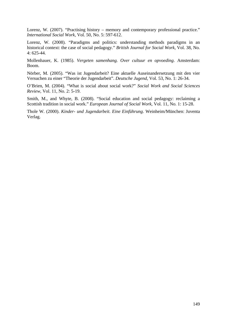Lorenz, W. (2007). "Practising history – memory and contemporary professional practice." *International Social Work*, Vol. 50, No. 5: 597-612.

Lorenz, W. (2008). "Paradigms and politics: understanding methods paradigms in an historical context: the case of social pedagogy." *British Journal for Social Work*, Vol. 38, No. 4: 625-44.

Mollenhauer, K. (1985). *Vergeten samenhang. Over cultuur en opvoeding*. Amsterdam: Boom.

Nörber, M. (2005). "Was ist Jugendarbeit? Eine aktuelle Auseinandersetzung mit den vier Versuchen zu einer "Theorie der Jugendarbeit". *Deutsche Jugend*, Vol. 53, No. 1: 26-34.

O'Brien, M. (2004). "What is social about social work?" *Social Work and Social Sciences Review*, Vol. 11, No. 2: 5-19.

Smith, M., and Whyte, B. (2008). "Social education and social pedagogy: reclaiming a Scottish tradition in social work." *European Journal of Social Work*, Vol. 11, No. 1: 15-28.

Thole W. (2000). *Kinder- und Jugendarbeit. Eine Einführung*. Weinheim/München: Juventa Verlag.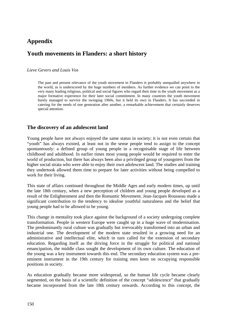# **Appendix**

# **Youth movements in Flanders: a short history**

#### *Lieve Gevers and Louis Vos*

The past and present relevance of the youth movement in Flanders is probably unequalled anywhere in the world, as is underscored by the huge numbers of members. As further evidence we can point to the very many leading religious, political and social figures who regard their time in the youth movement as a major formative experience for their later social commitment. In many countries the youth movement barely managed to survive the swinging 1960s, but it held its own in Flanders. It has succeeded in catering for the needs of one generation after another, a remarkable achievement that certainly deserves special attention.

## **The discovery of an adolescent land**

Young people have not always enjoyed the same status in society; it is not even certain that "youth" has always existed, at least not in the sense people tend to assign to the concept spontaneously: a defined group of young people in a recognisable stage of life between childhood and adulthood. In earlier times most young people would be required to enter the world of production, but there has always been also a privileged group of youngsters from the higher social strata who were able to enjoy their own adolescent land. The studies and training they undertook allowed them time to prepare for later activities without being compelled to work for their living.

This state of affairs continued throughout the Middle Ages and early modern times, up until the late 18th century, when a new perception of children and young people developed as a result of the Enlightenment and then the Romantic Movement. Jean-Jacques Rousseau made a significant contribution to the tendency to idealise youthful naturalness and the belief that young people had to be allowed to be young.

This change in mentality took place against the background of a society undergoing complete transformation. People in western Europe were caught up in a huge wave of modernisation. The predominantly rural culture was gradually but irrevocably transformed into an urban and industrial one. The development of the modern state resulted in a growing need for an administrative and intellectual elite, which in turn called for the extension of secondary education. Regarding itself as the driving force in the struggle for political and national emancipation, the middle class sought the development of its own culture. The education of the young was a key instrument towards this end. The secondary education system was a preeminent instrument in the 19th century for training men keen on occupying responsible positions in society.

As education gradually became more widespread, so the human life cycle became clearly segmented, on the basis of a scientific definition of the concept "adolescence" that gradually became incorporated from the late 18th century onwards. According to this concept, the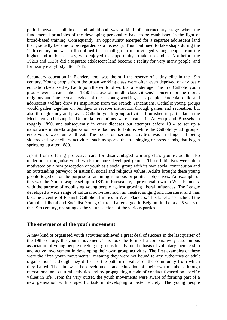period between childhood and adulthood was a kind of intermediary stage when the fundamental principles of the developing personality have to be established in the light of broad-based training. Consequently, an opportunity emerged for a separate adolescent land that gradually became to be regarded as a necessity. This continued to take shape during the 19th century but was still confined to a small group of privileged young people from the higher and middle classes, who enjoyed the opportunity to take up studies. Not before the 1920s and 1930s did a separate adolescent land become a reality for very many people, and for nearly everybody after 1945.

Secondary education in Flanders, too, was the still the reserve of a tiny elite in the 19th century. Young people from the urban working class were often even deprived of any basic education because they had to join the world of work at a tender age. The first Catholic youth groups were created about 1850 because of middle-class citizens' concern for the moral, religious and intellectual neglect of these young working-class people. Parochial child and adolescent welfare drew its inspiration from the French Vincentians. Catholic young groups would gather together on Sundays to receive instruction through games and recreation, but also through study and prayer. Catholic youth group activities flourished in particular in the Mechelen archbishopric. Umbrella federations were created in Antwerp and Brussels in roughly 1890, and subsequently in other dioceses but attempts before 1914 to set up a nationwide umbrella organisation were doomed to failure, while the Catholic youth groups' endeavours were under threat. The focus on serious activities was in danger of being sidetracked by ancillary activities, such as sports, theatre, singing or brass bands, that began springing up after 1880.

Apart from offering protective care for disadvantaged working-class youths, adults also undertook to organise youth work for more developed groups. These initiatives were often motivated by a new perception of youth as a social group with its own social contribution and an outstanding purveyor of national, social and religious values. Adults brought these young people together for the purpose of attaining religious or political objectives. An example of this was the Youth League set up in 1847 in Roesealere, a provincial town in West Flanders, with the purpose of mobilising young people against growing liberal influences. The League developed a wide range of cultural activities, such as theatre, singing and literature, and thus became a centre of Flemish Catholic affinities in West Flanders. This label also included the Catholic, Liberal and Socialist Young Guards that emerged in Belgium in the last 25 years of the 19th century, operating as the youth sections of the various parties.

## **The emergence of the youth movement**

A new kind of organised youth activities achieved a great deal of success in the last quarter of the 19th century: the youth movement. This took the form of a comparatively autonomous association of young people meeting in groups locally, on the basis of voluntary membership and active involvement in developing their own group activities. The first examples of these were the "free youth movements", meaning they were not bound to any authorities or adult organisations, although they did share the pattern of values of the community from which they hailed. The aim was the development and education of their own members through recreational and cultural activities and by propagating a code of conduct focused on specific values in life. From the very outset, the youth movements were aware of forming part of a new generation with a specific task in developing a better society. The young people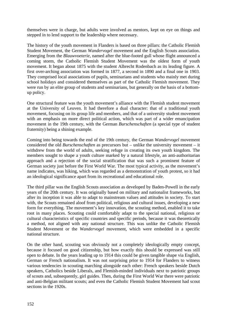themselves were in charge, but adults were involved as mentors, kept on eye on things and stepped in to lend support to the leadership where necessary.

The history of the youth movement in Flanders is based on three pillars: the Catholic Flemish Student Movement, the German *Wandervogel* movement and the English Scouts association. Emerging from the *Blauwvoeterie*, named after the blue-footed gull whose flight announced a coming storm, the Catholic Flemish Student Movement was the oldest form of youth movement. It began about 1875 with the student Albrecht Rodenbach as its leading figure. A first over-arching association was formed in 1877, a second in 1890 and a final one in 1903. They comprised local associations of pupils, seminarians and students who mainly met during school holidays and considered themselves as part of the Catholic Flemish movement. They were run by an elite group of students and seminarians, but generally on the basis of a bottomup policy.

One structural feature was the youth movement's alliance with the Flemish student movement at the University of Leuven. It had therefore a dual character: that of a traditional youth movement, focusing on its group life and members, and that of a university student movement with an emphasis on more direct political action, which was part of a wider emancipation movement in the 19th century, with the German *Burschenschaften* (a special type of student fraternity) being a shining example.

Coming into being towards the end of the 19th century, the German *Wandervogel* movement considered the old *Burschenschaften* as precursors but – unlike the university movement – it withdrew from the world of adults, seeking refuge in creating its own youth kingdom. The members sought to shape a youth culture marked by a natural lifestyle, an anti-authoritarian approach and a rejection of the social stratification that was such a prominent feature of German society just before the First World War. The most typical activity, as the movement's name indicates, was hiking, which was regarded as a demonstration of youth protest, so it had an ideological significance apart from its recreational and educational role.

The third pillar was the English Scouts association as developed by Baden-Powell in the early years of the 20th century. It was originally based on military and nationalist frameworks, but after its inception it was able to adapt to mainstream values and attitudes in society. To start with, the Scouts remained aloof from political, religious and cultural issues, developing a new form for everything. The movement's key innovation, the scouting method, enabled it to take root in many places. Scouting could comfortably adapt to the special national, religious or cultural characteristics of specific countries and specific periods, because it was theoretically a method, not aligned with any national structure. This was unlike the Catholic Flemish Student Movement or the *Wandervogel* movement, which were embedded in a specific national structure.

On the other hand, scouting was obviously not a completely ideologically empty concept, because it focused on good citizenship, but how exactly this should be expressed was still open to debate. In the years leading up to 1914 this could be given tangible shape via English, German or French nationalism. It was not surprising prior to 1914 for Flanders to witness various tendencies in scouting marching alongside each other: French speakers beside Dutch speakers, Catholics beside Liberals, and Flemish-minded individuals next to patriotic groups of scouts and, subsequently, girl guides. Then, during the First World War there were patriotic and anti-Belgian militant scouts; and even the Catholic Flemish Student Movement had scout sections in the 1920s.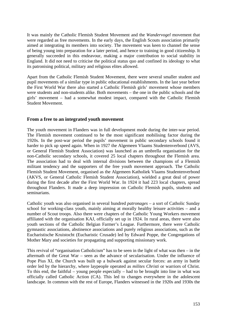It was mainly the Catholic Flemish Student Movement and the *Wandervogel* movement that were regarded as free movements. In the early days, the English Scouts association primarily aimed at integrating its members into society. The movement was keen to channel the sense of being young into preparation for a later period, and hence to training in good citizenship. It generally succeeded in this endeavour, making a major contribution to social stability in England. It did not need to criticise the political status quo and confined its ideology to what its patronising political, military and religious elites allowed.

Apart from the Catholic Flemish Student Movement, there were several smaller student and pupil movements of a similar type in public educational establishments. In the last year before the First World War there also started a Catholic Flemish girls' movement whose members were students and non-students alike. Both movements – the one in the public schools and the girls' movement – had a somewhat modest impact, compared with the Catholic Flemish Student Movement.

#### **From a free to an integrated youth movement**

The youth movement in Flanders was in full development mode during the inter-war period. The Flemish movement continued to be the most significant mobilising factor during the 1920s. In the post-war period the pupils' movement in public secondary schools found it harder to pick up speed again. When in 1927 the Algemeen Vlaams Studentenverbond (AVS, or General Flemish Student Association) was launched as an umbrella organisation for the non-Catholic secondary schools, it covered 25 local chapters throughout the Flemish area. The association had to deal with internal divisions between the champions of a Flemish militant tendency and the supporters of the free youth movement approach. The Catholic Flemish Student Movement, organised as the Algemeen Katholiek Vlaams Studentenverbond (AKVS, or General Catholic Flemish Student Association), wielded a great deal of power during the first decade after the First World War. In 1924 it had 223 local chapters, spread throughout Flanders. It made a deep impression on Catholic Flemish pupils, students and seminarians.

Catholic youth was also organised in several hundred *patronages* – a sort of Catholic Sunday school for working-class youth, mainly aiming at morally healthy leisure activities – and a number of Scout troops. Also there were chapters of the Catholic Young Workers movement affiliated with the organisation KAJ, officially set up in 1924. In rural areas, there were also youth sections of the Catholic Belgian Farmer's League. Furthermore, there were Catholic gymnastic associations, abstinence associations and purely religious associations, such as the Eucharistische Kruistocht (Eucharistic Crusade) led by Edward Poppe, the Congregations of Mother Mary and societies for propagating and supporting missionary work.

This revival of "organisation Catholicism" has to be seen in the light of what was then  $-$  in the aftermath of the Great War – seen as the advance of secularisation. Under the influence of Pope Pius XI, the Church was built up a bulwark against secular forces: an army in battle order led by the hierarchy, where laypeople operated as *milites Christi* or warriors of Christ. To this end, the faithful – young people especially – had to be brought into line in what was officially called Catholic Action (CA). This led to changes everywhere in the adolescent landscape. In common with the rest of Europe, Flanders witnessed in the 1920s and 1930s the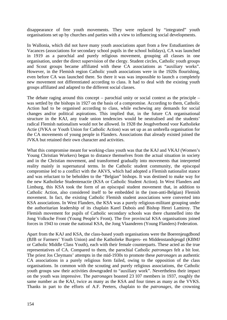disappearance of free youth movements. They were replaced by "integrated" youth organisations set up by churches and parties with a view to influencing social developments.

In Wallonia, which did not have many youth associations apart from a few Estudiantines de Vacances (associations for secondary school pupils in the school holidays), CA was launched in 1919 as a parochial and purely religious movement, grouping all classes in one organisation, under the direct supervision of the clergy. Student circles, Catholic youth groups and Scout groups became affiliated with these CA associations as "auxiliary works". However, in the Flemish region Catholic youth associations were in the 1920s flourishing, even before CA was launched there. So there it was was impossible to launch a completely new movement not differentiated according to class. It had to deal with the existing youth groups affiliated and adapted to the different social classes.

The debate raging around this concept – parochial unity or social context as the principle – was settled by the bishops in 1927 on the basis of a compromise. According to them, Catholic Action had to be organised according to class, while eschewing any demands for social changes and/or political aspirations. This implied that, in the future CA organisational structure in the KAJ, any trade union tendencies would be neutralised and the students' radical Flemish nationalism would not be allowed. In 1928 the Jeugdverbond voor Katholieke Actie (JVKA or Youth Union for Catholic Action) was set up as an umbrella organisation for the CA movements of young people in Flanders. Associations that already existed joined the JVKA but retained their own character and activities.

What this compromise meant for working-class youth was that the KAJ and VKAJ (Women's Young Christian Workers) began to distance themselves from the actual situation in society and in the Christian movement, and transformed gradually into movements that interpreted reality mainly in supernatural terms. In the Catholic student community, the episcopal compromise led to a conflict with the AKVS, which had adopted a Flemish nationalist stance and was reluctant to be beholden to the "Belgian" bishops. It was destined to make way for the new Katholieke Studentenactie (KSA or Catholic Student Action). In West Flanders and Limburg, this KSA took the form of an episcopal student movement that, in addition to Catholic Action, also considered itself to be embedded in the (non-anti-Belgian) Flemish movement. In fact, the existing Catholic Flemish student associations were converted into KSA associations. In West Flanders, the KSA was a purely religious-militant grouping under the authoritarian leadership of its chaplain Karel Dubois and Bishop Henri Lamiroy. The Flemish movement for pupils of Catholic secondary schools was there channelled into the Jong Volksche Front (Young People's Front). The five provincial KSA organisations joined forces in 1943 to create the national KSA, the Jong Vlaanderen (Young Flanders) Federation.

Apart from the KAJ and KSA, the class-based youth organisations were the Boerenjeugdbond (BJB or Farmers' Youth Union) and the Katholieke Burgers- en Middenstandsjeugd (KBMJ or Catholic Middle Class Youth), each with their female counterparts. These acted as the true representatives of CA. Compared to them, the parochial Catholic *patronages* felt a bit lost. The priest Jos Cleymans' attempts in the mid-1930s to promote these *patronages* as authentic CA associations in a purely religious form failed, owing to the opposition of the class organisations. In common with the scouting and purely religious associations, the Catholic youth groups saw their activities downgraded to "auxiliary work". Nevertheless their impact on the youth was impressive. The *patronages* boasted 23 107 members in 1937, roughly the same number as the KAJ, twice as many as the KSA and four times as many as the VVKS. Thanks in part to the efforts of A.F. Peeters, chaplain to the *patronages*, the crowning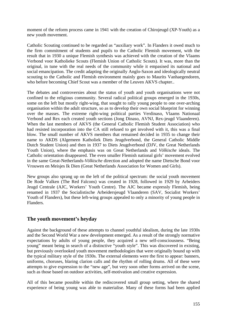moment of the reform process came in 1941 with the creation of Chirojeugd (XP-Youth) as a new youth movement.

Catholic Scouting continued to be regarded as "auxiliary work". In Flanders it owed much to the firm commitment of students and pupils to the Catholic Flemish movement, with the result that in 1930 a unique Flemish synthesis was achieved with the creation of the Vlaams Verbond voor Katholieke Scouts (Flemish Union of Catholic Scouts). It was, more than the original, in tune with the real needs of the community while it empasised its national and social emancipation. The credit adapting the originally Anglo-Saxon and ideologically neutral scouting to the Catholic and Flemish environment mainly goes to Maurits Vanhaegendoren, who before becoming Chief Scout was a member of the Leuven AKVS chapter..

The debates and controversies about the status of youth and youth organisations were not confined to the religious community. Several radical political groups emerged in the 1930s, some on the left but mostly right-wing, that sought to rally young people to one over-arching organisation within the adult structure, so as to develop their own social blueprint for winning over the masses. The extreme right-wing political parties Verdinaso, Vlaams Nationaal Verbond and Rex each created youth sections (Jong Dinaso, AVNJ, Rex-jeugd Vlaanderen). When the last members of AKVS (the General Catholic Flemish Student Association) who had resisted incorporation into the CA still refused to get involved with it, this was a final blow. The small number of AKVS members that remained decided in 1935 to change their name to AKDS (Algemeen Katholiek Diets Jeugdverbond, the General Catholic Middle Dutch Student Union) and then in 1937 to Diets Jeugdverbond (DJV, the Great Netherlands Youth Union), where the emphasis was on Great Netherlands and *Völkische* ideals. The Catholic orientation disappeared. The even smaller Flemish national girls' movement evolved in the same Great-Netherlands-*Völkische* direction and adopted the name Dietsche Bond voor Vrouwen en Meisjes Ik Dien (Great Netherlands Association for Women and Girls).

New groups also sprang up on the left of the political spectrum: the social youth movement De Rode Valken (The Red Falcons) was created in 1928, followed in 1929 by Arbeiders Jeugd Centrale (AJC, Workers' Youth Centre). The AJC became expressly Flemish, being renamed in 1937 the Socialistische Arbeidersjeugd Vlaanderen (SAV, Socialist Workers' Youth of Flanders), but these left-wing groups appealed to only a minority of young people in Flanders.

## **The youth movement's heyday**

Against the background of these attempts to channel youthful idealism, during the late 1930s and the Second World War a new development emerged. As a result of the strongly normative expectations by adults of young people, they acquired a new self-consciousness. "Being young" meant being in search of a distinctive "youth style". This was discovered in existing, but previously overlooked youth movement methodologies that were originally bound up with the typical military style of the 1930s. The external elements were the first to appear: banners, uniforms, choruses, blaring clarion calls and the rhythm of rolling drums. All of these were attempts to give expression to the "new age", but very soon other forms arrived on the scene, such as those based on outdoor activities, self-motivation and creative expression.

All of this became possible within the rediscovered small group setting, where the shared experience of being young was able to materialise. Many of these forms had been applied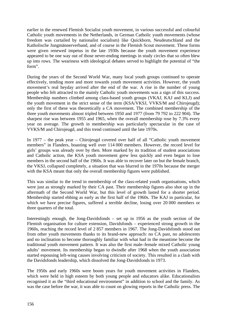earlier in the renewed Flemish Socialist youth movement, in various successful and colourful Catholic youth movements in the Netherlands, in German Catholic youth movements (whose freedom was curtailed by nationalist socialism) like Quickborn, Neudeutschland and the Katholische Jungmännerverband, and of course in the Flemish Scout movement. These forms were given renewed impetus in the late 1930s because the youth movement experience appeared to be one way out of those never-ending meetings in study circles that so often blew up into rows. The weariness with ideological debates served to highlight the potential of "the form".

During the years of the Second World War, many local youth groups continued to operate effectively, tending more and more towards youth movement activities. However, the youth movement's real heyday arrived after the end of the war. A rise in the number of young people who felt attracted to the mainly Catholic youth movements was a sign of this success. Membership numbers climbed among class-based youth groups (VKAJ, KAJ and KLJ) and the youth movement in the strict sense of the term (KSA/VKSJ, VVKS/M and Chirojeugd); only the first of these was theoretically a CA movement. The combined membership of the three youth movements almost tripled between 1950 and 1977 (from 79 792 to 222 904). The sharpest rise was between 1955 and 1965, when the overall membership rose by 7.3% every year on average. The growth in membership was particularly spectacular in the case of VVKS/M and Chirojeugd, and this trend continued until the late 1970s.

In 1977 – the peak year – Chirojeugd covered over half of all "Catholic youth movement members" in Flanders, boasting well over 114 000 members. However, the record level for girls' groups was already over by then. More marked by its tradition of student associations and Catholic action, the KSA youth movement grew less quickly and even began to lose members in the second half of the 1960s. It was able to recover later on but the female branch, the VKSJ, collapsed completely, a situation that was blurred in the 1970s because the merger with the KSA meant that only the overall membership figures were published.

This was similar to the trend in membership of the class-related youth organisations, which were just as strongly marked by their CA past. Their membership figures also shot up in the aftermath of the Second World War, but this level of growth lasted for a shorter period. Membership started ebbing as early as the first half of the 1960s. The KAJ in particular, for which we have precise figures, suffered a terrible decline, losing over 20 000 members or three quarters of the total.

Interestingly enough, the Jong-Davidsfonds – set up in 1956 as the youth section of the Flemish organisation for culture extension, Davidsfonds – experienced strong growth in the 1960s, reaching the record level of 2 857 members in 1967. The Jong-Davidsfonds stood out from other youth movements thanks to its brand-new approach: no CA past, no adolescents and no inclination to become thoroughly familiar with what had in the meantime become the traditional youth movement pattern. It was also the first male–female mixed Catholic young adults' movement. Its membership began to dwindle after 1968 when the youth association started espousing left-wing causes involving criticism of society. This resulted in a clash with the Davidsfonds leadership, which dissolved the Jong-Davidsfonds in 1973.

The 1950s and early 1960s were boom years for youth movement activities in Flanders, which were held in high esteem by both young people and educators alike. Educationalists recognised it as the "third educational environment" in addition to school and the family. As was the case before the war, it was able to count on glowing reports in the Catholic press. The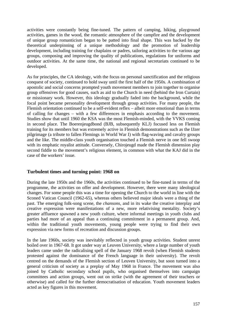activities were constantly being fine-tuned. The pattern of camping, hiking, playground activities, games in the wood, the romantic atmosphere of the campfire and the development of unique group romanticism began to be patted into final shape. This was backed by the theoretical underpinning of a unique methodology and the promotion of leadership development, including training for chaplains or padres, tailoring activities to the various age groups, composing and improving the quality of publications, regulations for uniforms and outdoor activities. At the same time, the national and regional secretariats continued to be developed.

As for principles, the CA ideology, with the focus on personal sanctification and the religious conquest of society, continued to hold sway until the first half of the 1950s. A combination of apostolic and social concerns prompted youth movement members to join together to organise group offensives for good causes, such as aid to the Church in need (behind the Iron Curtain) or missionary work. However, this ideology gradually faded into the background, while the focal point became personality development through group activities. For many people, the Flemish orientation continued to be a self-evident reflex – albeit more emotional than in terms of calling for changes – with a few differences in emphasis according to the movement. Studies show that until 1960 the KSA was the most Flemish-minded, with the VVKS coming in second place. The Boerenjeugdbond (BJB, subsequently KLJ) focused less on Flemish training for its members but was extremely active in Flemish demonstrations such as the IJzer pilgrimage (a tribute to fallen Flemings in World War I) with flag-waving and cavalry groups and the like. The middle-class youth organisation touched a Flemish nerve in one fell swoop with its emphatic royalist attitude. Conversely, Chirojeugd made the Flemish dimension play second fiddle to the movement's religious element, in common with what the KAJ did in the case of the workers' issue.

## **Turbulent times and turning point: 1968 on**

During the late 1950s and the 1960s, the activities continued to be fine-tuned in terms of the programme, the activities on offer and development. However, there were many ideological changes. For some people this was a time for opening the Church to the world in line with the Sconed Vatican Council (1962-65), whereas others believed major ideals were a thing of the past. The emerging folk-song scene, the *chansons*, and in its wake the creative interplay and creative expression were manifestations of a new, more relativising mentality. Society's greater affluence spawned a new youth culture, where informal meetings in youth clubs and parties had more of an appeal than a continuing commitment in a permanent group. And, within the traditional youth movements, young people were trying to find their own expression via new forms of recreation and discussion groups.

In the late 1960s, society was inevitably reflected in youth group activities. Student unrest boiled over in 1967-68. It got under way at Leuven University, where a large number of youth leaders came under the radicalising spell of the January 1968 revolt (when Flemish students protested against the dominance of the French language in their university). The revolt centred on the demands of the Flemish section of Leuven University, but soon turned into a general criticism of society as a preplay of May 1968 in France. The movement was also joined by Catholic secondary school pupils, who organised themselves into campaign committees and action groups, went out on strike (with the agreement of their teachers or otherwise) and called for the further democratisation of education. Youth movement leaders acted as key figures in this movement.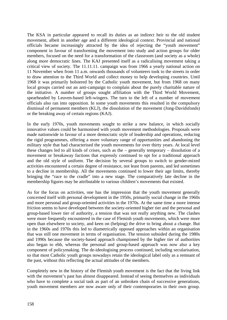The KSA in particular appeared to recall its duties as an indirect heir to the old student movement, albeit in another age and a different ideological context. Provincial and national officials became increasingly attracted by the idea of rejecting the "youth movement" component in favour of transforming the movement into study and action groups for older members, focused on the need for a transformation of the classroom (and society as a whole) along more democratic lines. The KAJ presented itself as a radicalising movement taking a critical view of society. The 11.11.11. campaign was from 1966 a yearly national action on 11 November when from 11 a.m. onwards thousands of volunteers took to the streets in order to draw attention to the Third World and collect money to help developing countries. Until 1968 it was primarily bolstered by the Catholic youth movement, but from 1968 on many local groups carried out an anti-campaign to complain about the purely charitable nature of the initiative. A number of groups sought affiliation with the Third World Movement, spearheaded by Leuven-based left-wingers. The turn to the left of a number of movement officials also ran into opposition. In some youth movements this resulted in the compulsory dismissal of permanent members (KLJ), the dissolution of the movement (Jong-Davidsfonds) or the breaking away of certain regions (KAJ).

In the early 1970s, youth movements sought to strike a new balance, in which socially innovative values could be harmonised with youth movement methodologies. Proposals were made nationwide in favour of a more democratic style of leadership and operations, reducing the rigid programmes, offering a more voluntary range of opportunities and abandoning the military style that had characterised the youth movements for over thirty years. At local level these changes led to all kinds of crises, such as the – generally temporary – dissolution of a movement or breakaway factions that expressly continued to opt for a traditional approach and the old style of uniform. The decision by several groups to switch to gender-mixed activities encountered a certain degree of resistance, not least from parents, and led sometimes to a decline in membership. All the movements continued to lower their age limits, thereby bringing the "race to the cradle" into a new stage. The comparatively late decline in the membership figures may be attributable to various children's movements that existed.

As for the focus on activities, one has the impression that the youth movement generally concerned itself with personal development in the 1950s, primarily social change in the 1960s and more personal and group-oriented activities in the 1970s. At the same time a more intense friction seems to have developed between the society-oriented higher tier and the personal and group-based lower tier of authority, a tension that was not really anything new. The clashes were more frequently encountered in the case of Flemish youth movements, which were more open than elsewhere to society, and keen on (helping) the drive to bring about a change. But in the 1960s and 1970s this led to diametrically opposed approaches within an organisation that was still one movement in terms of organisation. The tension subsided during the 1980s and 1990s because the society-based approach championed by the higher tier of authorities also began to ebb, whereas the personal and group-based approach was now also a key component of policymaking. The de-ideologising process continued, including secularisation, so that most Catholic youth groups nowadays retain the ideological label only as a remnant of the past, without this reflecting the actual attitudes of the members.

Completely new in the history of the Flemish youth movement is the fact that the living link with the movement's past has almost disappeared. Instead of seeing themselves as individuals who have to complete a social task as part of an unbroken chain of successive generations, youth movement members are now aware only of their contemporaries in their own group.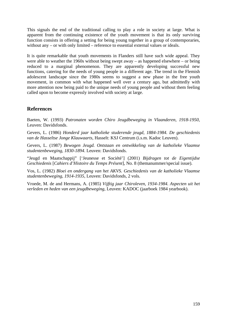This signals the end of the traditional calling to play a role in society at large. What is apparent from the continuing existence of the youth movement is that its only surviving function consists in offering a setting for being young together in a group of contemporaries, without any – or with only limited – reference to essential external values or ideals.

It is quite remarkable that youth movements in Flanders still have such wide appeal. They were able to weather the 1960s without being swept away – as happened elsewhere – or being reduced to a marginal phenomenon. They are apparently developing successful new functions, catering for the needs of young people in a different age. The trend in the Flemish adolescent landscape since the 1980s seems to suggest a new phase in the free youth movement, in common with what happened well over a century ago, but admittedly with more attention now being paid to the unique needs of young people and without them feeling called upon to become expressly involved with society at large.

## **References**

Baeten, W. (1993) *Patronaten worden Chiro Jeugdbeweging in Vlaanderen, 1918-1950*, Leuven: Davidsfonds.

Gevers, L. (1986) *Honderd jaar katholieke studerende jeugd, 1884-1984. De geschiedenis van de Hasseltse Jonge Klauwaarts*, Hasselt: KSJ Centrum (i.s.m. Kadoc Leuven).

Gevers, L. (1987) *Bewogen Jeugd. Ontstaan en ontwikkeling van de katholieke Vlaamse studentenbeweging, 1830-1894*. Leuven: Davidsfonds.

"Jeugd en Maatschappij" ['Jeunesse et Société'] (2001) *Bijdragen tot de Eigentijdse Geschiedenis* [*Cahiers d'Histoire du Temps Présent*], No. 8 (themanummer/special issue).

Vos, L. (1982) *Bloei en ondergang van het AKVS. Geschiedenis van de katholieke Vlaamse studentenbeweging, 1914-1935*, Leuven: Davidsfonds, 2 vols.

Vroede, M. de and Hermans, A. (1985) *Vijftig jaar Chiroleven, 1934-1984. Aspecten uit het verleden en heden van een jeugdbeweging*, Leuven: KADOC (jaarboek 1984 yearbook).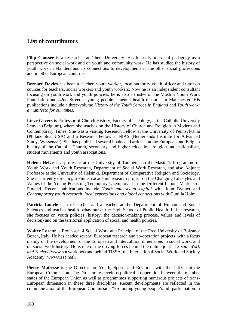# **List of contributors**

**Filip Coussée** is a researcher at Ghent University. His focus is on social pedagogy as a perspective on social work and on youth and community work. He has studied the history of youth work in Flanders and its connections to developments in the other social professions and in other European countries.

**Bernard Davies** has been a teacher, youth worker, local authority youth officer and tutor on courses for teachers, social workers and youth workers. Now he is an independent consultant focusing on youth work and youth policies; he is also a trustee of the Muslim Youth Work Foundation and 42nd Street, a young people's mental health resource in Manchester. His publications include a three-volume *History of the Youth Service in England* and *Youth work: a manifesto for our times*.

**Lieve Gevers** is Professor of Church History, Faculty of Theology, at the Catholic University Leuven (Belgium), where she teaches on the History of Church and Religion in Modern and Contemporary Times. She was a visiting Research Fellow at the University of Pennsylvania (Philadelphia, USA) and a Research Fellow at NIAS (Netherlands Institute for Advanced Study, Wassenaar). She has published several books and articles on the European and Belgian history of the Catholic Church, secondary and higher education, religion and nationalism, student movements and youth associations.

**Helena Helve** is a professor at the University of Tampere, on the Master's Programme of Youth Work and Youth Research, Department of Social Work Research, and also Adjunct Professor at the University of Helsinki, Department of Comparative Religion and Sociology. She is currently directing a Finnish academic research project on the Changing Lifestyles and Values of the Young Persisting Temporary Unemployed in the Different Labour Markets of Finland. Recent publications include *Youth and social capital* with John Bynner and *Contemporary youth research, local expressions and global connections* with Gunilla Holm.

Patricia Loncle is a researcher and a teacher at the Department of Human and Social Sciences and teaches health behaviour at the High School of Public Health. In her research, she focuses on youth policies (history, the decision-making process, values and levels of decision) and on the territorial application of social and health policies.

**Walter Lorenz** is Professor of Social Work and Principal of the Free University of Bolzano/ Bozen, Italy. He has headed several European research and co-operation projects, with a focus mainly on the development of the European and intercultural dimensions in social work, and on social work history. He is one of the driving forces behind the online journal *Social Work and Society* [\(www.socwork.net\)](http://www.socwork.net/) and behind TiSSA, the International Social Work and Society Academy [\(www.tissa.net\)](http://www.tissa.net/).

**Pierre Mairesse** is the Director for Youth, Sports and Relations with the Citizen at the European Commission. The Directorate develops political co-operation between the member states of the European Union as well as programmes supporting numerous projects of trans-European dimension in these three disciplines. Recent developments are reflected in the communication of the European Commission "Promoting young people's full participation in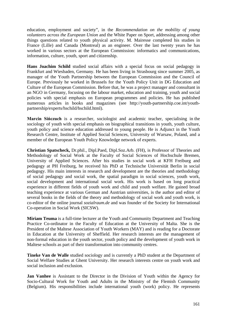education, employment and society", in the *Recommendation on the mobility of young volunteers across the European Union* and the White Paper on Sport, addressing among other things questions related to youth physical activity. M. Mairesse completed his studies in France (Lille) and Canada (Montreal) as an engineer. Over the last twenty years he has worked in various sectors at the European Commission: informatics and communications, information, culture, youth, sport and citizenship.

**Hans Joachim Schild** studied social affairs with a special focus on social pedagogy in Frankfurt and Wiesbaden, Germany. He has been living in Strasbourg since summer 2005, as manager of the Youth Partnership between the European Commission and the Council of Europe. Previously he worked in Brussels for the Youth Policy Unit in DG Education and Culture of the European Commission. Before that, he was a project manager and consultant in an NGO in Germany, focusing on the labour market, education and training, youth and social policies with special emphasis on European programmes and policies. He has published numerous articles in books and magazines (see [http://youth-partnership.coe.int/youth](http://youth-partnership.coe.int/youth-partnership/experts/hschild/hschild.html)[partnership/experts/hschild/hschild.html\)](http://youth-partnership.coe.int/youth-partnership/experts/hschild/hschild.html).

**Marcin Sińczuch** is a researcher, sociologist and academic teacher, specialising in the sociology of youth with special emphasis on biographical transitions in youth, youth culture, youth policy and science education addressed to young people. He is Adjunct in the Youth Research Centre, Institute of Applied Social Sciences, University of Warsaw, Poland, and a member of the European Youth Policy Knowledge network of experts.

**Christian Spatscheck,** Dr.phil., Dipl.Paed, Dipl.Soz.Arb. (FH), is Professor of Theories and Methodology of Social Work at the Faculty of Social Sciences of Hochschule Bremen, University of Applied Sciences. After his studies in social work at KFH Freiburg and pedagogy at PH Freiburg, he received his PhD at Technische Universität Berlin in social pedagogy. His main interests in research and development are the theories and methodology of social pedagogy and social work, the spatial paradigm in social sciences, youth work, social development and international social work. His work is based on long practical experience in different fields of youth work and child and youth welfare. He gained broad teaching experience at various German and Austrian universities, is the author and editor of several books in the fields of the theory and methodology of social work and youth work, is co-editor of the online journal *sozialraum.de* and was founder of the Society for International Co-operation in Social Work (SICSW).

**Miriam Teuma** is a full-time lecturer at the Youth and Community Department and Teaching Practice Co-ordinator in the Faculty of Education at the University of Malta. She is the President of the Maltese Association of Youth Workers (MAY) and is reading for a Doctorate in Education at the University of Sheffield. Her research interests are the management of non-formal education in the youth sector, youth policy and the development of youth work in Maltese schools as part of their transformation into community centres.

**Tineke Van de Walle** studied sociology and is currently a PhD student at the Department of Social Welfare Studies at Ghent University. Her research interests centre on youth work and social inclusion and exclusion.

**Jan Vanhee** is Assistant to the Director in the Division of Youth within the Agency for Socio-Cultural Work for Youth and Adults in the Ministry of the Flemish Community (Belgium). His responsibilities include international youth (work) policy. He represents